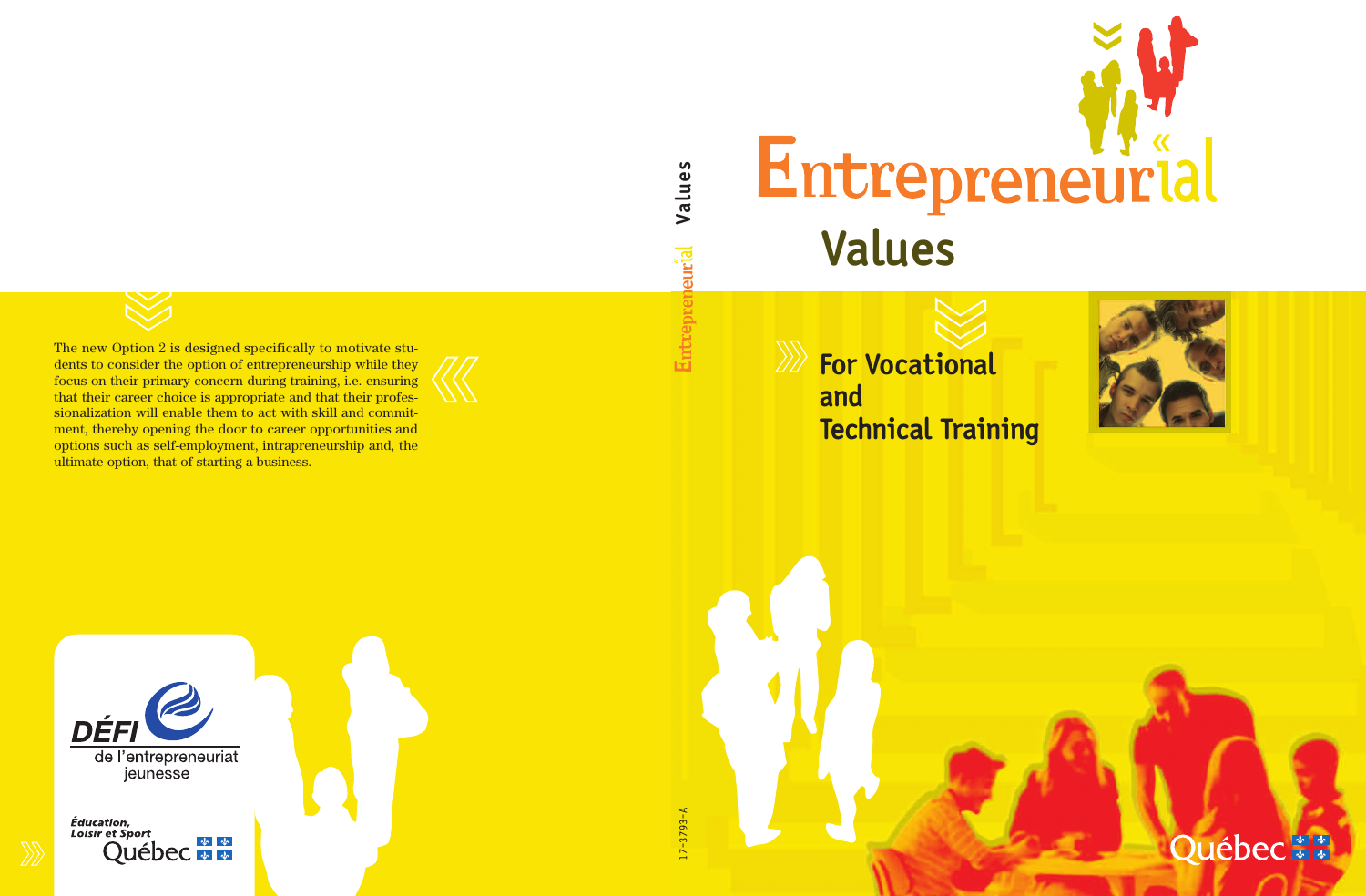

**e alu**  $\geqslant$ leurial Entre

**s**

The new Option 2 is designed specifically to motivate students to consider the option of entrepreneurship while they focus on their primary concern during training, i.e. ensuring that their career choice is appropriate and that their professionalization will enable them to act with skill and commitment, thereby opening the door to career opportunities and options such as self-employment, intrapreneurship and, the ultimate option, that of starting a business.

**For Vocational and Technical Training**



Québec\*\*

DÉFI de l'entrepreneuriat jeunesse

Éducation, **Loisir et Sport Québec**   $7 - 3793 - A$ 17-3793-A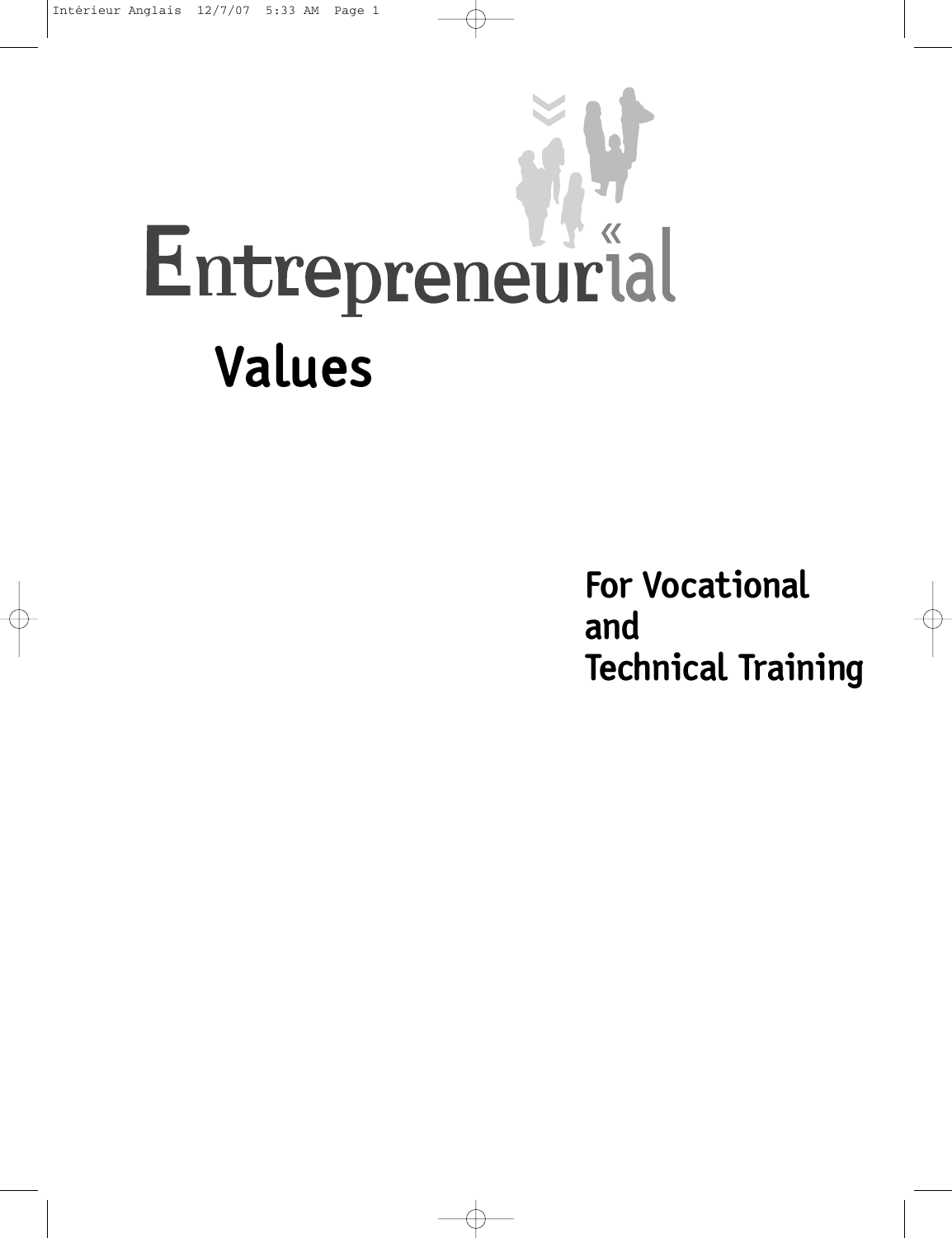

**For Vocational and Technical Training**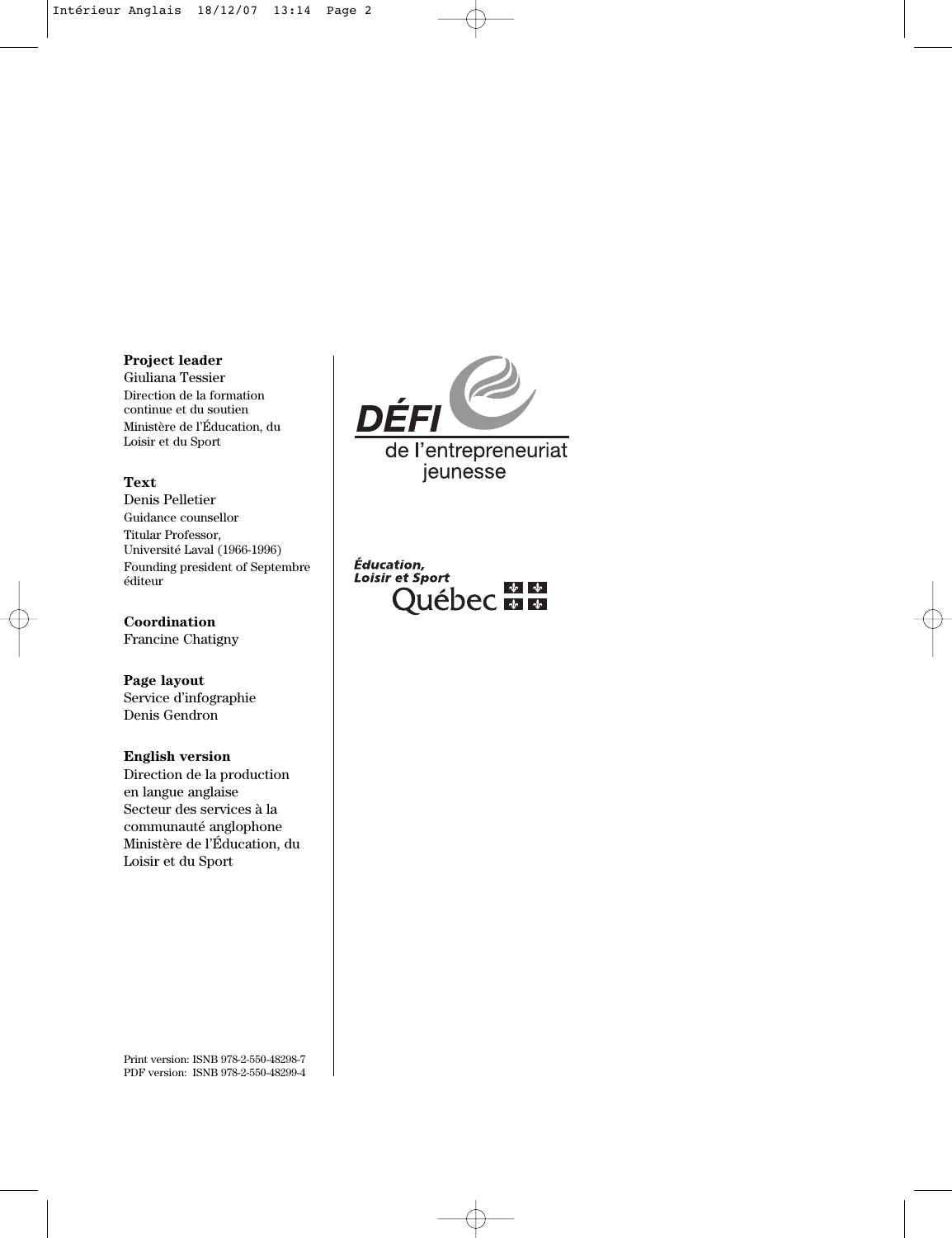#### **Project leader**

Giuliana Tessier Direction de la formation continue et du soutien Ministère de l'Éducation, du Loisir et du Sport

#### **Text**

Denis Pelletier Guidance counsellor Titular Professor, Université Laval (1966-1996) Founding president of Septembre éditeur

**Coordination** Francine Chatigny

**Page layout** Service d'infographie Denis Gendron

#### **English version**

Direction de la production en langue anglaise Secteur des services à la communauté anglophone Ministère de l'Éducation, du Loisir et du Sport



Éducation, **Loisir et Sport DECEMBRIC** 

Print version: ISNB 978-2-550-48298-7 PDF version: ISNB 978-2-550-48299-4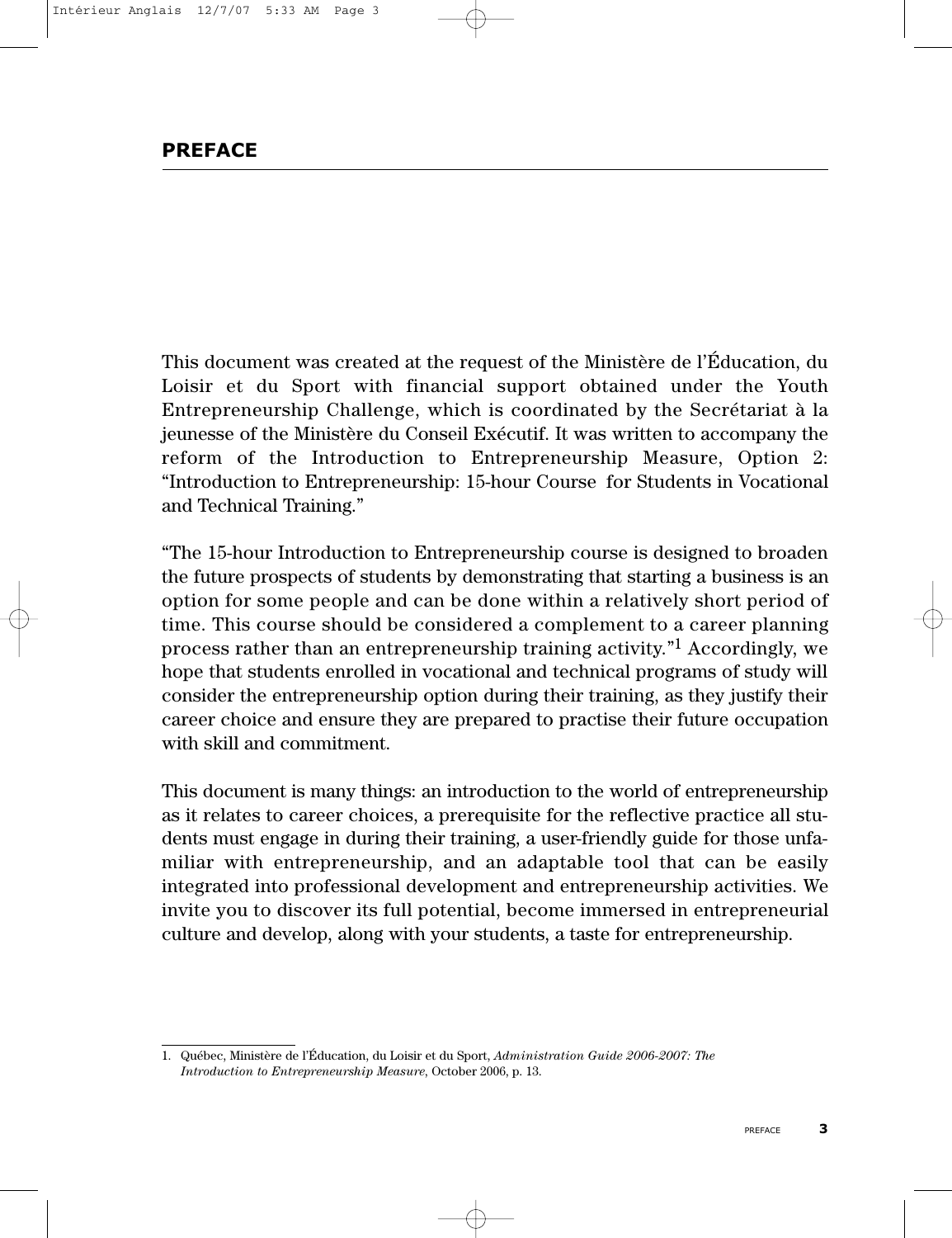This document was created at the request of the Ministère de l'Éducation, du Loisir et du Sport with financial support obtained under the Youth Entrepreneurship Challenge, which is coordinated by the Secrétariat à la jeunesse of the Ministère du Conseil Exécutif. It was written to accompany the reform of the Introduction to Entrepreneurship Measure, Option 2: "Introduction to Entrepreneurship: 15-hour Course for Students in Vocational and Technical Training."

"The 15-hour Introduction to Entrepreneurship course is designed to broaden the future prospects of students by demonstrating that starting a business is an option for some people and can be done within a relatively short period of time. This course should be considered a complement to a career planning process rather than an entrepreneurship training activity."1 Accordingly, we hope that students enrolled in vocational and technical programs of study will consider the entrepreneurship option during their training, as they justify their career choice and ensure they are prepared to practise their future occupation with skill and commitment.

This document is many things: an introduction to the world of entrepreneurship as it relates to career choices, a prerequisite for the reflective practice all students must engage in during their training, a user-friendly guide for those unfamiliar with entrepreneurship, and an adaptable tool that can be easily integrated into professional development and entrepreneurship activities. We invite you to discover its full potential, become immersed in entrepreneurial culture and develop, along with your students, a taste for entrepreneurship.

<sup>1.</sup> Québec, Ministère de l'Éducation, du Loisir et du Sport, *Administration Guide 2006-2007: The Introduction to Entrepreneurship Measure*, October 2006, p. 13.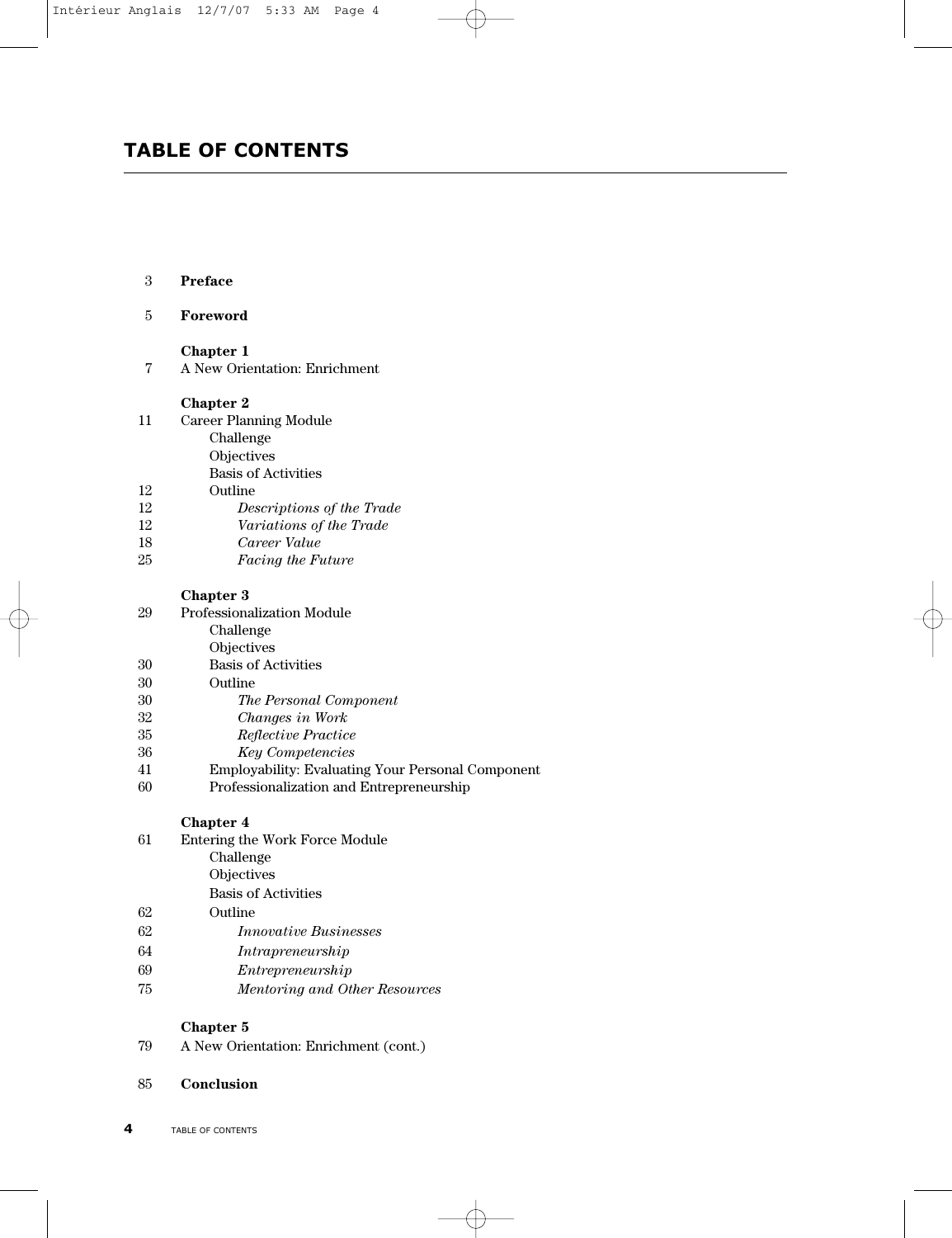## **TABLE OF CONTENTS**

| 3  | Preface                                           |
|----|---------------------------------------------------|
| 5  | Foreword                                          |
|    | <b>Chapter 1</b>                                  |
| 7  | A New Orientation: Enrichment                     |
|    | <b>Chapter 2</b>                                  |
| 11 | <b>Career Planning Module</b>                     |
|    | Challenge                                         |
|    | Objectives                                        |
|    | <b>Basis of Activities</b>                        |
| 12 | Outline                                           |
| 12 | Descriptions of the Trade                         |
| 12 | Variations of the Trade                           |
| 18 | Career Value                                      |
| 25 | Facing the Future                                 |
|    | <b>Chapter 3</b>                                  |
| 29 | <b>Professionalization Module</b>                 |
|    | Challenge                                         |
|    | Objectives                                        |
| 30 | <b>Basis of Activities</b>                        |
| 30 | Outline                                           |
| 30 | The Personal Component                            |
| 32 | Changes in Work                                   |
| 35 | Reflective Practice                               |
| 36 | <b>Key Competencies</b>                           |
| 41 | Employability: Evaluating Your Personal Component |
| 60 | Professionalization and Entrepreneurship          |
|    | <b>Chapter 4</b>                                  |
| 61 | Entering the Work Force Module                    |
|    | Challenge                                         |
|    | Objectives                                        |
|    | <b>Basis of Activities</b>                        |
| 62 | Outline                                           |
| 62 | <i>Innovative Businesses</i>                      |
| 64 | Intrapreneurship                                  |
| 69 | Entrepresent in                                   |

## **Chapter 5**

79 A New Orientation: Enrichment (cont.)

75 *Mentoring and Other Resources*

85 **Conclusion**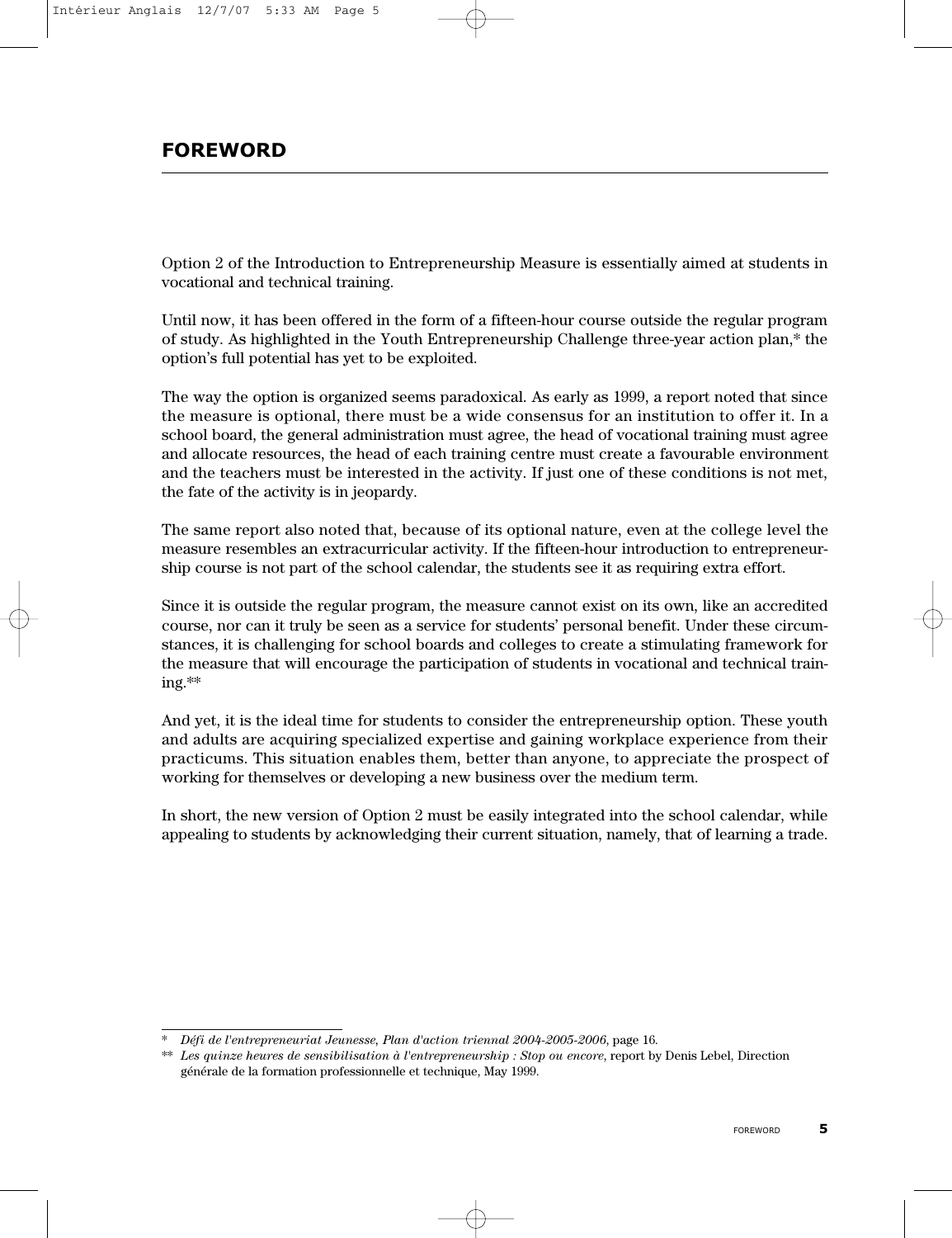Option 2 of the Introduction to Entrepreneurship Measure is essentially aimed at students in vocational and technical training.

Until now, it has been offered in the form of a fifteen-hour course outside the regular program of study. As highlighted in the Youth Entrepreneurship Challenge three-year action plan,\* the option's full potential has yet to be exploited.

The way the option is organized seems paradoxical. As early as 1999, a report noted that since the measure is optional, there must be a wide consensus for an institution to offer it. In a school board, the general administration must agree, the head of vocational training must agree and allocate resources, the head of each training centre must create a favourable environment and the teachers must be interested in the activity. If just one of these conditions is not met, the fate of the activity is in jeopardy.

The same report also noted that, because of its optional nature, even at the college level the measure resembles an extracurricular activity. If the fifteen-hour introduction to entrepreneurship course is not part of the school calendar, the students see it as requiring extra effort.

Since it is outside the regular program, the measure cannot exist on its own, like an accredited course, nor can it truly be seen as a service for students' personal benefit. Under these circumstances, it is challenging for school boards and colleges to create a stimulating framework for the measure that will encourage the participation of students in vocational and technical training.\*\*

And yet, it is the ideal time for students to consider the entrepreneurship option. These youth and adults are acquiring specialized expertise and gaining workplace experience from their practicums. This situation enables them, better than anyone, to appreciate the prospect of working for themselves or developing a new business over the medium term.

In short, the new version of Option 2 must be easily integrated into the school calendar, while appealing to students by acknowledging their current situation, namely, that of learning a trade.

<sup>\*</sup> *Défi de l'entrepreneuriat Jeunesse, Plan d'action triennal 2004-2005-2006*, page 16.

<sup>\*\*</sup> *Les quinze heures de sensibilisation à l'entrepreneurship : Stop ou encore*, report by Denis Lebel, Direction générale de la formation professionnelle et technique, May 1999.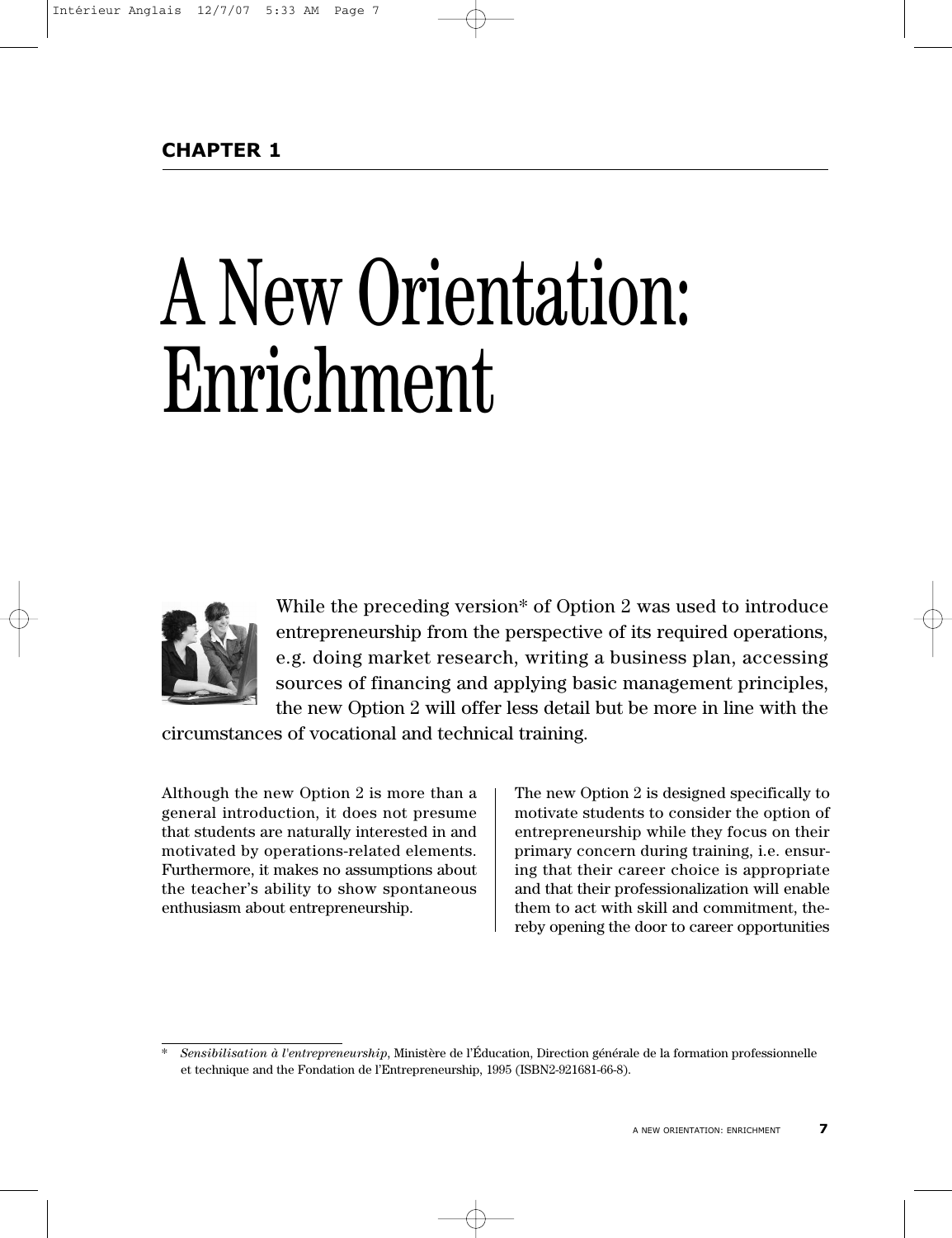# A New Orientation: **Enrichment**



While the preceding version<sup>\*</sup> of Option 2 was used to introduce entrepreneurship from the perspective of its required operations, e.g. doing market research, writing a business plan, accessing sources of financing and applying basic management principles, the new Option 2 will offer less detail but be more in line with the

circumstances of vocational and technical training.

Although the new Option 2 is more than a general introduction, it does not presume that students are naturally interested in and motivated by operations-related elements. Furthermore, it makes no assumptions about the teacher's ability to show spontaneous enthusiasm about entrepreneurship.

The new Option 2 is designed specifically to motivate students to consider the option of entrepreneurship while they focus on their primary concern during training, i.e. ensuring that their career choice is appropriate and that their professionalization will enable them to act with skill and commitment, thereby opening the door to career opportunities

<sup>\*</sup> *Sensibilisation à l'entrepreneurship*, Ministère de l'Éducation, Direction générale de la formation professionnelle et technique and the Fondation de l'Entrepreneurship, 1995 (ISBN2-921681-66-8).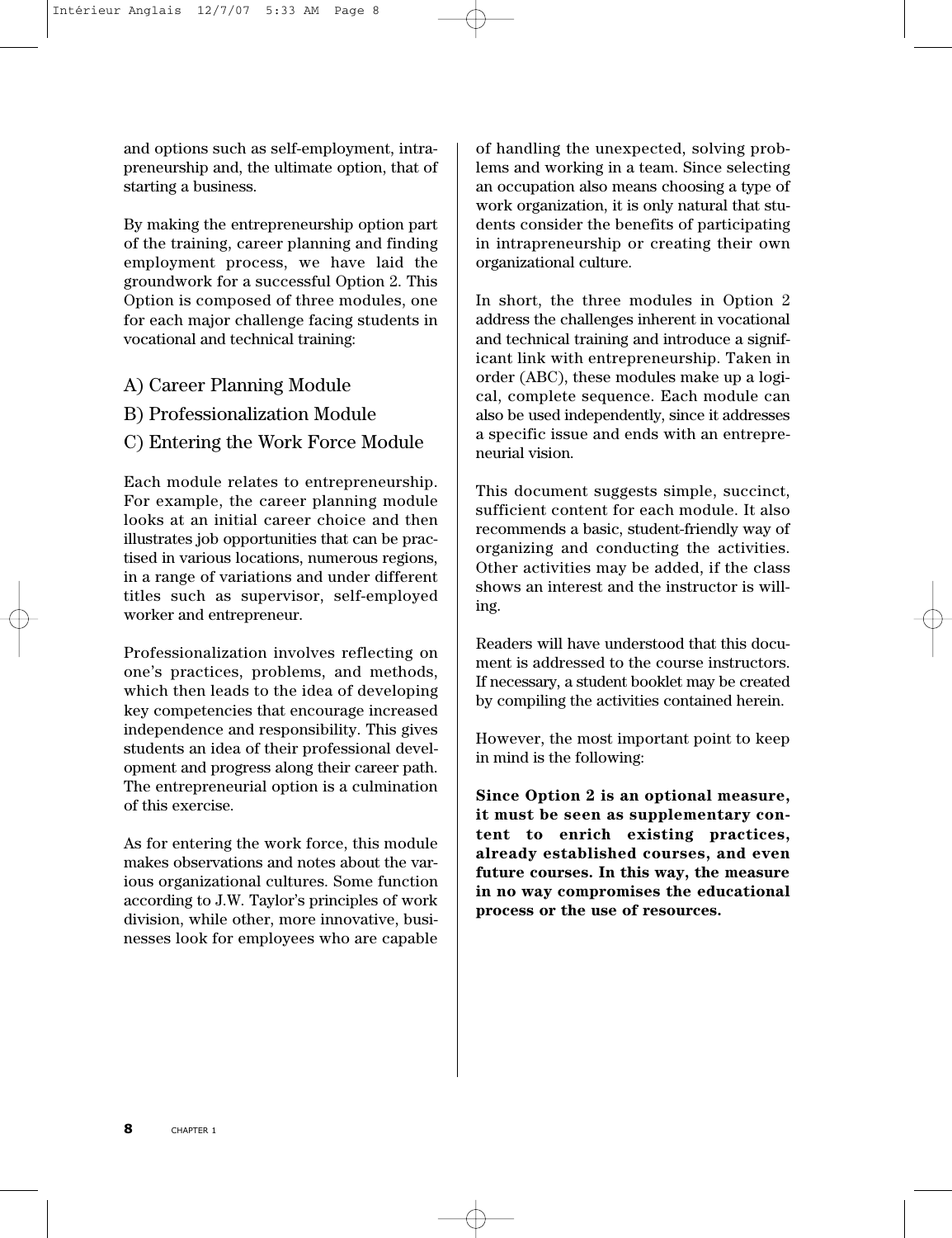and options such as self-employment, intrapreneurship and, the ultimate option, that of starting a business.

By making the entrepreneurship option part of the training, career planning and finding employment process, we have laid the groundwork for a successful Option 2. This Option is composed of three modules, one for each major challenge facing students in vocational and technical training:

- A) Career Planning Module
- B) Professionalization Module
- C) Entering the Work Force Module

Each module relates to entrepreneurship. For example, the career planning module looks at an initial career choice and then illustrates job opportunities that can be practised in various locations, numerous regions, in a range of variations and under different titles such as supervisor, self-employed worker and entrepreneur.

Professionalization involves reflecting on one's practices, problems, and methods, which then leads to the idea of developing key competencies that encourage increased independence and responsibility. This gives students an idea of their professional development and progress along their career path. The entrepreneurial option is a culmination of this exercise.

As for entering the work force, this module makes observations and notes about the various organizational cultures. Some function according to J.W. Taylor's principles of work division, while other, more innovative, businesses look for employees who are capable

of handling the unexpected, solving problems and working in a team. Since selecting an occupation also means choosing a type of work organization, it is only natural that students consider the benefits of participating in intrapreneurship or creating their own organizational culture.

In short, the three modules in Option 2 address the challenges inherent in vocational and technical training and introduce a significant link with entrepreneurship. Taken in order (ABC), these modules make up a logical, complete sequence. Each module can also be used independently, since it addresses a specific issue and ends with an entrepreneurial vision.

This document suggests simple, succinct, sufficient content for each module. It also recommends a basic, student-friendly way of organizing and conducting the activities. Other activities may be added, if the class shows an interest and the instructor is willing.

Readers will have understood that this document is addressed to the course instructors. If necessary, a student booklet may be created by compiling the activities contained herein.

However, the most important point to keep in mind is the following:

**Since Option 2 is an optional measure, it must be seen as supplementary content to enrich existing practices, already established courses, and even future courses. In this way, the measure in no way compromises the educational process or the use of resources.**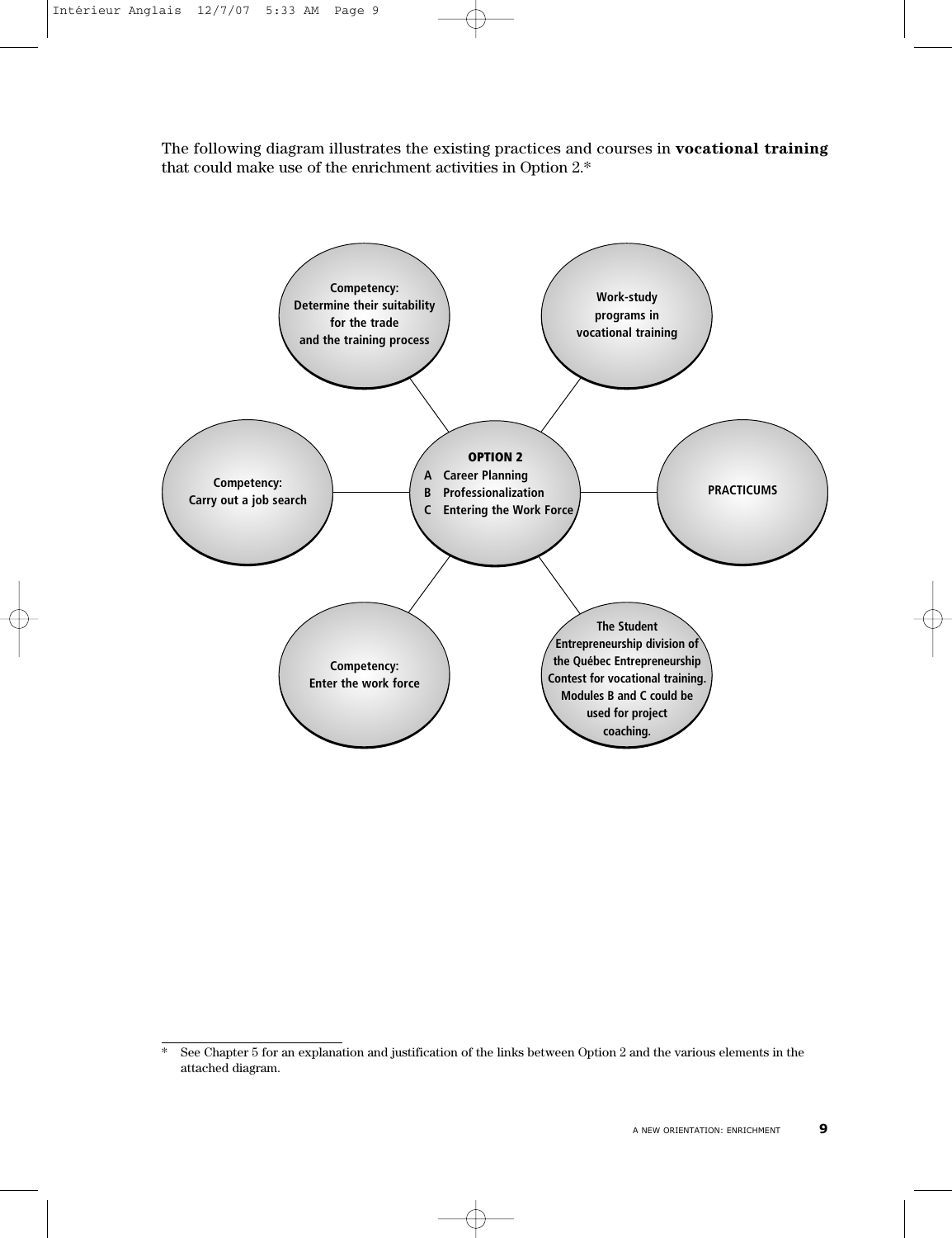The following diagram illustrates the existing practices and courses in **vocational training** that could make use of the enrichment activities in Option 2.\*



<sup>\*</sup> See Chapter 5 for an explanation and justification of the links between Option 2 and the various elements in the attached diagram.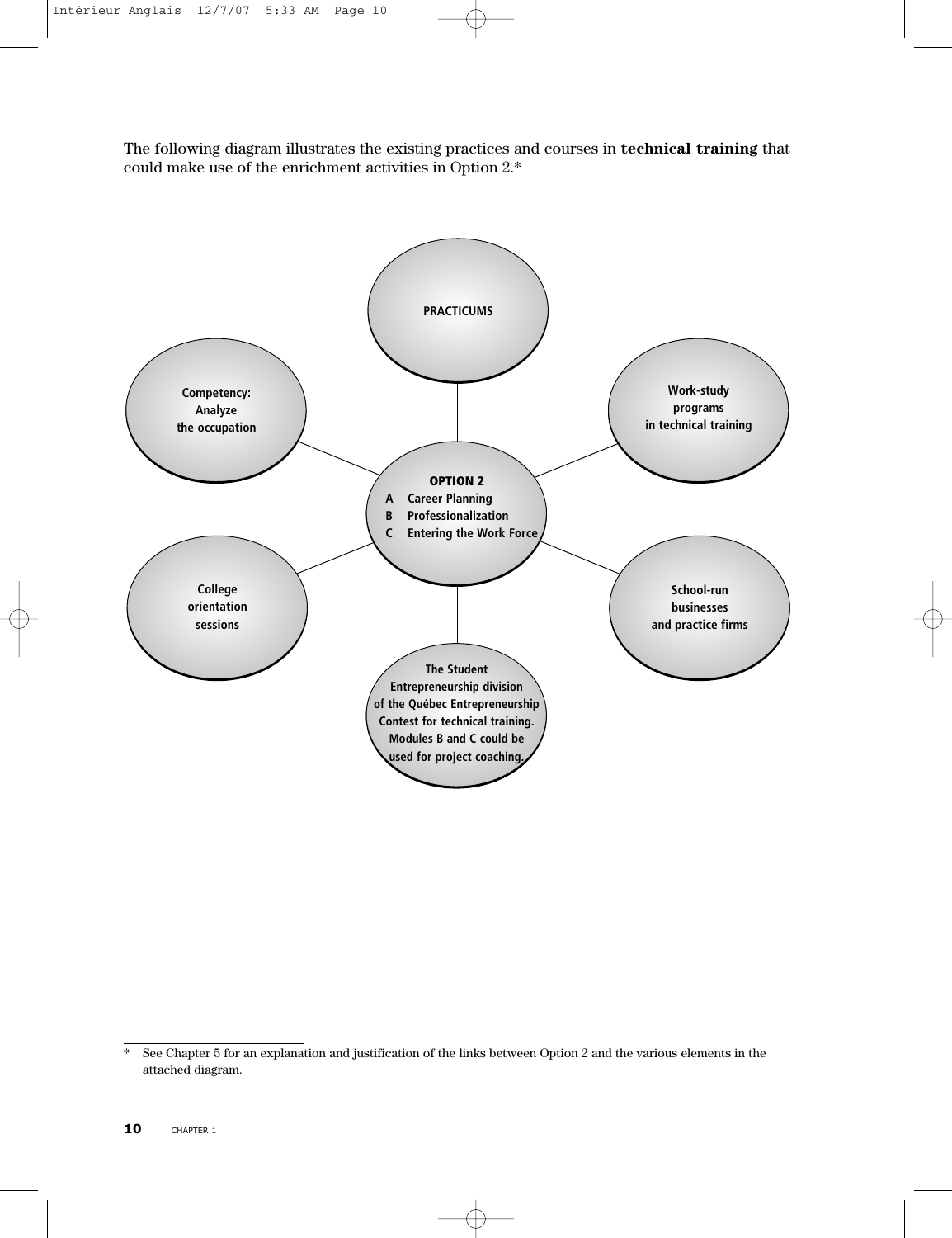The following diagram illustrates the existing practices and courses in **technical training** that could make use of the enrichment activities in Option 2.\*



<sup>\*</sup> See Chapter 5 for an explanation and justification of the links between Option 2 and the various elements in the attached diagram.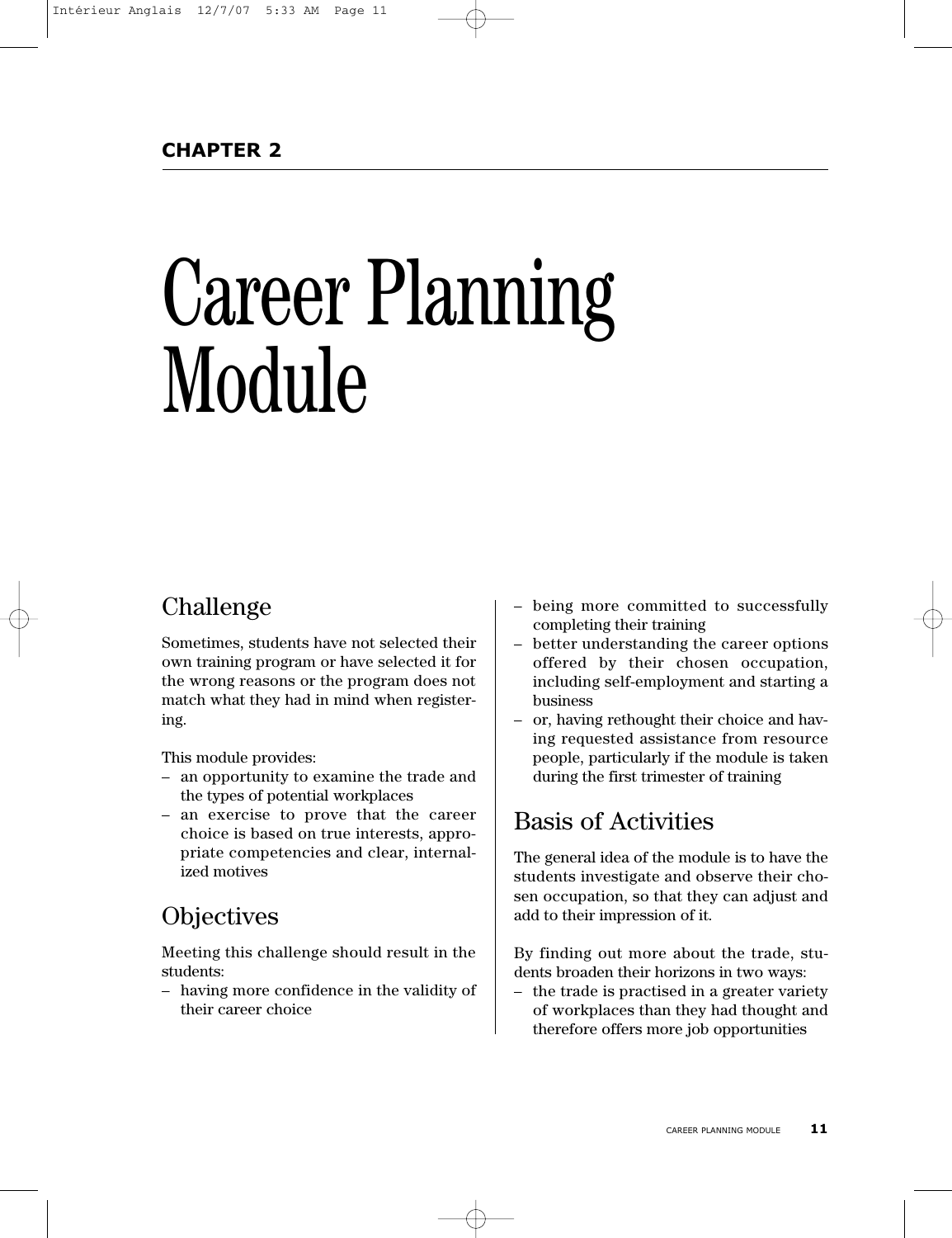# Career Planning Module

# Challenge

Sometimes, students have not selected their own training program or have selected it for the wrong reasons or the program does not match what they had in mind when registering.

This module provides:

- an opportunity to examine the trade and the types of potential workplaces
- an exercise to prove that the career choice is based on true interests, appropriate competencies and clear, internalized motives

# **Objectives**

Meeting this challenge should result in the students:

– having more confidence in the validity of their career choice

- being more committed to successfully completing their training
- better understanding the career options offered by their chosen occupation, including self-employment and starting a business
- or, having rethought their choice and having requested assistance from resource people, particularly if the module is taken during the first trimester of training

# Basis of Activities

The general idea of the module is to have the students investigate and observe their chosen occupation, so that they can adjust and add to their impression of it.

By finding out more about the trade, students broaden their horizons in two ways:

– the trade is practised in a greater variety of workplaces than they had thought and therefore offers more job opportunities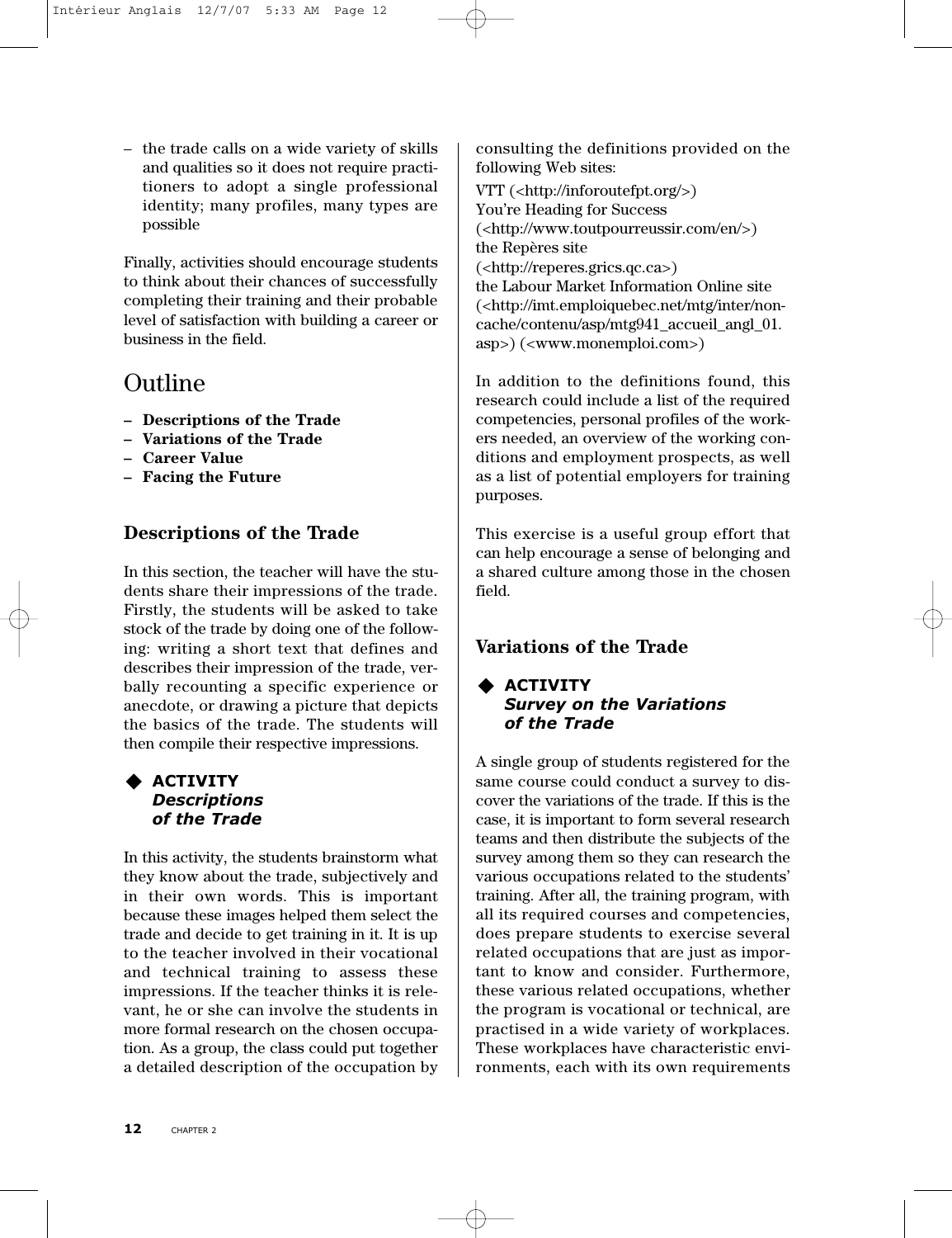– the trade calls on a wide variety of skills and qualities so it does not require practitioners to adopt a single professional identity; many profiles, many types are possible

Finally, activities should encourage students to think about their chances of successfully completing their training and their probable level of satisfaction with building a career or business in the field.

# Outline

- **Descriptions of the Trade**
- **Variations of the Trade**
- **Career Value**
- **– Facing the Future**

## **Descriptions of the Trade**

In this section, the teacher will have the students share their impressions of the trade. Firstly, the students will be asked to take stock of the trade by doing one of the following: writing a short text that defines and describes their impression of the trade, verbally recounting a specific experience or anecdote, or drawing a picture that depicts the basics of the trade. The students will then compile their respective impressions.

#### **ACTIVITY** *Descriptions of the Trade*

In this activity, the students brainstorm what they know about the trade, subjectively and in their own words. This is important because these images helped them select the trade and decide to get training in it. It is up to the teacher involved in their vocational and technical training to assess these impressions. If the teacher thinks it is relevant, he or she can involve the students in more formal research on the chosen occupation. As a group, the class could put together a detailed description of the occupation by consulting the definitions provided on the following Web sites:

VTT (<http://inforoutefpt.org/>) You're Heading for Success (<http://www.toutpourreussir.com/en/>) the Repères site (<http://reperes.grics.qc.ca>) the Labour Market Information Online site (<http://imt.emploiquebec.net/mtg/inter/noncache/contenu/asp/mtg941\_accueil\_angl\_01. asp>) (<www.monemploi.com>)

In addition to the definitions found, this research could include a list of the required competencies, personal profiles of the workers needed, an overview of the working conditions and employment prospects, as well as a list of potential employers for training purposes.

This exercise is a useful group effort that can help encourage a sense of belonging and a shared culture among those in the chosen field.

## **Variations of the Trade**

#### **ACTIVITY** *Survey on the Variations of the Trade*

A single group of students registered for the same course could conduct a survey to discover the variations of the trade. If this is the case, it is important to form several research teams and then distribute the subjects of the survey among them so they can research the various occupations related to the students' training. After all, the training program, with all its required courses and competencies, does prepare students to exercise several related occupations that are just as important to know and consider. Furthermore, these various related occupations, whether the program is vocational or technical, are practised in a wide variety of workplaces. These workplaces have characteristic environments, each with its own requirements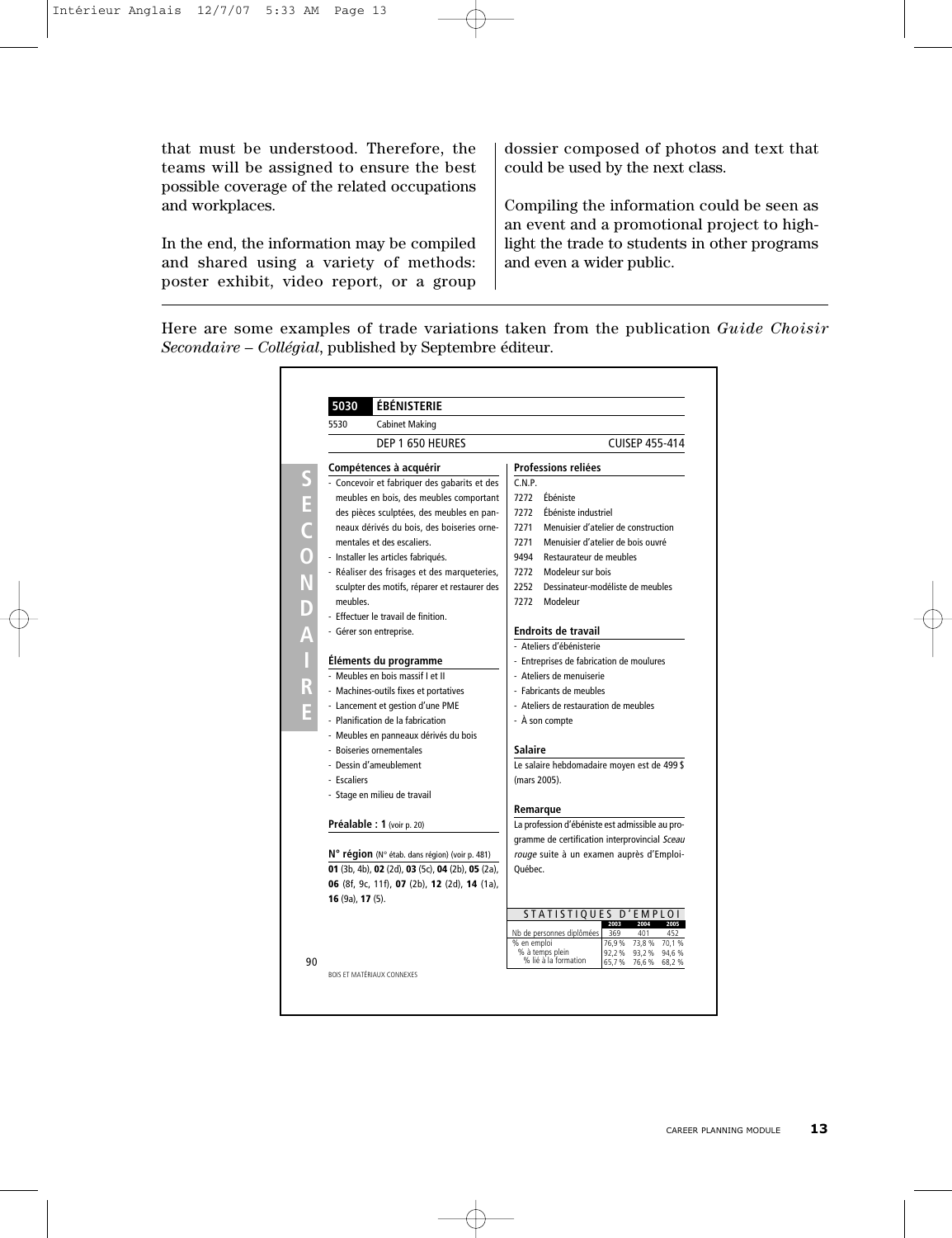that must be understood. Therefore, the teams will be assigned to ensure the best possible coverage of the related occupations and workplaces.

In the end, the information may be compiled and shared using a variety of methods: poster exhibit, video report, or a group dossier composed of photos and text that could be used by the next class.

Compiling the information could be seen as an event and a promotional project to highlight the trade to students in other programs and even a wider public.

**É** *Secondaire – Collégial*, published by Septembre éditeur. Here are some examples of trade variations taken from the publication *Guide Choisir*

| 5530                   | <b>Cabinet Making</b>                            |             |                                                 |                |                       |                |
|------------------------|--------------------------------------------------|-------------|-------------------------------------------------|----------------|-----------------------|----------------|
|                        | DEP 1 650 HEURES                                 |             |                                                 |                | <b>CUISEP 455-414</b> |                |
|                        | Compétences à acquérir                           |             | Professions reliées                             |                |                       |                |
|                        | - Concevoir et fabriquer des gabarits et des     | C.N.P.      |                                                 |                |                       |                |
|                        | meubles en bois, des meubles comportant          | 7272        | Éhéniste                                        |                |                       |                |
|                        | des pièces sculptées, des meubles en pan-        | 7272        | Ébéniste industriel                             |                |                       |                |
|                        | neaux dérivés du bois, des boiseries orne-       | 7271        | Menuisier d'atelier de construction             |                |                       |                |
|                        | mentales et des escaliers.                       | 7271        | Menuisier d'atelier de bois ouvré               |                |                       |                |
|                        | - Installer les articles fabriqués.              | 9494        | Restaurateur de meubles                         |                |                       |                |
|                        | - Réaliser des frisages et des marqueteries,     | 7272        | Modeleur sur bois                               |                |                       |                |
|                        | sculpter des motifs, réparer et restaurer des    | 2252        | Dessinateur-modéliste de meubles                |                |                       |                |
| meubles.               |                                                  | 7272        | Modeleur                                        |                |                       |                |
|                        | - Effectuer le travail de finition.              |             |                                                 |                |                       |                |
|                        | - Gérer son entreprise.                          |             | <b>Endroits de travail</b>                      |                |                       |                |
|                        |                                                  |             | - Ateliers d'ébénisterie                        |                |                       |                |
|                        | Éléments du programme                            |             | - Entreprises de fabrication de moulures        |                |                       |                |
|                        | - Meubles en bois massif Let II                  |             | - Ateliers de menuiserie                        |                |                       |                |
|                        | - Machines-outils fixes et portatives            |             | - Fabricants de meubles                         |                |                       |                |
|                        | - Lancement et gestion d'une PME                 |             | - Ateliers de restauration de meubles           |                |                       |                |
|                        | - Planification de la fabrication                |             | - À son compte                                  |                |                       |                |
|                        | - Meubles en panneaux dérivés du bois            |             |                                                 |                |                       |                |
|                        | - Boiseries ornementales                         | Salaire     |                                                 |                |                       |                |
|                        | - Dessin d'ameublement                           |             | Le salaire hebdomadaire moyen est de 499 \$     |                |                       |                |
| - Escaliers            |                                                  |             | (mars 2005).                                    |                |                       |                |
|                        | - Stage en milieu de travail                     |             |                                                 |                |                       |                |
|                        |                                                  |             | Remarque                                        |                |                       |                |
|                        | <b>Préalable : 1</b> (voir p. 20)                |             | La profession d'ébéniste est admissible au pro- |                |                       |                |
|                        |                                                  |             | gramme de certification interprovincial Sceau   |                |                       |                |
|                        | N° région (N° étab. dans région) (voir p. 481)   |             | rouge suite à un examen auprès d'Emploi-        |                |                       |                |
|                        | 01 (3b, 4b), 02 (2d), 03 (5c), 04 (2b), 05 (2a), | Québec.     |                                                 |                |                       |                |
|                        | 06 (8f, 9c, 11f), 07 (2b), 12 (2d), 14 (1a),     |             |                                                 |                |                       |                |
| 16 $(9a)$ , 17 $(5)$ . |                                                  |             |                                                 |                |                       |                |
|                        |                                                  |             | STATISTIQUES D'EMPLOI                           |                |                       |                |
|                        |                                                  |             | Nb de personnes diplômées                       | 369            | 401                   |                |
|                        |                                                  | % en emploi |                                                 | 76.9%          | 73.8%                 | 70.1<br>%      |
|                        |                                                  |             | % à temps plein<br>% lié à la formation         | 92,2%<br>65,7% | 93,2%<br>76,6%        | 94,6%<br>68,2% |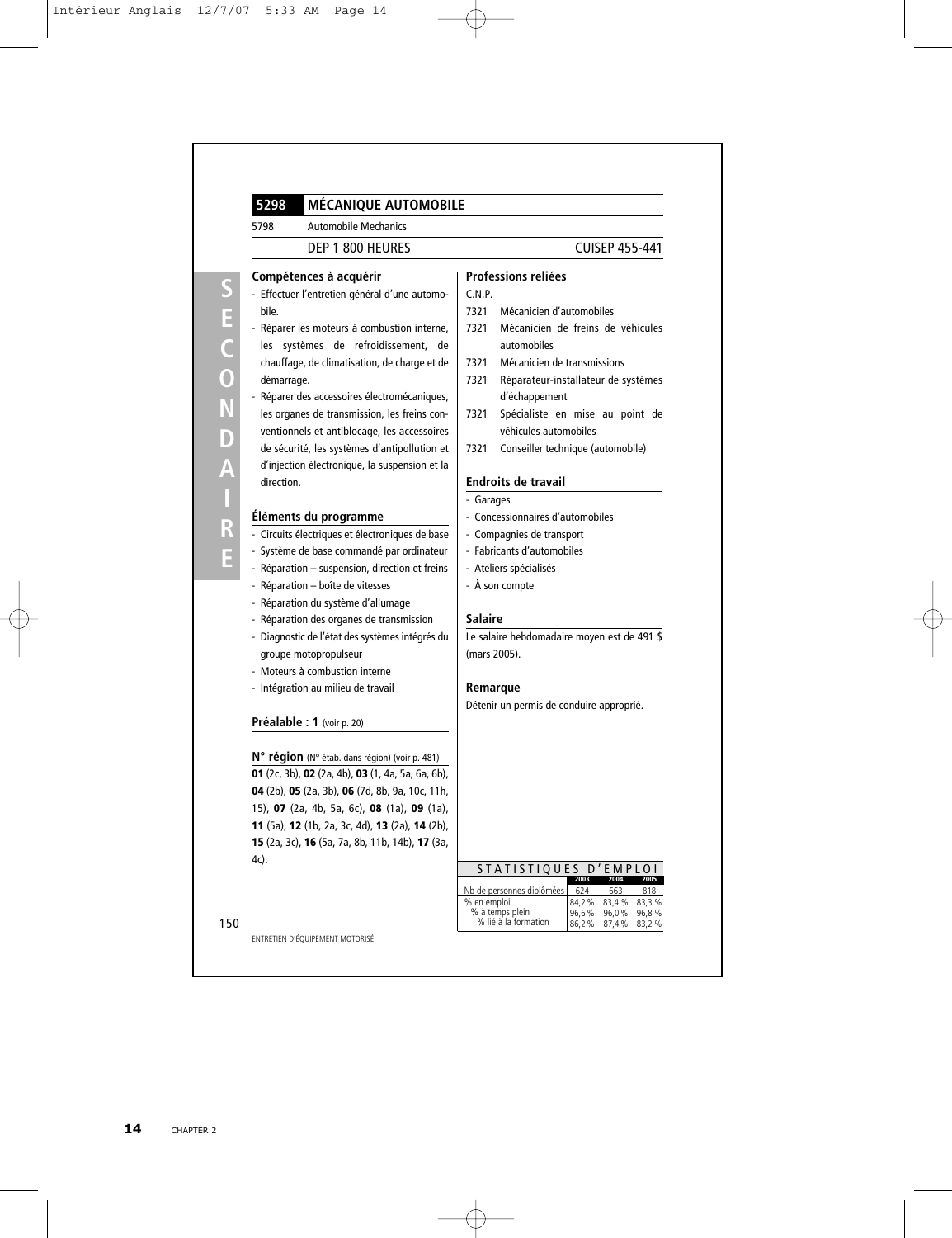| 5298<br><b>MÉCANIQUE AUTOMOBILE</b>                                                           |                                                                                                                                          |  |  |  |  |
|-----------------------------------------------------------------------------------------------|------------------------------------------------------------------------------------------------------------------------------------------|--|--|--|--|
| 5798<br><b>Automobile Mechanics</b>                                                           |                                                                                                                                          |  |  |  |  |
| DEP 1 800 HEURES                                                                              | <b>CUISEP 455-441</b>                                                                                                                    |  |  |  |  |
| Compétences à acquérir                                                                        | <b>Professions reliées</b>                                                                                                               |  |  |  |  |
| - Effectuer l'entretien général d'une automo-                                                 | C.N.P.                                                                                                                                   |  |  |  |  |
| bile.                                                                                         | 7321<br>Mécanicien d'automobiles                                                                                                         |  |  |  |  |
| - Réparer les moteurs à combustion interne,                                                   | Mécanicien de freins de véhicules<br>7321                                                                                                |  |  |  |  |
| les systèmes de refroidissement, de                                                           | automobiles                                                                                                                              |  |  |  |  |
| chauffage, de climatisation, de charge et de                                                  | 7321<br>Mécanicien de transmissions                                                                                                      |  |  |  |  |
| démarrage.                                                                                    | 7321<br>Réparateur-installateur de systèmes                                                                                              |  |  |  |  |
| - Réparer des accessoires électromécaniques,                                                  | d'échappement                                                                                                                            |  |  |  |  |
| les organes de transmission, les freins con-<br>ventionnels et antiblocage, les accessoires   | Spécialiste en mise au point de<br>7321<br>véhicules automobiles                                                                         |  |  |  |  |
| de sécurité, les systèmes d'antipollution et<br>d'injection électronique, la suspension et la | 7321<br>Conseiller technique (automobile)                                                                                                |  |  |  |  |
| direction.                                                                                    | Endroits de travail                                                                                                                      |  |  |  |  |
|                                                                                               | - Garages                                                                                                                                |  |  |  |  |
| Éléments du programme                                                                         | - Concessionnaires d'automobiles                                                                                                         |  |  |  |  |
| - Circuits électriques et électroniques de base                                               | - Compagnies de transport                                                                                                                |  |  |  |  |
| - Système de base commandé par ordinateur                                                     | - Fabricants d'automobiles                                                                                                               |  |  |  |  |
| - Réparation - suspension, direction et freins                                                | - Ateliers spécialisés                                                                                                                   |  |  |  |  |
| - Réparation - boîte de vitesses                                                              | - À son compte                                                                                                                           |  |  |  |  |
| - Réparation du système d'allumage                                                            |                                                                                                                                          |  |  |  |  |
| - Réparation des organes de transmission                                                      | Salaire                                                                                                                                  |  |  |  |  |
| - Diagnostic de l'état des systèmes intégrés du                                               | Le salaire hebdomadaire moyen est de 491 \$                                                                                              |  |  |  |  |
| groupe motopropulseur                                                                         | (mars 2005).                                                                                                                             |  |  |  |  |
| - Moteurs à combustion interne                                                                |                                                                                                                                          |  |  |  |  |
| - Intégration au milieu de travail                                                            | Remarque                                                                                                                                 |  |  |  |  |
|                                                                                               | Détenir un permis de conduire approprié.                                                                                                 |  |  |  |  |
| <b>Préalable : 1</b> (voir p. 20)                                                             |                                                                                                                                          |  |  |  |  |
| N° région (N° étab. dans région) (voir p. 481)                                                |                                                                                                                                          |  |  |  |  |
| 01 (2c, 3b), 02 (2a, 4b), 03 (1, 4a, 5a, 6a, 6b),                                             |                                                                                                                                          |  |  |  |  |
| 04 (2b), 05 (2a, 3b), 06 (7d, 8b, 9a, 10c, 11h,                                               |                                                                                                                                          |  |  |  |  |
| 15), 07 (2a, 4b, 5a, 6c), 08 (1a), 09 (1a),                                                   |                                                                                                                                          |  |  |  |  |
| 11 (5a), 12 (1b, 2a, 3c, 4d), 13 (2a), 14 (2b),                                               |                                                                                                                                          |  |  |  |  |
| 15 (2a, 3c), 16 (5a, 7a, 8b, 11b, 14b), 17 (3a,                                               |                                                                                                                                          |  |  |  |  |
| 4c).                                                                                          |                                                                                                                                          |  |  |  |  |
|                                                                                               | STATISTIQUES D'EMPLOI<br>2003<br>2004                                                                                                    |  |  |  |  |
|                                                                                               | Nb de personnes diplômées<br>624<br>663<br>818                                                                                           |  |  |  |  |
|                                                                                               | % en emploi<br>84,2%<br>83,4%<br>83,3%<br>% à temps plein<br>96,6%<br>96,0%<br>96,8%<br>% lié à la formation<br>86,2%<br>87,4 %<br>83,2% |  |  |  |  |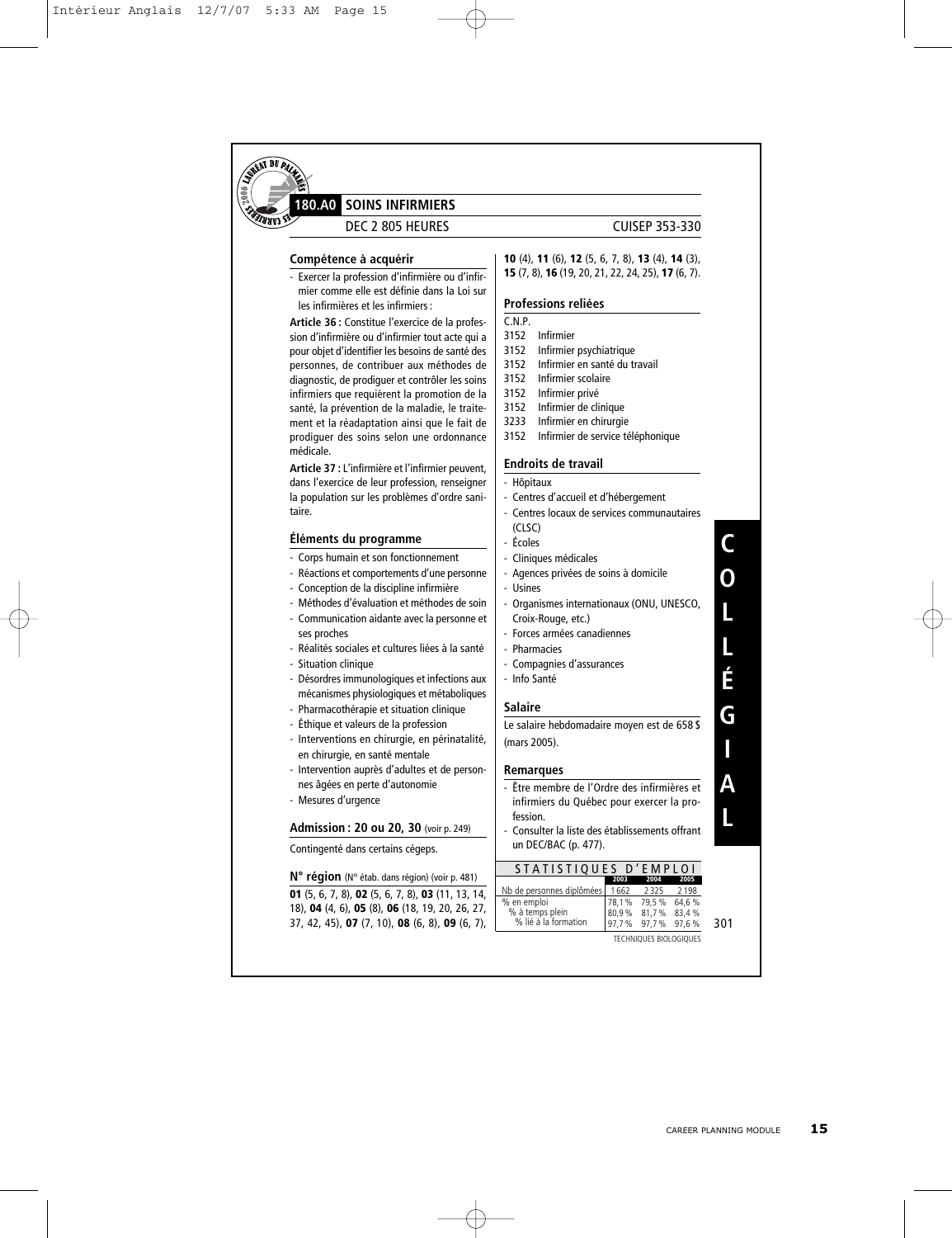

#### **SOINS INFIRMIERS 180.A0**

DEC 2 805 HEURES CUISEP 353-330

#### **Compétence à acquérir**

- Exercer la profession d'infirmière ou d'infirmier comme elle est définie dans la Loi sur les infirmières et les infirmiers :

**Article 36 :** Constitue l'exercice de la profession d'infirmière ou d'infirmier tout acte qui a pour objet d'identifier les besoins de santé des personnes, de contribuer aux méthodes de diagnostic, de prodiguer et contrôler les soins infirmiers que requièrent la promotion de la santé, la prévention de la maladie, le traitement et la réadaptation ainsi que le fait de prodiguer des soins selon une ordonnance médicale.

**Article 37 :** L'infirmière et l'infirmier peuvent, dans l'exercice de leur profession, renseigner la population sur les problèmes d'ordre sanitaire.

#### **Éléments du programme**

- Corps humain et son fonctionnement
- Réactions et comportements d'une personne
- Conception de la discipline infirmière
- Méthodes d'évaluation et méthodes de soin
- Communication aidante avec la personne et ses proches
- Réalités sociales et cultures liées à la santé - Situation clinique
- Désordres immunologiques et infections aux mécanismes physiologiques et métaboliques
- Pharmacothérapie et situation clinique
- Éthique et valeurs de la profession
- Interventions en chirurgie, en périnatalité, en chirurgie, en santé mentale
- Intervention auprès d'adultes et de personnes âgées en perte d'autonomie
- Mesures d'urgence

#### **Admission : 20 ou 20, 30** (voir p. 249)

Contingenté dans certains cégeps.

**N° région** (N° étab. dans région) (voir p. 481) **01** (5, 6, 7, 8), **02** (5, 6, 7, 8), **03** (11, 13, 14, 18), **04** (4, 6), **05** (8), **06** (18, 19, 20, 26, 27, 37, 42, 45), **07** (7, 10), **08** (6, 8), **09** (6, 7),

#### **10** (4), **11** (6), **12** (5, 6, 7, 8), **13** (4), **14** (3), **15** (7, 8), **16** (19, 20, 21, 22, 24, 25), **17** (6, 7).

#### **Professions reliées**

- C.N.P. 3152 Infirmier
- 3152 Infirmier psychiatrique
- 3152 Infirmier en santé du travail
- 3152 Infirmier scolaire
- 3152 Infirmier privé
- 3152 Infirmier de clinique
- 3233 Infirmier en chirurgie
- 
- 3152 Infirmier de service téléphonique

#### **Endroits de travail**

- Hôpitaux
- Centres d'accueil et d'hébergement - Centres locaux de services communautaires
- (CLSC)
- Écoles
- Cliniques médicales
- Agences privées de soins à domicile
- Usines
- Organismes internationaux (ONU, UNESCO, Croix-Rouge, etc.)
- Forces armées canadiennes
- Pharmacies
- Compagnies d'assurances
- Info Santé

#### **Salaire**

Le salaire hebdomadaire moyen est de 658 \$ (mars 2005).

#### **Remarques**

- Être membre de l'Ordre des infirmières et infirmiers du Québec pour exercer la profession.
- Consulter la liste des établissements offrant un DEC/BAC (p. 477).

#### STATISTIQUES D'EMPLOI

|                                  | 2003  | 2004              | 2005    |
|----------------------------------|-------|-------------------|---------|
| Nb de personnes diplômées   1662 |       | 2325              | 2 1 9 8 |
| % en emploi                      | 78,1% | 79,5 %            | 64.6%   |
| % à temps plein                  |       | 80,9% 81,7% 83,4% |         |
| % lié à la formation             |       | 97,7% 97,7% 97,6% |         |

301

**C O**

**L**

**L É**

**G**

**I**

**A**

**L**

TECHNIQUES BIOLOGIQUES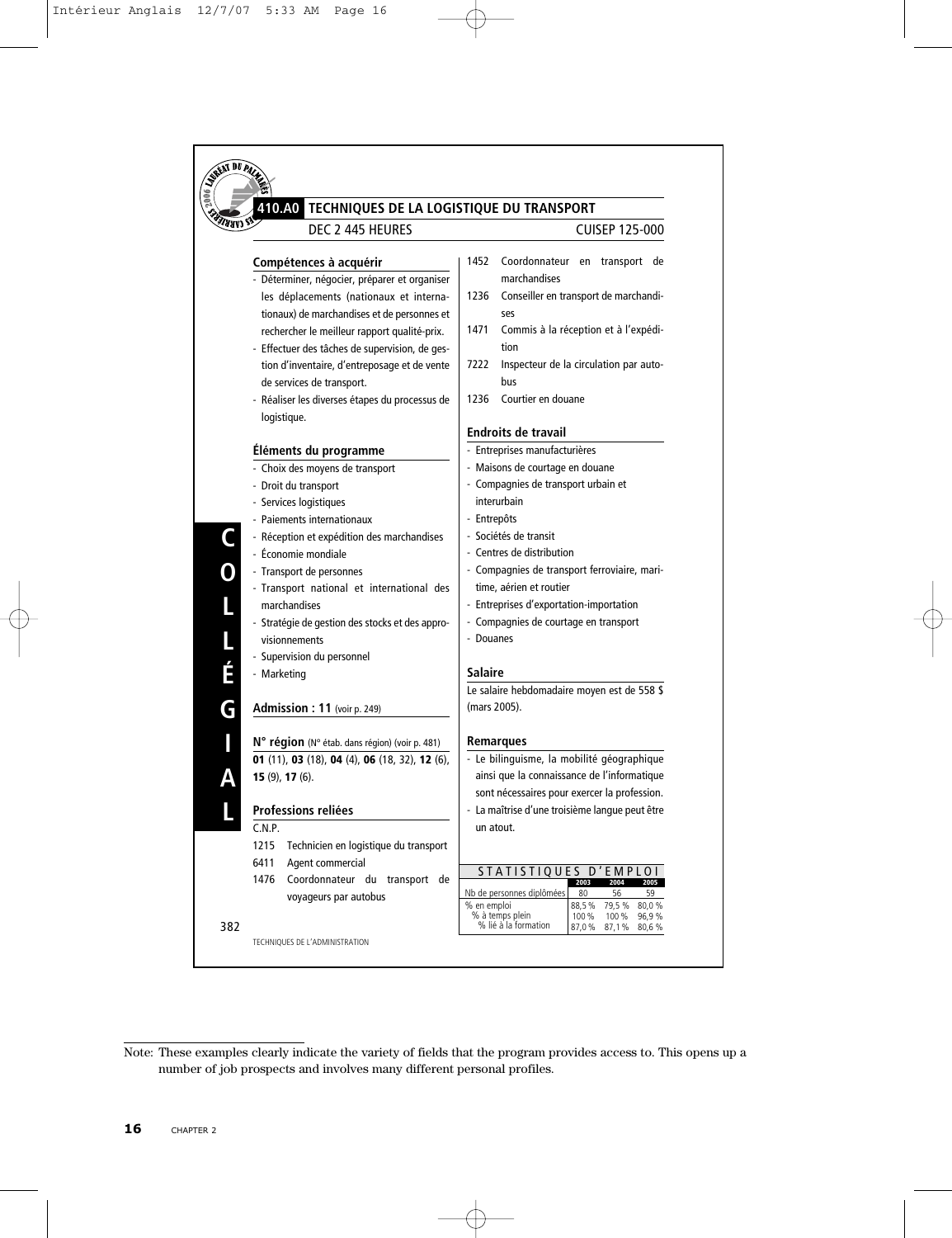

Note: These examples clearly indicate the variety of fields that the program provides access to. This opens up a number of job prospects and involves many different personal profiles.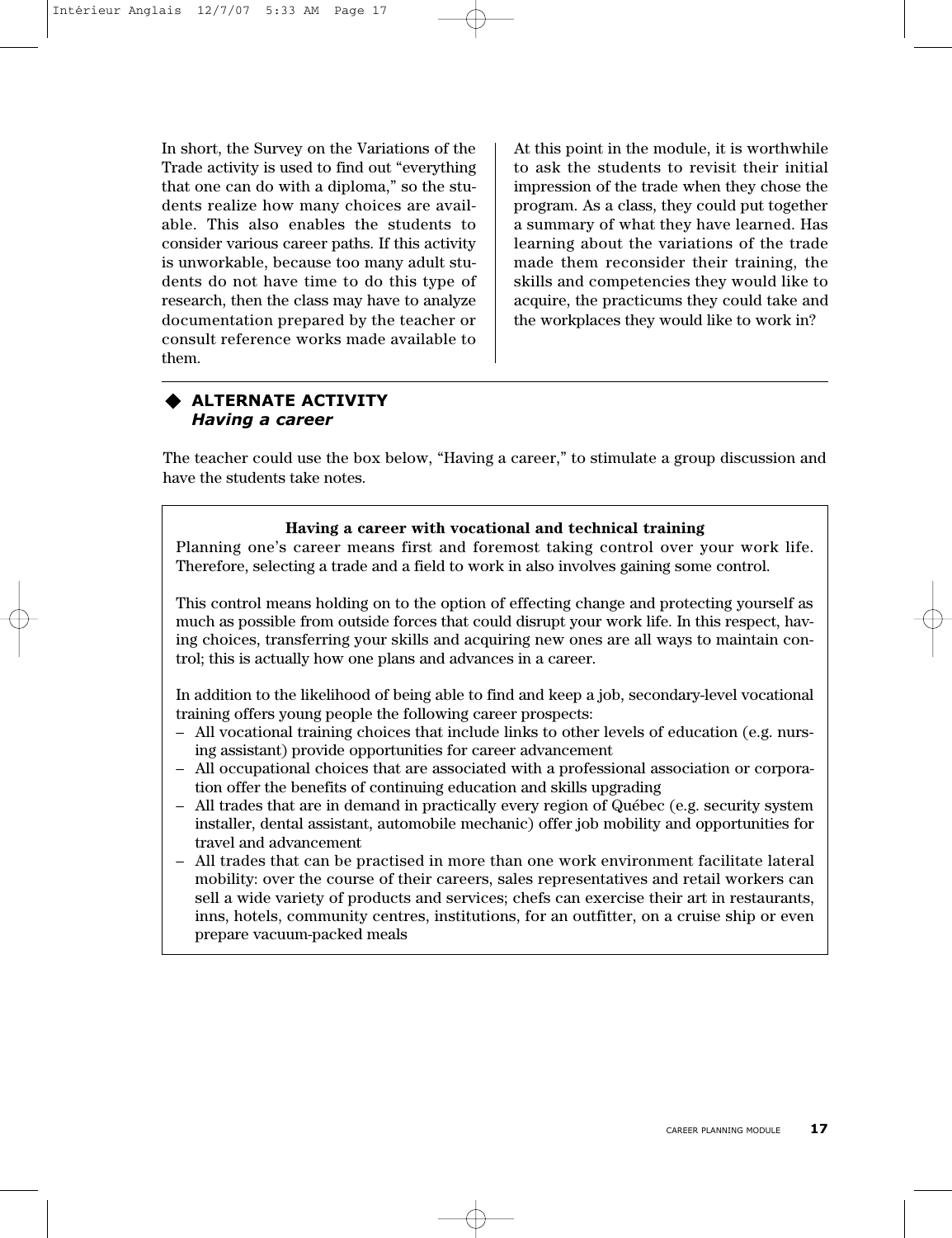In short, the Survey on the Variations of the Trade activity is used to find out "everything that one can do with a diploma," so the students realize how many choices are available. This also enables the students to consider various career paths. If this activity is unworkable, because too many adult students do not have time to do this type of research, then the class may have to analyze documentation prepared by the teacher or consult reference works made available to them.

At this point in the module, it is worthwhile to ask the students to revisit their initial impression of the trade when they chose the program. As a class, they could put together a summary of what they have learned. Has learning about the variations of the trade made them reconsider their training, the skills and competencies they would like to acquire, the practicums they could take and the workplaces they would like to work in?

#### **ALTERNATE ACTIVITY** *Having a career*

The teacher could use the box below, "Having a career," to stimulate a group discussion and have the students take notes.

#### **Having a career with vocational and technical training**

Planning one's career means first and foremost taking control over your work life. Therefore, selecting a trade and a field to work in also involves gaining some control.

This control means holding on to the option of effecting change and protecting yourself as much as possible from outside forces that could disrupt your work life. In this respect, having choices, transferring your skills and acquiring new ones are all ways to maintain control; this is actually how one plans and advances in a career.

In addition to the likelihood of being able to find and keep a job, secondary-level vocational training offers young people the following career prospects:

- All vocational training choices that include links to other levels of education (e.g. nursing assistant) provide opportunities for career advancement
- All occupational choices that are associated with a professional association or corporation offer the benefits of continuing education and skills upgrading
- All trades that are in demand in practically every region of Québec (e.g. security system installer, dental assistant, automobile mechanic) offer job mobility and opportunities for travel and advancement
- All trades that can be practised in more than one work environment facilitate lateral mobility: over the course of their careers, sales representatives and retail workers can sell a wide variety of products and services; chefs can exercise their art in restaurants, inns, hotels, community centres, institutions, for an outfitter, on a cruise ship or even prepare vacuum-packed meals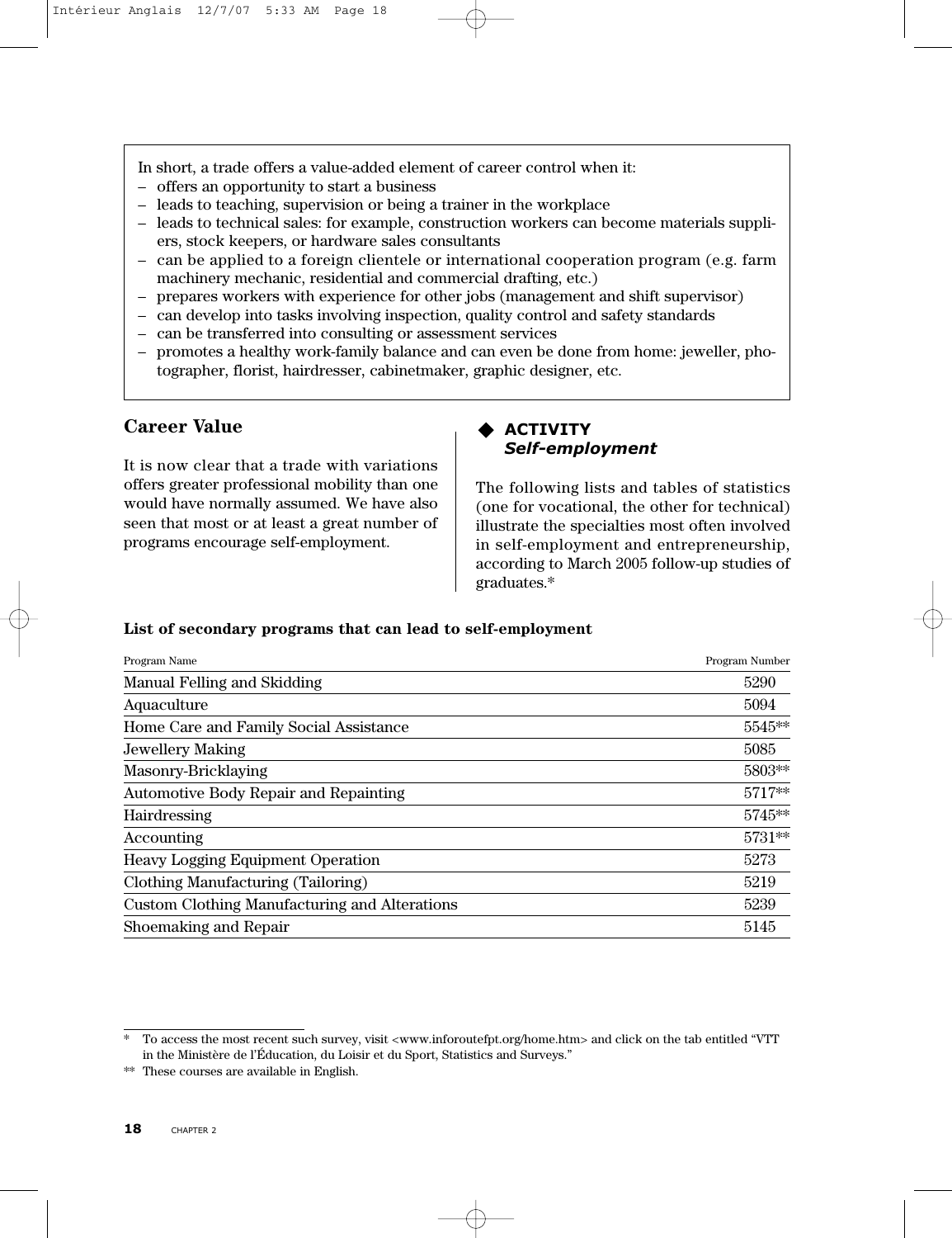In short, a trade offers a value-added element of career control when it:

- offers an opportunity to start a business
- leads to teaching, supervision or being a trainer in the workplace
- leads to technical sales: for example, construction workers can become materials suppliers, stock keepers, or hardware sales consultants
- can be applied to a foreign clientele or international cooperation program (e.g. farm machinery mechanic, residential and commercial drafting, etc.)
- prepares workers with experience for other jobs (management and shift supervisor)
- can develop into tasks involving inspection, quality control and safety standards
- can be transferred into consulting or assessment services
- promotes a healthy work-family balance and can even be done from home: jeweller, photographer, florist, hairdresser, cabinetmaker, graphic designer, etc.

#### **Career Value**

It is now clear that a trade with variations offers greater professional mobility than one would have normally assumed. We have also seen that most or at least a great number of programs encourage self-employment.

#### **ACTIVITY** *Self-employment*

The following lists and tables of statistics (one for vocational, the other for technical) illustrate the specialties most often involved in self-employment and entrepreneurship, according to March 2005 follow-up studies of graduates.\*

#### **List of secondary programs that can lead to self-employment**

| Program Name                                         | Program Number |
|------------------------------------------------------|----------------|
| Manual Felling and Skidding                          | 5290           |
| Aquaculture                                          | 5094           |
| Home Care and Family Social Assistance               | 5545**         |
| Jewellery Making                                     | 5085           |
| Masonry-Bricklaying                                  | 5803**         |
| <b>Automotive Body Repair and Repainting</b>         | 5717**         |
| Hairdressing                                         | 5745**         |
| Accounting                                           | 5731**         |
| <b>Heavy Logging Equipment Operation</b>             | 5273           |
| Clothing Manufacturing (Tailoring)                   | 5219           |
| <b>Custom Clothing Manufacturing and Alterations</b> | 5239           |
| Shoemaking and Repair                                | 5145           |

To access the most recent such survey, visit <www.inforoutefpt.org/home.htm> and click on the tab entitled "VTT in the Ministère de l'Éducation, du Loisir et du Sport, Statistics and Surveys."

<sup>\*\*</sup> These courses are available in English.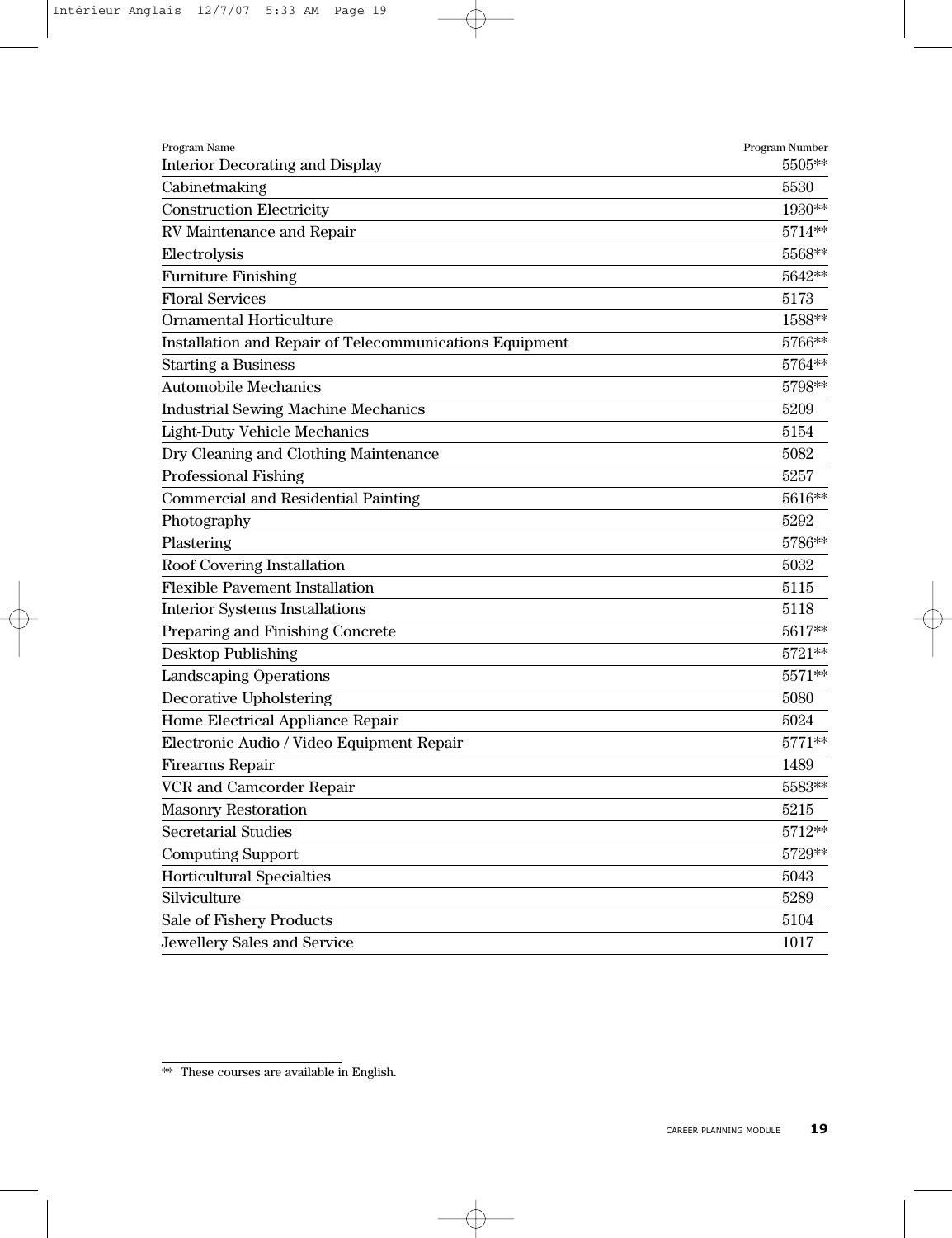| Program Name                                            | Program Number    |
|---------------------------------------------------------|-------------------|
| Interior Decorating and Display                         | 5505**            |
| Cabinetmaking                                           | 5530              |
| <b>Construction Electricity</b>                         | 1930**            |
| RV Maintenance and Repair                               | 5714**            |
| Electrolysis                                            | 5568**            |
| <b>Furniture Finishing</b>                              | 5642**            |
| <b>Floral Services</b>                                  | 5173              |
| Ornamental Horticulture                                 | 1588**            |
| Installation and Repair of Telecommunications Equipment | 5766**            |
| <b>Starting a Business</b>                              | 5764**            |
| <b>Automobile Mechanics</b>                             | 5798**            |
| <b>Industrial Sewing Machine Mechanics</b>              | 5209              |
| <b>Light-Duty Vehicle Mechanics</b>                     | 5154              |
| Dry Cleaning and Clothing Maintenance                   | 5082              |
| Professional Fishing                                    | 5257              |
| <b>Commercial and Residential Painting</b>              | 5616**            |
| Photography                                             | 5292              |
| Plastering                                              | 5786**            |
| Roof Covering Installation                              | 5032              |
| <b>Flexible Pavement Installation</b>                   | 5115              |
| <b>Interior Systems Installations</b>                   | 5118              |
| Preparing and Finishing Concrete                        | 5617**            |
| <b>Desktop Publishing</b>                               | 5721**            |
| Landscaping Operations                                  | 5571**            |
| Decorative Upholstering                                 | 5080              |
| Home Electrical Appliance Repair                        | 5024              |
| Electronic Audio / Video Equipment Repair               | $5771^{\ast\ast}$ |
| Firearms Repair                                         | 1489              |
| VCR and Camcorder Repair                                | 5583**            |
| <b>Masonry Restoration</b>                              | 5215              |
| <b>Secretarial Studies</b>                              | 5712**            |
| <b>Computing Support</b>                                | 5729**            |
| Horticultural Specialties                               | 5043              |
| Silviculture                                            | 5289              |
| Sale of Fishery Products                                | 5104              |
| Jewellery Sales and Service                             | 1017              |
|                                                         |                   |

<sup>\*\*</sup> These courses are available in English.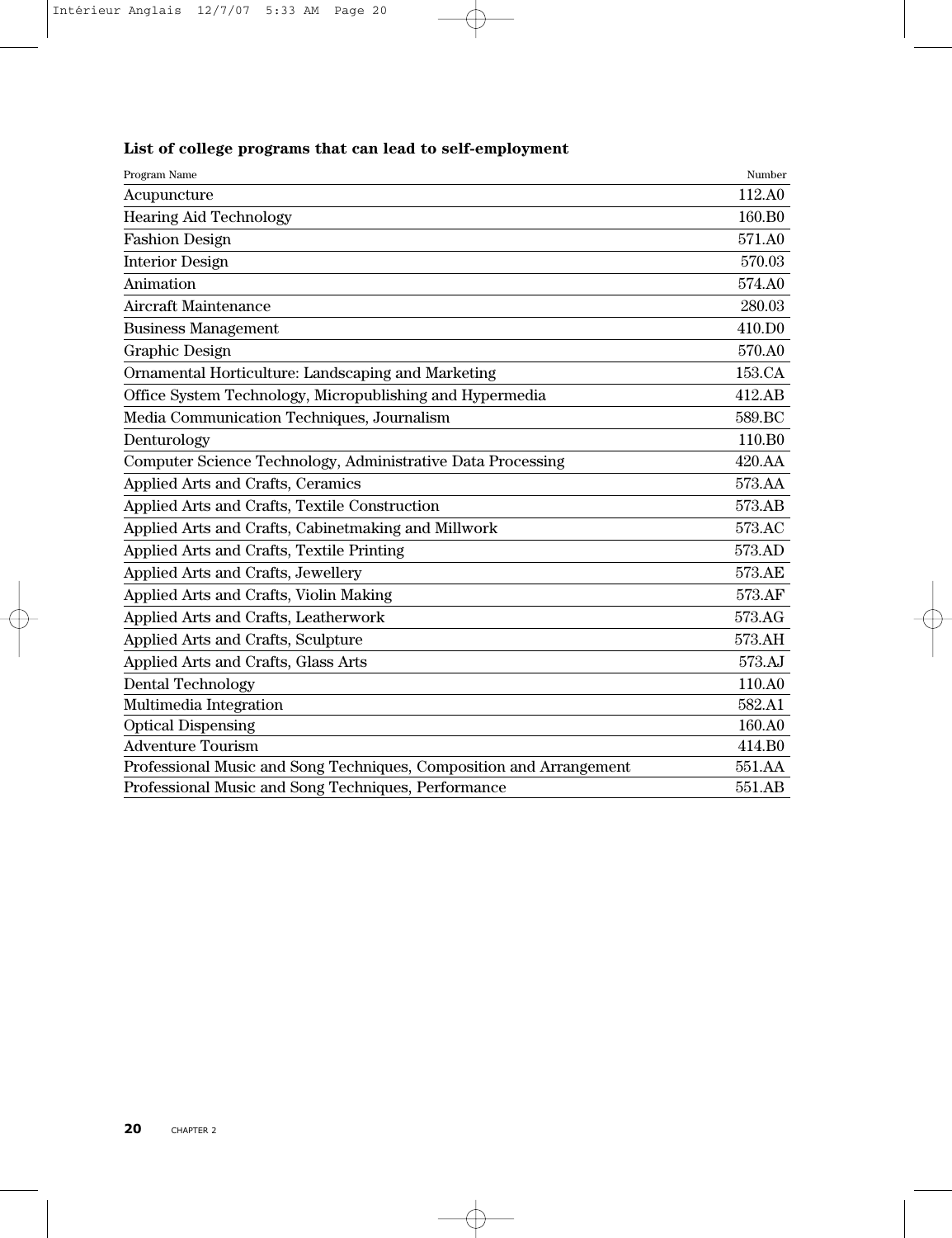| Program Name                                                        | Number             |
|---------------------------------------------------------------------|--------------------|
| Acupuncture                                                         | 112.A0             |
| <b>Hearing Aid Technology</b>                                       | 160.B <sub>0</sub> |
| <b>Fashion Design</b>                                               | 571.A0             |
| <b>Interior Design</b>                                              | 570.03             |
| Animation                                                           | 574.A0             |
| <b>Aircraft Maintenance</b>                                         | 280.03             |
| <b>Business Management</b>                                          | 410.DO             |
| Graphic Design                                                      | 570.A0             |
| Ornamental Horticulture: Landscaping and Marketing                  | 153.CA             |
| Office System Technology, Micropublishing and Hypermedia            | 412.AB             |
| Media Communication Techniques, Journalism                          | 589.BC             |
| Denturology                                                         | 110.B <sub>0</sub> |
| Computer Science Technology, Administrative Data Processing         | 420.AA             |
| Applied Arts and Crafts, Ceramics                                   | 573.AA             |
| Applied Arts and Crafts, Textile Construction                       | 573.AB             |
| Applied Arts and Crafts, Cabinetmaking and Millwork                 | 573.AC             |
| Applied Arts and Crafts, Textile Printing                           | 573.AD             |
| Applied Arts and Crafts, Jewellery                                  | 573.AE             |
| Applied Arts and Crafts, Violin Making                              | 573.AF             |
| Applied Arts and Crafts, Leatherwork                                | 573.AG             |
| Applied Arts and Crafts, Sculpture                                  | 573.AH             |
| Applied Arts and Crafts, Glass Arts                                 | 573.AJ             |
| <b>Dental Technology</b>                                            | 110.A0             |
| Multimedia Integration                                              | 582.A1             |
| <b>Optical Dispensing</b>                                           | 160.A0             |
| <b>Adventure Tourism</b>                                            | 414.B <sub>0</sub> |
| Professional Music and Song Techniques, Composition and Arrangement | 551.AA             |
| Professional Music and Song Techniques, Performance                 | 551.AB             |

#### **List of college programs that can lead to self-employment**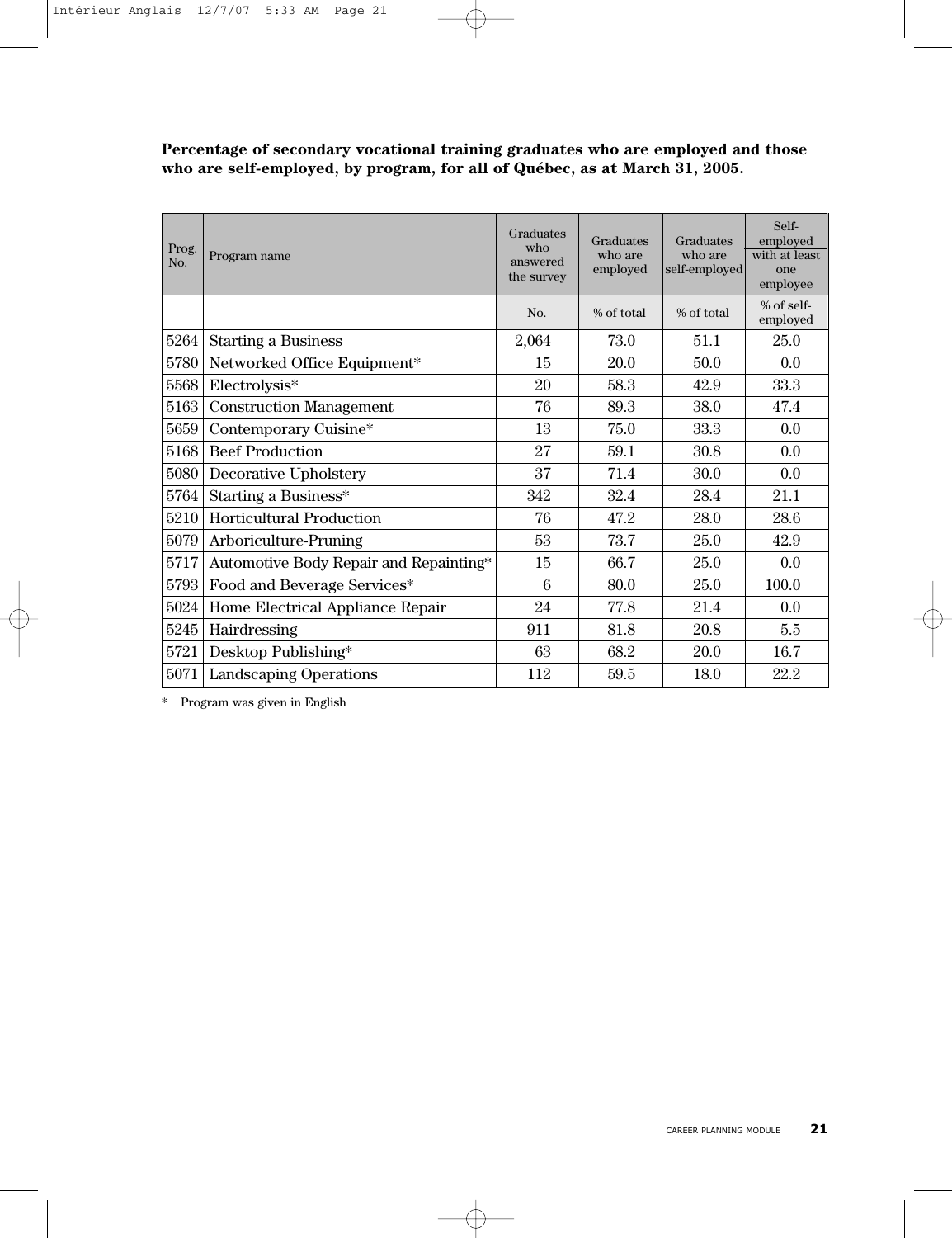**Percentage of secondary vocational training graduates who are employed and those who are self-employed, by program, for all of Québec, as at March 31, 2005.**

| Prog.<br>No. | Program name                           | Graduates<br>who<br>answered<br>the survey | Graduates<br>who are<br>employed | Graduates<br>who are<br>self-employed | Self-<br>employed<br>with at least<br>one<br>employee |
|--------------|----------------------------------------|--------------------------------------------|----------------------------------|---------------------------------------|-------------------------------------------------------|
|              |                                        | No.                                        | % of total                       | % of total                            | $%$ of self-<br>employed                              |
| 5264         | <b>Starting a Business</b>             | 2,064                                      | 73.0                             | 51.1                                  | 25.0                                                  |
| 5780         | Networked Office Equipment*            | 15                                         | 20.0                             | 50.0                                  | 0.0                                                   |
| 5568         | Electrolysis*                          | 20                                         | 58.3                             | 42.9                                  | 33.3                                                  |
| 5163         | <b>Construction Management</b>         | 76                                         | 89.3                             | 38.0                                  | 47.4                                                  |
| 5659         | Contemporary Cuisine*                  | 13                                         | 75.0                             | 33.3                                  | 0.0                                                   |
| 5168         | <b>Beef Production</b>                 | 27                                         | 59.1                             | 30.8                                  | 0.0                                                   |
| 5080         | Decorative Upholstery                  | 37                                         | 71.4                             | 30.0                                  | 0.0                                                   |
| 5764         | Starting a Business*                   | 342                                        | 32.4                             | 28.4                                  | 21.1                                                  |
| 5210         | <b>Horticultural Production</b>        | 76                                         | 47.2                             | 28.0                                  | 28.6                                                  |
| 5079         | Arboriculture-Pruning                  | 53                                         | 73.7                             | 25.0                                  | 42.9                                                  |
| 5717         | Automotive Body Repair and Repainting* | 15                                         | 66.7                             | 25.0                                  | 0.0                                                   |
| 5793         | Food and Beverage Services*            | 6                                          | 80.0                             | 25.0                                  | 100.0                                                 |
| 5024         | Home Electrical Appliance Repair       | 24                                         | 77.8                             | 21.4                                  | 0.0                                                   |
| 5245         | Hairdressing                           | 911                                        | 81.8                             | 20.8                                  | 5.5                                                   |
| 5721         | Desktop Publishing*                    | 63                                         | 68.2                             | 20.0                                  | 16.7                                                  |
| 5071         | <b>Landscaping Operations</b>          | 112                                        | 59.5                             | 18.0                                  | 22.2                                                  |

\* Program was given in English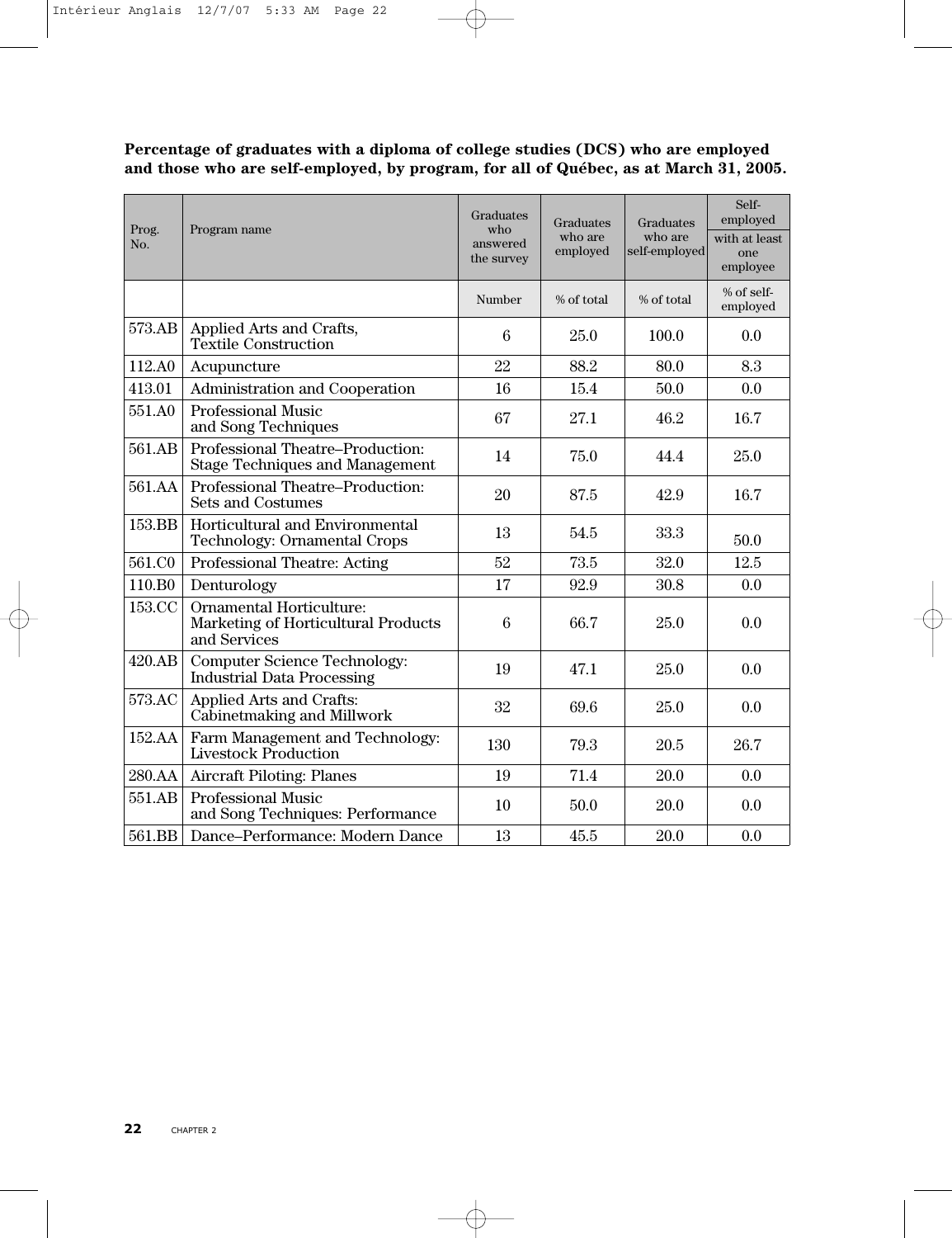**Percentage of graduates with a diploma of college studies (DCS) who are employed and those who are self-employed, by program, for all of Québec, as at March 31, 2005.**

| Prog.<br>No. | Program name                                                                    | Graduates<br>$w$ ho<br>answered<br>the survey | Graduates<br>who are<br>employed | Graduates<br>who are<br>self-employed | Self-<br>employed<br>with at least<br>one<br>employee |
|--------------|---------------------------------------------------------------------------------|-----------------------------------------------|----------------------------------|---------------------------------------|-------------------------------------------------------|
|              |                                                                                 | Number                                        | % of total                       | % of total                            | % of self-<br>employed                                |
| 573.AB       | Applied Arts and Crafts,<br><b>Textile Construction</b>                         | 6                                             | 25.0                             | 100.0                                 | 0.0                                                   |
| 112.A0       | Acupuncture                                                                     | 22                                            | 88.2                             | 80.0                                  | 8.3                                                   |
| 413.01       | Administration and Cooperation                                                  | 16                                            | 15.4                             | 50.0                                  | 0.0                                                   |
| 551.A0       | <b>Professional Music</b><br>and Song Techniques                                | 67                                            | 27.1                             | 46.2                                  | 16.7                                                  |
| 561.AB       | Professional Theatre–Production:<br><b>Stage Techniques and Management</b>      | 14                                            | 75.0                             | 44.4                                  | 25.0                                                  |
| 561.AA       | Professional Theatre-Production:<br><b>Sets and Costumes</b>                    | 20                                            | 87.5                             | 42.9                                  | 16.7                                                  |
| 153.BB       | Horticultural and Environmental<br>Technology: Ornamental Crops                 | 13                                            | 54.5                             | 33.3                                  | 50.0                                                  |
| 561.CO       | Professional Theatre: Acting                                                    | 52                                            | 73.5                             | 32.0                                  | 12.5                                                  |
| 110.B0       | Denturology                                                                     | 17                                            | 92.9                             | 30.8                                  | 0.0                                                   |
| 153.CC       | Ornamental Horticulture:<br>Marketing of Horticultural Products<br>and Services | 6                                             | 66.7                             | 25.0                                  | 0.0                                                   |
| 420.AB       | <b>Computer Science Technology:</b><br><b>Industrial Data Processing</b>        | 19                                            | 47.1                             | 25.0                                  | 0.0                                                   |
| 573.AC       | Applied Arts and Crafts:<br>Cabinetmaking and Millwork                          | 32                                            | 69.6                             | 25.0                                  | 0.0                                                   |
| 152.AA       | Farm Management and Technology:<br><b>Livestock Production</b>                  | 130                                           | 79.3                             | 20.5                                  | 26.7                                                  |
| 280.AA       | Aircraft Piloting: Planes                                                       | 19                                            | 71.4                             | 20.0                                  | 0.0                                                   |
| 551.AB       | <b>Professional Music</b><br>and Song Techniques: Performance                   | 10                                            | 50.0                             | 20.0                                  | 0.0                                                   |
| 561.BB       | Dance-Performance: Modern Dance                                                 | 13                                            | 45.5                             | 20.0                                  | 0.0                                                   |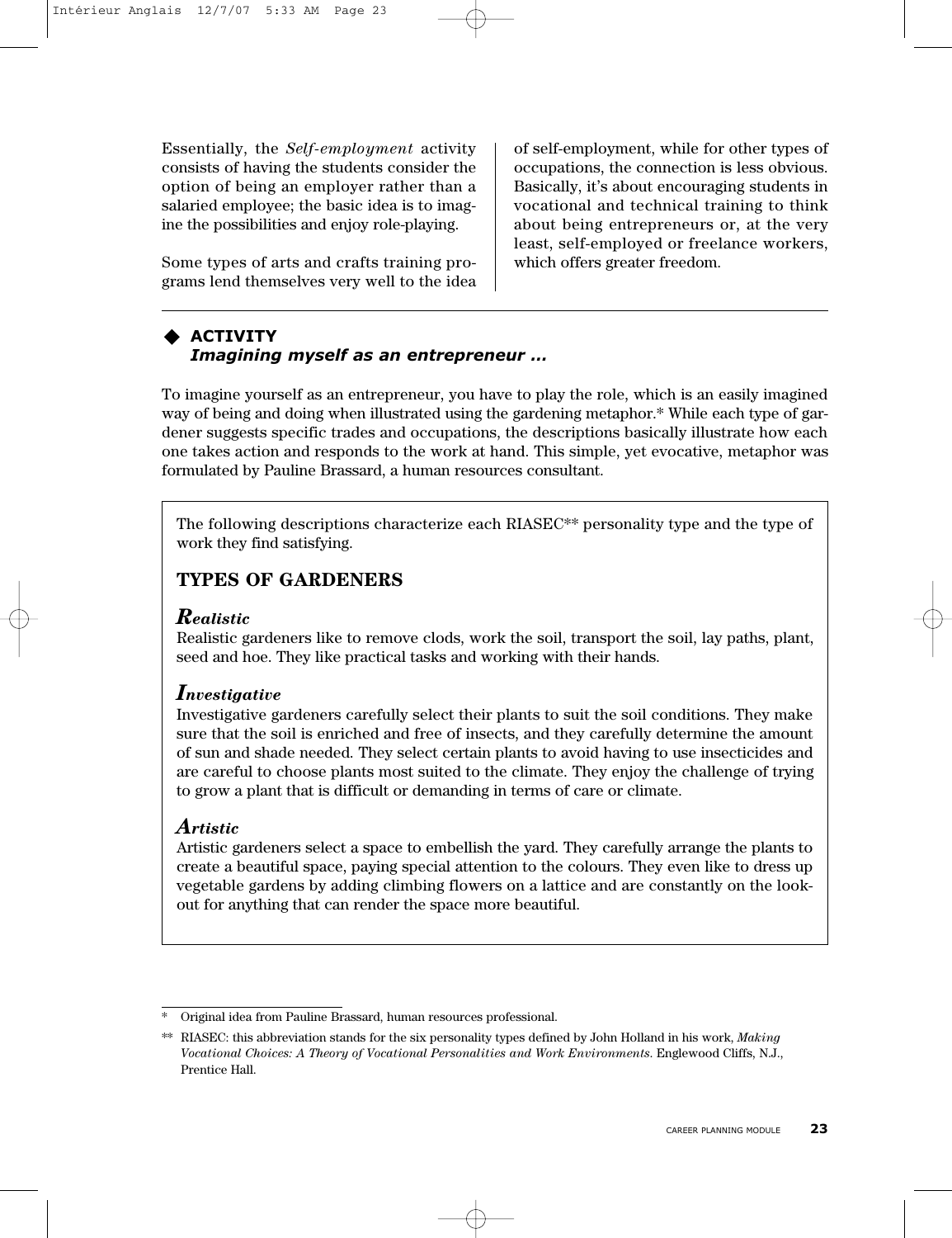Essentially, the *Self-employment* activity consists of having the students consider the option of being an employer rather than a salaried employee; the basic idea is to imagine the possibilities and enjoy role-playing.

Some types of arts and crafts training programs lend themselves very well to the idea of self-employment, while for other types of occupations, the connection is less obvious. Basically, it's about encouraging students in vocational and technical training to think about being entrepreneurs or, at the very least, self-employed or freelance workers, which offers greater freedom.

#### **ACTIVITY** *Imagining myself as an entrepreneur …*

To imagine yourself as an entrepreneur, you have to play the role, which is an easily imagined way of being and doing when illustrated using the gardening metaphor.\* While each type of gardener suggests specific trades and occupations, the descriptions basically illustrate how each one takes action and responds to the work at hand. This simple, yet evocative, metaphor was formulated by Pauline Brassard, a human resources consultant.

The following descriptions characterize each RIASEC\*\* personality type and the type of work they find satisfying.

## **TYPES OF GARDENERS**

#### *Realistic*

Realistic gardeners like to remove clods, work the soil, transport the soil, lay paths, plant, seed and hoe. They like practical tasks and working with their hands.

#### *Investigative*

Investigative gardeners carefully select their plants to suit the soil conditions. They make sure that the soil is enriched and free of insects, and they carefully determine the amount of sun and shade needed. They select certain plants to avoid having to use insecticides and are careful to choose plants most suited to the climate. They enjoy the challenge of trying to grow a plant that is difficult or demanding in terms of care or climate.

#### *Artistic*

Artistic gardeners select a space to embellish the yard. They carefully arrange the plants to create a beautiful space, paying special attention to the colours. They even like to dress up vegetable gardens by adding climbing flowers on a lattice and are constantly on the lookout for anything that can render the space more beautiful.

Original idea from Pauline Brassard, human resources professional.

<sup>\*\*</sup> RIASEC: this abbreviation stands for the six personality types defined by John Holland in his work, *Making Vocational Choices: A Theory of Vocational Personalities and Work Environments*. Englewood Cliffs, N.J., Prentice Hall.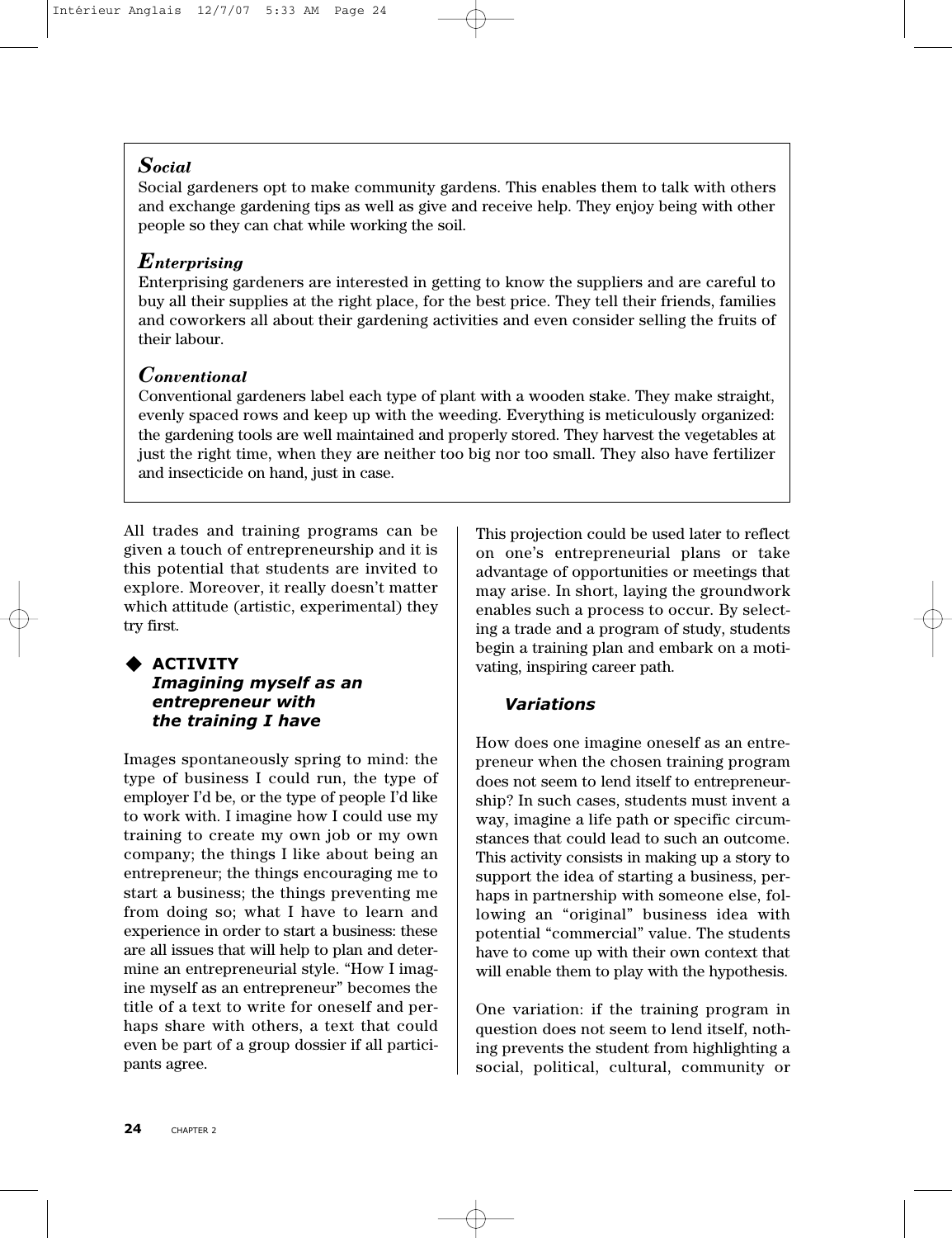### *Social*

Social gardeners opt to make community gardens. This enables them to talk with others and exchange gardening tips as well as give and receive help. They enjoy being with other people so they can chat while working the soil.

### *Enterprising*

Enterprising gardeners are interested in getting to know the suppliers and are careful to buy all their supplies at the right place, for the best price. They tell their friends, families and coworkers all about their gardening activities and even consider selling the fruits of their labour.

## *Conventional*

Conventional gardeners label each type of plant with a wooden stake. They make straight, evenly spaced rows and keep up with the weeding. Everything is meticulously organized: the gardening tools are well maintained and properly stored. They harvest the vegetables at just the right time, when they are neither too big nor too small. They also have fertilizer and insecticide on hand, just in case.

All trades and training programs can be given a touch of entrepreneurship and it is this potential that students are invited to explore. Moreover, it really doesn't matter which attitude (artistic, experimental) they try first.

#### **ACTIVITY** *Imagining myself as an entrepreneur with the training I have*

Images spontaneously spring to mind: the type of business I could run, the type of employer I'd be, or the type of people I'd like to work with. I imagine how I could use my training to create my own job or my own company; the things I like about being an entrepreneur; the things encouraging me to start a business; the things preventing me from doing so; what I have to learn and experience in order to start a business: these are all issues that will help to plan and determine an entrepreneurial style. "How I imagine myself as an entrepreneur" becomes the title of a text to write for oneself and perhaps share with others, a text that could even be part of a group dossier if all participants agree.

This projection could be used later to reflect on one's entrepreneurial plans or take advantage of opportunities or meetings that may arise. In short, laying the groundwork enables such a process to occur. By selecting a trade and a program of study, students begin a training plan and embark on a motivating, inspiring career path.

## *Variations*

How does one imagine oneself as an entrepreneur when the chosen training program does not seem to lend itself to entrepreneurship? In such cases, students must invent a way, imagine a life path or specific circumstances that could lead to such an outcome. This activity consists in making up a story to support the idea of starting a business, perhaps in partnership with someone else, following an "original" business idea with potential "commercial" value. The students have to come up with their own context that will enable them to play with the hypothesis.

One variation: if the training program in question does not seem to lend itself, nothing prevents the student from highlighting a social, political, cultural, community or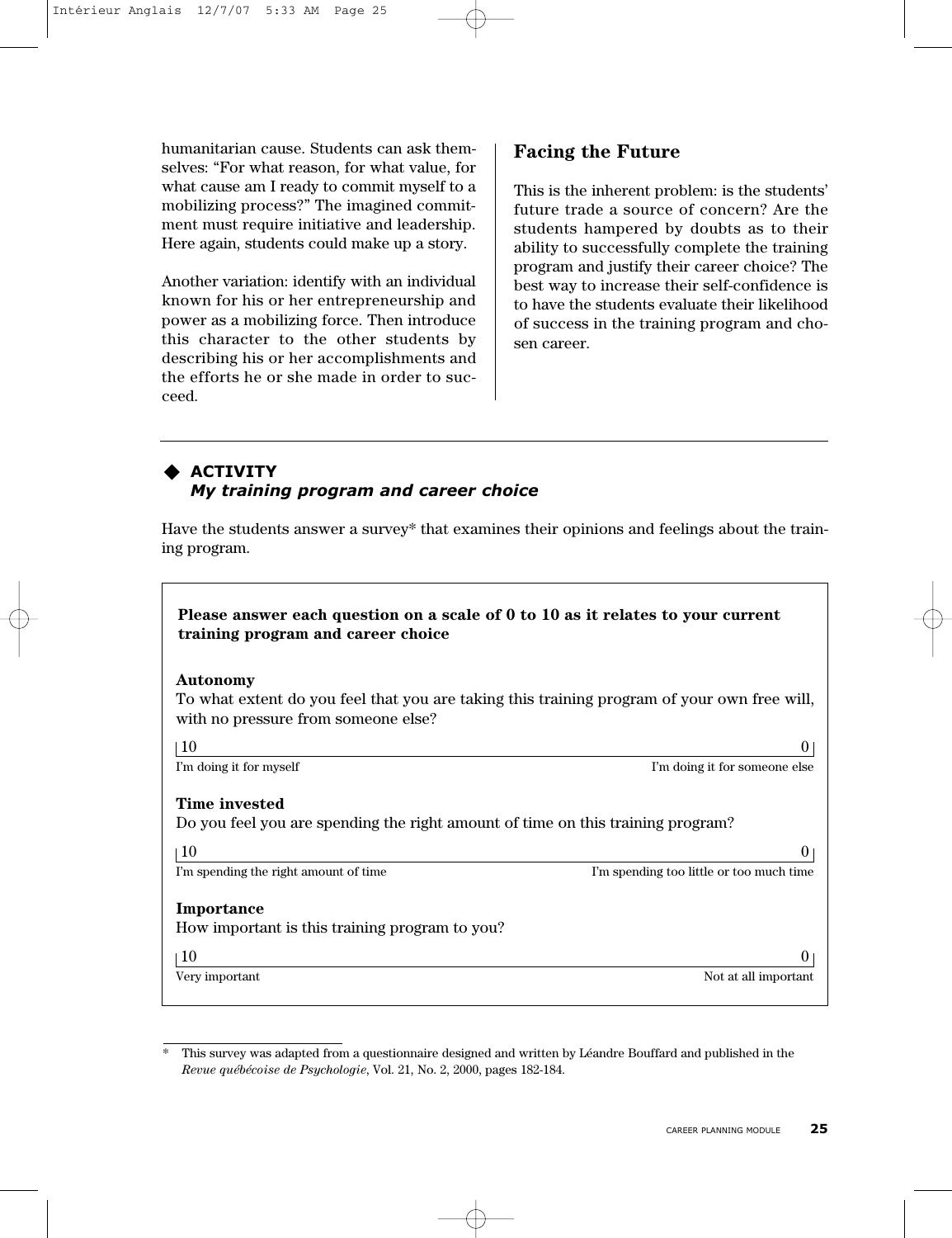humanitarian cause. Students can ask themselves: "For what reason, for what value, for what cause am I ready to commit myself to a mobilizing process?" The imagined commitment must require initiative and leadership. Here again, students could make up a story.

Another variation: identify with an individual known for his or her entrepreneurship and power as a mobilizing force. Then introduce this character to the other students by describing his or her accomplishments and the efforts he or she made in order to succeed.

## **Facing the Future**

This is the inherent problem: is the students' future trade a source of concern? Are the students hampered by doubts as to their ability to successfully complete the training program and justify their career choice? The best way to increase their self-confidence is to have the students evaluate their likelihood of success in the training program and chosen career.

#### **ACTIVITY** *My training program and career choice*

Have the students answer a survey\* that examines their opinions and feelings about the training program.

#### **Please answer each question on a scale of 0 to 10 as it relates to your current training program and career choice**

#### **Autonomy**

To what extent do you feel that you are taking this training program of your own free will, with no pressure from someone else?

 $10$  0

I'm doing it for myself I'm doing it for someone else

#### **Time invested**

Do you feel you are spending the right amount of time on this training program?

 $10$  0

I'm spending the right amount of time I'm spending too little or too much time

#### **Importance**

How important is this training program to you?

 $10$  0

Very important Not at all important Not at all important

<sup>\*</sup> This survey was adapted from a questionnaire designed and written by Léandre Bouffard and published in the *Revue québécoise de Psychologie*, Vol. 21, No. 2, 2000, pages 182-184.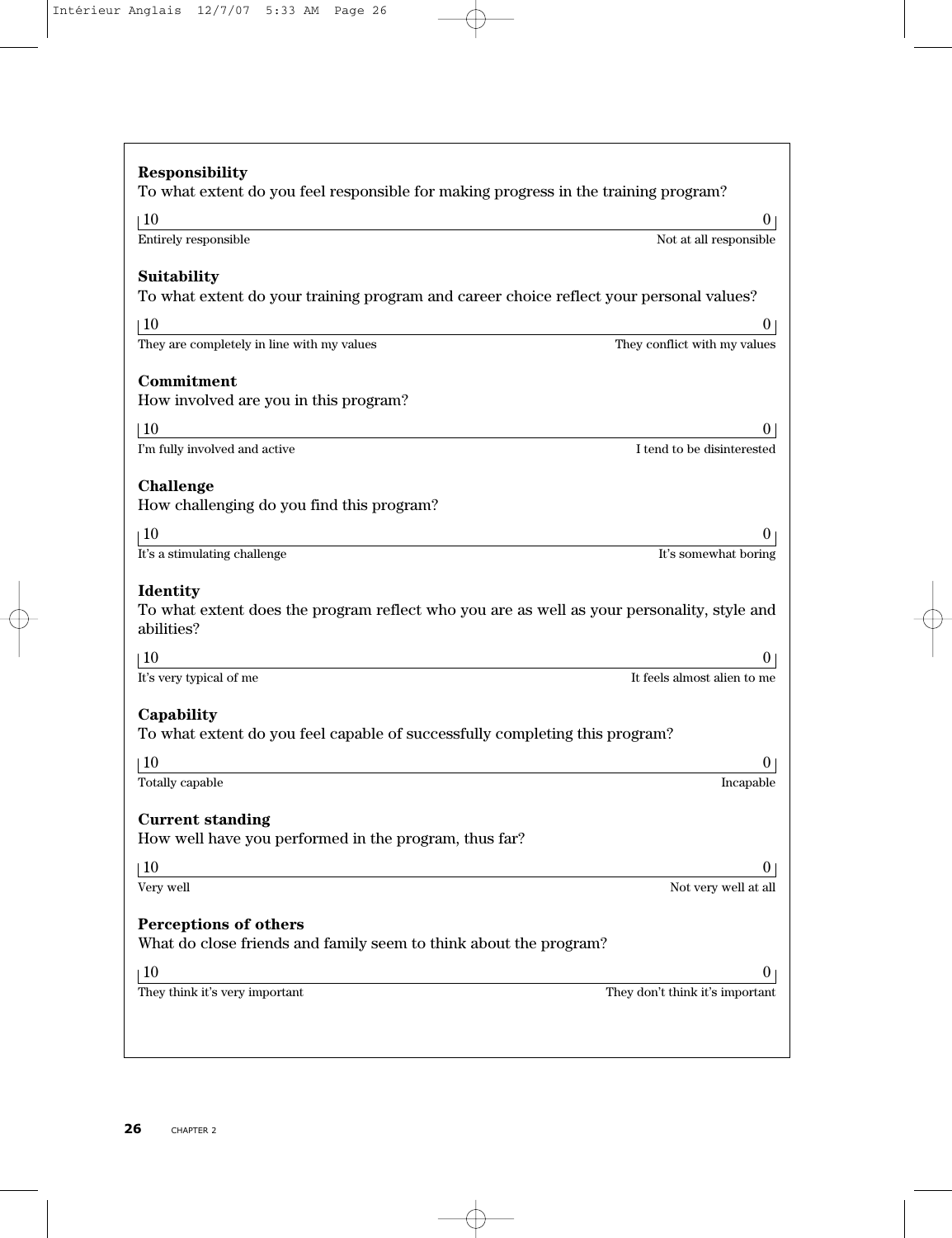| <b>Responsibility</b><br>To what extent do you feel responsible for making progress in the training program?                |                                          |
|-----------------------------------------------------------------------------------------------------------------------------|------------------------------------------|
| 10                                                                                                                          |                                          |
| Entirely responsible                                                                                                        | 0 <sub>1</sub><br>Not at all responsible |
| Suitability<br>To what extent do your training program and career choice reflect your personal values?                      |                                          |
| 10                                                                                                                          | 0                                        |
| They are completely in line with my values                                                                                  | They conflict with my values             |
| Commitment<br>How involved are you in this program?                                                                         |                                          |
| $\overline{10}$                                                                                                             | $_{0}$                                   |
| I'm fully involved and active                                                                                               | I tend to be disinterested               |
| Challenge<br>How challenging do you find this program?                                                                      |                                          |
| 10                                                                                                                          | O                                        |
| It's a stimulating challenge                                                                                                | It's somewhat boring                     |
| <b>Identity</b><br>To what extent does the program reflect who you are as well as your personality, style and<br>abilities? |                                          |
| 10                                                                                                                          | 0.                                       |
| It's very typical of me                                                                                                     | It feels almost alien to me              |
| Capability<br>To what extent do you feel capable of successfully completing this program?                                   |                                          |
| 10<br>Totally capable                                                                                                       | 0<br>Incapable                           |
|                                                                                                                             |                                          |
| <b>Current standing</b><br>How well have you performed in the program, thus far?                                            |                                          |
| 10                                                                                                                          | U                                        |
| Very well                                                                                                                   | Not very well at all                     |
| Perceptions of others<br>What do close friends and family seem to think about the program?                                  |                                          |
| 10                                                                                                                          | $\overline{0}$                           |
| They think it's very important                                                                                              | They don't think it's important          |
|                                                                                                                             |                                          |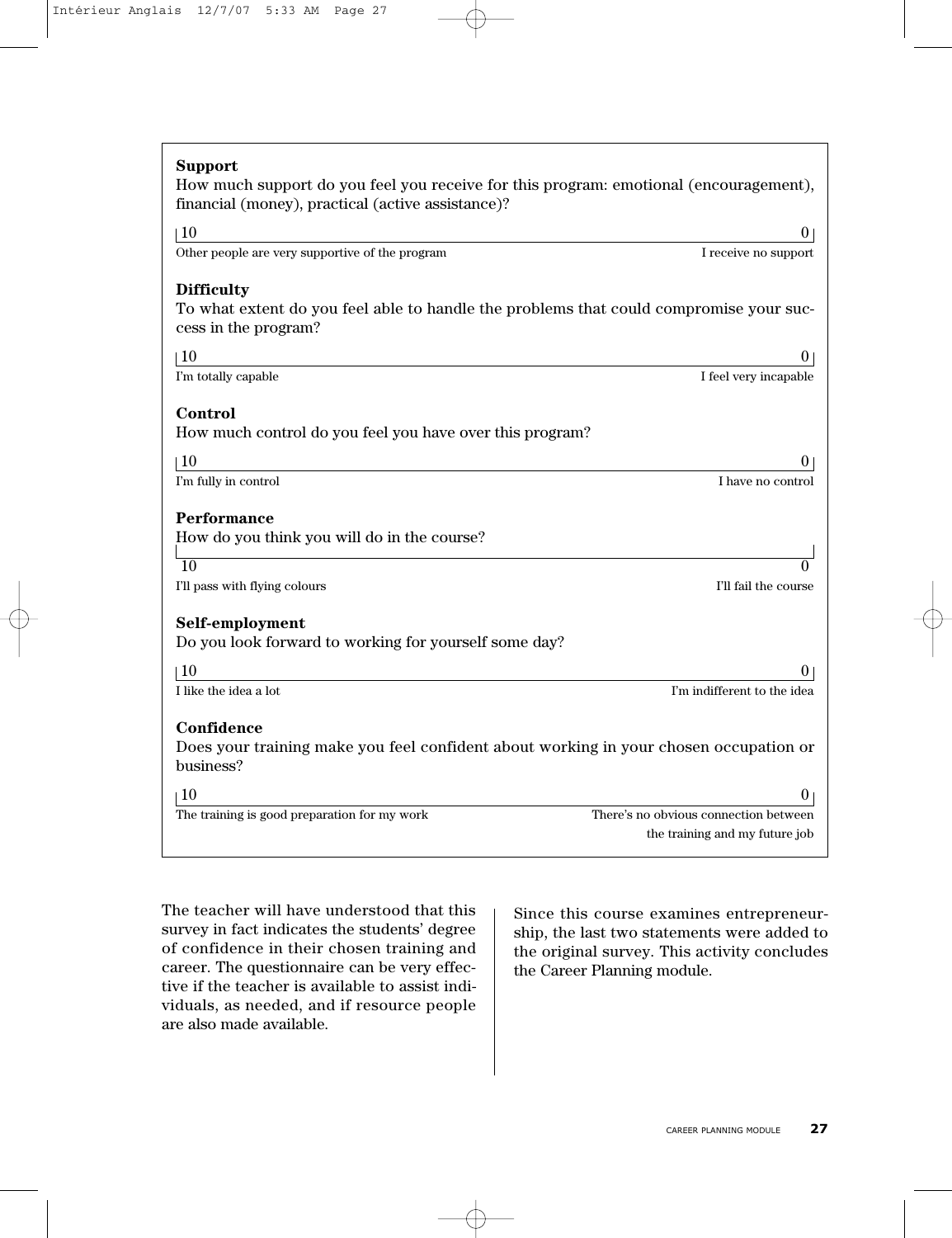| <b>Support</b><br>How much support do you feel you receive for this program: emotional (encouragement),<br>financial (money), practical (active assistance)? |                                       |
|--------------------------------------------------------------------------------------------------------------------------------------------------------------|---------------------------------------|
| 10                                                                                                                                                           | 0                                     |
| Other people are very supportive of the program                                                                                                              | I receive no support                  |
| <b>Difficulty</b><br>To what extent do you feel able to handle the problems that could compromise your suc-<br>cess in the program?                          |                                       |
| $\pm 10$                                                                                                                                                     | $_{0}$                                |
| I'm totally capable                                                                                                                                          | I feel very incapable                 |
| Control<br>How much control do you feel you have over this program?                                                                                          |                                       |
| $\vert$ 10                                                                                                                                                   | $^{(1)}$                              |
| I'm fully in control                                                                                                                                         | I have no control                     |
| Performance<br>How do you think you will do in the course?                                                                                                   |                                       |
| 10                                                                                                                                                           |                                       |
| I'll pass with flying colours                                                                                                                                | I'll fail the course                  |
| Self-employment<br>Do you look forward to working for yourself some day?                                                                                     |                                       |
| $\vert$ 10                                                                                                                                                   | 0                                     |
| I like the idea a lot                                                                                                                                        | I'm indifferent to the idea           |
| Confidence<br>Does your training make you feel confident about working in your chosen occupation or<br>business?                                             |                                       |
| $\overline{10}$                                                                                                                                              | 0                                     |
| The training is good preparation for my work                                                                                                                 | There's no obvious connection between |
|                                                                                                                                                              | the training and my future job        |

The teacher will have understood that this survey in fact indicates the students' degree of confidence in their chosen training and career. The questionnaire can be very effective if the teacher is available to assist individuals, as needed, and if resource people are also made available.

Since this course examines entrepreneurship, the last two statements were added to the original survey. This activity concludes the Career Planning module.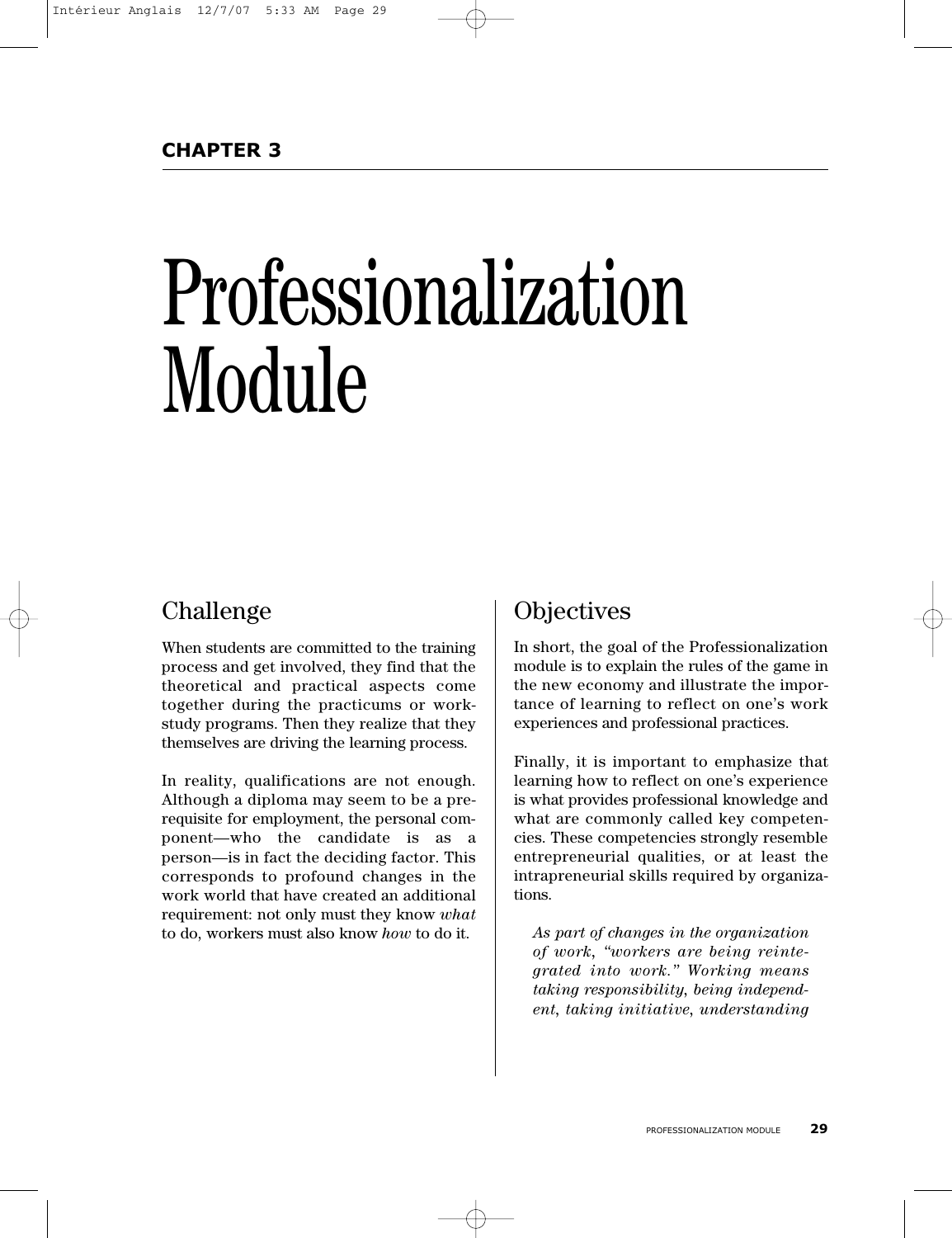# Professionalization Module

# Challenge

When students are committed to the training process and get involved, they find that the theoretical and practical aspects come together during the practicums or workstudy programs. Then they realize that they themselves are driving the learning process.

In reality, qualifications are not enough. Although a diploma may seem to be a prerequisite for employment, the personal component—who the candidate is as a person—is in fact the deciding factor. This corresponds to profound changes in the work world that have created an additional requirement: not only must they know *what* to do, workers must also know *how* to do it.

# **Objectives**

In short, the goal of the Professionalization module is to explain the rules of the game in the new economy and illustrate the importance of learning to reflect on one's work experiences and professional practices.

Finally, it is important to emphasize that learning how to reflect on one's experience is what provides professional knowledge and what are commonly called key competencies. These competencies strongly resemble entrepreneurial qualities, or at least the intrapreneurial skills required by organizations.

*As part of changes in the organization of work, "workers are being reintegrated into work." Working means taking responsibility, being independent, taking initiative, understanding*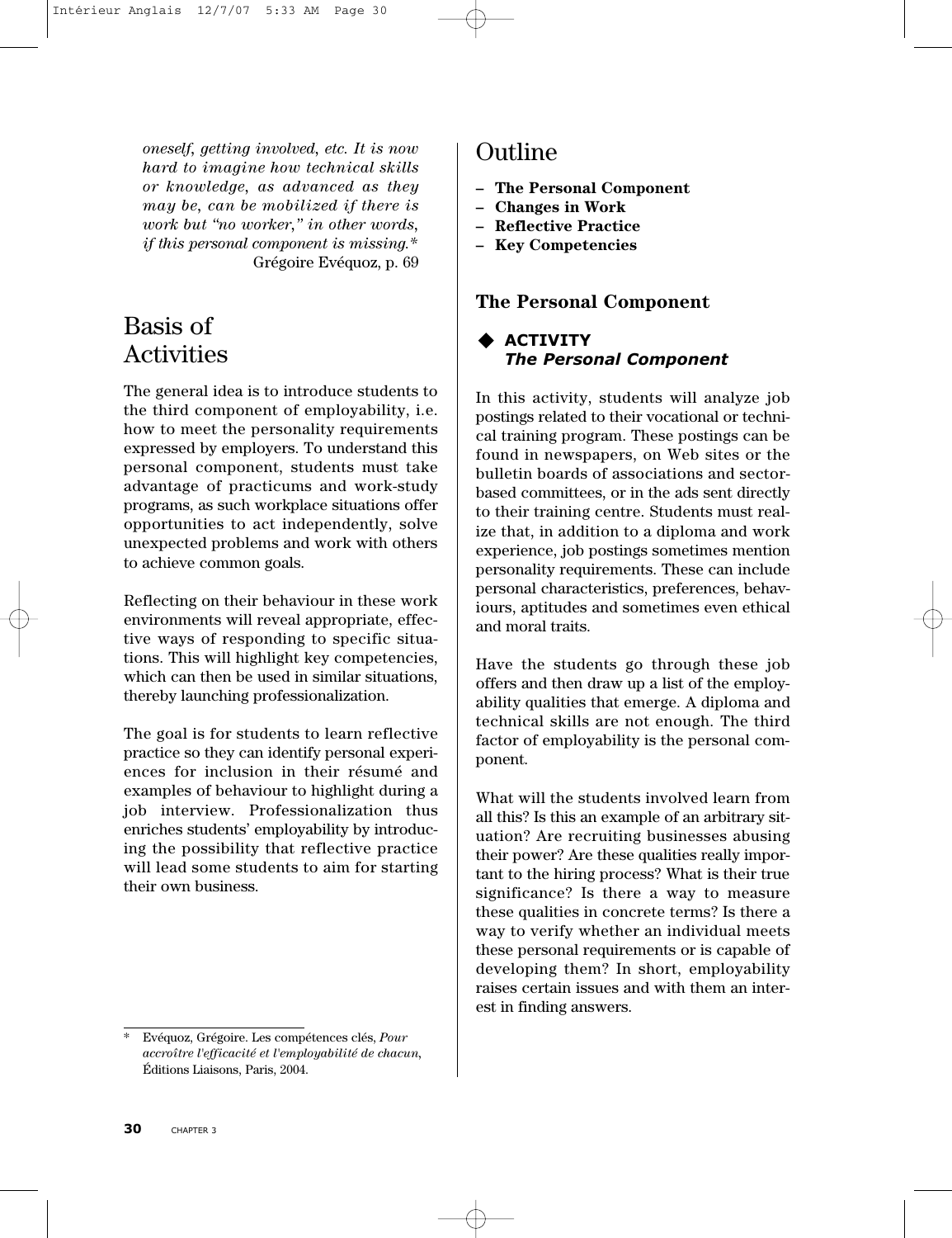*oneself, getting involved, etc. It is now hard to imagine how technical skills or knowledge, as advanced as they may be, can be mobilized if there is work but "no worker," in other words, if this personal component is missing.\** Grégoire Evéquoz, p. 69

# Basis of Activities

The general idea is to introduce students to the third component of employability, i.e. how to meet the personality requirements expressed by employers. To understand this personal component, students must take advantage of practicums and work-study programs, as such workplace situations offer opportunities to act independently, solve unexpected problems and work with others to achieve common goals.

Reflecting on their behaviour in these work environments will reveal appropriate, effective ways of responding to specific situations. This will highlight key competencies, which can then be used in similar situations, thereby launching professionalization.

The goal is for students to learn reflective practice so they can identify personal experiences for inclusion in their résumé and examples of behaviour to highlight during a job interview. Professionalization thus enriches students' employability by introducing the possibility that reflective practice will lead some students to aim for starting their own business.

# Outline

- **– The Personal Component**
- **Changes in Work**
- **Reflective Practice**
- **Key Competencies**

## **The Personal Component**

## **ACTIVITY** *The Personal Component*

In this activity, students will analyze job postings related to their vocational or technical training program. These postings can be found in newspapers, on Web sites or the bulletin boards of associations and sectorbased committees, or in the ads sent directly to their training centre. Students must realize that, in addition to a diploma and work experience, job postings sometimes mention personality requirements. These can include personal characteristics, preferences, behaviours, aptitudes and sometimes even ethical and moral traits.

Have the students go through these job offers and then draw up a list of the employability qualities that emerge. A diploma and technical skills are not enough. The third factor of employability is the personal component.

What will the students involved learn from all this? Is this an example of an arbitrary situation? Are recruiting businesses abusing their power? Are these qualities really important to the hiring process? What is their true significance? Is there a way to measure these qualities in concrete terms? Is there a way to verify whether an individual meets these personal requirements or is capable of developing them? In short, employability raises certain issues and with them an interest in finding answers.

<sup>\*</sup> Evéquoz, Grégoire. Les compétences clés, *Pour accroître l'efficacité et l'employabilité de chacun,* Éditions Liaisons, Paris, 2004.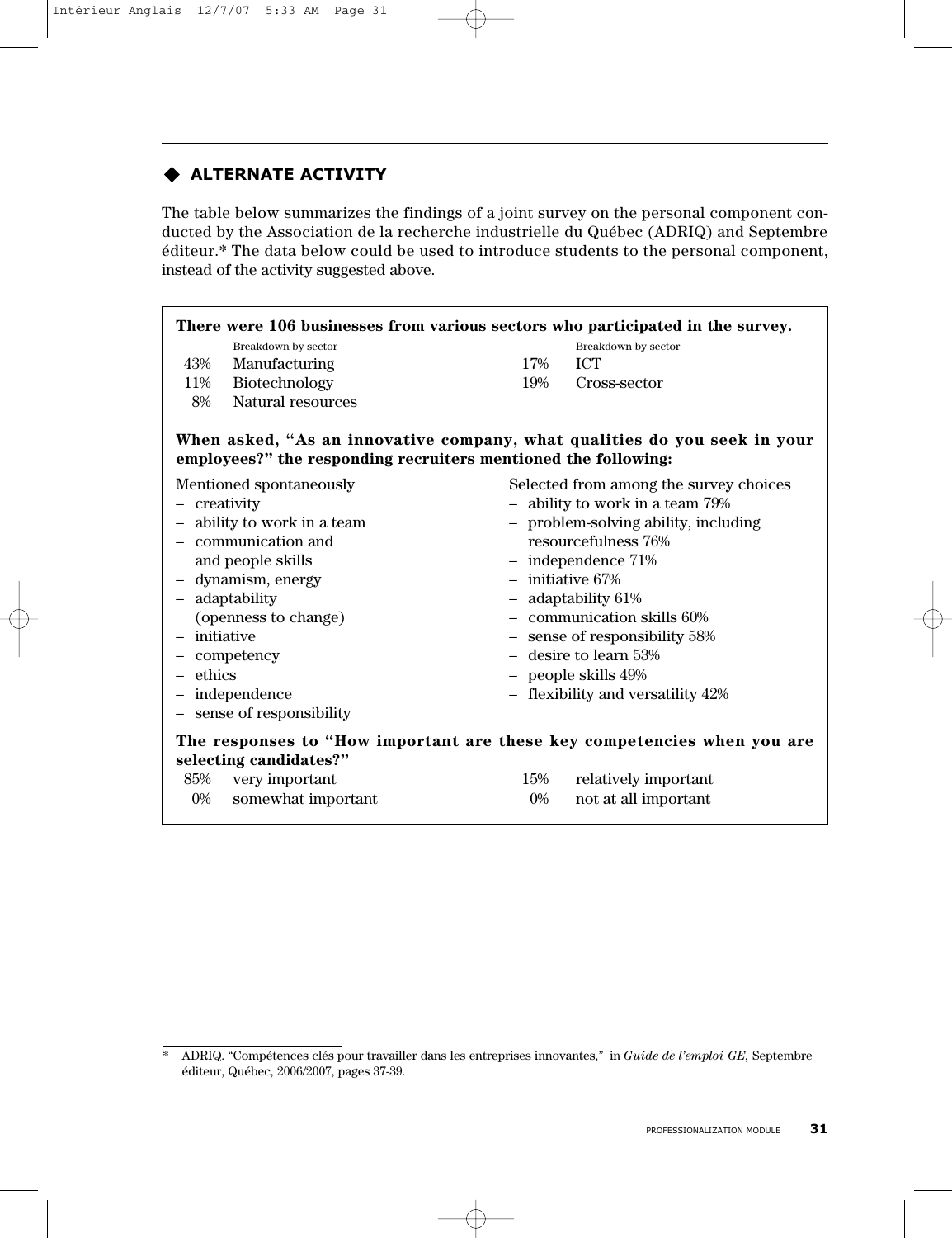## **ALTERNATE ACTIVITY**

The table below summarizes the findings of a joint survey on the personal component conducted by the Association de la recherche industrielle du Québec (ADRIQ) and Septembre éditeur.\* The data below could be used to introduce students to the personal component, instead of the activity suggested above.

| There were 106 businesses from various sectors who participated in the survey.                    |                                                                           |  |  |  |
|---------------------------------------------------------------------------------------------------|---------------------------------------------------------------------------|--|--|--|
| Breakdown by sector                                                                               | Breakdown by sector                                                       |  |  |  |
| 43%<br>Manufacturing                                                                              | <b>ICT</b><br>17%                                                         |  |  |  |
| Biotechnology<br>11%                                                                              | 19%<br>Cross-sector                                                       |  |  |  |
| Natural resources<br>8%                                                                           |                                                                           |  |  |  |
| employees?" the responding recruiters mentioned the following:                                    | When asked, "As an innovative company, what qualities do you seek in your |  |  |  |
| Mentioned spontaneously                                                                           | Selected from among the survey choices                                    |  |  |  |
| - creativity                                                                                      | - ability to work in a team 79%                                           |  |  |  |
| - ability to work in a team                                                                       | - problem-solving ability, including                                      |  |  |  |
| - communication and                                                                               | resourcefulness 76%                                                       |  |  |  |
| and people skills                                                                                 | $-$ independence $71%$                                                    |  |  |  |
| - dynamism, energy                                                                                | $-$ initiative 67%                                                        |  |  |  |
| - adaptability                                                                                    | - adaptability 61%                                                        |  |  |  |
| (openness to change)                                                                              | $-$ communication skills $60\%$                                           |  |  |  |
| - initiative                                                                                      | - sense of responsibility 58%                                             |  |  |  |
| - competency                                                                                      | $-$ desire to learn 53%                                                   |  |  |  |
| $-$ ethics                                                                                        | - people skills 49%                                                       |  |  |  |
| - independence                                                                                    | - flexibility and versatility 42%                                         |  |  |  |
| - sense of responsibility                                                                         |                                                                           |  |  |  |
| The responses to "How important are these key competencies when you are<br>selecting candidates?" |                                                                           |  |  |  |
| very important<br>85%                                                                             | relatively important<br>15%                                               |  |  |  |
| somewhat important<br>$0\%$                                                                       | not at all important<br>$0\%$                                             |  |  |  |

<sup>\*</sup> ADRIQ. "Compétences clés pour travailler dans les entreprises innovantes," in *Guide de l'emploi GE,* Septembre éditeur, Québec, 2006/2007, pages 37-39.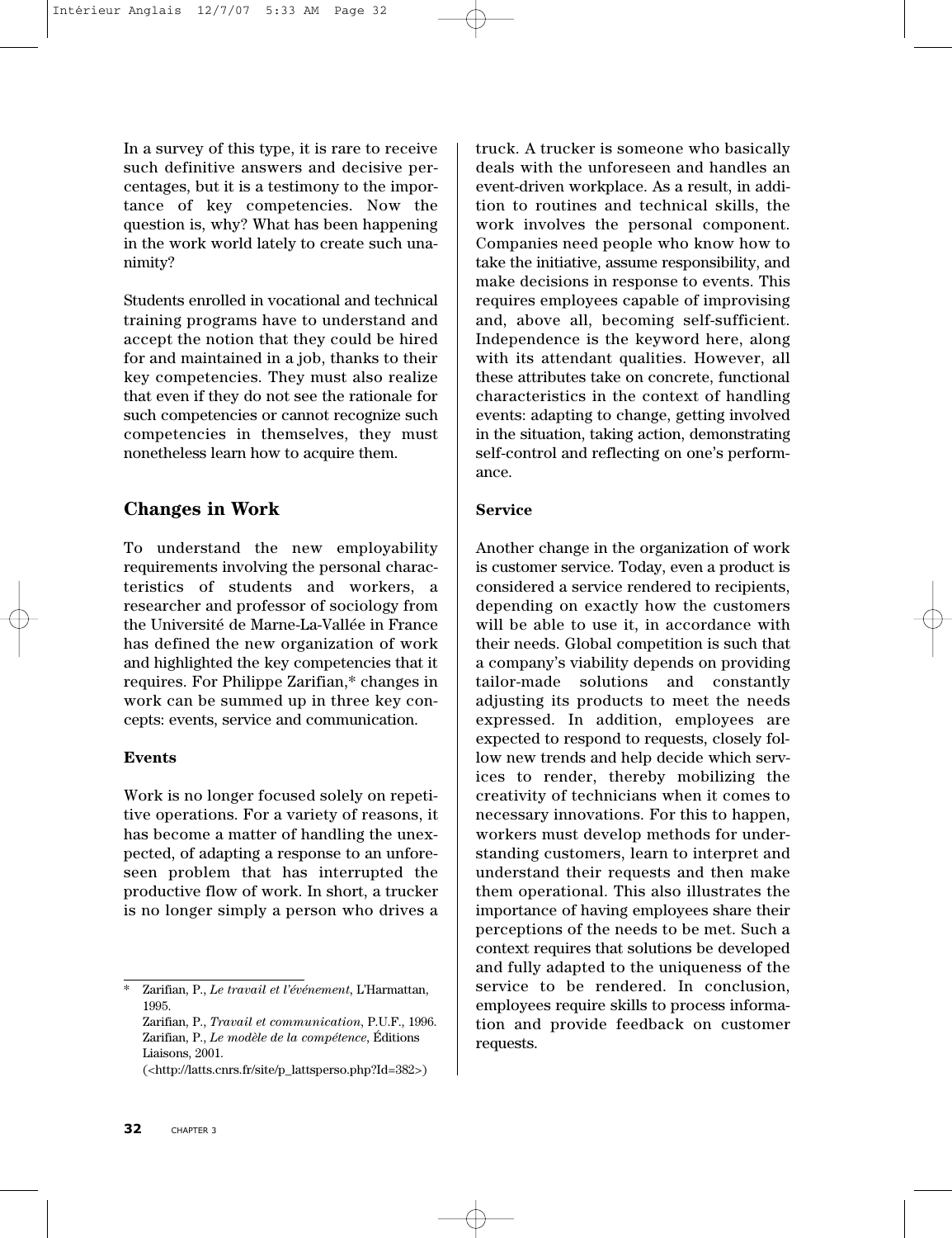In a survey of this type, it is rare to receive such definitive answers and decisive percentages, but it is a testimony to the importance of key competencies. Now the question is, why? What has been happening in the work world lately to create such unanimity?

Students enrolled in vocational and technical training programs have to understand and accept the notion that they could be hired for and maintained in a job, thanks to their key competencies. They must also realize that even if they do not see the rationale for such competencies or cannot recognize such competencies in themselves, they must nonetheless learn how to acquire them.

#### **Changes in Work**

To understand the new employability requirements involving the personal characteristics of students and workers, a researcher and professor of sociology from the Université de Marne-La-Vallée in France has defined the new organization of work and highlighted the key competencies that it requires. For Philippe Zarifian,\* changes in work can be summed up in three key concepts: events, service and communication.

#### **Events**

Work is no longer focused solely on repetitive operations. For a variety of reasons, it has become a matter of handling the unexpected, of adapting a response to an unforeseen problem that has interrupted the productive flow of work. In short, a trucker is no longer simply a person who drives a

(<http://latts.cnrs.fr/site/p\_lattsperso.php?Id=382>)

truck. A trucker is someone who basically deals with the unforeseen and handles an event-driven workplace. As a result, in addition to routines and technical skills, the work involves the personal component. Companies need people who know how to take the initiative, assume responsibility, and make decisions in response to events. This requires employees capable of improvising and, above all, becoming self-sufficient. Independence is the keyword here, along with its attendant qualities. However, all these attributes take on concrete, functional characteristics in the context of handling events: adapting to change, getting involved in the situation, taking action, demonstrating self-control and reflecting on one's performance.

#### **Service**

Another change in the organization of work is customer service. Today, even a product is considered a service rendered to recipients, depending on exactly how the customers will be able to use it, in accordance with their needs. Global competition is such that a company's viability depends on providing tailor-made solutions and constantly adjusting its products to meet the needs expressed. In addition, employees are expected to respond to requests, closely follow new trends and help decide which services to render, thereby mobilizing the creativity of technicians when it comes to necessary innovations. For this to happen, workers must develop methods for understanding customers, learn to interpret and understand their requests and then make them operational. This also illustrates the importance of having employees share their perceptions of the needs to be met. Such a context requires that solutions be developed and fully adapted to the uniqueness of the service to be rendered. In conclusion, employees require skills to process information and provide feedback on customer requests.

<sup>\*</sup> Zarifian, P., *Le travail et l'événement*, L'Harmattan, 1995.

Zarifian, P., *Travail et communication*, P.U.F., 1996. Zarifian, P., *Le modèle de la compétence*, Éditions Liaisons, 2001.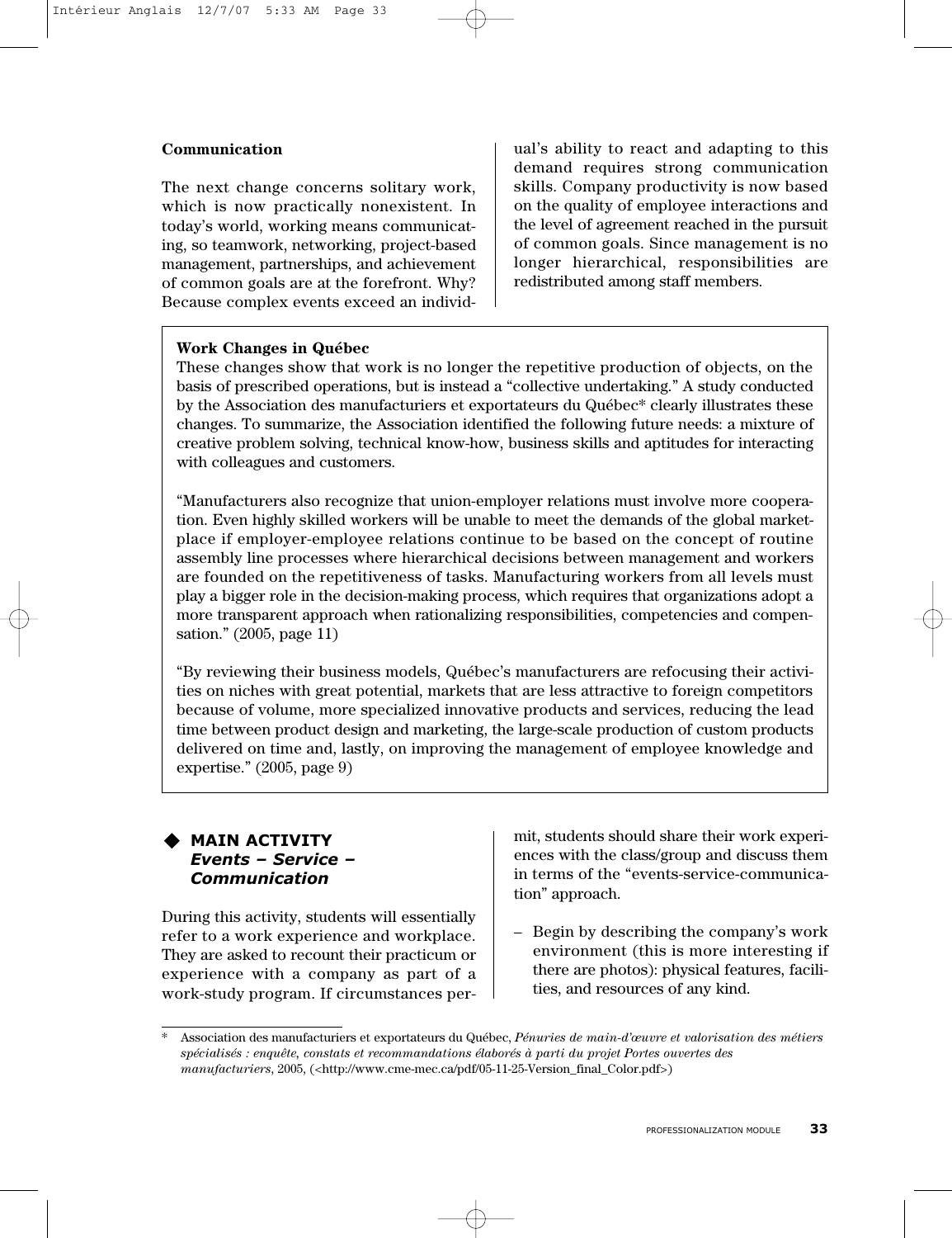#### **Communication**

The next change concerns solitary work, which is now practically nonexistent. In today's world, working means communicating, so teamwork, networking, project-based management, partnerships, and achievement of common goals are at the forefront. Why? Because complex events exceed an individual's ability to react and adapting to this demand requires strong communication skills. Company productivity is now based on the quality of employee interactions and the level of agreement reached in the pursuit of common goals. Since management is no longer hierarchical, responsibilities are redistributed among staff members.

#### **Work Changes in Québec**

These changes show that work is no longer the repetitive production of objects, on the basis of prescribed operations, but is instead a "collective undertaking." A study conducted by the Association des manufacturiers et exportateurs du Québec\* clearly illustrates these changes. To summarize, the Association identified the following future needs: a mixture of creative problem solving, technical know-how, business skills and aptitudes for interacting with colleagues and customers.

"Manufacturers also recognize that union-employer relations must involve more cooperation. Even highly skilled workers will be unable to meet the demands of the global marketplace if employer-employee relations continue to be based on the concept of routine assembly line processes where hierarchical decisions between management and workers are founded on the repetitiveness of tasks. Manufacturing workers from all levels must play a bigger role in the decision-making process, which requires that organizations adopt a more transparent approach when rationalizing responsibilities, competencies and compensation." (2005, page 11)

"By reviewing their business models, Québec's manufacturers are refocusing their activities on niches with great potential, markets that are less attractive to foreign competitors because of volume, more specialized innovative products and services, reducing the lead time between product design and marketing, the large-scale production of custom products delivered on time and, lastly, on improving the management of employee knowledge and expertise." (2005, page 9)

#### **MAIN ACTIVITY** *Events – Service – Communication*

During this activity, students will essentially refer to a work experience and workplace. They are asked to recount their practicum or experience with a company as part of a work-study program. If circumstances permit, students should share their work experiences with the class/group and discuss them in terms of the "events-service-communication" approach.

– Begin by describing the company's work environment (this is more interesting if there are photos): physical features, facilities, and resources of any kind.

<sup>\*</sup> Association des manufacturiers et exportateurs du Québec, *Pénuries de main-d'œuvre et valorisation des métiers spécialisés : enquête, constats et recommandations élaborés à parti du projet Portes ouvertes des manufacturiers*, 2005, (<http://www.cme-mec.ca/pdf/05-11-25-Version\_final\_Color.pdf>)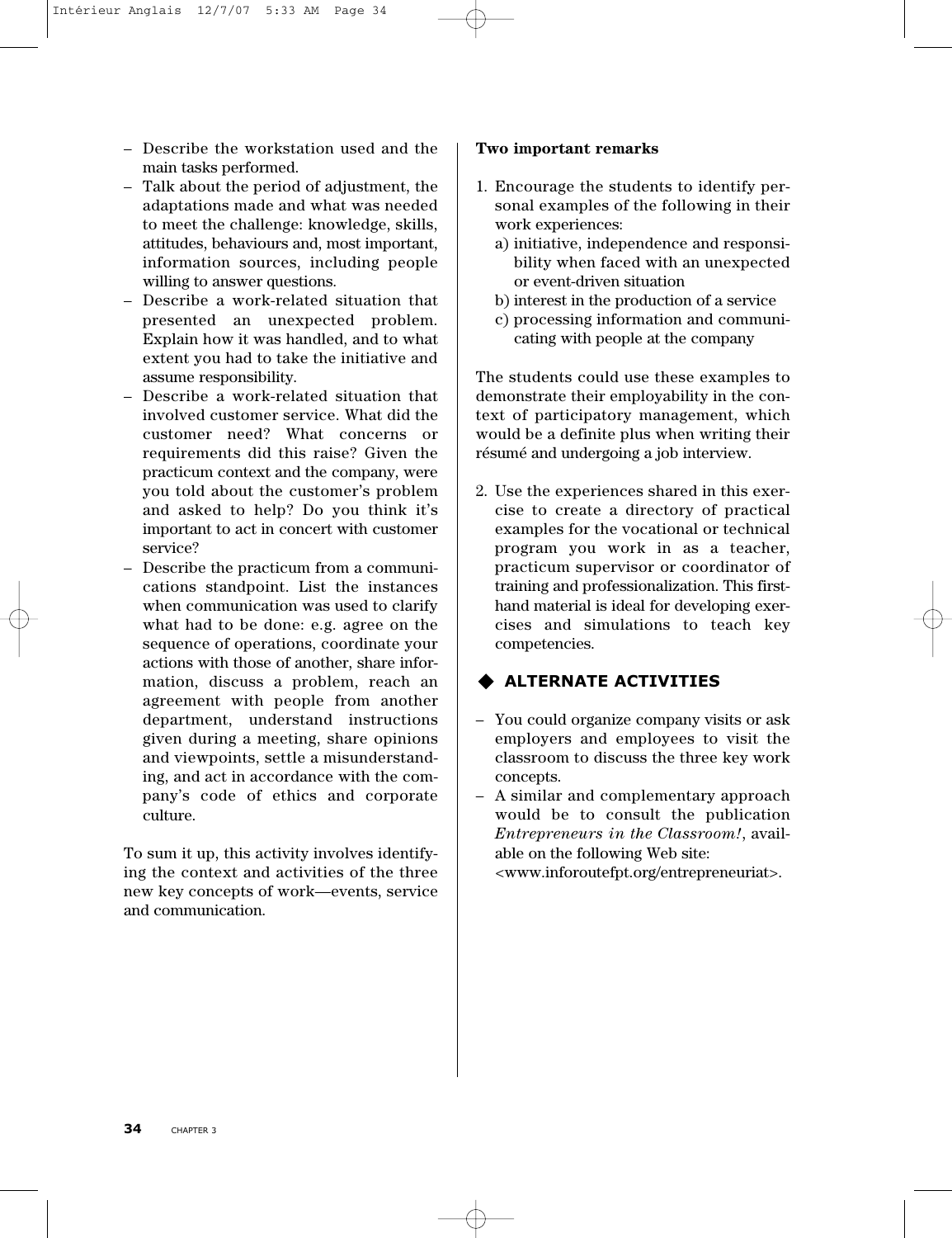- Describe the workstation used and the main tasks performed.
- Talk about the period of adjustment, the adaptations made and what was needed to meet the challenge: knowledge, skills, attitudes, behaviours and, most important, information sources, including people willing to answer questions.
- Describe a work-related situation that presented an unexpected problem. Explain how it was handled, and to what extent you had to take the initiative and assume responsibility.
- Describe a work-related situation that involved customer service. What did the customer need? What concerns or requirements did this raise? Given the practicum context and the company, were you told about the customer's problem and asked to help? Do you think it's important to act in concert with customer service?
- Describe the practicum from a communications standpoint. List the instances when communication was used to clarify what had to be done: e.g. agree on the sequence of operations, coordinate your actions with those of another, share information, discuss a problem, reach an agreement with people from another department, understand instructions given during a meeting, share opinions and viewpoints, settle a misunderstanding, and act in accordance with the company's code of ethics and corporate culture.

To sum it up, this activity involves identifying the context and activities of the three new key concepts of work—events, service and communication.

#### **Two important remarks**

- 1. Encourage the students to identify personal examples of the following in their work experiences:
	- a) initiative, independence and responsibility when faced with an unexpected or event-driven situation
	- b) interest in the production of a service
	- c) processing information and communicating with people at the company

The students could use these examples to demonstrate their employability in the context of participatory management, which would be a definite plus when writing their résumé and undergoing a job interview.

2. Use the experiences shared in this exercise to create a directory of practical examples for the vocational or technical program you work in as a teacher, practicum supervisor or coordinator of training and professionalization. This firsthand material is ideal for developing exercises and simulations to teach key competencies.

## **ALTERNATE ACTIVITIES**

- You could organize company visits or ask employers and employees to visit the classroom to discuss the three key work concepts.
- A similar and complementary approach would be to consult the publication *Entrepreneurs in the Classroom!*, available on the following Web site: <www.inforoutefpt.org/entrepreneuriat>.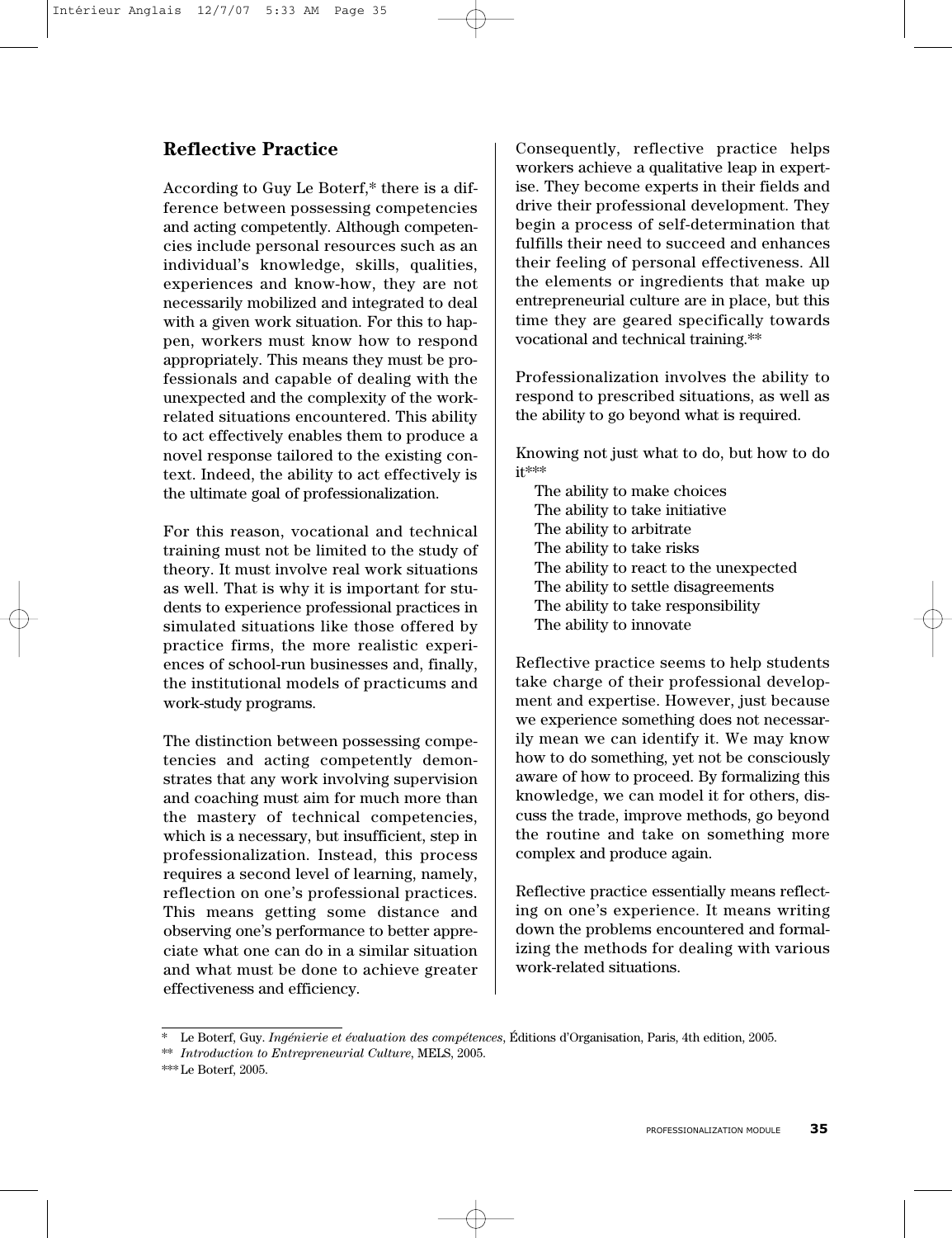## **Reflective Practice**

According to Guy Le Boterf,\* there is a difference between possessing competencies and acting competently. Although competencies include personal resources such as an individual's knowledge, skills, qualities, experiences and know-how, they are not necessarily mobilized and integrated to deal with a given work situation. For this to happen, workers must know how to respond appropriately. This means they must be professionals and capable of dealing with the unexpected and the complexity of the workrelated situations encountered. This ability to act effectively enables them to produce a novel response tailored to the existing context. Indeed, the ability to act effectively is the ultimate goal of professionalization.

For this reason, vocational and technical training must not be limited to the study of theory. It must involve real work situations as well. That is why it is important for students to experience professional practices in simulated situations like those offered by practice firms, the more realistic experiences of school-run businesses and, finally, the institutional models of practicums and work-study programs.

The distinction between possessing competencies and acting competently demonstrates that any work involving supervision and coaching must aim for much more than the mastery of technical competencies, which is a necessary, but insufficient, step in professionalization. Instead, this process requires a second level of learning, namely, reflection on one's professional practices. This means getting some distance and observing one's performance to better appreciate what one can do in a similar situation and what must be done to achieve greater effectiveness and efficiency.

Consequently, reflective practice helps workers achieve a qualitative leap in expertise. They become experts in their fields and drive their professional development. They begin a process of self-determination that fulfills their need to succeed and enhances their feeling of personal effectiveness. All the elements or ingredients that make up entrepreneurial culture are in place, but this time they are geared specifically towards vocational and technical training.\*\*

Professionalization involves the ability to respond to prescribed situations, as well as the ability to go beyond what is required.

Knowing not just what to do, but how to do it\*\*\*

The ability to make choices The ability to take initiative The ability to arbitrate The ability to take risks The ability to react to the unexpected The ability to settle disagreements The ability to take responsibility The ability to innovate

Reflective practice seems to help students take charge of their professional development and expertise. However, just because we experience something does not necessarily mean we can identify it. We may know how to do something, yet not be consciously aware of how to proceed. By formalizing this knowledge, we can model it for others, discuss the trade, improve methods, go beyond the routine and take on something more complex and produce again.

Reflective practice essentially means reflecting on one's experience. It means writing down the problems encountered and formalizing the methods for dealing with various work-related situations.

<sup>\*</sup> Le Boterf, Guy. *Ingénierie et évaluation des compétences*, Éditions d'Organisation, Paris, 4th edition, 2005.

<sup>\*\*</sup> *Introduction to Entrepreneurial Culture*, MELS, 2005.

<sup>\*\*\*</sup> Le Boterf, 2005.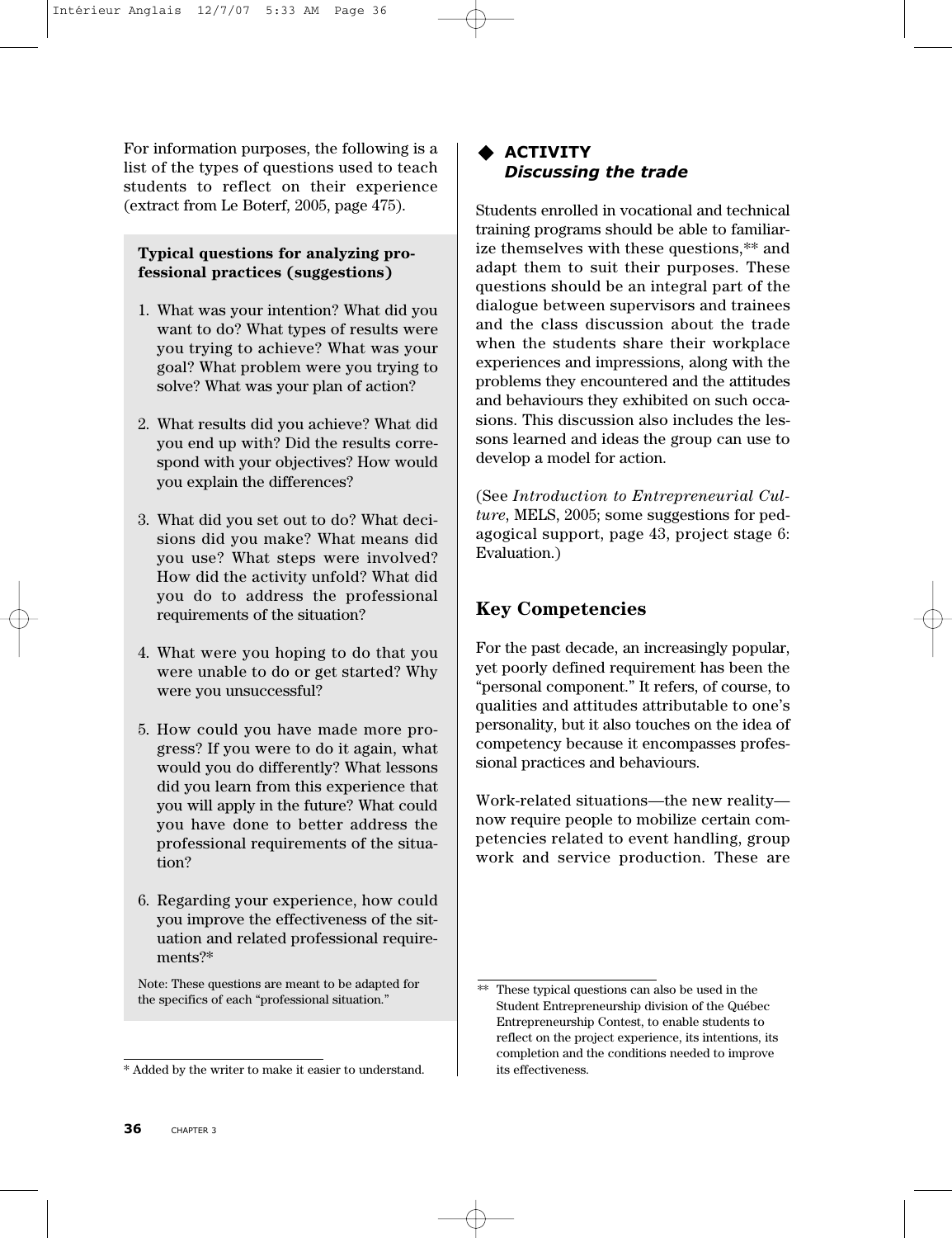For information purposes, the following is a list of the types of questions used to teach students to reflect on their experience (extract from Le Boterf, 2005, page 475).

#### **Typical questions for analyzing professional practices (suggestions)**

- 1. What was your intention? What did you want to do? What types of results were you trying to achieve? What was your goal? What problem were you trying to solve? What was your plan of action?
- 2. What results did you achieve? What did you end up with? Did the results correspond with your objectives? How would you explain the differences?
- 3. What did you set out to do? What decisions did you make? What means did you use? What steps were involved? How did the activity unfold? What did you do to address the professional requirements of the situation?
- 4. What were you hoping to do that you were unable to do or get started? Why were you unsuccessful?
- 5. How could you have made more progress? If you were to do it again, what would you do differently? What lessons did you learn from this experience that you will apply in the future? What could you have done to better address the professional requirements of the situation?
- 6. Regarding your experience, how could you improve the effectiveness of the situation and related professional requirements?\*

Note: These questions are meant to be adapted for the specifics of each "professional situation."

#### **ACTIVITY** *Discussing the trade*

Students enrolled in vocational and technical training programs should be able to familiarize themselves with these questions,\*\* and adapt them to suit their purposes. These questions should be an integral part of the dialogue between supervisors and trainees and the class discussion about the trade when the students share their workplace experiences and impressions, along with the problems they encountered and the attitudes and behaviours they exhibited on such occasions. This discussion also includes the lessons learned and ideas the group can use to develop a model for action.

(See *Introduction to Entrepreneurial Culture*, MELS, 2005; some suggestions for pedagogical support, page 43, project stage 6: Evaluation.)

## **Key Competencies**

For the past decade, an increasingly popular, yet poorly defined requirement has been the "personal component." It refers, of course, to qualities and attitudes attributable to one's personality, but it also touches on the idea of competency because it encompasses professional practices and behaviours.

Work-related situations—the new reality now require people to mobilize certain competencies related to event handling, group work and service production. These are

<sup>\*</sup> Added by the writer to make it easier to understand.

<sup>\*\*</sup> These typical questions can also be used in the Student Entrepreneurship division of the Québec Entrepreneurship Contest, to enable students to reflect on the project experience, its intentions, its completion and the conditions needed to improve its effectiveness.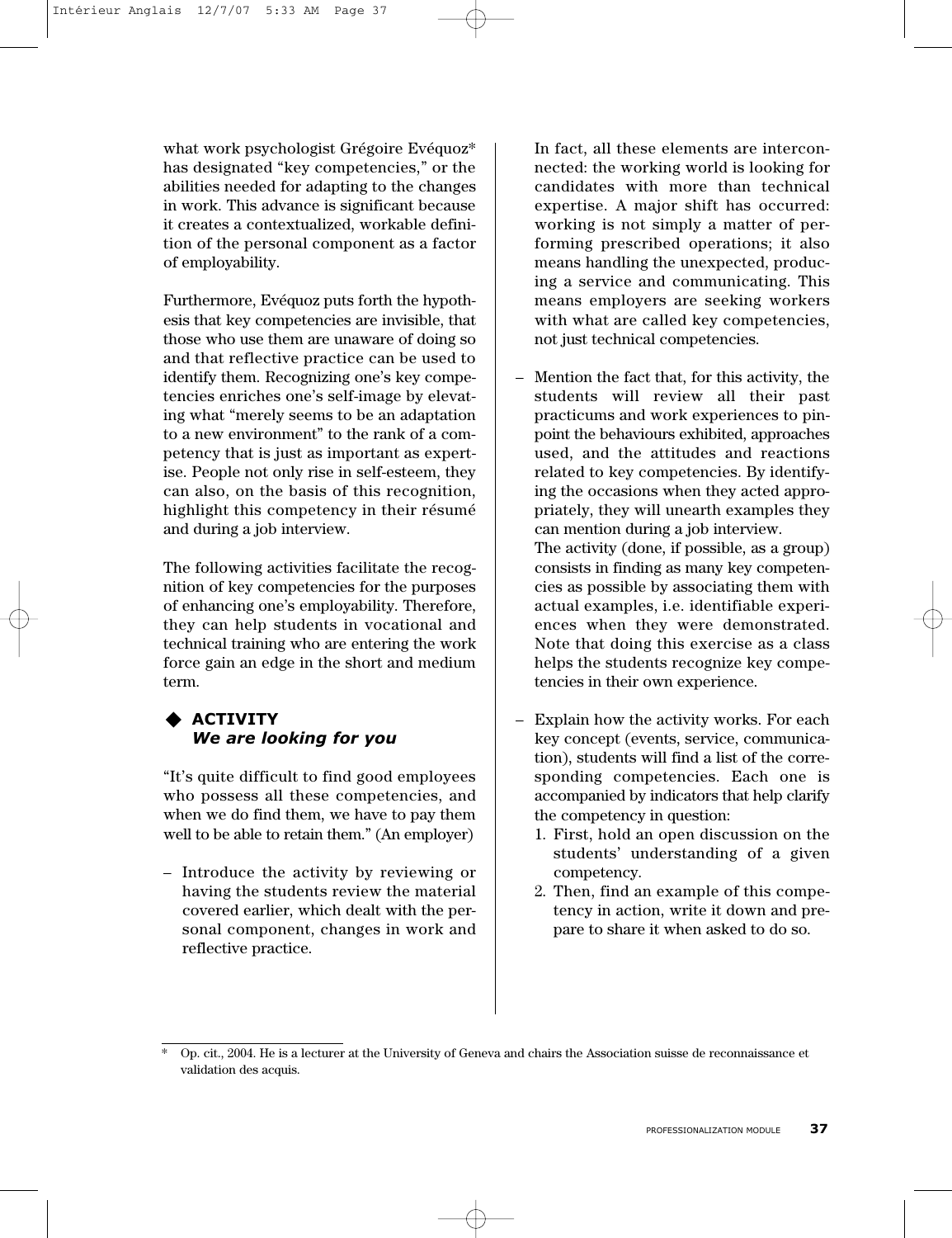what work psychologist Grégoire Evéquoz\* has designated "key competencies," or the abilities needed for adapting to the changes in work. This advance is significant because it creates a contextualized, workable definition of the personal component as a factor of employability.

Furthermore, Evéquoz puts forth the hypothesis that key competencies are invisible, that those who use them are unaware of doing so and that reflective practice can be used to identify them. Recognizing one's key competencies enriches one's self-image by elevating what "merely seems to be an adaptation to a new environment" to the rank of a competency that is just as important as expertise. People not only rise in self-esteem, they can also, on the basis of this recognition, highlight this competency in their résumé and during a job interview.

The following activities facilitate the recognition of key competencies for the purposes of enhancing one's employability. Therefore, they can help students in vocational and technical training who are entering the work force gain an edge in the short and medium term.

#### **ACTIVITY** *We are looking for you*

"It's quite difficult to find good employees who possess all these competencies, and when we do find them, we have to pay them well to be able to retain them." (An employer)

– Introduce the activity by reviewing or having the students review the material covered earlier, which dealt with the personal component, changes in work and reflective practice.

In fact, all these elements are interconnected: the working world is looking for candidates with more than technical expertise. A major shift has occurred: working is not simply a matter of performing prescribed operations; it also means handling the unexpected, producing a service and communicating. This means employers are seeking workers with what are called key competencies, not just technical competencies.

- Mention the fact that, for this activity, the students will review all their past practicums and work experiences to pinpoint the behaviours exhibited, approaches used, and the attitudes and reactions related to key competencies. By identifying the occasions when they acted appropriately, they will unearth examples they can mention during a job interview. The activity (done, if possible, as a group) consists in finding as many key competencies as possible by associating them with actual examples, i.e. identifiable experiences when they were demonstrated. Note that doing this exercise as a class helps the students recognize key competencies in their own experience.
- Explain how the activity works. For each key concept (events, service, communication), students will find a list of the corresponding competencies. Each one is accompanied by indicators that help clarify the competency in question:
	- 1. First, hold an open discussion on the students' understanding of a given competency.
	- 2. Then, find an example of this competency in action, write it down and prepare to share it when asked to do so.

<sup>\*</sup> Op. cit., 2004. He is a lecturer at the University of Geneva and chairs the Association suisse de reconnaissance et validation des acquis.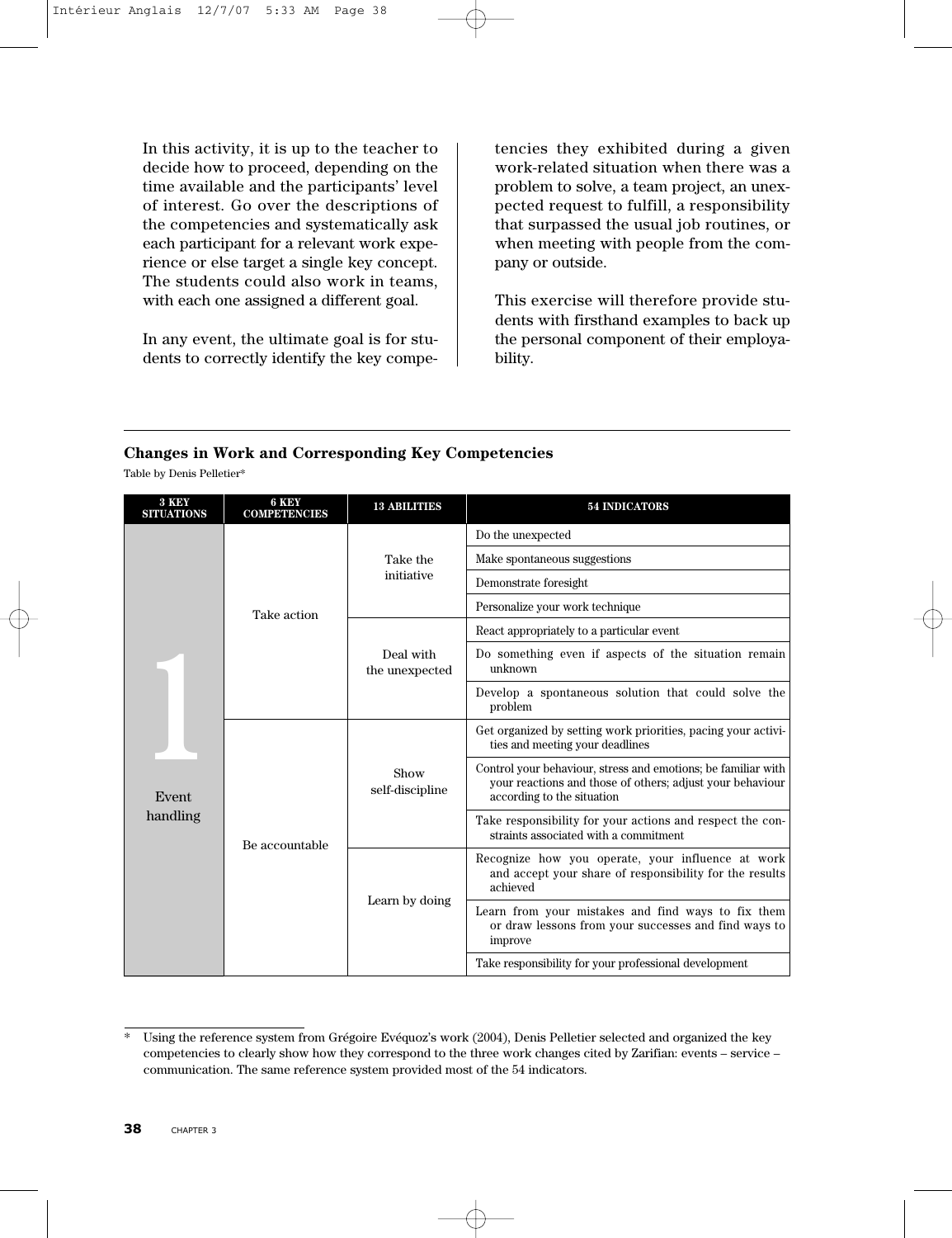In this activity, it is up to the teacher to decide how to proceed, depending on the time available and the participants' level of interest. Go over the descriptions of the competencies and systematically ask each participant for a relevant work experience or else target a single key concept. The students could also work in teams, with each one assigned a different goal.

In any event, the ultimate goal is for students to correctly identify the key compe-

tencies they exhibited during a given work-related situation when there was a problem to solve, a team project, an unexpected request to fulfill, a responsibility that surpassed the usual job routines, or when meeting with people from the company or outside.

This exercise will therefore provide students with firsthand examples to back up the personal component of their employability.

#### **Changes in Work and Corresponding Key Competencies**

Table by Denis Pelletier\*

| 3 KEY<br><b>SITUATIONS</b> | 6 KEY<br><b>COMPETENCIES</b>                                                       | <b>13 ABILITIES</b>                                                                                | <b>54 INDICATORS</b>                                                                                                                                     |
|----------------------------|------------------------------------------------------------------------------------|----------------------------------------------------------------------------------------------------|----------------------------------------------------------------------------------------------------------------------------------------------------------|
|                            |                                                                                    |                                                                                                    | Do the unexpected                                                                                                                                        |
|                            |                                                                                    | Take the<br>initiative                                                                             | Make spontaneous suggestions                                                                                                                             |
|                            |                                                                                    |                                                                                                    | Demonstrate foresight                                                                                                                                    |
|                            | Take action                                                                        |                                                                                                    | Personalize your work technique                                                                                                                          |
|                            |                                                                                    |                                                                                                    | React appropriately to a particular event                                                                                                                |
|                            |                                                                                    | Deal with<br>the unexpected                                                                        | Do something even if aspects of the situation remain<br>unknown                                                                                          |
|                            |                                                                                    |                                                                                                    | Develop a spontaneous solution that could solve the<br>problem                                                                                           |
| Event<br>handling          | Show<br>self-discipline<br>Be accountable<br>achieved<br>Learn by doing<br>improve |                                                                                                    | Get organized by setting work priorities, pacing your activi-<br>ties and meeting your deadlines                                                         |
|                            |                                                                                    |                                                                                                    | Control your behaviour, stress and emotions; be familiar with<br>your reactions and those of others; adjust your behaviour<br>according to the situation |
|                            |                                                                                    | Take responsibility for your actions and respect the con-<br>straints associated with a commitment |                                                                                                                                                          |
|                            |                                                                                    |                                                                                                    | Recognize how you operate, your influence at work<br>and accept your share of responsibility for the results                                             |
|                            |                                                                                    |                                                                                                    | Learn from your mistakes and find ways to fix them<br>or draw lessons from your successes and find ways to                                               |
|                            |                                                                                    |                                                                                                    | Take responsibility for your professional development                                                                                                    |

<sup>\*</sup> Using the reference system from Grégoire Evéquoz's work (2004), Denis Pelletier selected and organized the key competencies to clearly show how they correspond to the three work changes cited by Zarifian: events – service – communication. The same reference system provided most of the 54 indicators.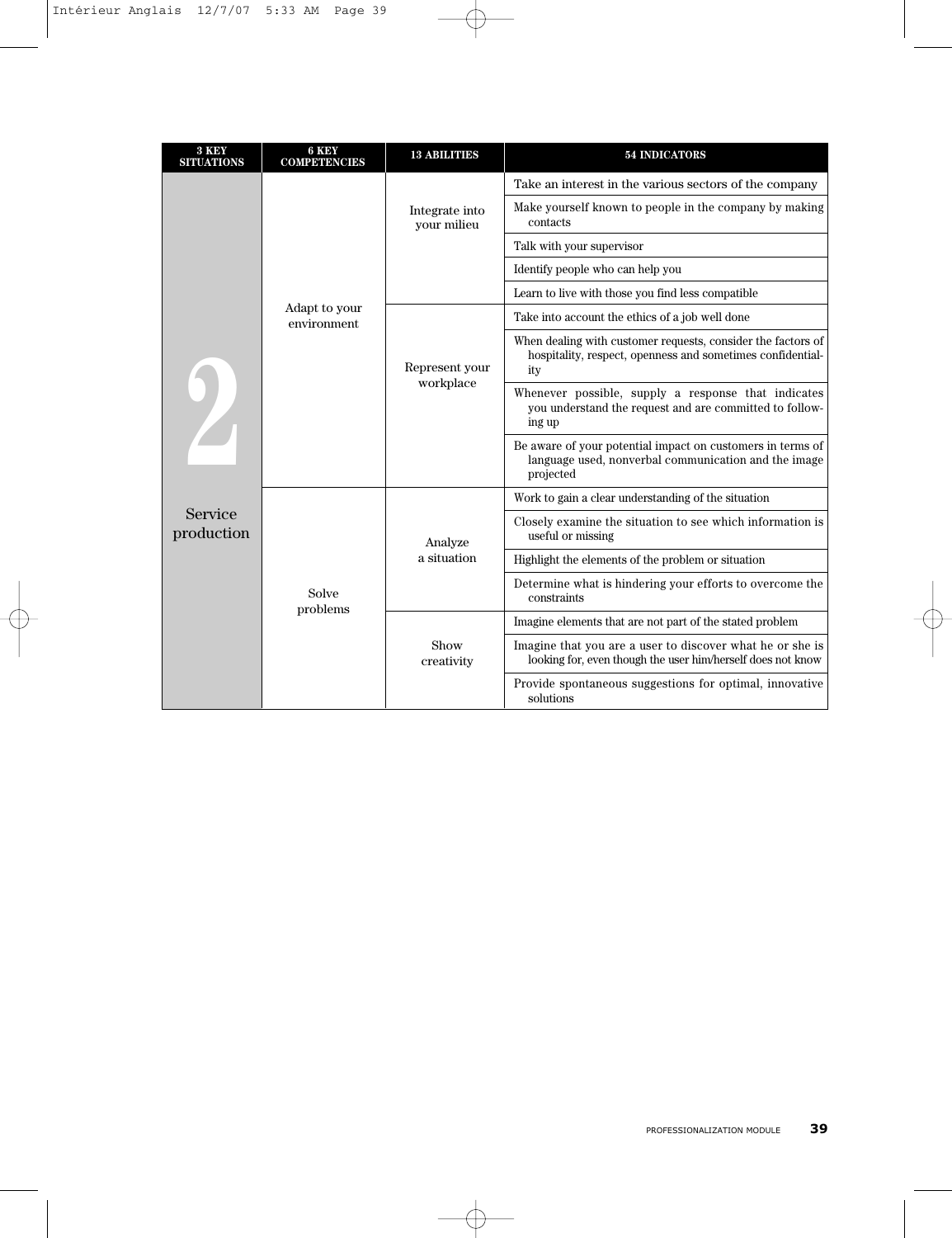| 3 KEY<br><b>SITUATIONS</b> | 6 KEY<br><b>COMPETENCIES</b> | <b>13 ABILITIES</b>           | <b>54 INDICATORS</b>                                                                                                              |  |  |  |
|----------------------------|------------------------------|-------------------------------|-----------------------------------------------------------------------------------------------------------------------------------|--|--|--|
|                            |                              |                               | Take an interest in the various sectors of the company                                                                            |  |  |  |
|                            |                              | Integrate into<br>your milieu | Make yourself known to people in the company by making<br>contacts                                                                |  |  |  |
|                            |                              |                               | Talk with your supervisor                                                                                                         |  |  |  |
|                            |                              |                               | Identify people who can help you                                                                                                  |  |  |  |
|                            |                              |                               | Learn to live with those you find less compatible                                                                                 |  |  |  |
|                            | Adapt to your<br>environment | Represent your<br>workplace   | Take into account the ethics of a job well done                                                                                   |  |  |  |
| Z                          |                              |                               | When dealing with customer requests, consider the factors of<br>hospitality, respect, openness and sometimes confidential-<br>ity |  |  |  |
|                            |                              |                               | Whenever possible, supply a response that indicates<br>you understand the request and are committed to follow-<br>ing up          |  |  |  |
|                            |                              |                               | Be aware of your potential impact on customers in terms of<br>language used, nonverbal communication and the image<br>projected   |  |  |  |
|                            |                              |                               | Work to gain a clear understanding of the situation                                                                               |  |  |  |
| Service<br>production      |                              | Analyze                       | Closely examine the situation to see which information is<br>useful or missing                                                    |  |  |  |
|                            |                              | a situation                   | Highlight the elements of the problem or situation                                                                                |  |  |  |
|                            | Solve                        |                               | Determine what is hindering your efforts to overcome the<br>constraints                                                           |  |  |  |
|                            | problems                     |                               | Imagine elements that are not part of the stated problem                                                                          |  |  |  |
|                            |                              | Show<br>creativity            | Imagine that you are a user to discover what he or she is<br>looking for, even though the user him/herself does not know          |  |  |  |
|                            |                              |                               | Provide spontaneous suggestions for optimal, innovative<br>solutions                                                              |  |  |  |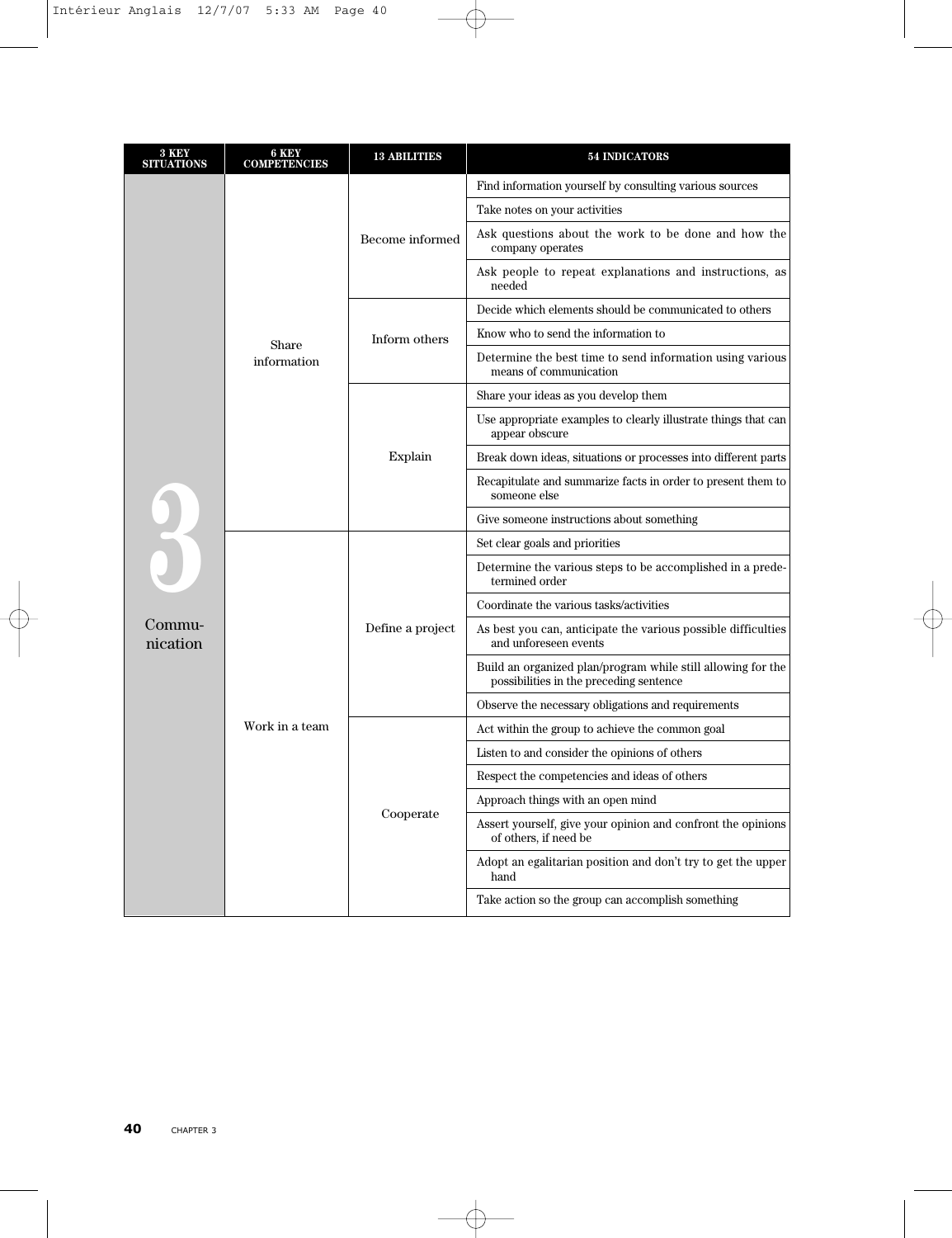| 3 KEY<br><b>SITUATIONS</b> | 6 KEY<br><b>COMPETENCIES</b> | <b>13 ABILITIES</b> | <b>54 INDICATORS</b>                                                                                    |  |  |  |
|----------------------------|------------------------------|---------------------|---------------------------------------------------------------------------------------------------------|--|--|--|
|                            |                              |                     | Find information yourself by consulting various sources                                                 |  |  |  |
|                            |                              |                     | Take notes on your activities                                                                           |  |  |  |
|                            |                              | Become informed     | Ask questions about the work to be done and how the<br>company operates                                 |  |  |  |
|                            |                              |                     | Ask people to repeat explanations and instructions, as<br>needed                                        |  |  |  |
|                            |                              | Inform others       | Decide which elements should be communicated to others                                                  |  |  |  |
|                            | Share                        |                     | Know who to send the information to                                                                     |  |  |  |
|                            | information                  |                     | Determine the best time to send information using various<br>means of communication                     |  |  |  |
|                            |                              | Explain             | Share your ideas as you develop them                                                                    |  |  |  |
|                            |                              |                     | Use appropriate examples to clearly illustrate things that can<br>appear obscure                        |  |  |  |
|                            |                              |                     | Break down ideas, situations or processes into different parts                                          |  |  |  |
|                            |                              |                     | Recapitulate and summarize facts in order to present them to<br>someone else                            |  |  |  |
|                            |                              |                     | Give someone instructions about something                                                               |  |  |  |
| 3                          |                              | Define a project    | Set clear goals and priorities                                                                          |  |  |  |
|                            |                              |                     | Determine the various steps to be accomplished in a prede-<br>termined order                            |  |  |  |
|                            |                              |                     | Coordinate the various tasks/activities                                                                 |  |  |  |
| Commu-<br>nication         |                              |                     | As best you can, anticipate the various possible difficulties<br>and unforeseen events                  |  |  |  |
|                            |                              |                     | Build an organized plan/program while still allowing for the<br>possibilities in the preceding sentence |  |  |  |
|                            |                              |                     | Observe the necessary obligations and requirements                                                      |  |  |  |
|                            | Work in a team               |                     | Act within the group to achieve the common goal                                                         |  |  |  |
|                            |                              |                     | Listen to and consider the opinions of others                                                           |  |  |  |
|                            |                              |                     | Respect the competencies and ideas of others                                                            |  |  |  |
|                            |                              |                     | Approach things with an open mind                                                                       |  |  |  |
|                            |                              | Cooperate           | Assert yourself, give your opinion and confront the opinions<br>of others, if need be                   |  |  |  |
|                            |                              |                     | Adopt an egalitarian position and don't try to get the upper<br>hand                                    |  |  |  |
|                            |                              |                     | Take action so the group can accomplish something                                                       |  |  |  |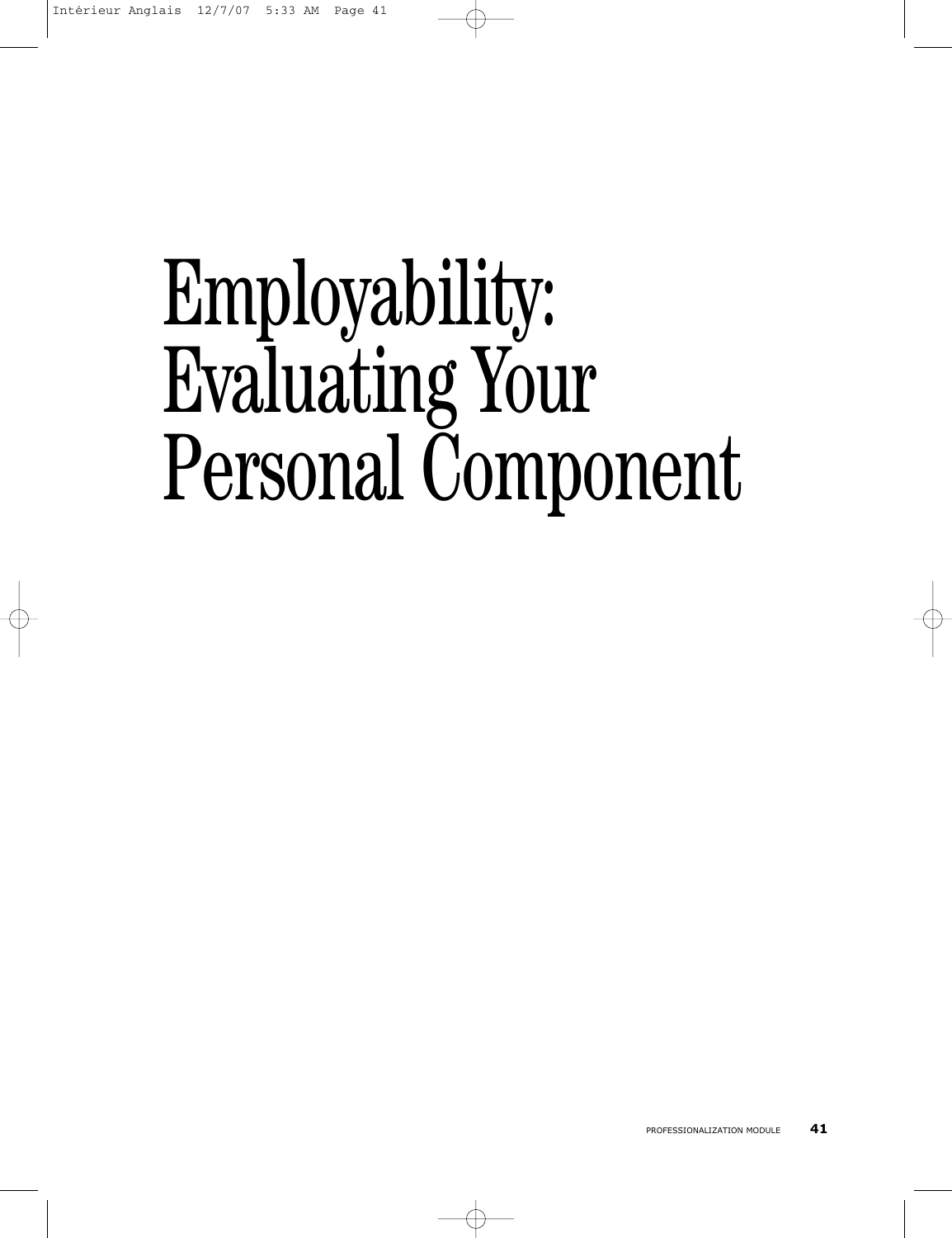# Employability: Evaluating Your Personal Component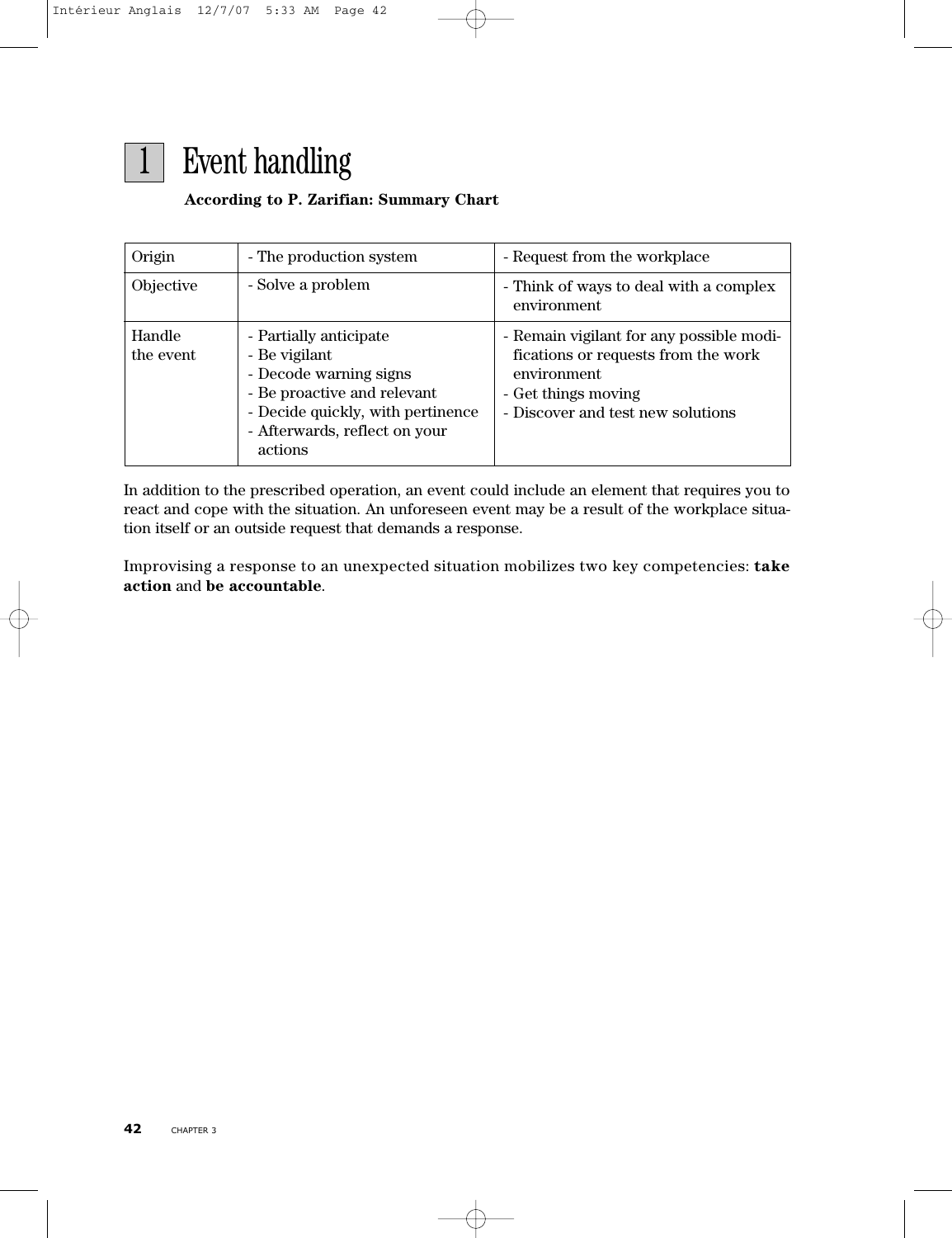

### **According to P. Zarifian: Summary Chart**

| Origin              | - The production system                                                                                                                                                           | - Request from the workplace                                                                                                                               |
|---------------------|-----------------------------------------------------------------------------------------------------------------------------------------------------------------------------------|------------------------------------------------------------------------------------------------------------------------------------------------------------|
| Objective           | - Solve a problem                                                                                                                                                                 | - Think of ways to deal with a complex<br>environment                                                                                                      |
| Handle<br>the event | - Partially anticipate<br>- Be vigilant<br>- Decode warning signs<br>- Be proactive and relevant<br>- Decide quickly, with pertinence<br>- Afterwards, reflect on your<br>actions | - Remain vigilant for any possible modi-<br>fications or requests from the work<br>environment<br>- Get things moving<br>- Discover and test new solutions |

In addition to the prescribed operation, an event could include an element that requires you to react and cope with the situation. An unforeseen event may be a result of the workplace situation itself or an outside request that demands a response.

Improvising a response to an unexpected situation mobilizes two key competencies: **take action** and **be accountable**.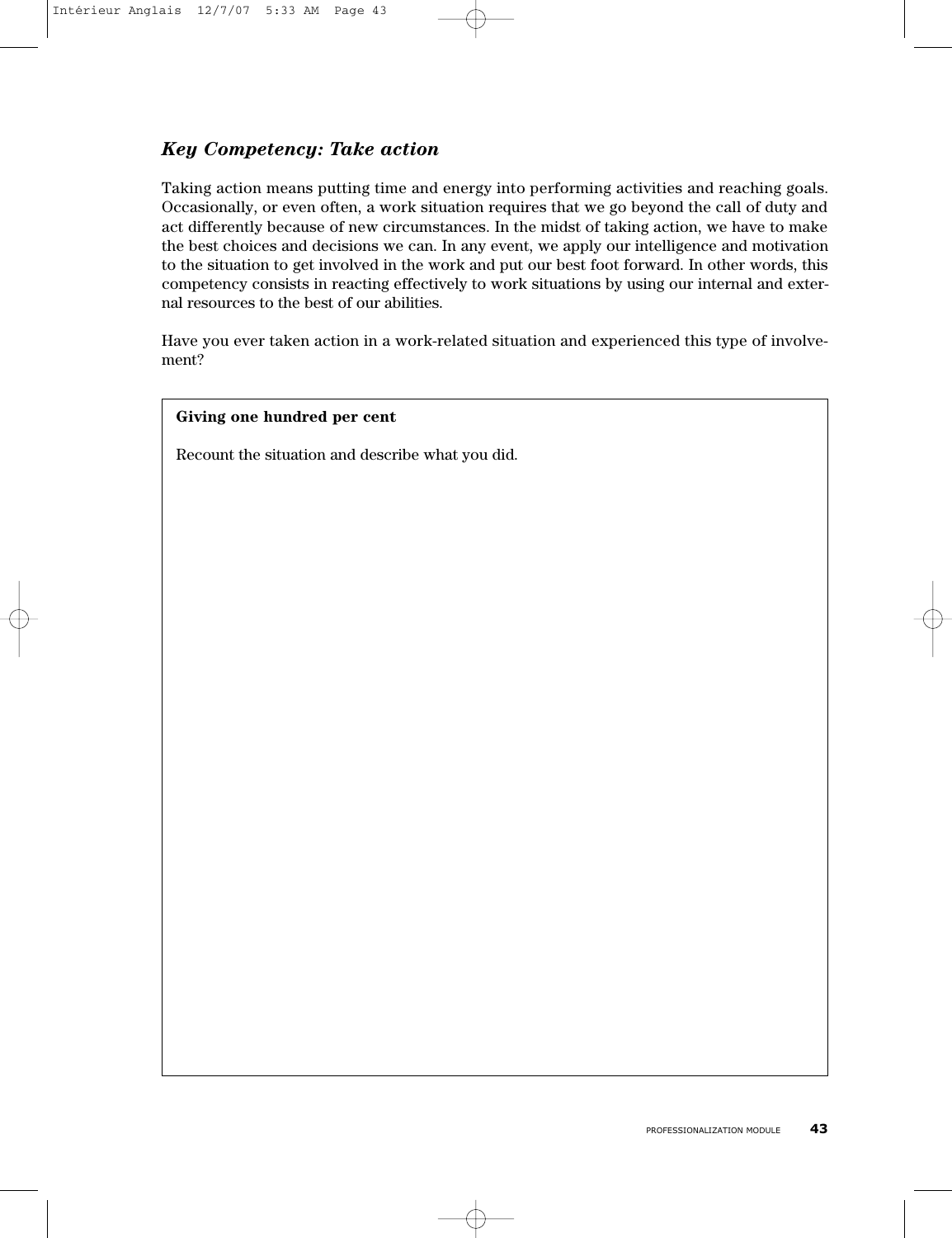# *Key Competency: Take action*

Taking action means putting time and energy into performing activities and reaching goals. Occasionally, or even often, a work situation requires that we go beyond the call of duty and act differently because of new circumstances. In the midst of taking action, we have to make the best choices and decisions we can. In any event, we apply our intelligence and motivation to the situation to get involved in the work and put our best foot forward. In other words, this competency consists in reacting effectively to work situations by using our internal and external resources to the best of our abilities.

Have you ever taken action in a work-related situation and experienced this type of involvement?

#### **Giving one hundred per cent**

Recount the situation and describe what you did.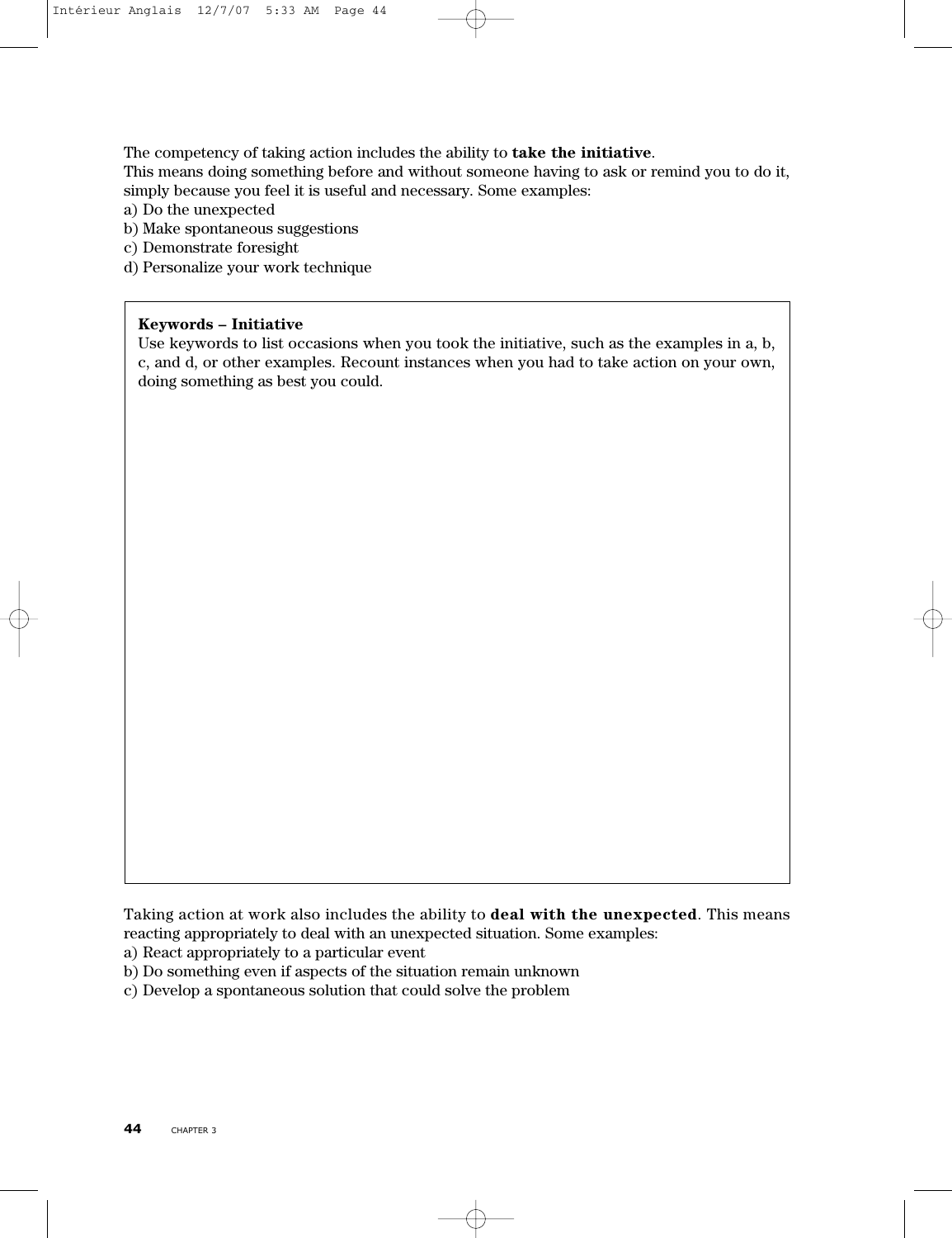The competency of taking action includes the ability to **take the initiative**.

This means doing something before and without someone having to ask or remind you to do it, simply because you feel it is useful and necessary. Some examples:

a) Do the unexpected

- b) Make spontaneous suggestions
- c) Demonstrate foresight
- d) Personalize your work technique

#### **Keywords – Initiative**

Use keywords to list occasions when you took the initiative, such as the examples in a, b, c, and d, or other examples. Recount instances when you had to take action on your own, doing something as best you could.

Taking action at work also includes the ability to **deal with the unexpected**. This means reacting appropriately to deal with an unexpected situation. Some examples:

- a) React appropriately to a particular event
- b) Do something even if aspects of the situation remain unknown
- c) Develop a spontaneous solution that could solve the problem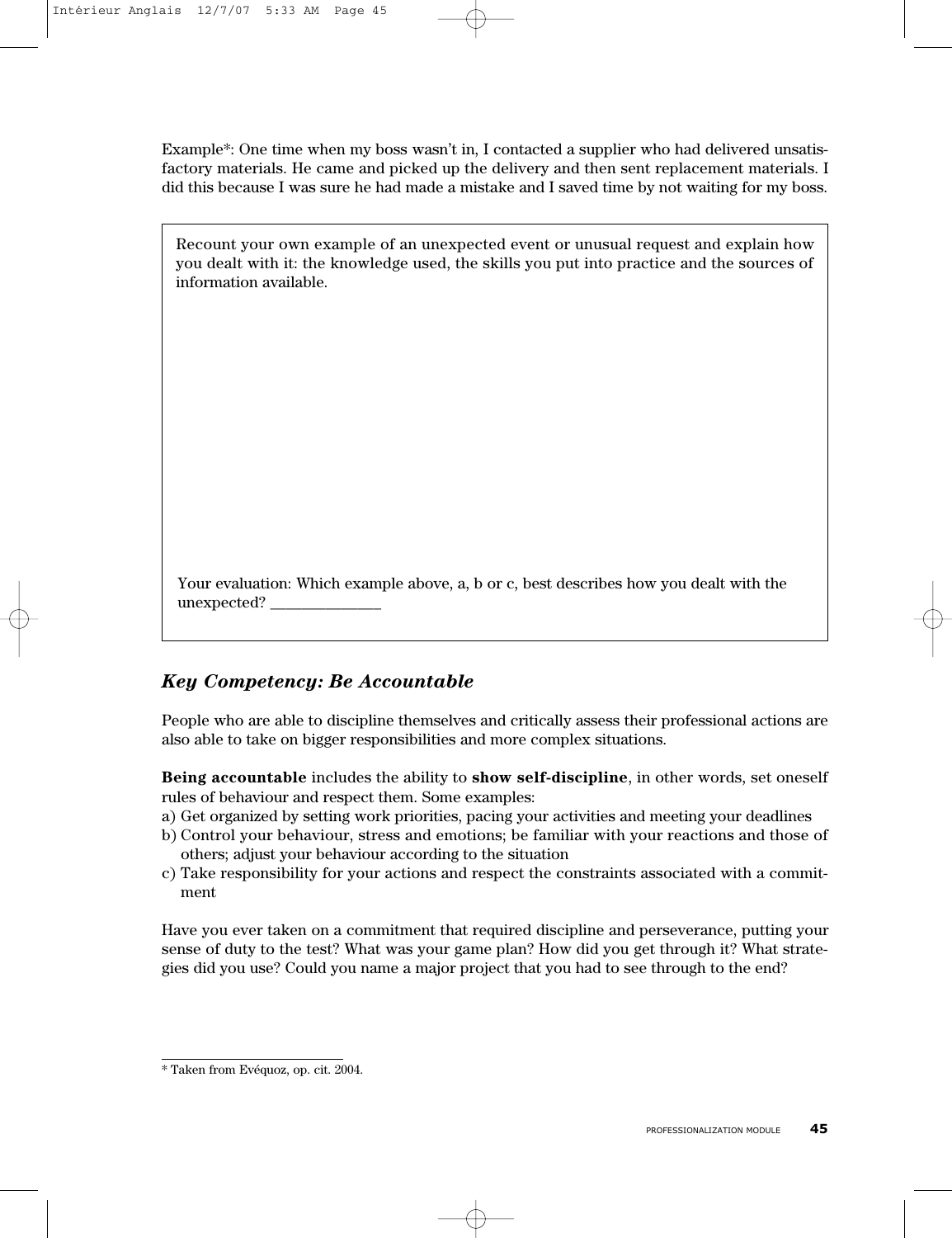Example\*: One time when my boss wasn't in, I contacted a supplier who had delivered unsatisfactory materials. He came and picked up the delivery and then sent replacement materials. I did this because I was sure he had made a mistake and I saved time by not waiting for my boss.

| Recount your own example of an unexpected event or unusual request and explain how         |
|--------------------------------------------------------------------------------------------|
| you dealt with it: the knowledge used, the skills you put into practice and the sources of |
| information available.                                                                     |

Your evaluation: Which example above, a, b or c, best describes how you dealt with the unexpected? \_\_\_\_\_\_\_\_\_\_\_\_\_\_

# *Key Competency: Be Accountable*

People who are able to discipline themselves and critically assess their professional actions are also able to take on bigger responsibilities and more complex situations.

**Being accountable** includes the ability to **show self-discipline**, in other words, set oneself rules of behaviour and respect them. Some examples:

- a) Get organized by setting work priorities, pacing your activities and meeting your deadlines
- b) Control your behaviour, stress and emotions; be familiar with your reactions and those of others; adjust your behaviour according to the situation
- c) Take responsibility for your actions and respect the constraints associated with a commitment

Have you ever taken on a commitment that required discipline and perseverance, putting your sense of duty to the test? What was your game plan? How did you get through it? What strategies did you use? Could you name a major project that you had to see through to the end?

<sup>\*</sup> Taken from Evéquoz, op. cit. 2004.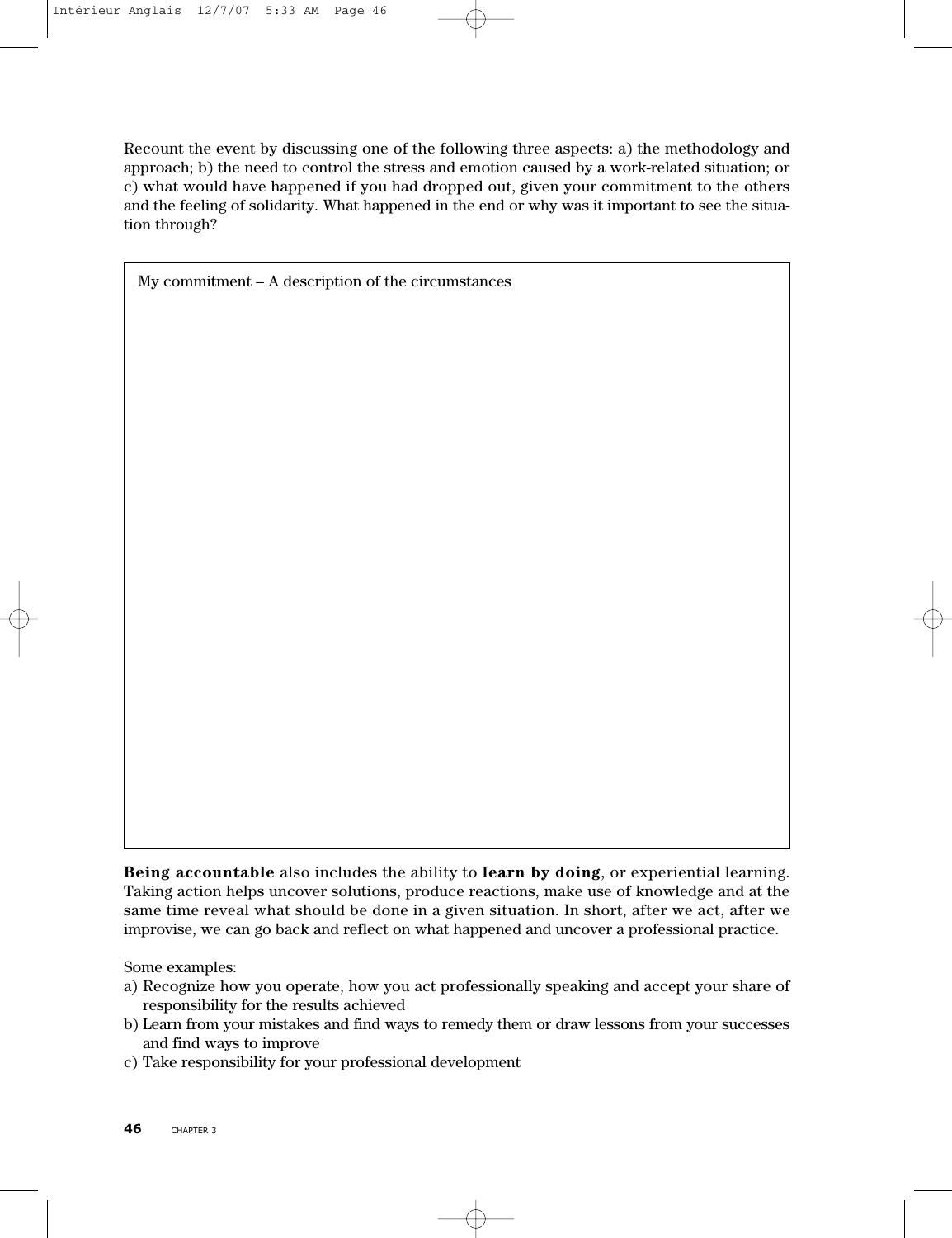Recount the event by discussing one of the following three aspects: a) the methodology and approach; b) the need to control the stress and emotion caused by a work-related situation; or c) what would have happened if you had dropped out, given your commitment to the others and the feeling of solidarity. What happened in the end or why was it important to see the situation through?

My commitment – A description of the circumstances

**Being accountable** also includes the ability to **learn by doing**, or experiential learning. Taking action helps uncover solutions, produce reactions, make use of knowledge and at the same time reveal what should be done in a given situation. In short, after we act, after we improvise, we can go back and reflect on what happened and uncover a professional practice.

Some examples:

- a) Recognize how you operate, how you act professionally speaking and accept your share of responsibility for the results achieved
- b) Learn from your mistakes and find ways to remedy them or draw lessons from your successes and find ways to improve
- c) Take responsibility for your professional development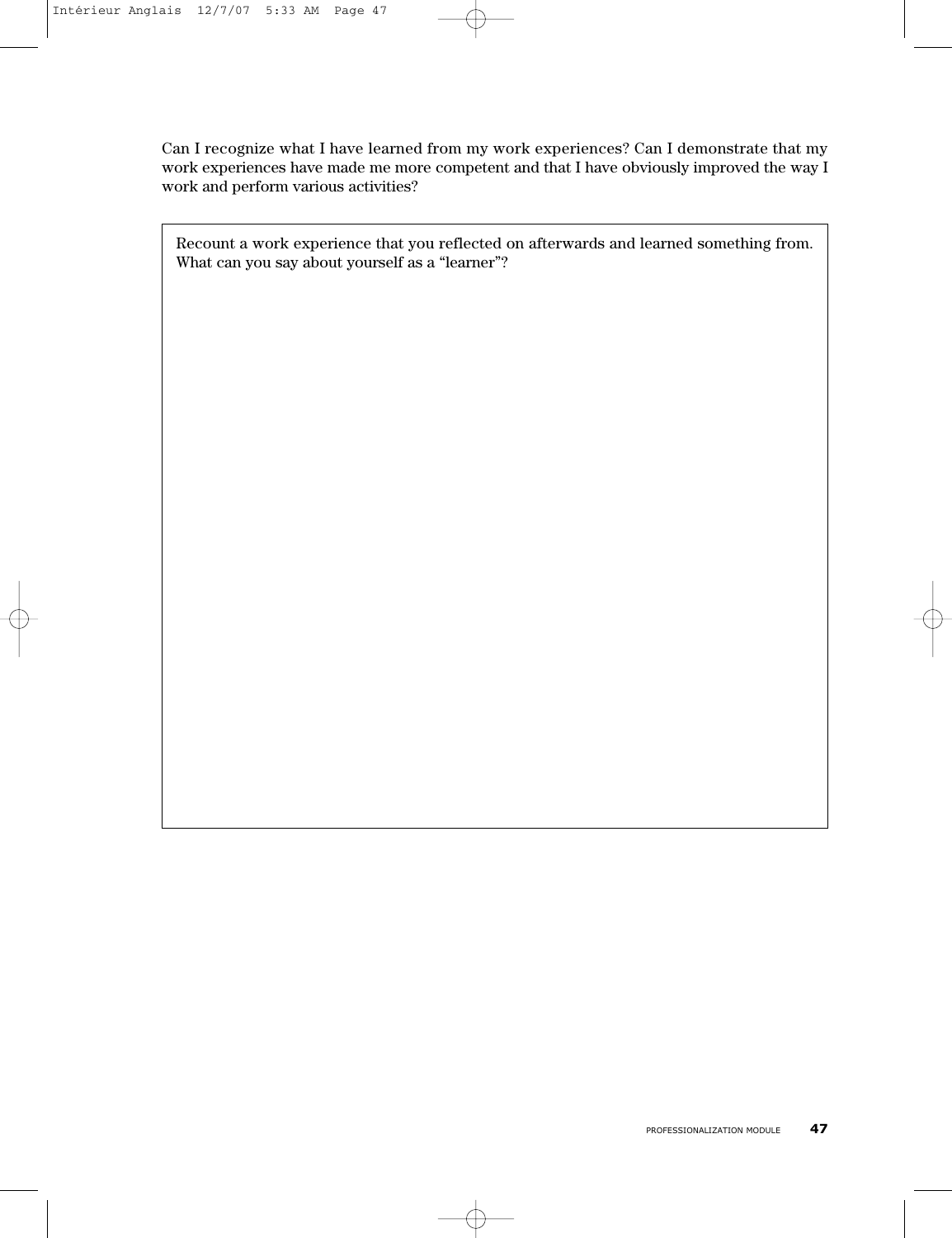Can I recognize what I have learned from my work experiences? Can I demonstrate that my work experiences have made me more competent and that I have obviously improved the way I work and perform various activities?

Recount a work experience that you reflected on afterwards and learned something from. What can you say about yourself as a "learner"?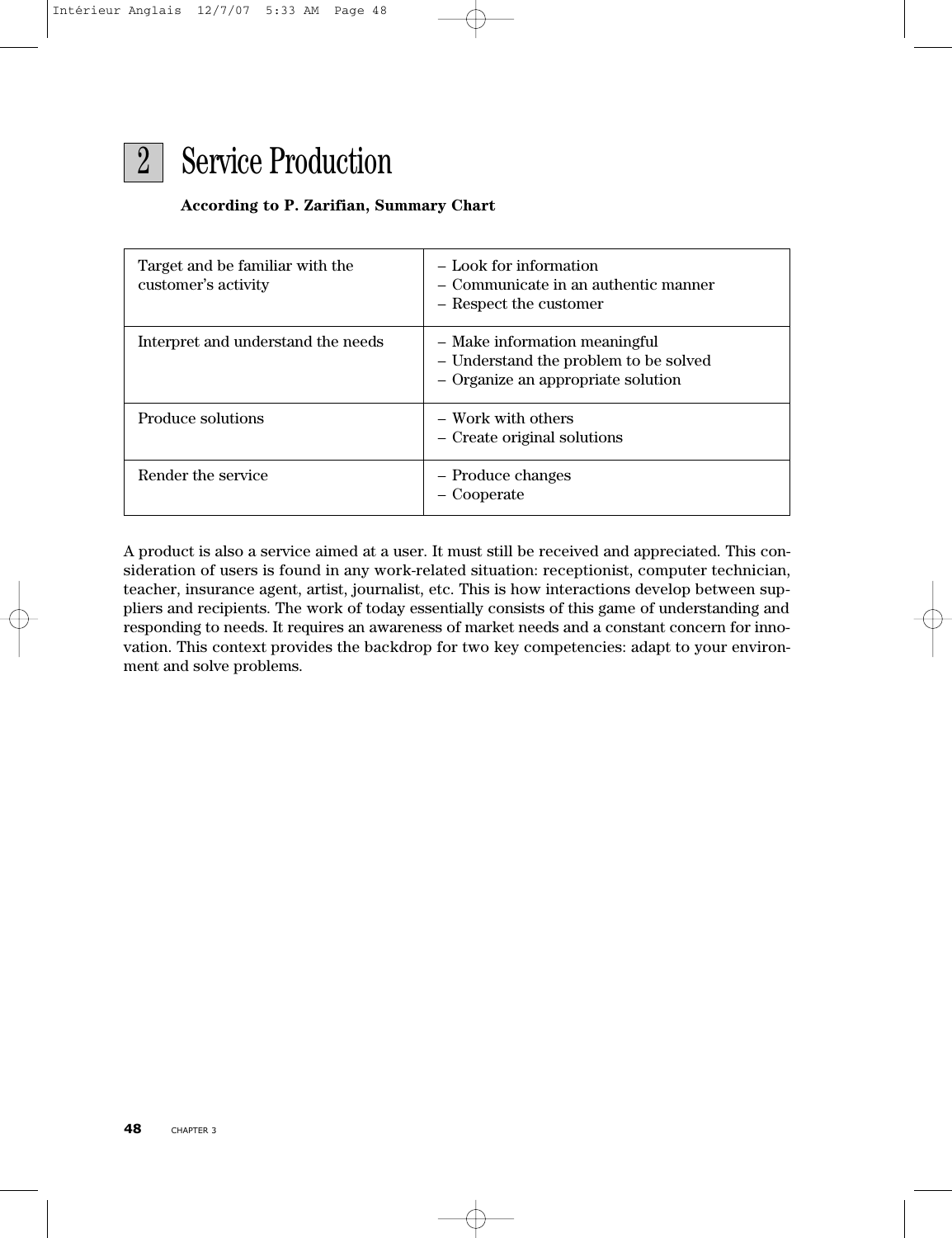

#### **According to P. Zarifian, Summary Chart**

| Target and be familiar with the<br>customer's activity | - Look for information<br>- Communicate in an authentic manner<br>- Respect the customer                     |
|--------------------------------------------------------|--------------------------------------------------------------------------------------------------------------|
| Interpret and understand the needs                     | - Make information meaningful<br>- Understand the problem to be solved<br>- Organize an appropriate solution |
| Produce solutions                                      | – Work with others<br>- Create original solutions                                                            |
| Render the service                                     | - Produce changes<br>- Cooperate                                                                             |

A product is also a service aimed at a user. It must still be received and appreciated. This consideration of users is found in any work-related situation: receptionist, computer technician, teacher, insurance agent, artist, journalist, etc. This is how interactions develop between suppliers and recipients. The work of today essentially consists of this game of understanding and responding to needs. It requires an awareness of market needs and a constant concern for innovation. This context provides the backdrop for two key competencies: adapt to your environment and solve problems.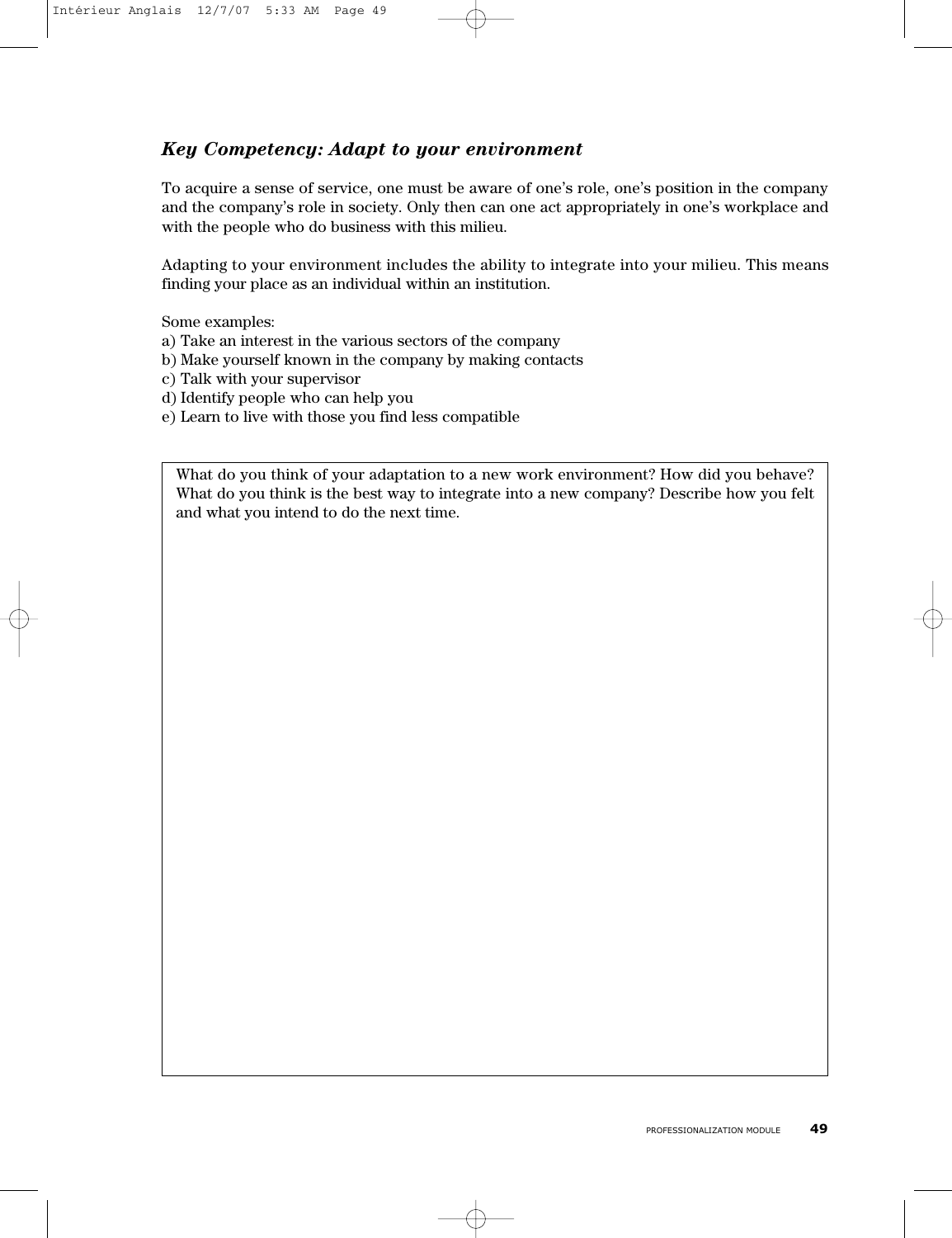# *Key Competency: Adapt to your environment*

To acquire a sense of service, one must be aware of one's role, one's position in the company and the company's role in society. Only then can one act appropriately in one's workplace and with the people who do business with this milieu.

Adapting to your environment includes the ability to integrate into your milieu. This means finding your place as an individual within an institution.

Some examples:

- a) Take an interest in the various sectors of the company
- b) Make yourself known in the company by making contacts
- c) Talk with your supervisor
- d) Identify people who can help you
- e) Learn to live with those you find less compatible

What do you think of your adaptation to a new work environment? How did you behave? What do you think is the best way to integrate into a new company? Describe how you felt and what you intend to do the next time.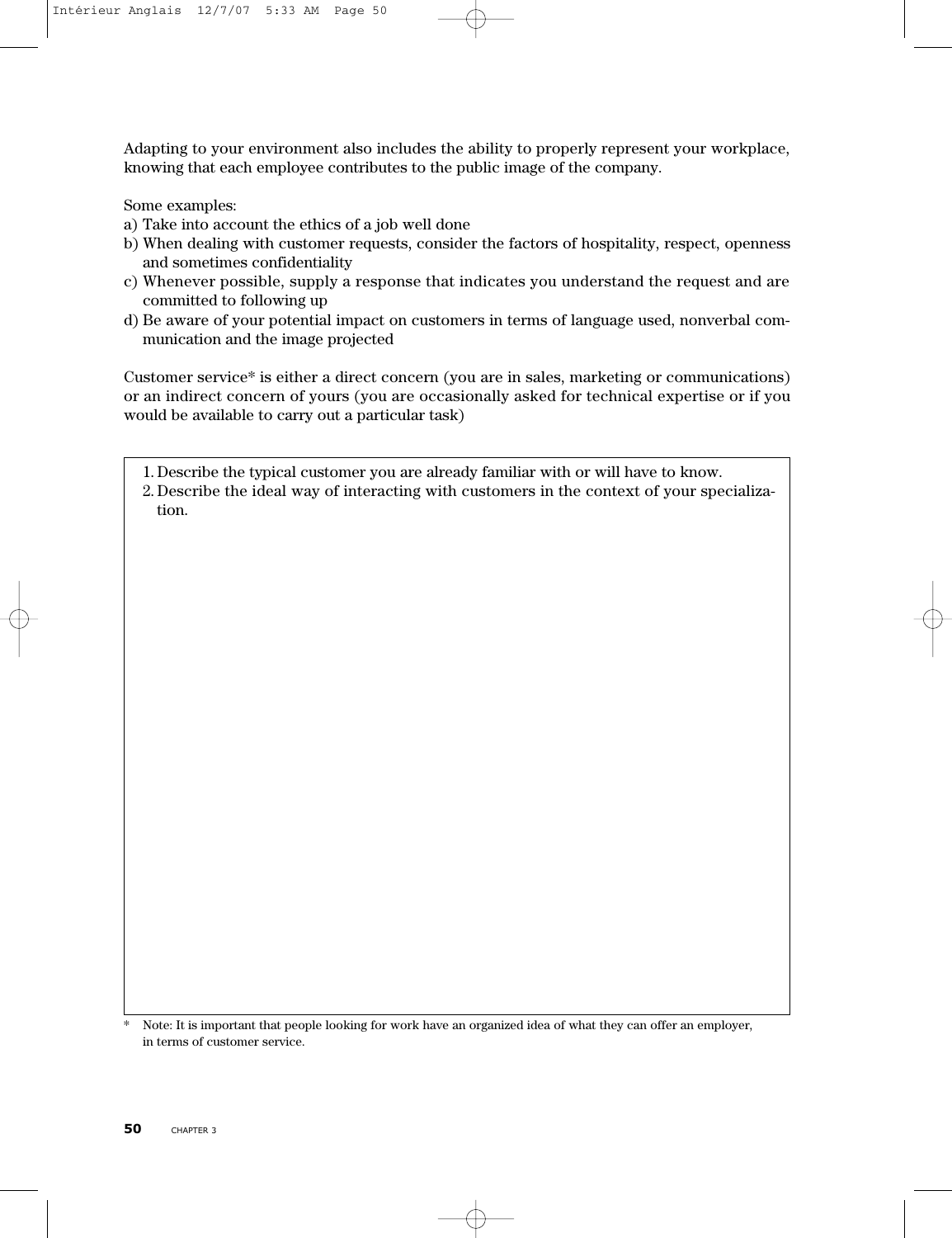Adapting to your environment also includes the ability to properly represent your workplace, knowing that each employee contributes to the public image of the company.

Some examples:

- a) Take into account the ethics of a job well done
- b) When dealing with customer requests, consider the factors of hospitality, respect, openness and sometimes confidentiality
- c) Whenever possible, supply a response that indicates you understand the request and are committed to following up
- d) Be aware of your potential impact on customers in terms of language used, nonverbal communication and the image projected

Customer service\* is either a direct concern (you are in sales, marketing or communications) or an indirect concern of yours (you are occasionally asked for technical expertise or if you would be available to carry out a particular task)

1. Describe the typical customer you are already familiar with or will have to know.

2. Describe the ideal way of interacting with customers in the context of your specialization.

\* Note: It is important that people looking for work have an organized idea of what they can offer an employer, in terms of customer service.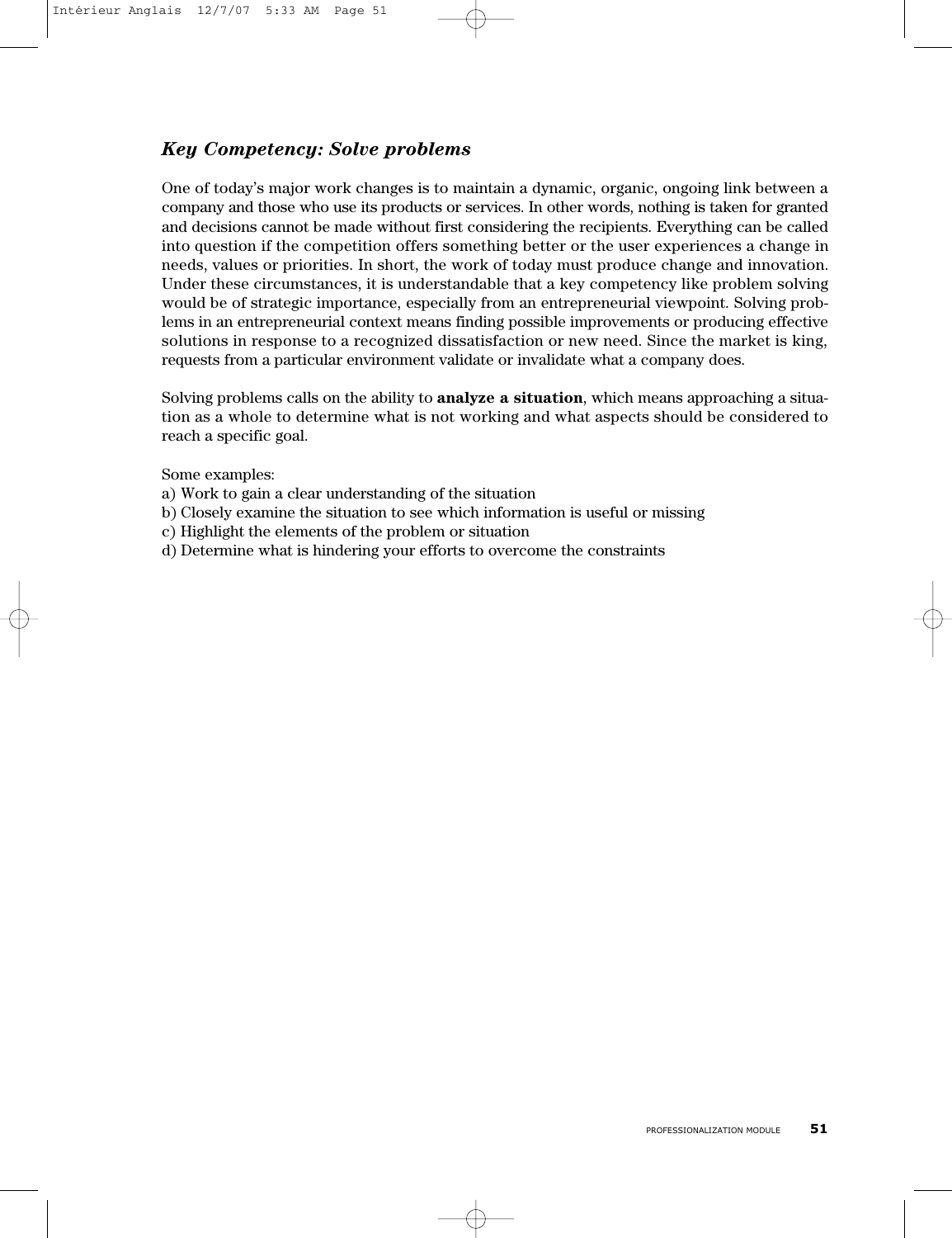# *Key Competency: Solve problems*

One of today's major work changes is to maintain a dynamic, organic, ongoing link between a company and those who use its products or services. In other words, nothing is taken for granted and decisions cannot be made without first considering the recipients. Everything can be called into question if the competition offers something better or the user experiences a change in needs, values or priorities. In short, the work of today must produce change and innovation. Under these circumstances, it is understandable that a key competency like problem solving would be of strategic importance, especially from an entrepreneurial viewpoint. Solving problems in an entrepreneurial context means finding possible improvements or producing effective solutions in response to a recognized dissatisfaction or new need. Since the market is king, requests from a particular environment validate or invalidate what a company does.

Solving problems calls on the ability to **analyze a situation**, which means approaching a situation as a whole to determine what is not working and what aspects should be considered to reach a specific goal.

Some examples:

- a) Work to gain a clear understanding of the situation
- b) Closely examine the situation to see which information is useful or missing
- c) Highlight the elements of the problem or situation
- d) Determine what is hindering your efforts to overcome the constraints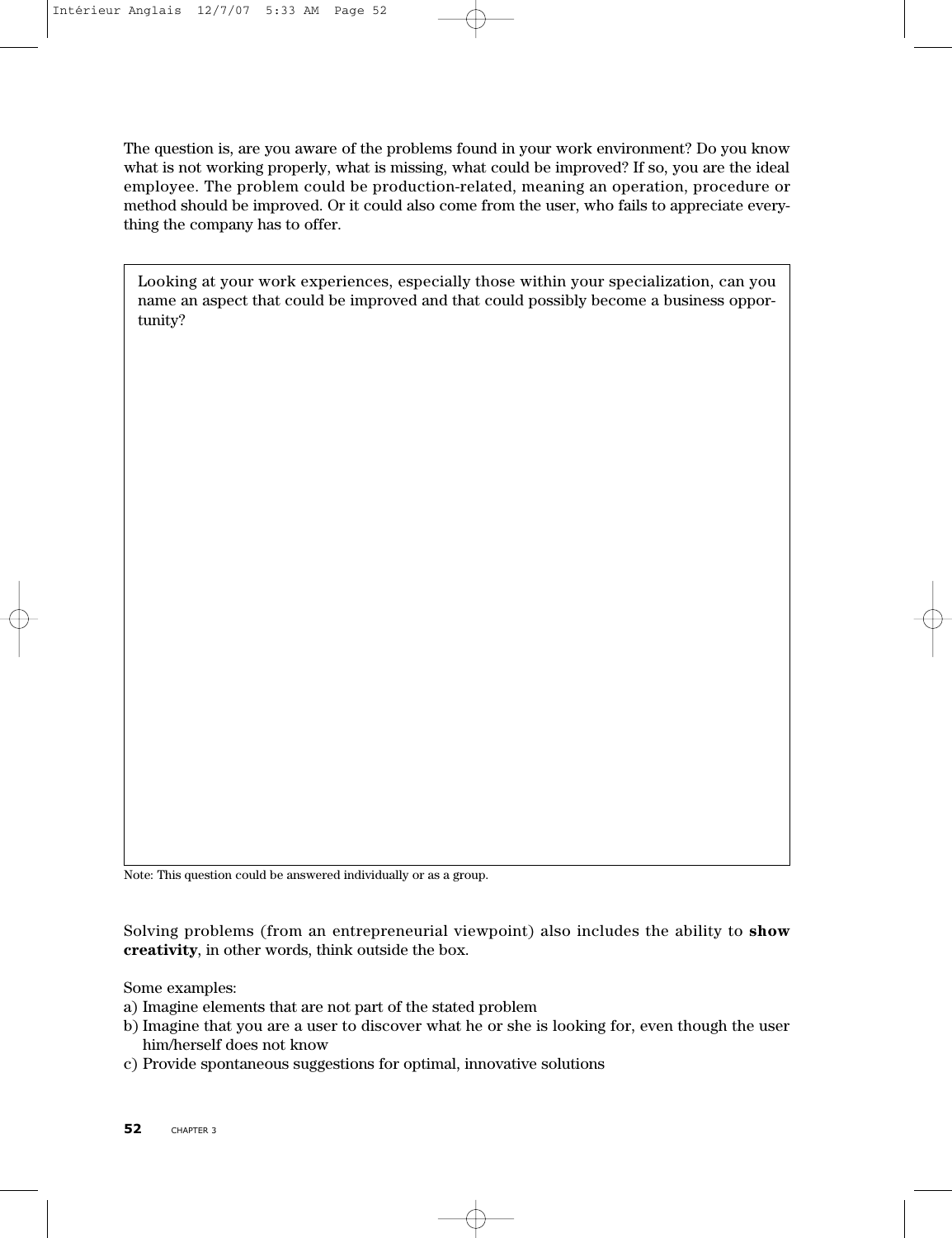The question is, are you aware of the problems found in your work environment? Do you know what is not working properly, what is missing, what could be improved? If so, you are the ideal employee. The problem could be production-related, meaning an operation, procedure or method should be improved. Or it could also come from the user, who fails to appreciate everything the company has to offer.

Looking at your work experiences, especially those within your specialization, can you name an aspect that could be improved and that could possibly become a business opportunity?

Note: This question could be answered individually or as a group.

Solving problems (from an entrepreneurial viewpoint) also includes the ability to **show creativity**, in other words, think outside the box.

Some examples:

- a) Imagine elements that are not part of the stated problem
- b) Imagine that you are a user to discover what he or she is looking for, even though the user him/herself does not know
- c) Provide spontaneous suggestions for optimal, innovative solutions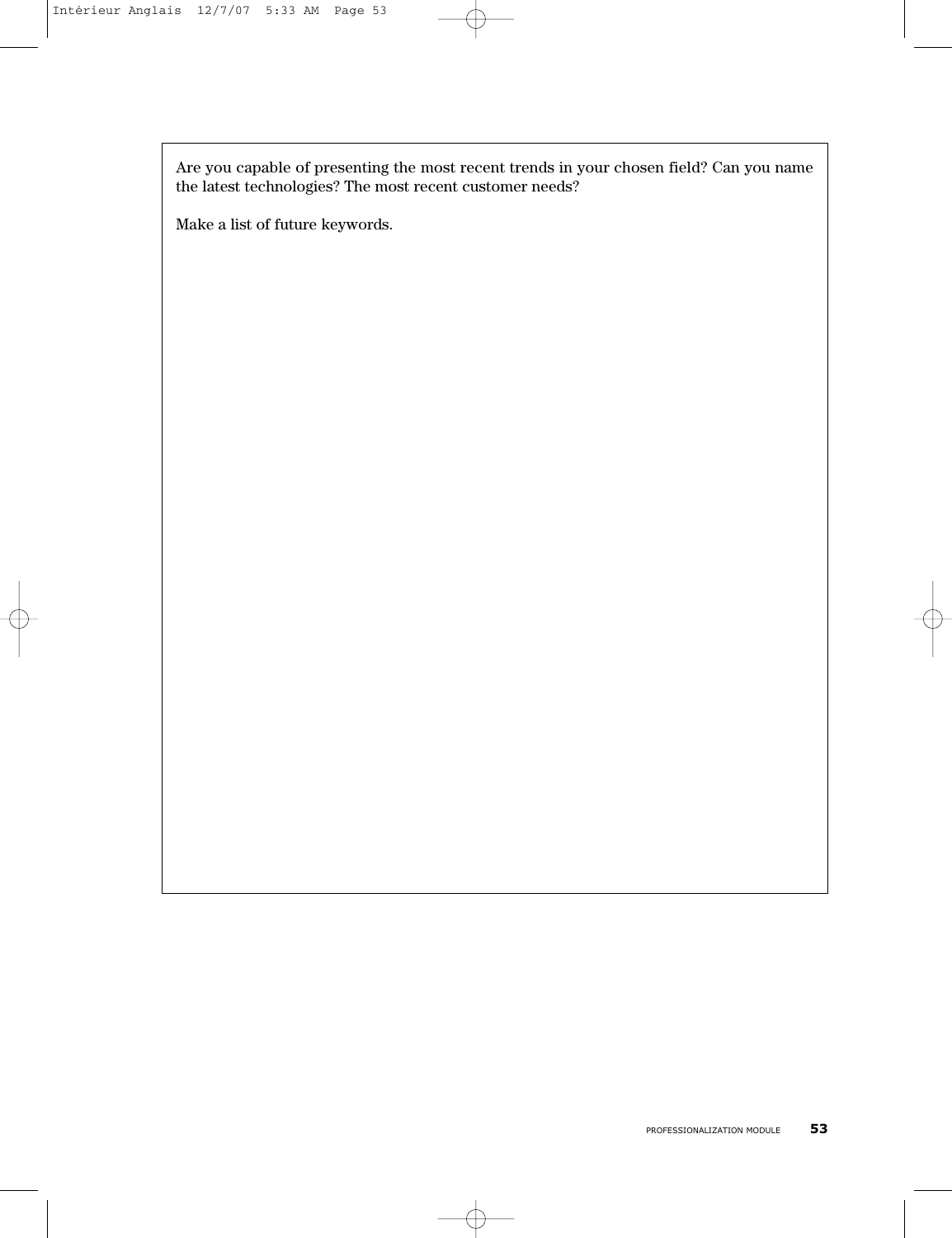Are you capable of presenting the most recent trends in your chosen field? Can you name the latest technologies? The most recent customer needs?

Make a list of future keywords.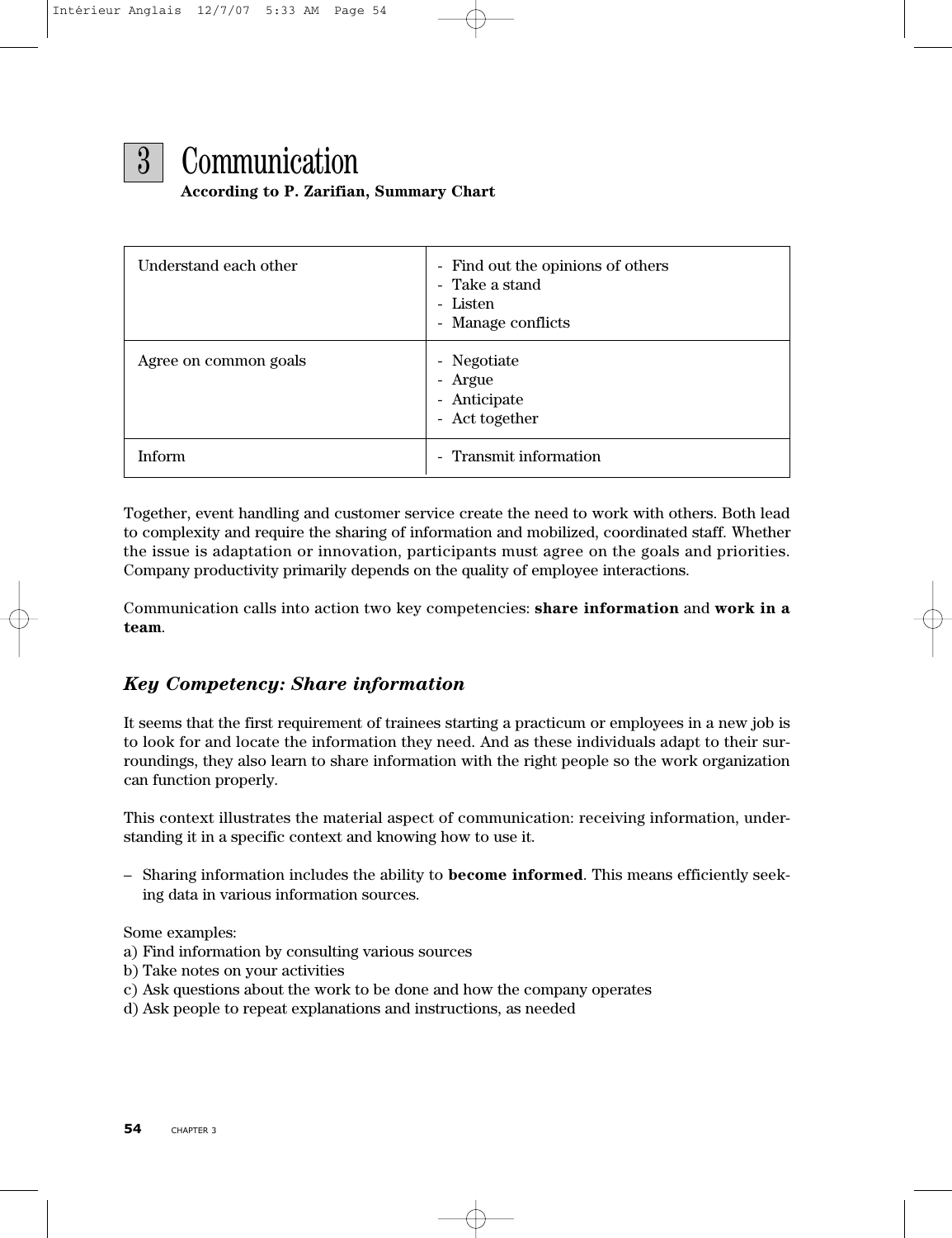

3 Communication

#### **According to P. Zarifian, Summary Chart**

| Understand each other | - Find out the opinions of others<br>- Take a stand<br>- Listen<br>- Manage conflicts |
|-----------------------|---------------------------------------------------------------------------------------|
| Agree on common goals | - Negotiate<br>- Argue<br>- Anticipate<br>- Act together                              |
| <b>Inform</b>         | Transmit information<br>$\overline{\phantom{a}}$                                      |

Together, event handling and customer service create the need to work with others. Both lead to complexity and require the sharing of information and mobilized, coordinated staff. Whether the issue is adaptation or innovation, participants must agree on the goals and priorities. Company productivity primarily depends on the quality of employee interactions.

Communication calls into action two key competencies: **share information** and **work in a team**.

# *Key Competency: Share information*

It seems that the first requirement of trainees starting a practicum or employees in a new job is to look for and locate the information they need. And as these individuals adapt to their surroundings, they also learn to share information with the right people so the work organization can function properly.

This context illustrates the material aspect of communication: receiving information, understanding it in a specific context and knowing how to use it.

– Sharing information includes the ability to **become informed**. This means efficiently seeking data in various information sources.

Some examples:

- a) Find information by consulting various sources
- b) Take notes on your activities
- c) Ask questions about the work to be done and how the company operates
- d) Ask people to repeat explanations and instructions, as needed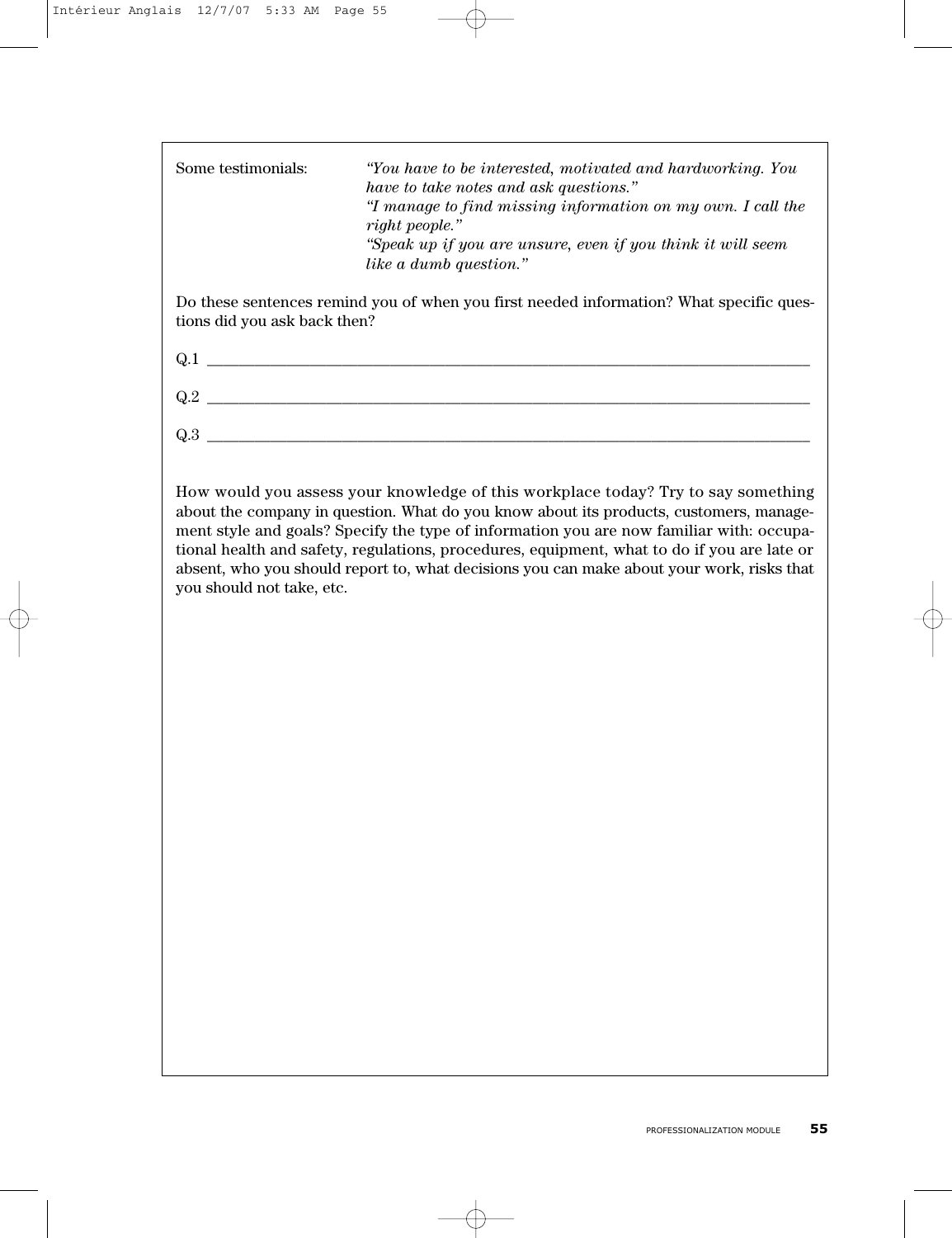| Some testimonials:           | "You have to be interested, motivated and hardworking. You<br>have to take notes and ask questions."<br>"I manage to find missing information on my own. I call the<br>right people."<br>"Speak up if you are unsure, even if you think it will seem<br>like a dumb question." |
|------------------------------|--------------------------------------------------------------------------------------------------------------------------------------------------------------------------------------------------------------------------------------------------------------------------------|
| tions did you ask back then? | Do these sentences remind you of when you first needed information? What specific ques-                                                                                                                                                                                        |
| Q.1                          |                                                                                                                                                                                                                                                                                |
| Q.2                          |                                                                                                                                                                                                                                                                                |

How would you assess your knowledge of this workplace today? Try to say something about the company in question. What do you know about its products, customers, management style and goals? Specify the type of information you are now familiar with: occupational health and safety, regulations, procedures, equipment, what to do if you are late or absent, who you should report to, what decisions you can make about your work, risks that you should not take, etc.

Q.3 \_\_\_\_\_\_\_\_\_\_\_\_\_\_\_\_\_\_\_\_\_\_\_\_\_\_\_\_\_\_\_\_\_\_\_\_\_\_\_\_\_\_\_\_\_\_\_\_\_\_\_\_\_\_\_\_\_\_\_\_\_\_\_\_\_\_\_\_\_\_\_\_\_\_\_\_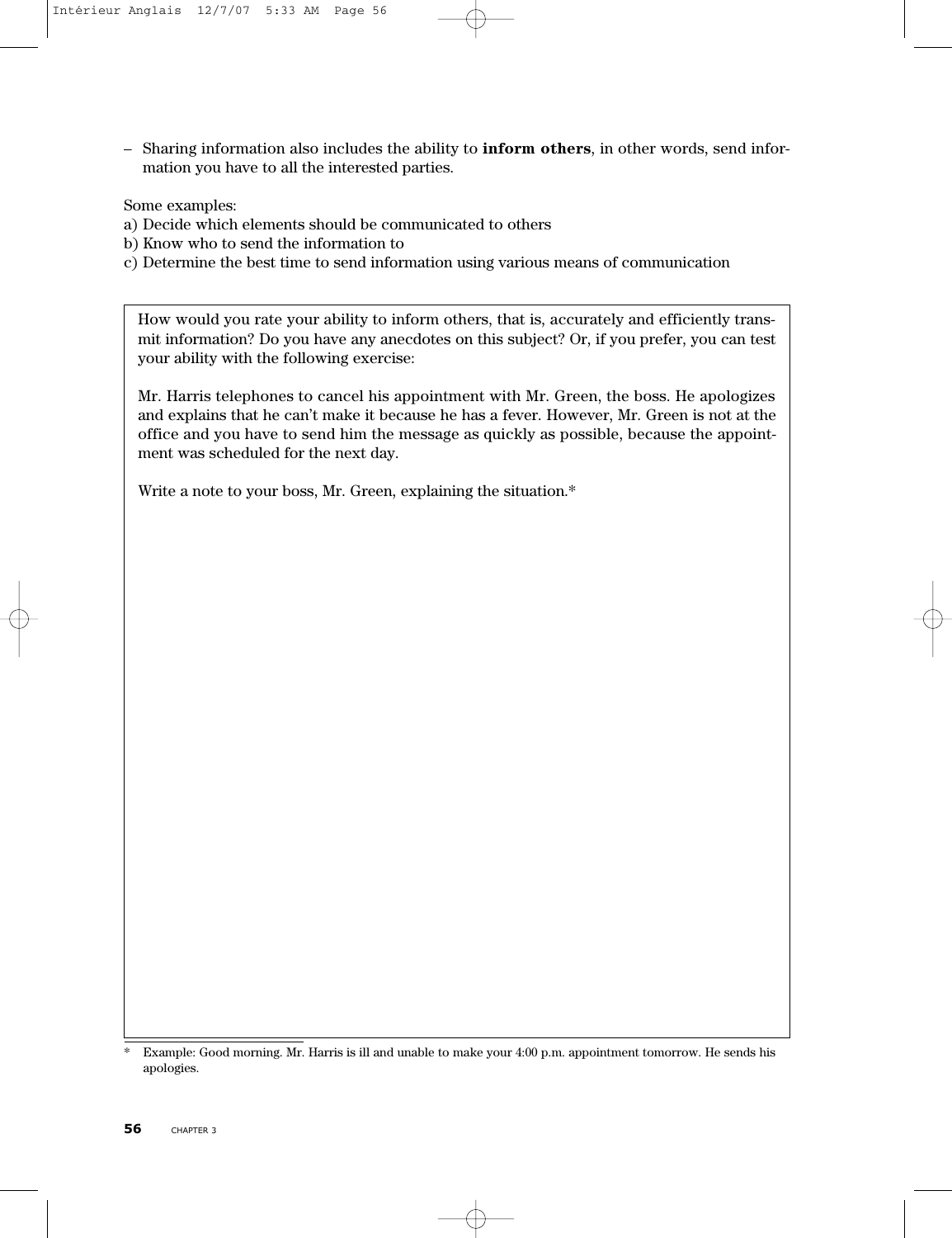– Sharing information also includes the ability to **inform others**, in other words, send information you have to all the interested parties.

Some examples:

- a) Decide which elements should be communicated to others
- b) Know who to send the information to
- c) Determine the best time to send information using various means of communication

How would you rate your ability to inform others, that is, accurately and efficiently transmit information? Do you have any anecdotes on this subject? Or, if you prefer, you can test your ability with the following exercise:

Mr. Harris telephones to cancel his appointment with Mr. Green, the boss. He apologizes and explains that he can't make it because he has a fever. However, Mr. Green is not at the office and you have to send him the message as quickly as possible, because the appointment was scheduled for the next day.

Write a note to your boss, Mr. Green, explaining the situation.\*

<sup>\*</sup> Example: Good morning. Mr. Harris is ill and unable to make your 4:00 p.m. appointment tomorrow. He sends his apologies.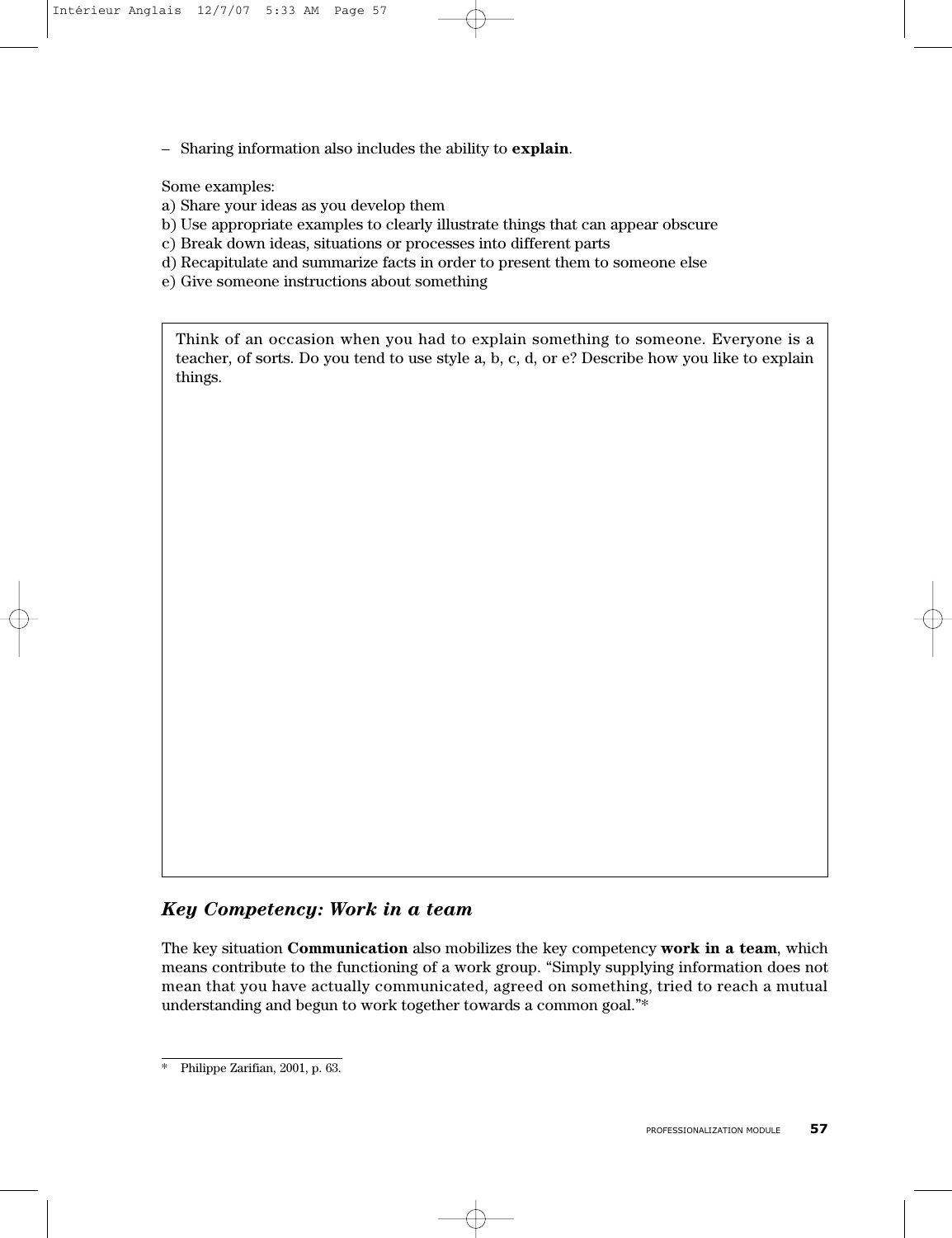– Sharing information also includes the ability to **explain**.

Some examples:

- a) Share your ideas as you develop them
- b) Use appropriate examples to clearly illustrate things that can appear obscure
- c) Break down ideas, situations or processes into different parts
- d) Recapitulate and summarize facts in order to present them to someone else
- e) Give someone instructions about something

Think of an occasion when you had to explain something to someone. Everyone is a teacher, of sorts. Do you tend to use style a, b, c, d, or e? Describe how you like to explain things.

## *Key Competency: Work in a team*

The key situation **Communication** also mobilizes the key competency **work in a team**, which means contribute to the functioning of a work group. "Simply supplying information does not mean that you have actually communicated, agreed on something, tried to reach a mutual understanding and begun to work together towards a common goal."\*

Philippe Zarifian, 2001, p. 63.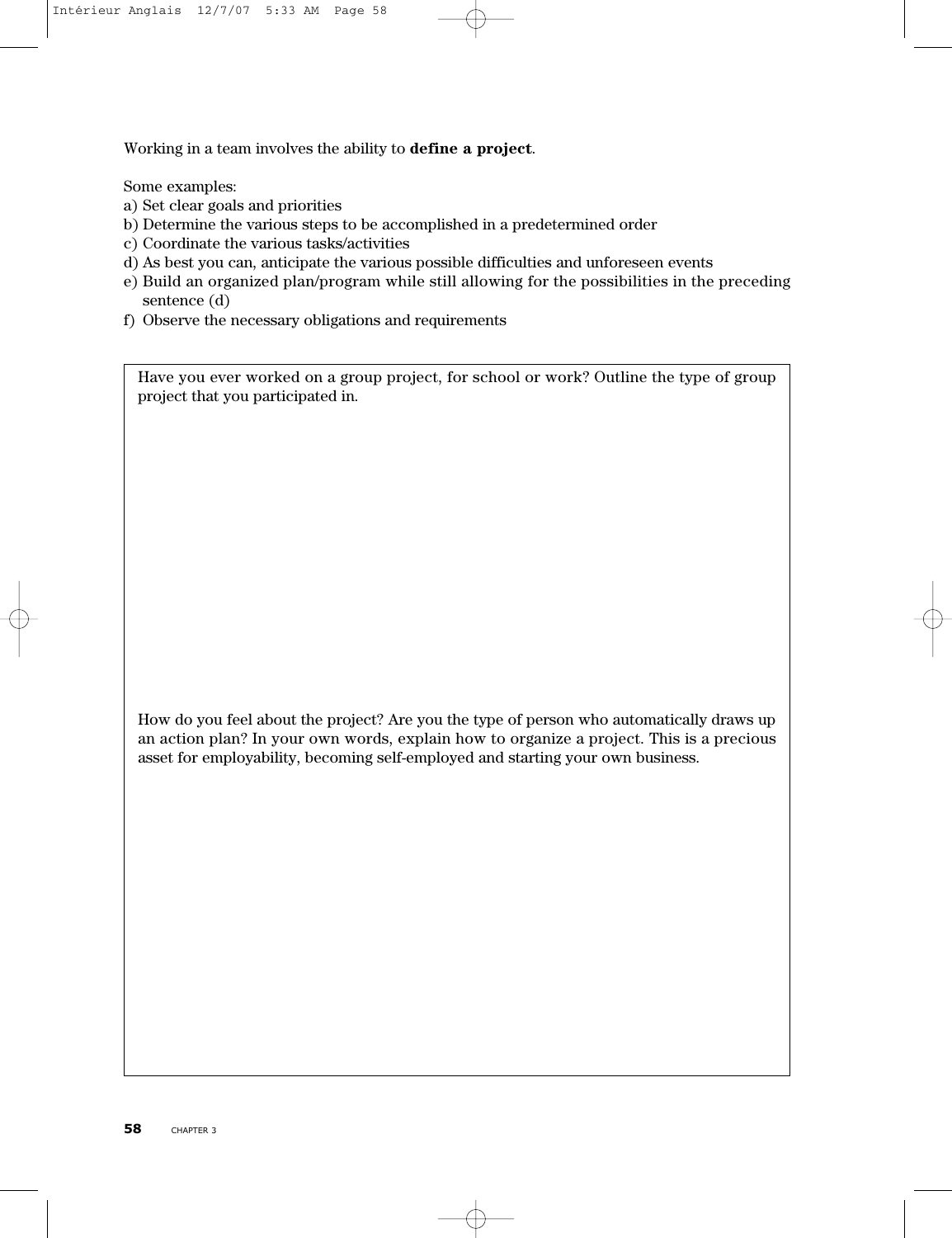Working in a team involves the ability to **define a project**.

Some examples:

- a) Set clear goals and priorities
- b) Determine the various steps to be accomplished in a predetermined order
- c) Coordinate the various tasks/activities
- d) As best you can, anticipate the various possible difficulties and unforeseen events
- e) Build an organized plan/program while still allowing for the possibilities in the preceding sentence (d)
- f) Observe the necessary obligations and requirements

Have you ever worked on a group project, for school or work? Outline the type of group project that you participated in.

How do you feel about the project? Are you the type of person who automatically draws up an action plan? In your own words, explain how to organize a project. This is a precious asset for employability, becoming self-employed and starting your own business.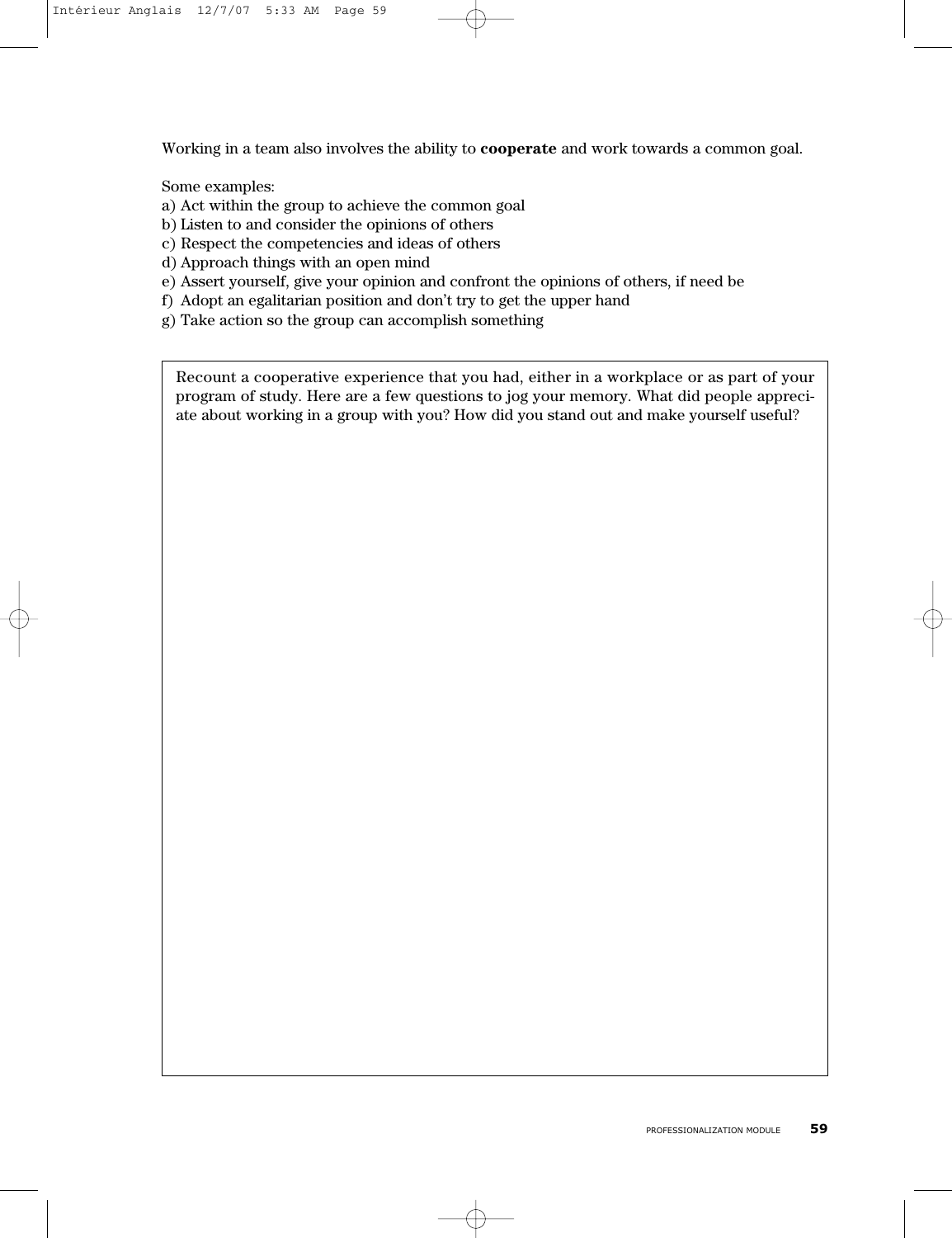Working in a team also involves the ability to **cooperate** and work towards a common goal.

Some examples:

- a) Act within the group to achieve the common goal
- b) Listen to and consider the opinions of others
- c) Respect the competencies and ideas of others
- d) Approach things with an open mind
- e) Assert yourself, give your opinion and confront the opinions of others, if need be
- f) Adopt an egalitarian position and don't try to get the upper hand
- g) Take action so the group can accomplish something

Recount a cooperative experience that you had, either in a workplace or as part of your program of study. Here are a few questions to jog your memory. What did people appreciate about working in a group with you? How did you stand out and make yourself useful?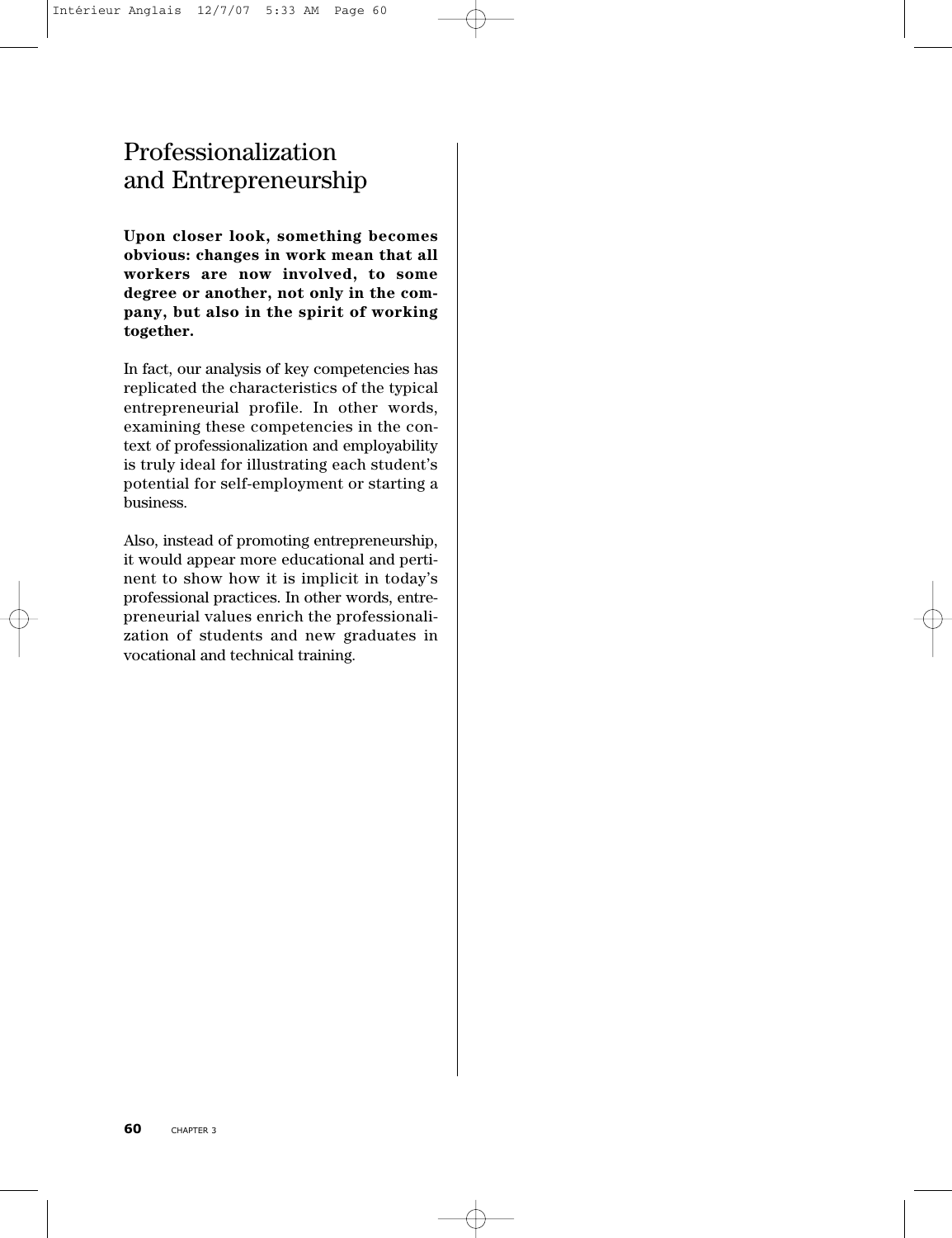# Professionalization and Entrepreneurship

**Upon closer look, something becomes obvious: changes in work mean that all workers are now involved, to some degree or another, not only in the company, but also in the spirit of working together.**

In fact, our analysis of key competencies has replicated the characteristics of the typical entrepreneurial profile. In other words, examining these competencies in the context of professionalization and employability is truly ideal for illustrating each student's potential for self-employment or starting a business.

Also, instead of promoting entrepreneurship, it would appear more educational and pertinent to show how it is implicit in today's professional practices. In other words, entrepreneurial values enrich the professionalization of students and new graduates in vocational and technical training.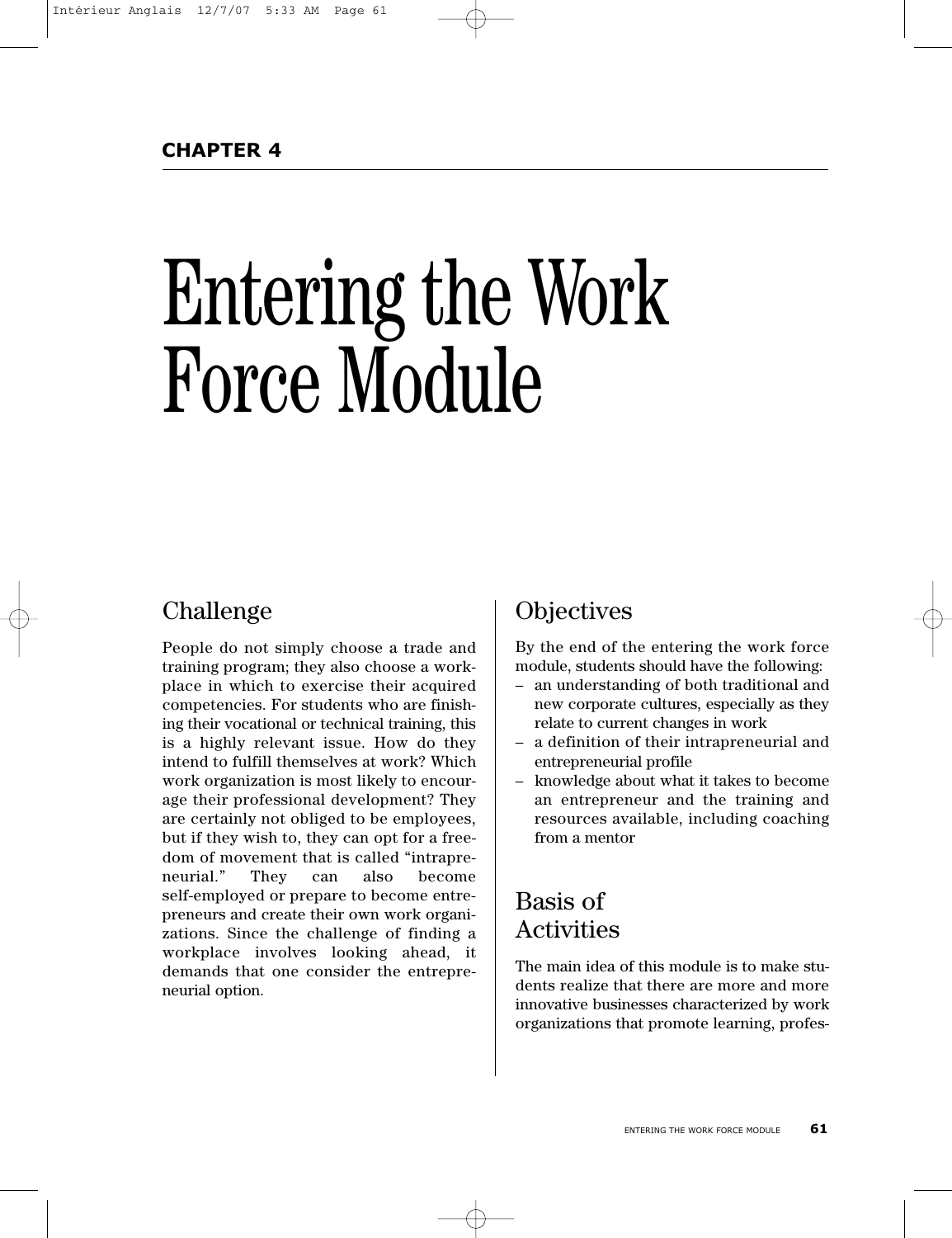# Entering the Work Force Module

# Challenge

People do not simply choose a trade and training program; they also choose a workplace in which to exercise their acquired competencies. For students who are finishing their vocational or technical training, this is a highly relevant issue. How do they intend to fulfill themselves at work? Which work organization is most likely to encourage their professional development? They are certainly not obliged to be employees, but if they wish to, they can opt for a freedom of movement that is called "intrapreneurial." They can also become self-employed or prepare to become entrepreneurs and create their own work organizations. Since the challenge of finding a workplace involves looking ahead, it demands that one consider the entrepreneurial option.

# **Objectives**

By the end of the entering the work force module, students should have the following:

- an understanding of both traditional and new corporate cultures, especially as they relate to current changes in work
- a definition of their intrapreneurial and entrepreneurial profile
- knowledge about what it takes to become an entrepreneur and the training and resources available, including coaching from a mentor

# Basis of Activities

The main idea of this module is to make students realize that there are more and more innovative businesses characterized by work organizations that promote learning, profes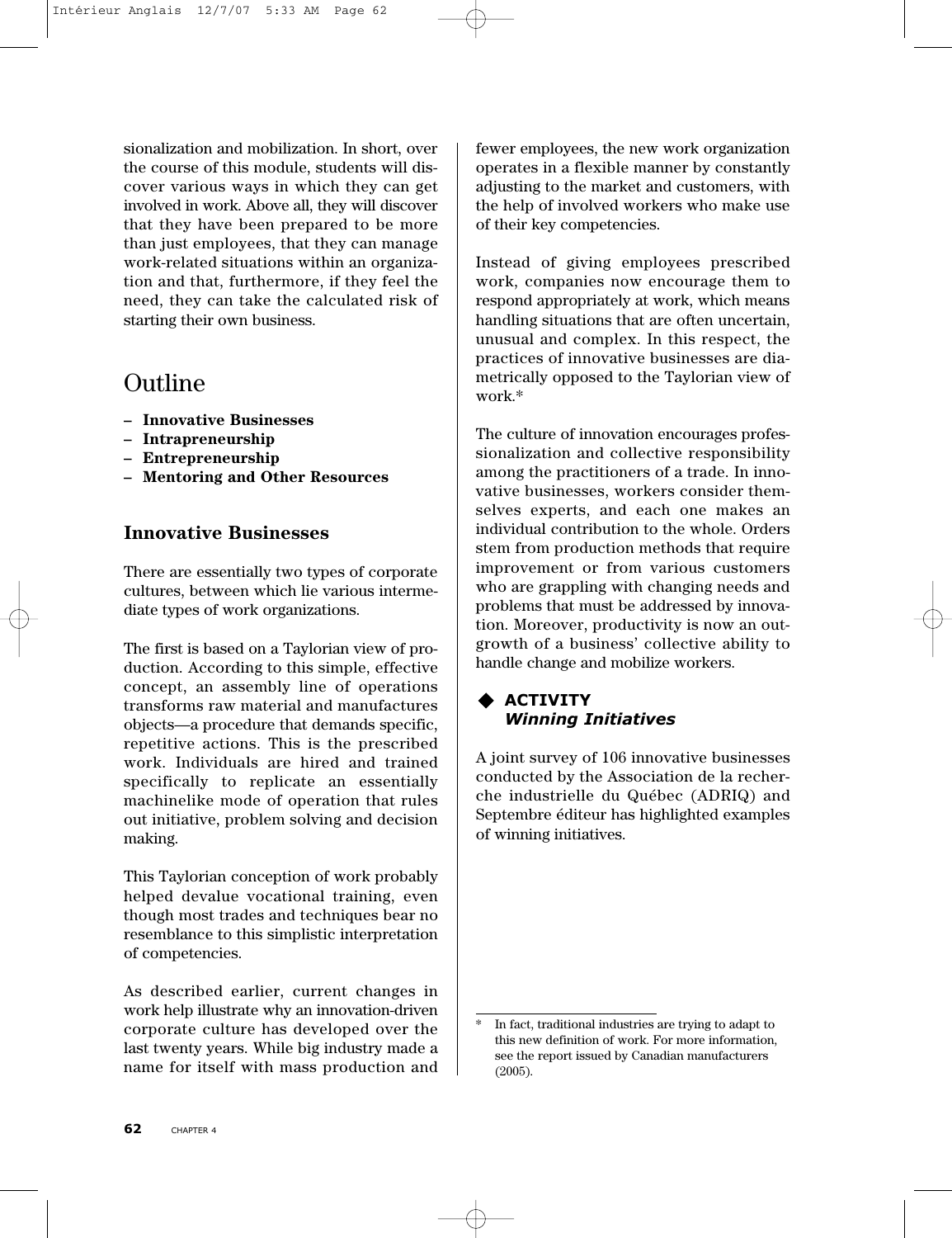sionalization and mobilization. In short, over the course of this module, students will discover various ways in which they can get involved in work. Above all, they will discover that they have been prepared to be more than just employees, that they can manage work-related situations within an organization and that, furthermore, if they feel the need, they can take the calculated risk of starting their own business.

# Outline

- **Innovative Businesses**
- **Intrapreneurship**
- **Entrepreneurship**
- **– Mentoring and Other Resources**

# **Innovative Businesses**

There are essentially two types of corporate cultures, between which lie various intermediate types of work organizations.

The first is based on a Taylorian view of production. According to this simple, effective concept, an assembly line of operations transforms raw material and manufactures objects—a procedure that demands specific, repetitive actions. This is the prescribed work. Individuals are hired and trained specifically to replicate an essentially machinelike mode of operation that rules out initiative, problem solving and decision making.

This Taylorian conception of work probably helped devalue vocational training, even though most trades and techniques bear no resemblance to this simplistic interpretation of competencies.

As described earlier, current changes in work help illustrate why an innovation-driven corporate culture has developed over the last twenty years. While big industry made a name for itself with mass production and

fewer employees, the new work organization operates in a flexible manner by constantly adjusting to the market and customers, with the help of involved workers who make use of their key competencies.

Instead of giving employees prescribed work, companies now encourage them to respond appropriately at work, which means handling situations that are often uncertain, unusual and complex. In this respect, the practices of innovative businesses are diametrically opposed to the Taylorian view of work.\*

The culture of innovation encourages professionalization and collective responsibility among the practitioners of a trade. In innovative businesses, workers consider themselves experts, and each one makes an individual contribution to the whole. Orders stem from production methods that require improvement or from various customers who are grappling with changing needs and problems that must be addressed by innovation. Moreover, productivity is now an outgrowth of a business' collective ability to handle change and mobilize workers.

# **ACTIVITY** *Winning Initiatives*

A joint survey of 106 innovative businesses conducted by the Association de la recherche industrielle du Québec (ADRIQ) and Septembre éditeur has highlighted examples of winning initiatives.

In fact, traditional industries are trying to adapt to this new definition of work. For more information, see the report issued by Canadian manufacturers (2005).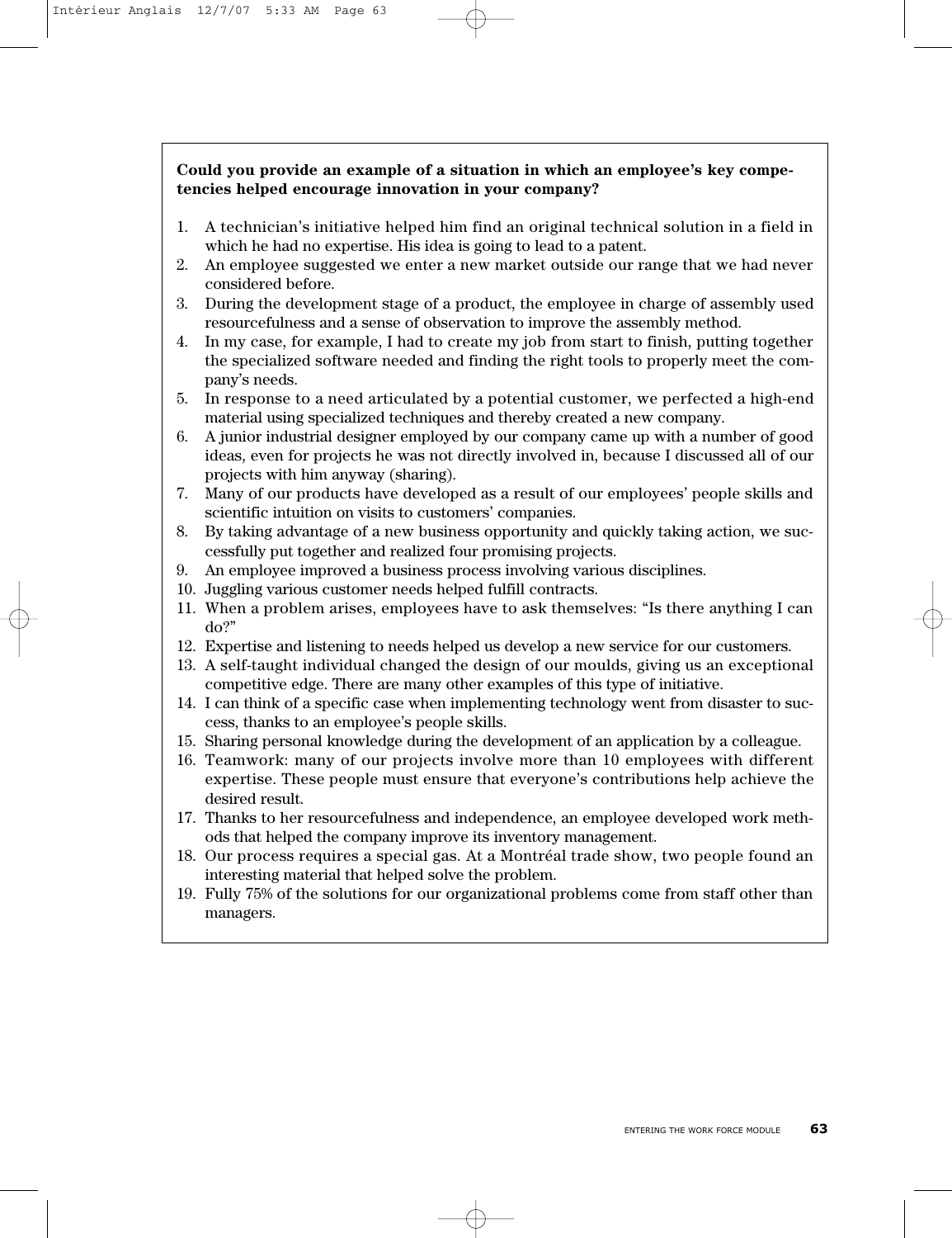#### **Could you provide an example of a situation in which an employee's key competencies helped encourage innovation in your company?**

- 1. A technician's initiative helped him find an original technical solution in a field in which he had no expertise. His idea is going to lead to a patent.
- 2. An employee suggested we enter a new market outside our range that we had never considered before.
- 3. During the development stage of a product, the employee in charge of assembly used resourcefulness and a sense of observation to improve the assembly method.
- 4. In my case, for example, I had to create my job from start to finish, putting together the specialized software needed and finding the right tools to properly meet the company's needs.
- 5. In response to a need articulated by a potential customer, we perfected a high-end material using specialized techniques and thereby created a new company.
- 6. A junior industrial designer employed by our company came up with a number of good ideas, even for projects he was not directly involved in, because I discussed all of our projects with him anyway (sharing).
- 7. Many of our products have developed as a result of our employees' people skills and scientific intuition on visits to customers' companies.
- 8. By taking advantage of a new business opportunity and quickly taking action, we successfully put together and realized four promising projects.
- 9. An employee improved a business process involving various disciplines.
- 10. Juggling various customer needs helped fulfill contracts.
- 11. When a problem arises, employees have to ask themselves: "Is there anything I can do?"
- 12. Expertise and listening to needs helped us develop a new service for our customers.
- 13. A self-taught individual changed the design of our moulds, giving us an exceptional competitive edge. There are many other examples of this type of initiative.
- 14. I can think of a specific case when implementing technology went from disaster to success, thanks to an employee's people skills.
- 15. Sharing personal knowledge during the development of an application by a colleague.
- 16. Teamwork: many of our projects involve more than 10 employees with different expertise. These people must ensure that everyone's contributions help achieve the desired result.
- 17. Thanks to her resourcefulness and independence, an employee developed work methods that helped the company improve its inventory management.
- 18. Our process requires a special gas. At a Montréal trade show, two people found an interesting material that helped solve the problem.
- 19. Fully 75% of the solutions for our organizational problems come from staff other than managers.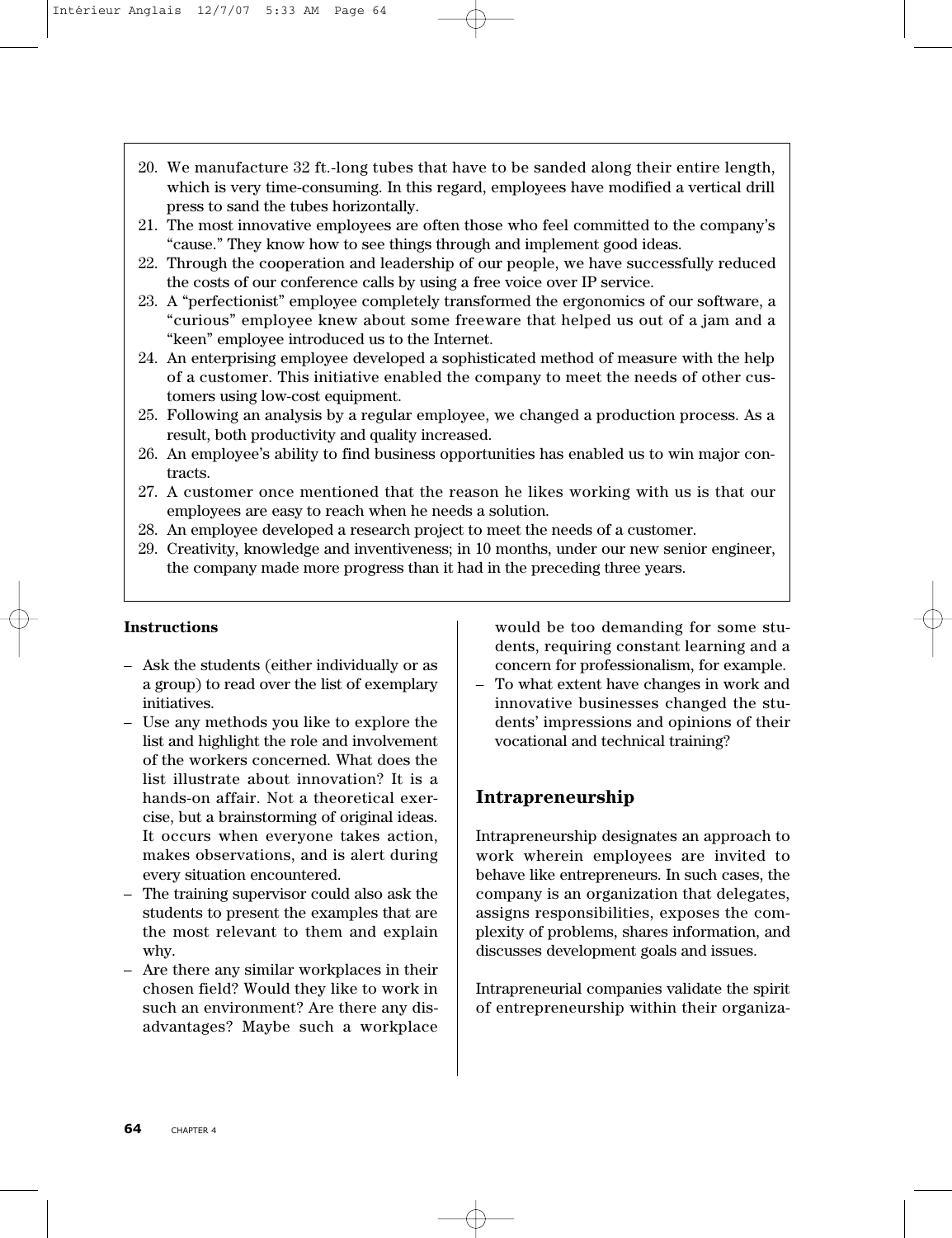- 20. We manufacture 32 ft.-long tubes that have to be sanded along their entire length, which is very time-consuming. In this regard, employees have modified a vertical drill press to sand the tubes horizontally.
- 21. The most innovative employees are often those who feel committed to the company's "cause." They know how to see things through and implement good ideas.
- 22. Through the cooperation and leadership of our people, we have successfully reduced the costs of our conference calls by using a free voice over IP service.
- 23. A "perfectionist" employee completely transformed the ergonomics of our software, a "curious" employee knew about some freeware that helped us out of a jam and a "keen" employee introduced us to the Internet.
- 24. An enterprising employee developed a sophisticated method of measure with the help of a customer. This initiative enabled the company to meet the needs of other customers using low-cost equipment.
- 25. Following an analysis by a regular employee, we changed a production process. As a result, both productivity and quality increased.
- 26. An employee's ability to find business opportunities has enabled us to win major contracts.
- 27. A customer once mentioned that the reason he likes working with us is that our employees are easy to reach when he needs a solution.
- 28. An employee developed a research project to meet the needs of a customer.
- 29. Creativity, knowledge and inventiveness; in 10 months, under our new senior engineer, the company made more progress than it had in the preceding three years.

#### **Instructions**

- Ask the students (either individually or as a group) to read over the list of exemplary initiatives.
- Use any methods you like to explore the list and highlight the role and involvement of the workers concerned. What does the list illustrate about innovation? It is a hands-on affair. Not a theoretical exercise, but a brainstorming of original ideas. It occurs when everyone takes action, makes observations, and is alert during every situation encountered.
- The training supervisor could also ask the students to present the examples that are the most relevant to them and explain why.
- Are there any similar workplaces in their chosen field? Would they like to work in such an environment? Are there any disadvantages? Maybe such a workplace

would be too demanding for some students, requiring constant learning and a concern for professionalism, for example.

– To what extent have changes in work and innovative businesses changed the students' impressions and opinions of their vocational and technical training?

## **Intrapreneurship**

Intrapreneurship designates an approach to work wherein employees are invited to behave like entrepreneurs. In such cases, the company is an organization that delegates, assigns responsibilities, exposes the complexity of problems, shares information, and discusses development goals and issues.

Intrapreneurial companies validate the spirit of entrepreneurship within their organiza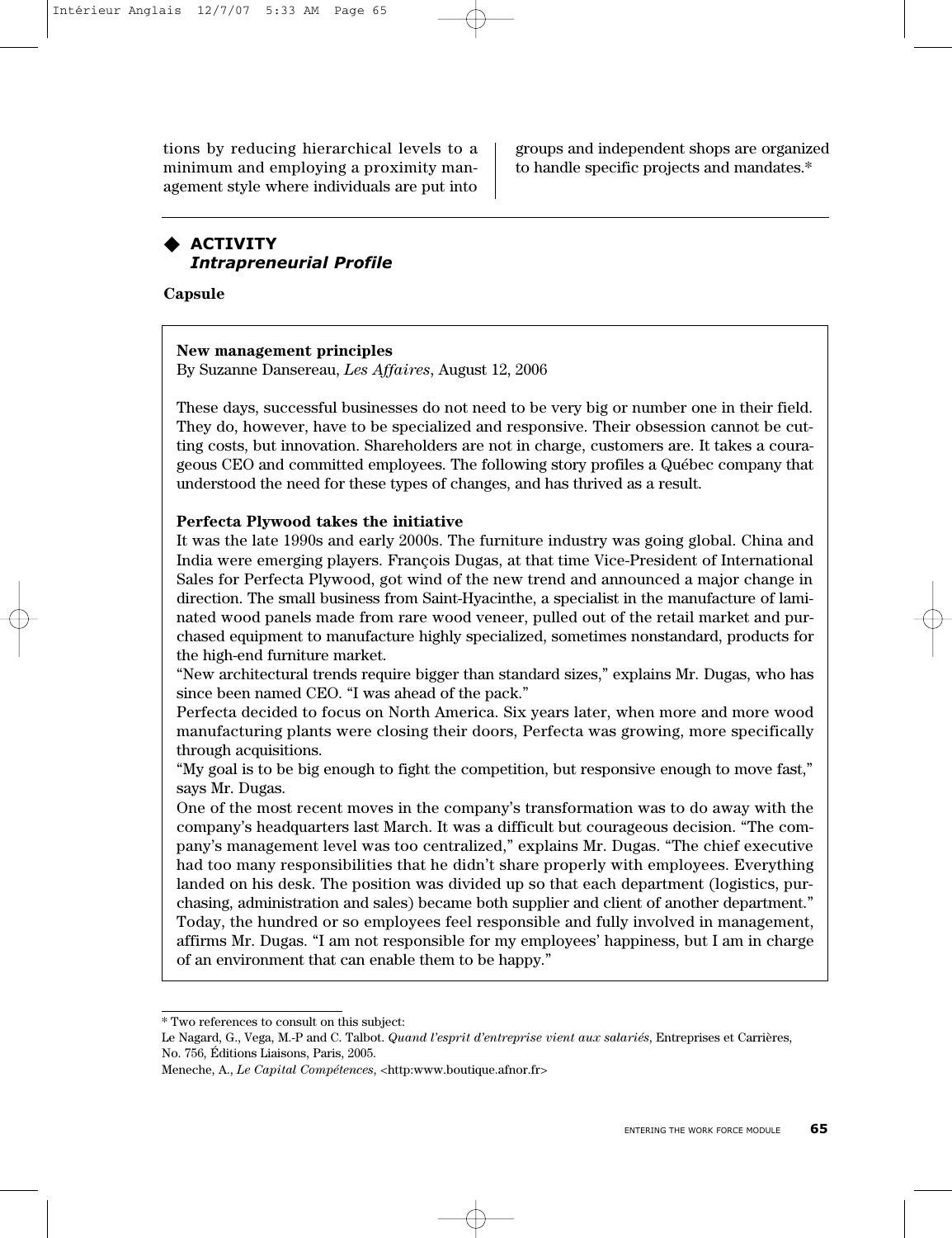tions by reducing hierarchical levels to a minimum and employing a proximity management style where individuals are put into

groups and independent shops are organized to handle specific projects and mandates.\*

## **ACTIVITY** *Intrapreneurial Profile*

**Capsule**

#### **New management principles**

By Suzanne Dansereau, *Les Affaires*, August 12, 2006

These days, successful businesses do not need to be very big or number one in their field. They do, however, have to be specialized and responsive. Their obsession cannot be cutting costs, but innovation. Shareholders are not in charge, customers are. It takes a courageous CEO and committed employees. The following story profiles a Québec company that understood the need for these types of changes, and has thrived as a result.

#### **Perfecta Plywood takes the initiative**

It was the late 1990s and early 2000s. The furniture industry was going global. China and India were emerging players. François Dugas, at that time Vice-President of International Sales for Perfecta Plywood, got wind of the new trend and announced a major change in direction. The small business from Saint-Hyacinthe, a specialist in the manufacture of laminated wood panels made from rare wood veneer, pulled out of the retail market and purchased equipment to manufacture highly specialized, sometimes nonstandard, products for the high-end furniture market.

"New architectural trends require bigger than standard sizes," explains Mr. Dugas, who has since been named CEO. "I was ahead of the pack."

Perfecta decided to focus on North America. Six years later, when more and more wood manufacturing plants were closing their doors, Perfecta was growing, more specifically through acquisitions.

"My goal is to be big enough to fight the competition, but responsive enough to move fast," says Mr. Dugas.

One of the most recent moves in the company's transformation was to do away with the company's headquarters last March. It was a difficult but courageous decision. "The company's management level was too centralized," explains Mr. Dugas. "The chief executive had too many responsibilities that he didn't share properly with employees. Everything landed on his desk. The position was divided up so that each department (logistics, purchasing, administration and sales) became both supplier and client of another department." Today, the hundred or so employees feel responsible and fully involved in management, affirms Mr. Dugas. "I am not responsible for my employees' happiness, but I am in charge of an environment that can enable them to be happy."

<sup>\*</sup> Two references to consult on this subject:

Le Nagard, G., Vega, M.-P and C. Talbot. *Quand l'esprit d'entreprise vient aux salariés*, Entreprises et Carrières, No. 756, Éditions Liaisons, Paris, 2005.

Meneche, A., *Le Capital Compétences*, <http:www.boutique.afnor.fr>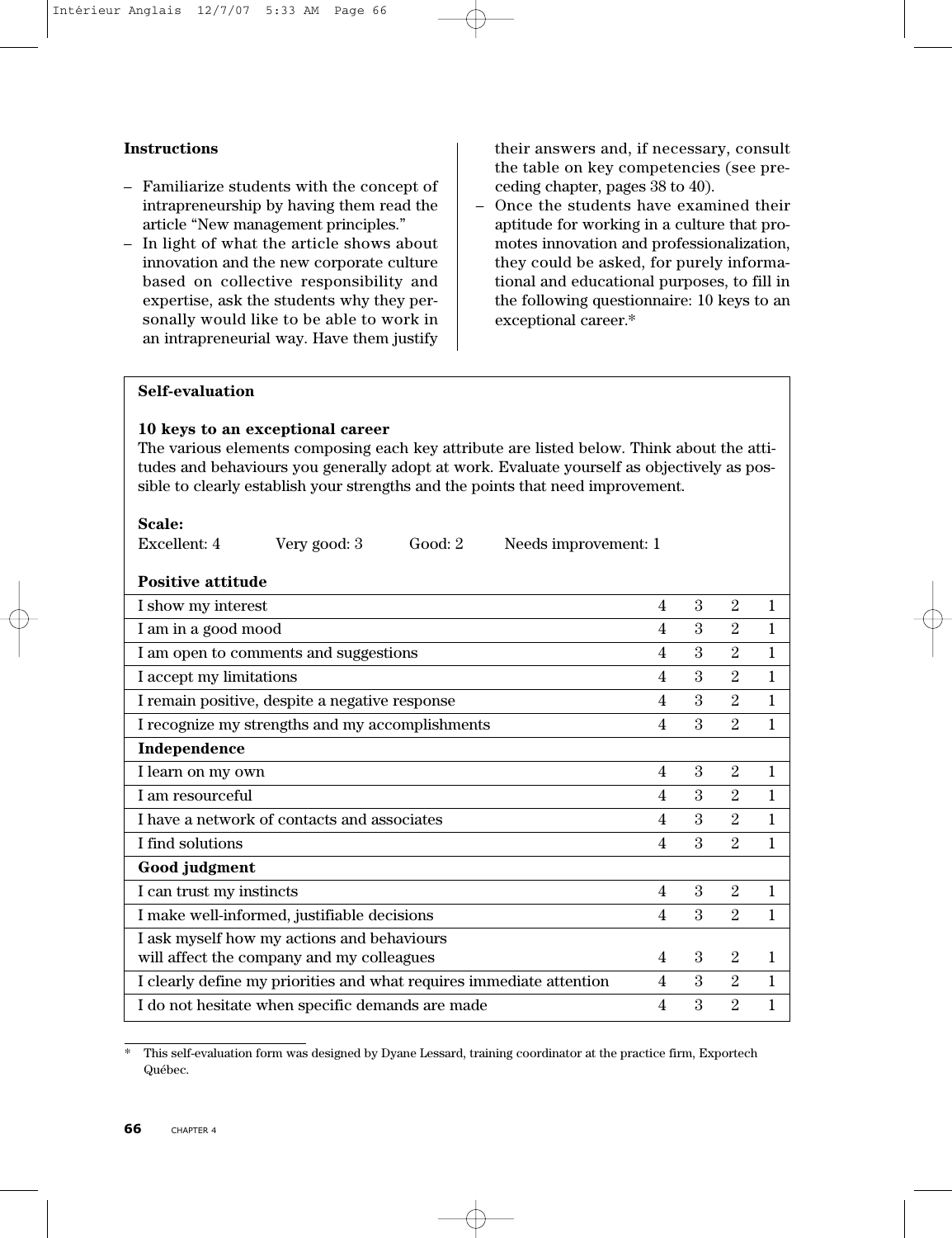#### **Instructions**

- Familiarize students with the concept of intrapreneurship by having them read the article "New management principles."
- In light of what the article shows about innovation and the new corporate culture based on collective responsibility and expertise, ask the students why they personally would like to be able to work in an intrapreneurial way. Have them justify

their answers and, if necessary, consult the table on key competencies (see preceding chapter, pages 38 to 40).

– Once the students have examined their aptitude for working in a culture that promotes innovation and professionalization, they could be asked, for purely informational and educational purposes, to fill in the following questionnaire: 10 keys to an exceptional career.\*

#### **Self-evaluation**

#### **10 keys to an exceptional career**

The various elements composing each key attribute are listed below. Think about the attitudes and behaviours you generally adopt at work. Evaluate yourself as objectively as possible to clearly establish your strengths and the points that need improvement.

| Scale:                                           |                                                                      |         |                         |                         |                         |                |              |
|--------------------------------------------------|----------------------------------------------------------------------|---------|-------------------------|-------------------------|-------------------------|----------------|--------------|
| Excellent: 4                                     | Very good: 3                                                         | Good: 2 | Needs improvement: 1    |                         |                         |                |              |
| <b>Positive attitude</b>                         |                                                                      |         |                         |                         |                         |                |              |
| I show my interest                               |                                                                      |         |                         | $\overline{4}$          | 3                       | 2              | 1            |
| I am in a good mood                              |                                                                      |         |                         | 4                       | 3                       | $\overline{2}$ | $\mathbf{1}$ |
|                                                  | I am open to comments and suggestions                                |         |                         | $\overline{\mathbf{4}}$ | $\overline{\mathbf{3}}$ | $\overline{2}$ | $\mathbf{1}$ |
| I accept my limitations                          |                                                                      |         |                         | $\overline{4}$          | 3                       | 2              | $\mathbf{1}$ |
|                                                  | I remain positive, despite a negative response                       |         |                         | 4                       | 3                       | 2              | $\mathbf{1}$ |
|                                                  | I recognize my strengths and my accomplishments                      |         |                         | $\overline{4}$          | 3                       | $\overline{2}$ | 1            |
| Independence                                     |                                                                      |         |                         |                         |                         |                |              |
| I learn on my own                                |                                                                      |         |                         | $\overline{4}$          | $\mathcal{S}$           | $\overline{2}$ | 1            |
| I am resourceful                                 |                                                                      |         |                         | $\overline{4}$          | $\mathcal{S}$           | $\mathfrak{D}$ | 1            |
|                                                  | I have a network of contacts and associates                          |         |                         | $\overline{\mathbf{4}}$ | $\mathbf{3}$            | $\overline{2}$ | 1            |
| I find solutions                                 |                                                                      |         | $\overline{\mathbf{4}}$ | $\mathcal{S}$           | $\overline{2}$          | 1              |              |
| Good judgment                                    |                                                                      |         |                         |                         |                         |                |              |
| I can trust my instincts                         |                                                                      |         |                         | $\overline{4}$          | $\mathcal{S}$           | $\overline{2}$ | $\mathbf{1}$ |
|                                                  | I make well-informed, justifiable decisions                          |         |                         | 4                       | $\mathcal{S}$           | 2              | 1            |
|                                                  | I ask myself how my actions and behaviours                           |         |                         |                         |                         |                |              |
|                                                  | will affect the company and my colleagues                            |         |                         | $\overline{4}$          | 3                       | $\overline{2}$ | 1            |
|                                                  | I clearly define my priorities and what requires immediate attention |         |                         | 4                       | 3                       | 2              | 1            |
| I do not hesitate when specific demands are made |                                                                      |         | 4                       | 3                       | $\overline{2}$          |                |              |

<sup>\*</sup> This self-evaluation form was designed by Dyane Lessard, training coordinator at the practice firm, Exportech Québec.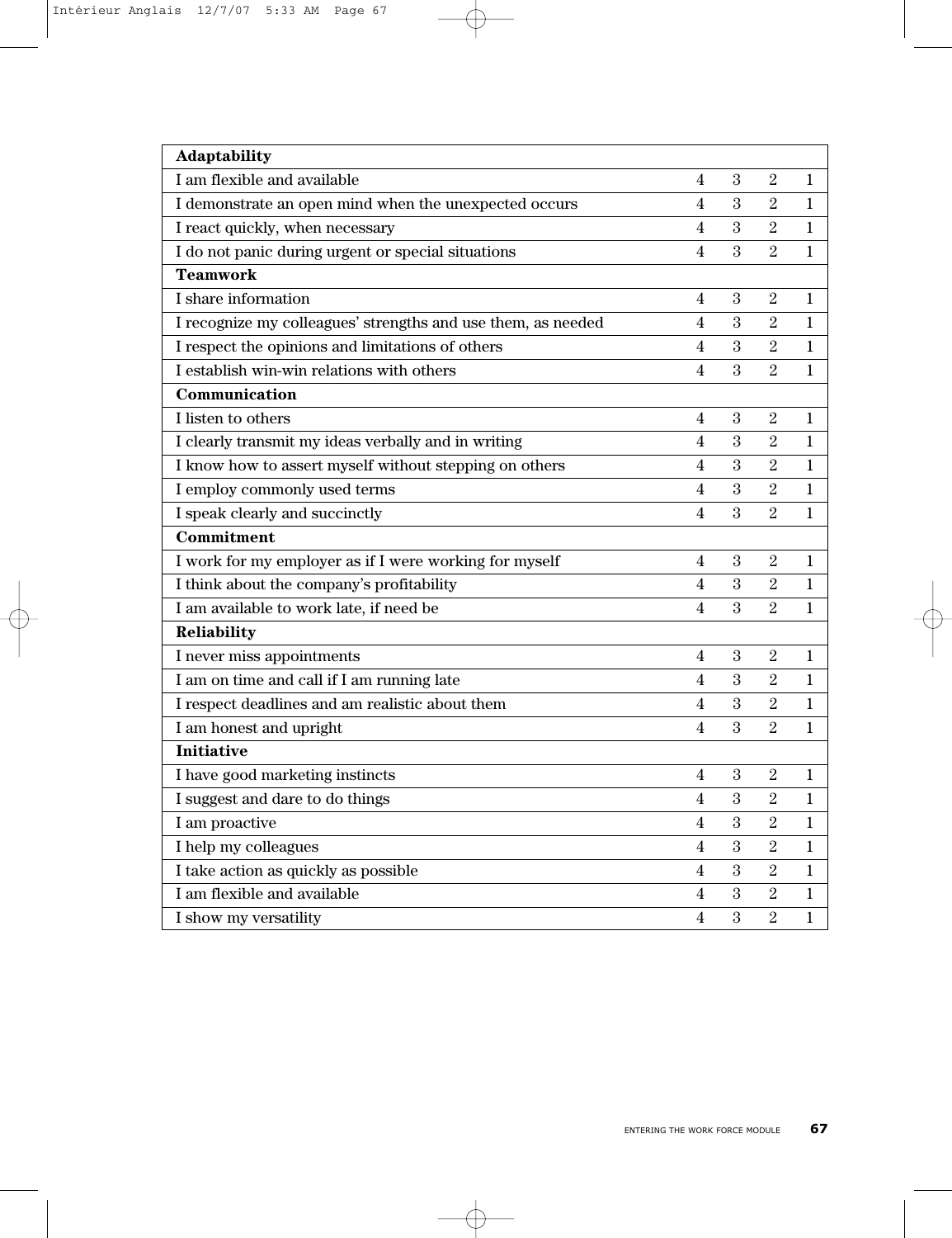| Adaptability                                                 |                         |            |                |              |
|--------------------------------------------------------------|-------------------------|------------|----------------|--------------|
| I am flexible and available                                  | 4                       | 3          | $\overline{2}$ | 1            |
| I demonstrate an open mind when the unexpected occurs        | $\overline{4}$          | 3          | $\overline{2}$ | 1            |
| I react quickly, when necessary                              | $\overline{\mathbf{4}}$ | 3          | $\overline{2}$ | $\mathbf{1}$ |
| I do not panic during urgent or special situations           | $\overline{\mathbf{4}}$ | 3          | $\overline{2}$ | $\mathbf 1$  |
| <b>Teamwork</b>                                              |                         |            |                |              |
| I share information                                          | 4                       | $\sqrt{3}$ | $\overline{2}$ | $\mathbf 1$  |
| I recognize my colleagues' strengths and use them, as needed | $\overline{\mathbf{4}}$ | 3          | $\overline{2}$ | $\mathbf{1}$ |
| I respect the opinions and limitations of others             | 4                       | $\sqrt{3}$ | $\sqrt{2}$     | $\mathbf 1$  |
| I establish win-win relations with others                    | 4                       | 3          | $\overline{2}$ | 1            |
| Communication                                                |                         |            |                |              |
| I listen to others                                           | 4                       | 3          | $\overline{2}$ | $\mathbf{1}$ |
| I clearly transmit my ideas verbally and in writing          | 4                       | 3          | $\sqrt{2}$     | $\mathbf 1$  |
| I know how to assert myself without stepping on others       | $\overline{\mathbf{4}}$ | 3          | $\sqrt{2}$     | $\mathbf 1$  |
| I employ commonly used terms                                 | $\overline{\mathbf{4}}$ | 3          | $\sqrt{2}$     | $\mathbf{1}$ |
| I speak clearly and succinctly                               | 4                       | 3          | $\overline{2}$ | $\mathbf{1}$ |
| Commitment                                                   |                         |            |                |              |
| I work for my employer as if I were working for myself       | 4                       | 3          | $\sqrt{2}$     | $\mathbf 1$  |
| I think about the company's profitability                    | 4                       | 3          | $\overline{2}$ | 1            |
| I am available to work late, if need be                      | $\overline{4}$          | 3          | $\overline{2}$ | $\mathbf{1}$ |
| Reliability                                                  |                         |            |                |              |
| I never miss appointments                                    | 4                       | 3          | $\overline{2}$ | $\mathbf 1$  |
| I am on time and call if I am running late                   | $\overline{\mathbf{4}}$ | 3          | $\overline{2}$ | $\mathbf{1}$ |
| I respect deadlines and am realistic about them              | $\overline{4}$          | 3          | $\overline{2}$ | $\mathbf 1$  |
| I am honest and upright                                      | 4                       | 3          | $\overline{2}$ | $\mathbf 1$  |
| <b>Initiative</b>                                            |                         |            |                |              |
| I have good marketing instincts                              | 4                       | 3          | $\overline{2}$ | 1            |
| I suggest and dare to do things                              | $\overline{\mathbf{4}}$ | 3          | $\overline{2}$ | $\mathbf{1}$ |
| I am proactive                                               | 4                       | $\sqrt{3}$ | $\overline{2}$ | $\mathbf{1}$ |
| I help my colleagues                                         | 4                       | 3          | $\overline{2}$ | $\mathbf{1}$ |
| I take action as quickly as possible                         | $\overline{\mathbf{4}}$ | $\sqrt{3}$ | $\sqrt{2}$     | $\mathbf{1}$ |
| I am flexible and available                                  | 4                       | $\sqrt{3}$ | $\sqrt{2}$     | $\mathbf{1}$ |
| I show my versatility                                        | 4                       | 3          | $\overline{2}$ | $\mathbf{1}$ |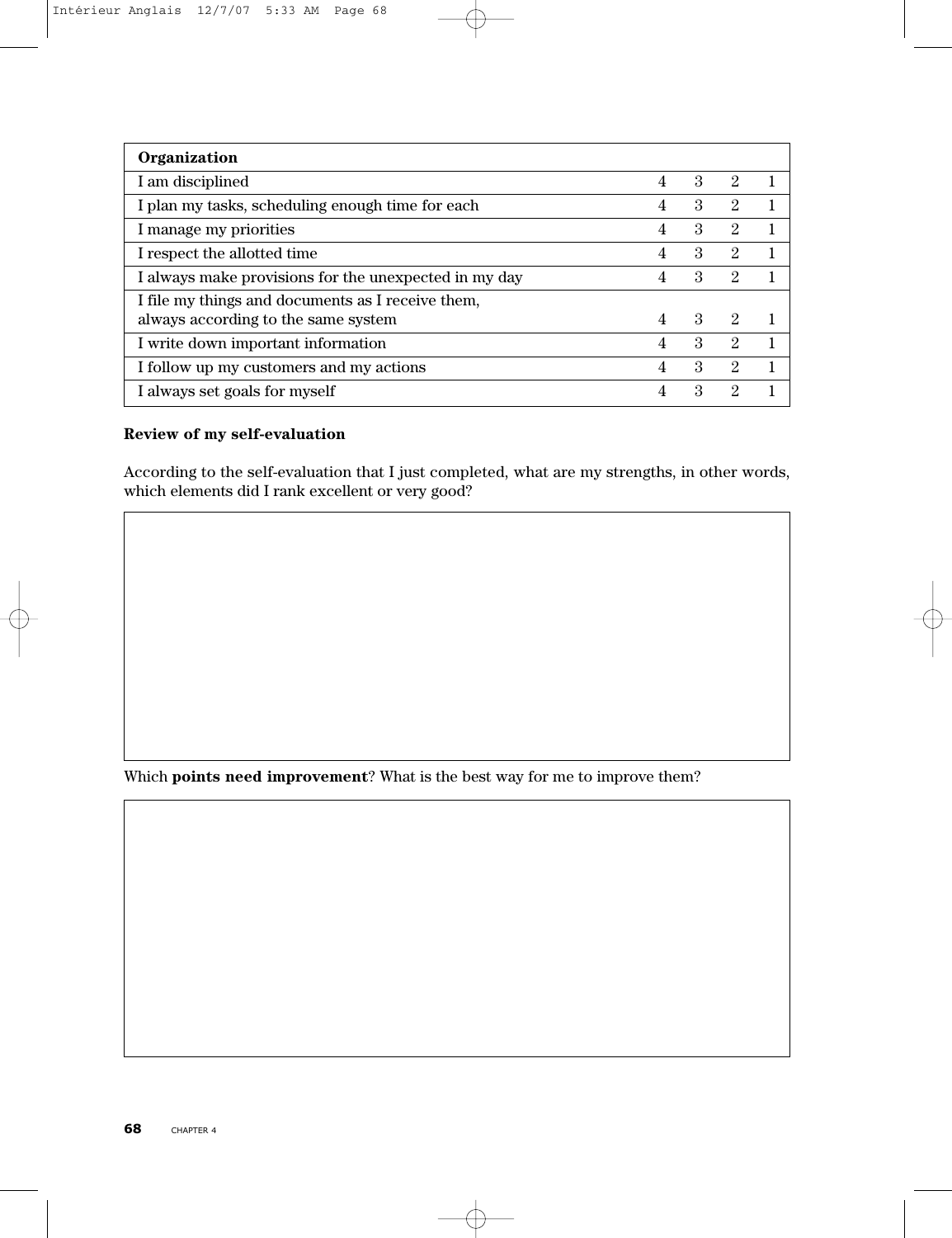| Organization                                          |                |                             |                             |   |
|-------------------------------------------------------|----------------|-----------------------------|-----------------------------|---|
| I am disciplined                                      | $\overline{4}$ | $\mathcal{S}_{\mathcal{S}}$ | $\mathcal{D}_{\mathcal{L}}$ |   |
| I plan my tasks, scheduling enough time for each      | $\overline{4}$ | $\mathcal{S}_{\mathcal{S}}$ | 2                           |   |
| I manage my priorities                                | $\overline{4}$ | $\mathcal{S}_{\mathcal{S}}$ | 2                           |   |
| I respect the allotted time                           | $\overline{4}$ | $\mathcal{S}_{\mathcal{S}}$ | 2                           |   |
| I always make provisions for the unexpected in my day | 4              | $\mathcal{S}_{\mathcal{S}}$ | $\mathfrak{D}$              |   |
| I file my things and documents as I receive them,     |                |                             |                             |   |
| always according to the same system                   | $\overline{4}$ | $\mathcal{R}$               | 2                           |   |
| I write down important information                    | $\overline{4}$ | $\mathcal{S}_{\mathcal{S}}$ | $\mathcal{D}_{\mathcal{L}}$ | 1 |
| I follow up my customers and my actions               | $\overline{4}$ | $\mathcal{S}_{\mathcal{S}}$ | 2                           |   |
| I always set goals for myself                         | 4              | 3                           | 2                           |   |

## **Review of my self-evaluation**

According to the self-evaluation that I just completed, what are my strengths, in other words, which elements did I rank excellent or very good?

Which **points need improvement**? What is the best way for me to improve them?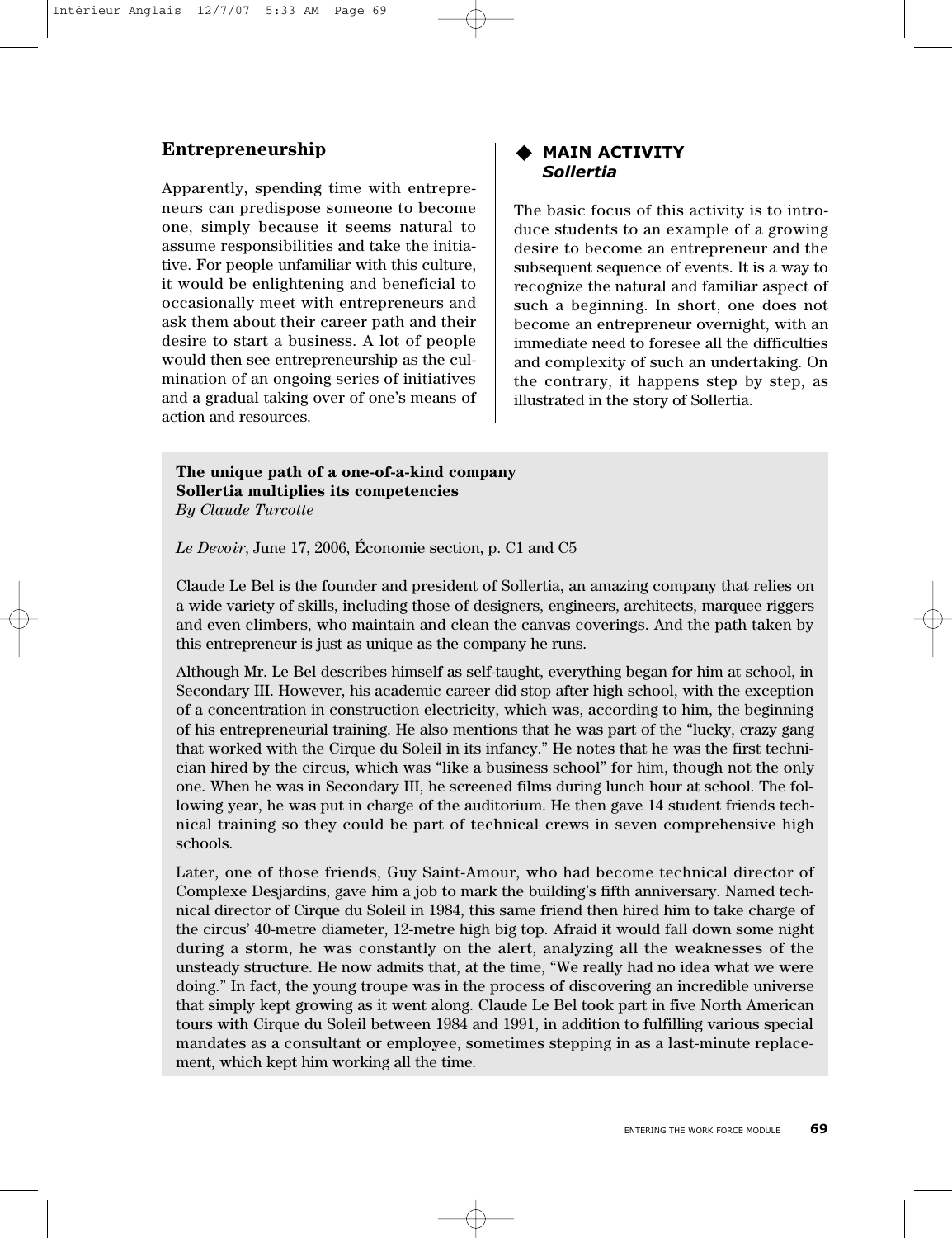# **Entrepreneurship**

Apparently, spending time with entrepreneurs can predispose someone to become one, simply because it seems natural to assume responsibilities and take the initiative. For people unfamiliar with this culture, it would be enlightening and beneficial to occasionally meet with entrepreneurs and ask them about their career path and their desire to start a business. A lot of people would then see entrepreneurship as the culmination of an ongoing series of initiatives and a gradual taking over of one's means of action and resources.

#### **MAIN ACTIVITY** *Sollertia*

The basic focus of this activity is to introduce students to an example of a growing desire to become an entrepreneur and the subsequent sequence of events. It is a way to recognize the natural and familiar aspect of such a beginning. In short, one does not become an entrepreneur overnight, with an immediate need to foresee all the difficulties and complexity of such an undertaking. On the contrary, it happens step by step, as illustrated in the story of Sollertia.

#### **The unique path of a one-of-a-kind company Sollertia multiplies its competencies** *By Claude Turcotte*

*Le Devoir*, June 17, 2006, Économie section, p. C1 and C5

Claude Le Bel is the founder and president of Sollertia, an amazing company that relies on a wide variety of skills, including those of designers, engineers, architects, marquee riggers and even climbers, who maintain and clean the canvas coverings. And the path taken by this entrepreneur is just as unique as the company he runs.

Although Mr. Le Bel describes himself as self-taught, everything began for him at school, in Secondary III. However, his academic career did stop after high school, with the exception of a concentration in construction electricity, which was, according to him, the beginning of his entrepreneurial training. He also mentions that he was part of the "lucky, crazy gang that worked with the Cirque du Soleil in its infancy." He notes that he was the first technician hired by the circus, which was "like a business school" for him, though not the only one. When he was in Secondary III, he screened films during lunch hour at school. The following year, he was put in charge of the auditorium. He then gave 14 student friends technical training so they could be part of technical crews in seven comprehensive high schools.

Later, one of those friends, Guy Saint-Amour, who had become technical director of Complexe Desjardins, gave him a job to mark the building's fifth anniversary. Named technical director of Cirque du Soleil in 1984, this same friend then hired him to take charge of the circus' 40-metre diameter, 12-metre high big top. Afraid it would fall down some night during a storm, he was constantly on the alert, analyzing all the weaknesses of the unsteady structure. He now admits that, at the time, "We really had no idea what we were doing." In fact, the young troupe was in the process of discovering an incredible universe that simply kept growing as it went along. Claude Le Bel took part in five North American tours with Cirque du Soleil between 1984 and 1991, in addition to fulfilling various special mandates as a consultant or employee, sometimes stepping in as a last-minute replacement, which kept him working all the time.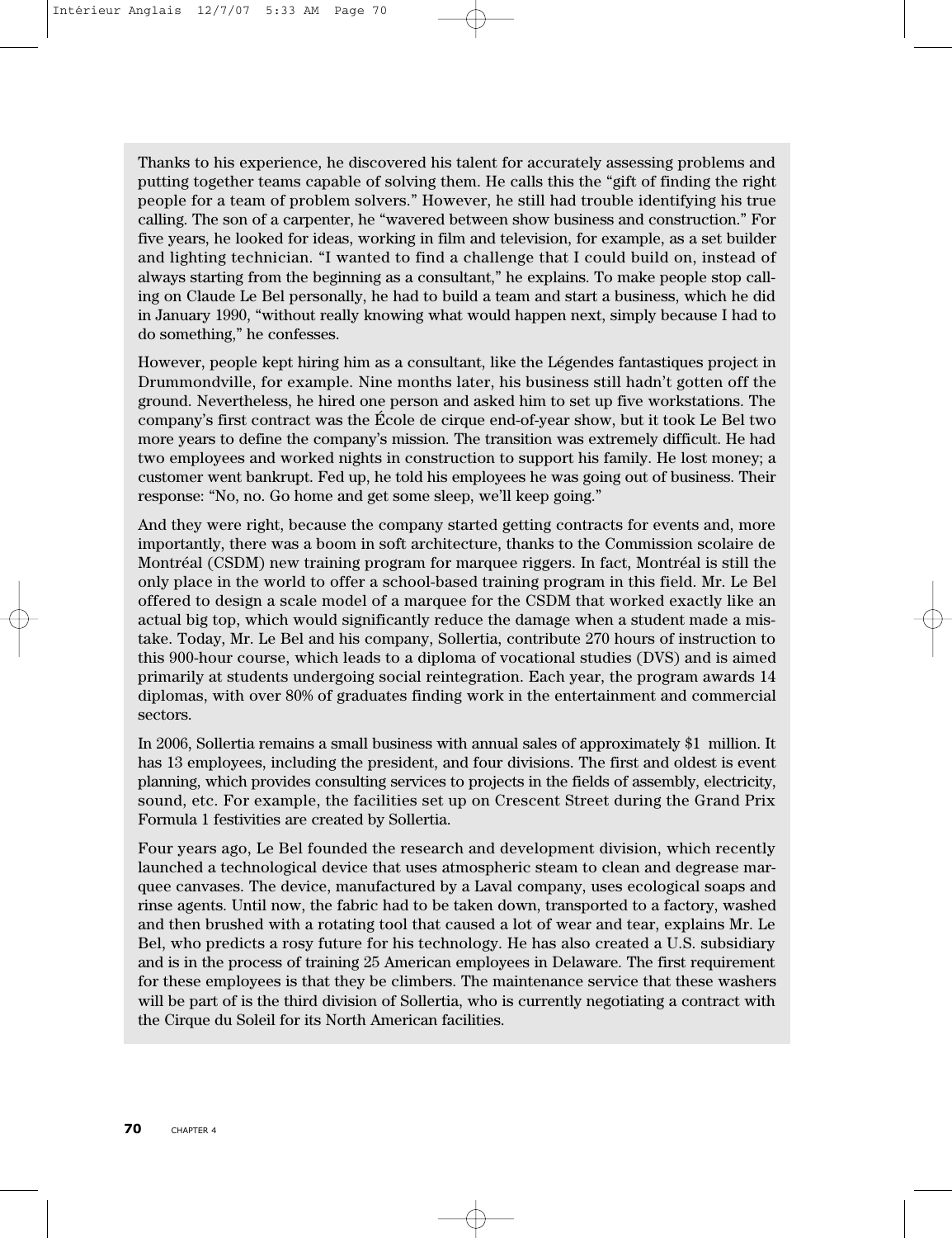Thanks to his experience, he discovered his talent for accurately assessing problems and putting together teams capable of solving them. He calls this the "gift of finding the right people for a team of problem solvers." However, he still had trouble identifying his true calling. The son of a carpenter, he "wavered between show business and construction." For five years, he looked for ideas, working in film and television, for example, as a set builder and lighting technician. "I wanted to find a challenge that I could build on, instead of always starting from the beginning as a consultant," he explains. To make people stop calling on Claude Le Bel personally, he had to build a team and start a business, which he did in January 1990, "without really knowing what would happen next, simply because I had to do something," he confesses.

However, people kept hiring him as a consultant, like the Légendes fantastiques project in Drummondville, for example. Nine months later, his business still hadn't gotten off the ground. Nevertheless, he hired one person and asked him to set up five workstations. The company's first contract was the École de cirque end-of-year show, but it took Le Bel two more years to define the company's mission. The transition was extremely difficult. He had two employees and worked nights in construction to support his family. He lost money; a customer went bankrupt. Fed up, he told his employees he was going out of business. Their response: "No, no. Go home and get some sleep, we'll keep going."

And they were right, because the company started getting contracts for events and, more importantly, there was a boom in soft architecture, thanks to the Commission scolaire de Montréal (CSDM) new training program for marquee riggers. In fact, Montréal is still the only place in the world to offer a school-based training program in this field. Mr. Le Bel offered to design a scale model of a marquee for the CSDM that worked exactly like an actual big top, which would significantly reduce the damage when a student made a mistake. Today, Mr. Le Bel and his company, Sollertia, contribute 270 hours of instruction to this 900-hour course, which leads to a diploma of vocational studies (DVS) and is aimed primarily at students undergoing social reintegration. Each year, the program awards 14 diplomas, with over 80% of graduates finding work in the entertainment and commercial sectors.

In 2006, Sollertia remains a small business with annual sales of approximately \$1 million. It has 13 employees, including the president, and four divisions. The first and oldest is event planning, which provides consulting services to projects in the fields of assembly, electricity, sound, etc. For example, the facilities set up on Crescent Street during the Grand Prix Formula 1 festivities are created by Sollertia.

Four years ago, Le Bel founded the research and development division, which recently launched a technological device that uses atmospheric steam to clean and degrease marquee canvases. The device, manufactured by a Laval company, uses ecological soaps and rinse agents. Until now, the fabric had to be taken down, transported to a factory, washed and then brushed with a rotating tool that caused a lot of wear and tear, explains Mr. Le Bel, who predicts a rosy future for his technology. He has also created a U.S. subsidiary and is in the process of training 25 American employees in Delaware. The first requirement for these employees is that they be climbers. The maintenance service that these washers will be part of is the third division of Sollertia, who is currently negotiating a contract with the Cirque du Soleil for its North American facilities.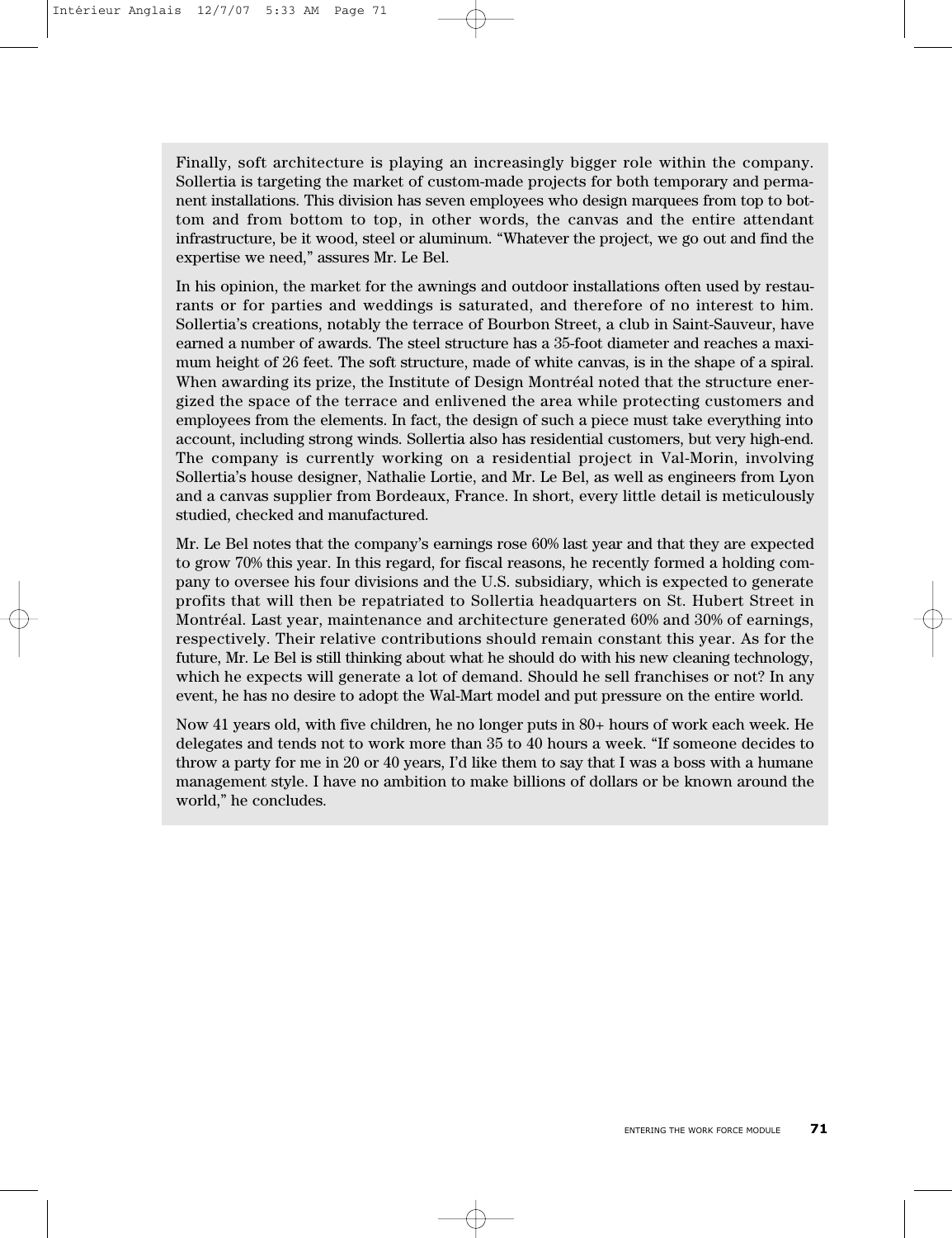Finally, soft architecture is playing an increasingly bigger role within the company. Sollertia is targeting the market of custom-made projects for both temporary and permanent installations. This division has seven employees who design marquees from top to bottom and from bottom to top, in other words, the canvas and the entire attendant infrastructure, be it wood, steel or aluminum. "Whatever the project, we go out and find the expertise we need," assures Mr. Le Bel.

In his opinion, the market for the awnings and outdoor installations often used by restaurants or for parties and weddings is saturated, and therefore of no interest to him. Sollertia's creations, notably the terrace of Bourbon Street, a club in Saint-Sauveur, have earned a number of awards. The steel structure has a 35-foot diameter and reaches a maximum height of 26 feet. The soft structure, made of white canvas, is in the shape of a spiral. When awarding its prize, the Institute of Design Montréal noted that the structure energized the space of the terrace and enlivened the area while protecting customers and employees from the elements. In fact, the design of such a piece must take everything into account, including strong winds. Sollertia also has residential customers, but very high-end. The company is currently working on a residential project in Val-Morin, involving Sollertia's house designer, Nathalie Lortie, and Mr. Le Bel, as well as engineers from Lyon and a canvas supplier from Bordeaux, France. In short, every little detail is meticulously studied, checked and manufactured.

Mr. Le Bel notes that the company's earnings rose 60% last year and that they are expected to grow 70% this year. In this regard, for fiscal reasons, he recently formed a holding company to oversee his four divisions and the U.S. subsidiary, which is expected to generate profits that will then be repatriated to Sollertia headquarters on St. Hubert Street in Montréal. Last year, maintenance and architecture generated 60% and 30% of earnings, respectively. Their relative contributions should remain constant this year. As for the future, Mr. Le Bel is still thinking about what he should do with his new cleaning technology, which he expects will generate a lot of demand. Should he sell franchises or not? In any event, he has no desire to adopt the Wal-Mart model and put pressure on the entire world.

Now 41 years old, with five children, he no longer puts in 80+ hours of work each week. He delegates and tends not to work more than 35 to 40 hours a week. "If someone decides to throw a party for me in 20 or 40 years, I'd like them to say that I was a boss with a humane management style. I have no ambition to make billions of dollars or be known around the world," he concludes.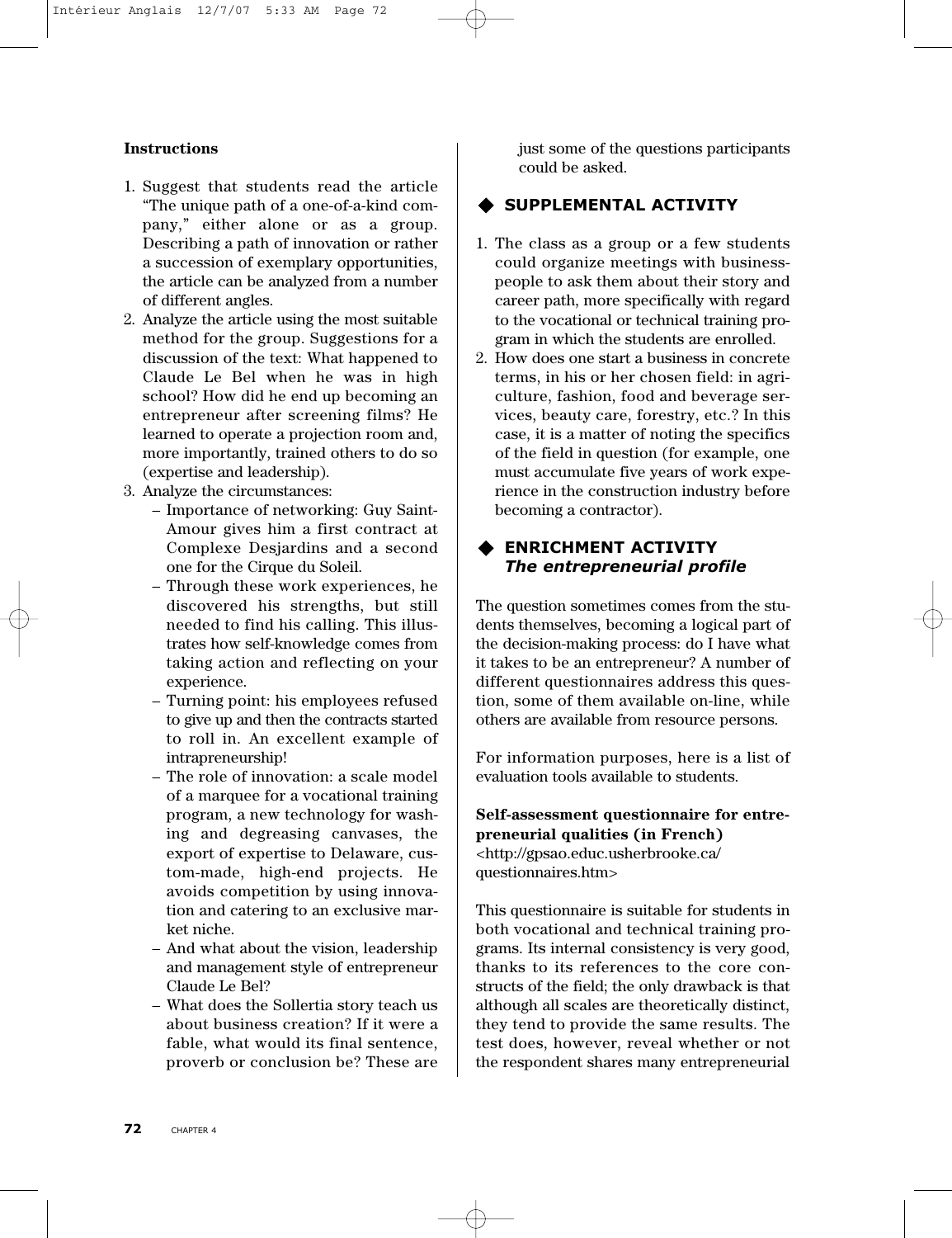#### **Instructions**

- 1. Suggest that students read the article "The unique path of a one-of-a-kind company," either alone or as a group. Describing a path of innovation or rather a succession of exemplary opportunities, the article can be analyzed from a number of different angles.
- 2. Analyze the article using the most suitable method for the group. Suggestions for a discussion of the text: What happened to Claude Le Bel when he was in high school? How did he end up becoming an entrepreneur after screening films? He learned to operate a projection room and, more importantly, trained others to do so (expertise and leadership).
- 3. Analyze the circumstances:
	- Importance of networking: Guy Saint-Amour gives him a first contract at Complexe Desjardins and a second one for the Cirque du Soleil.
	- Through these work experiences, he discovered his strengths, but still needed to find his calling. This illustrates how self-knowledge comes from taking action and reflecting on your experience.
	- Turning point: his employees refused to give up and then the contracts started to roll in. An excellent example of intrapreneurship!
	- The role of innovation: a scale model of a marquee for a vocational training program, a new technology for washing and degreasing canvases, the export of expertise to Delaware, custom-made, high-end projects. He avoids competition by using innovation and catering to an exclusive market niche.
	- And what about the vision, leadership and management style of entrepreneur Claude Le Bel?
	- What does the Sollertia story teach us about business creation? If it were a fable, what would its final sentence, proverb or conclusion be? These are

just some of the questions participants could be asked.

## **SUPPLEMENTAL ACTIVITY**

- 1. The class as a group or a few students could organize meetings with businesspeople to ask them about their story and career path, more specifically with regard to the vocational or technical training program in which the students are enrolled.
- 2. How does one start a business in concrete terms, in his or her chosen field: in agriculture, fashion, food and beverage services, beauty care, forestry, etc.? In this case, it is a matter of noting the specifics of the field in question (for example, one must accumulate five years of work experience in the construction industry before becoming a contractor).

### **ENRICHMENT ACTIVITY** *The entrepreneurial profile*

The question sometimes comes from the students themselves, becoming a logical part of the decision-making process: do I have what it takes to be an entrepreneur? A number of different questionnaires address this question, some of them available on-line, while others are available from resource persons.

For information purposes, here is a list of evaluation tools available to students.

**Self-assessment questionnaire for entrepreneurial qualities (in French)** <http://gpsao.educ.usherbrooke.ca/ questionnaires.htm>

This questionnaire is suitable for students in both vocational and technical training programs. Its internal consistency is very good, thanks to its references to the core constructs of the field; the only drawback is that although all scales are theoretically distinct, they tend to provide the same results. The test does, however, reveal whether or not the respondent shares many entrepreneurial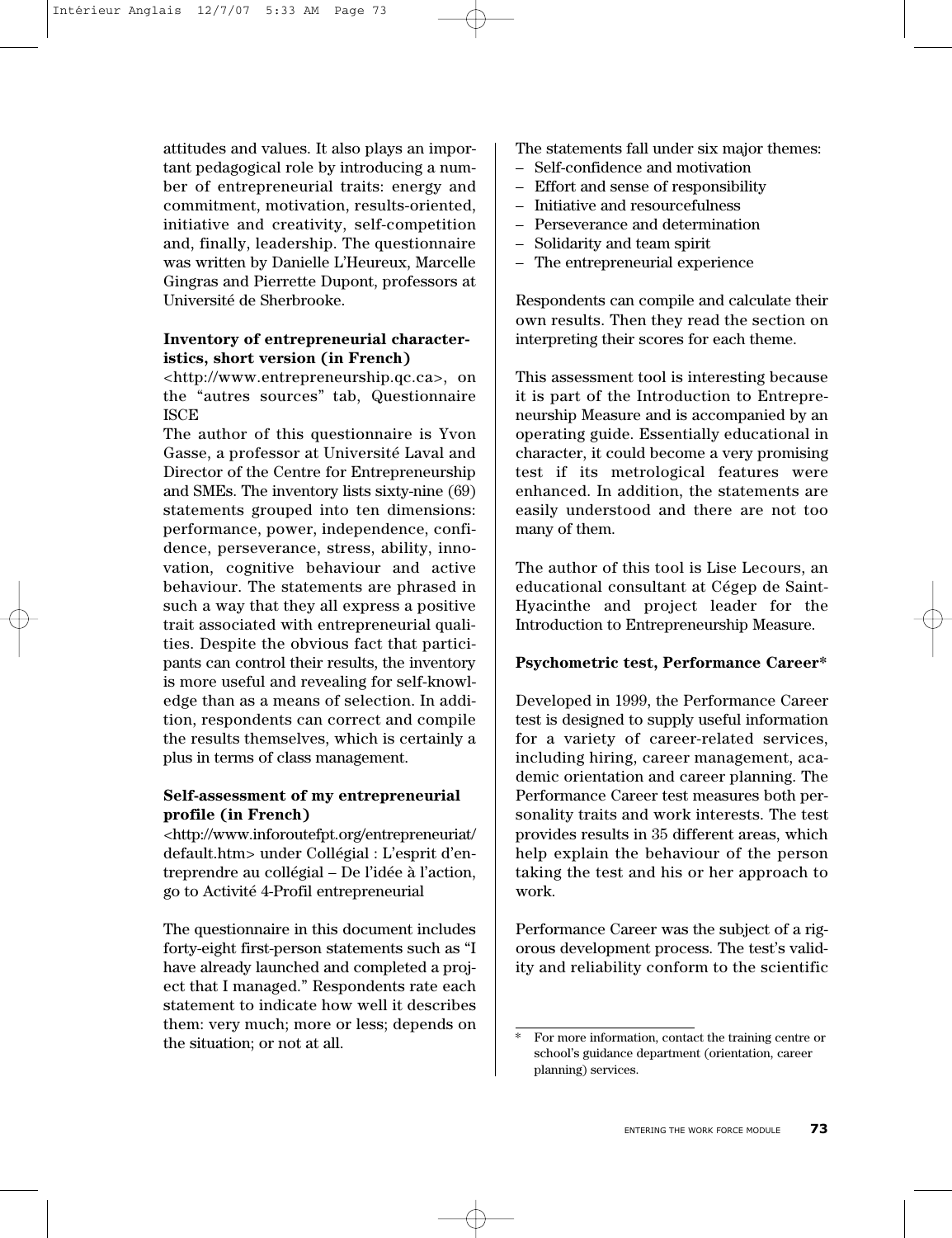attitudes and values. It also plays an important pedagogical role by introducing a number of entrepreneurial traits: energy and commitment, motivation, results-oriented, initiative and creativity, self-competition and, finally, leadership. The questionnaire was written by Danielle L'Heureux, Marcelle Gingras and Pierrette Dupont, professors at Université de Sherbrooke.

#### **Inventory of entrepreneurial characteristics, short version (in French)**

<http://www.entrepreneurship.qc.ca>, on the "autres sources" tab, Questionnaire ISCE

The author of this questionnaire is Yvon Gasse, a professor at Université Laval and Director of the Centre for Entrepreneurship and SMEs. The inventory lists sixty-nine (69) statements grouped into ten dimensions: performance, power, independence, confidence, perseverance, stress, ability, innovation, cognitive behaviour and active behaviour. The statements are phrased in such a way that they all express a positive trait associated with entrepreneurial qualities. Despite the obvious fact that participants can control their results, the inventory is more useful and revealing for self-knowledge than as a means of selection. In addition, respondents can correct and compile the results themselves, which is certainly a plus in terms of class management.

#### **Self-assessment of my entrepreneurial profile (in French)**

<http://www.inforoutefpt.org/entrepreneuriat/ default.htm> under Collégial : L'esprit d'entreprendre au collégial – De l'idée à l'action, go to Activité 4-Profil entrepreneurial

The questionnaire in this document includes forty-eight first-person statements such as "I have already launched and completed a project that I managed." Respondents rate each statement to indicate how well it describes them: very much; more or less; depends on the situation; or not at all.

The statements fall under six major themes:

- Self-confidence and motivation
- Effort and sense of responsibility
- Initiative and resourcefulness
- Perseverance and determination
- Solidarity and team spirit
- The entrepreneurial experience

Respondents can compile and calculate their own results. Then they read the section on interpreting their scores for each theme.

This assessment tool is interesting because it is part of the Introduction to Entrepreneurship Measure and is accompanied by an operating guide. Essentially educational in character, it could become a very promising test if its metrological features were enhanced. In addition, the statements are easily understood and there are not too many of them.

The author of this tool is Lise Lecours, an educational consultant at Cégep de Saint-Hyacinthe and project leader for the Introduction to Entrepreneurship Measure.

#### **Psychometric test, Performance Career\***

Developed in 1999, the Performance Career test is designed to supply useful information for a variety of career-related services, including hiring, career management, academic orientation and career planning. The Performance Career test measures both personality traits and work interests. The test provides results in 35 different areas, which help explain the behaviour of the person taking the test and his or her approach to work.

Performance Career was the subject of a rigorous development process. The test's validity and reliability conform to the scientific

For more information, contact the training centre or school's guidance department (orientation, career planning) services.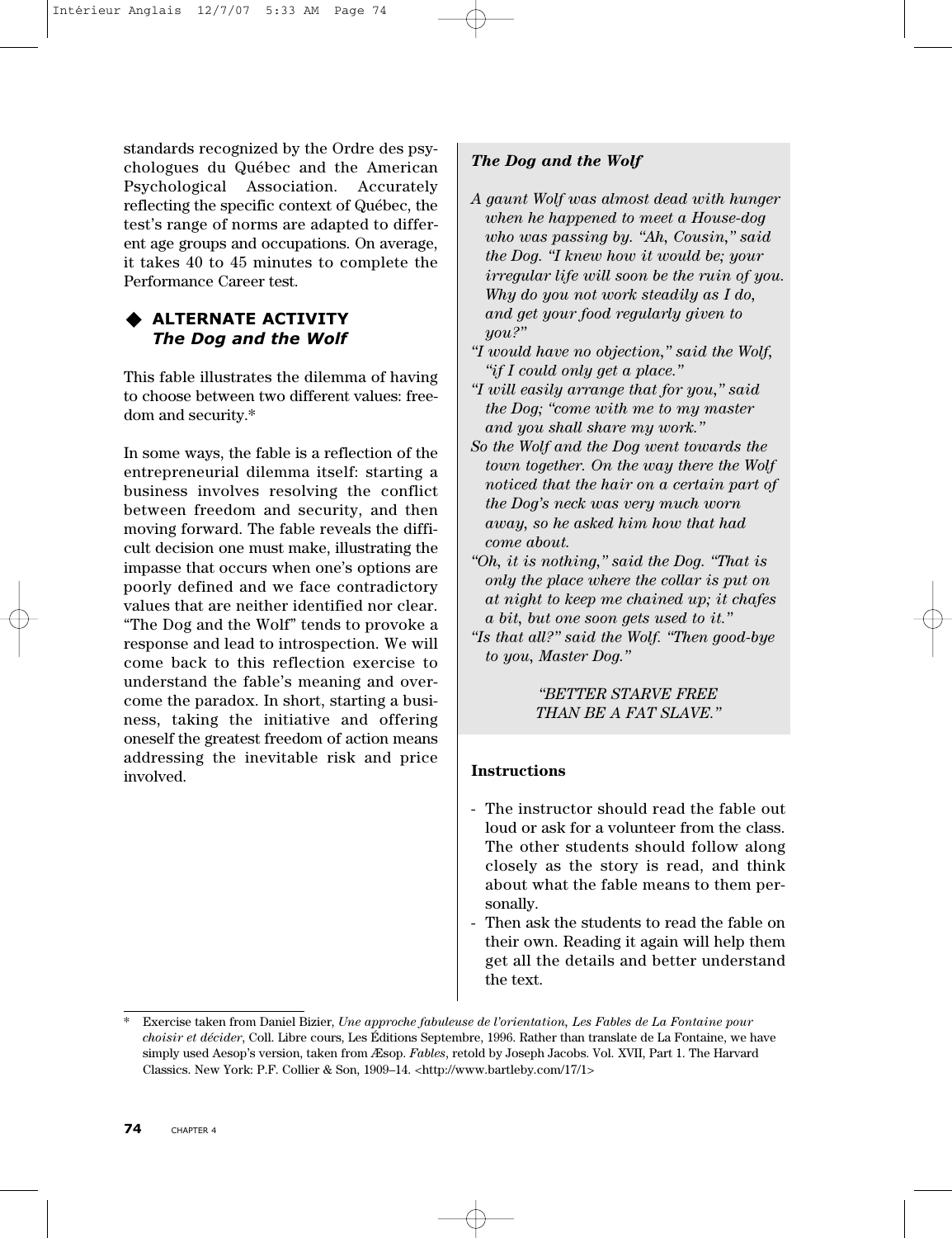standards recognized by the Ordre des psychologues du Québec and the American Psychological Association. Accurately reflecting the specific context of Québec, the test's range of norms are adapted to different age groups and occupations. On average, it takes 40 to 45 minutes to complete the Performance Career test.

# **ALTERNATE ACTIVITY** *The Dog and the Wolf*

This fable illustrates the dilemma of having to choose between two different values: freedom and security.\*

In some ways, the fable is a reflection of the entrepreneurial dilemma itself: starting a business involves resolving the conflict between freedom and security, and then moving forward. The fable reveals the difficult decision one must make, illustrating the impasse that occurs when one's options are poorly defined and we face contradictory values that are neither identified nor clear. "The Dog and the Wolf" tends to provoke a response and lead to introspection. We will come back to this reflection exercise to understand the fable's meaning and overcome the paradox. In short, starting a business, taking the initiative and offering oneself the greatest freedom of action means addressing the inevitable risk and price involved.

# *The Dog and the Wolf*

- *A gaunt Wolf was almost dead with hunger when he happened to meet a House-dog who was passing by. "Ah, Cousin," said the Dog. "I knew how it would be; your irregular life will soon be the ruin of you. Why do you not work steadily as I do, and get your food regularly given to you?"*
- *"I would have no objection," said the Wolf, "if I could only get a place."*
- *"I will easily arrange that for you," said the Dog; "come with me to my master and you shall share my work."*
- *So the Wolf and the Dog went towards the town together. On the way there the Wolf noticed that the hair on a certain part of the Dog's neck was very much worn away, so he asked him how that had come about.*
- *"Oh, it is nothing," said the Dog. "That is only the place where the collar is put on at night to keep me chained up; it chafes a bit, but one soon gets used to it."*
- *"Is that all?" said the Wolf. "Then good-bye to you, Master Dog."*

# *"BETTER STARVE FREE THAN BE A FAT SLAVE."*

# **Instructions**

- The instructor should read the fable out loud or ask for a volunteer from the class. The other students should follow along closely as the story is read, and think about what the fable means to them personally.
- Then ask the students to read the fable on their own. Reading it again will help them get all the details and better understand the text.

<sup>\*</sup> Exercise taken from Daniel Bizier, *Une approche fabuleuse de l'orientation, Les Fables de La Fontaine pour choisir et décider*, Coll. Libre cours, Les Éditions Septembre, 1996. Rather than translate de La Fontaine, we have simply used Aesop's version, taken from Æsop. *Fables*, retold by Joseph Jacobs. Vol. XVII, Part 1. The Harvard Classics. New York: P.F. Collier & Son, 1909–14. <http://www.bartleby.com/17/1>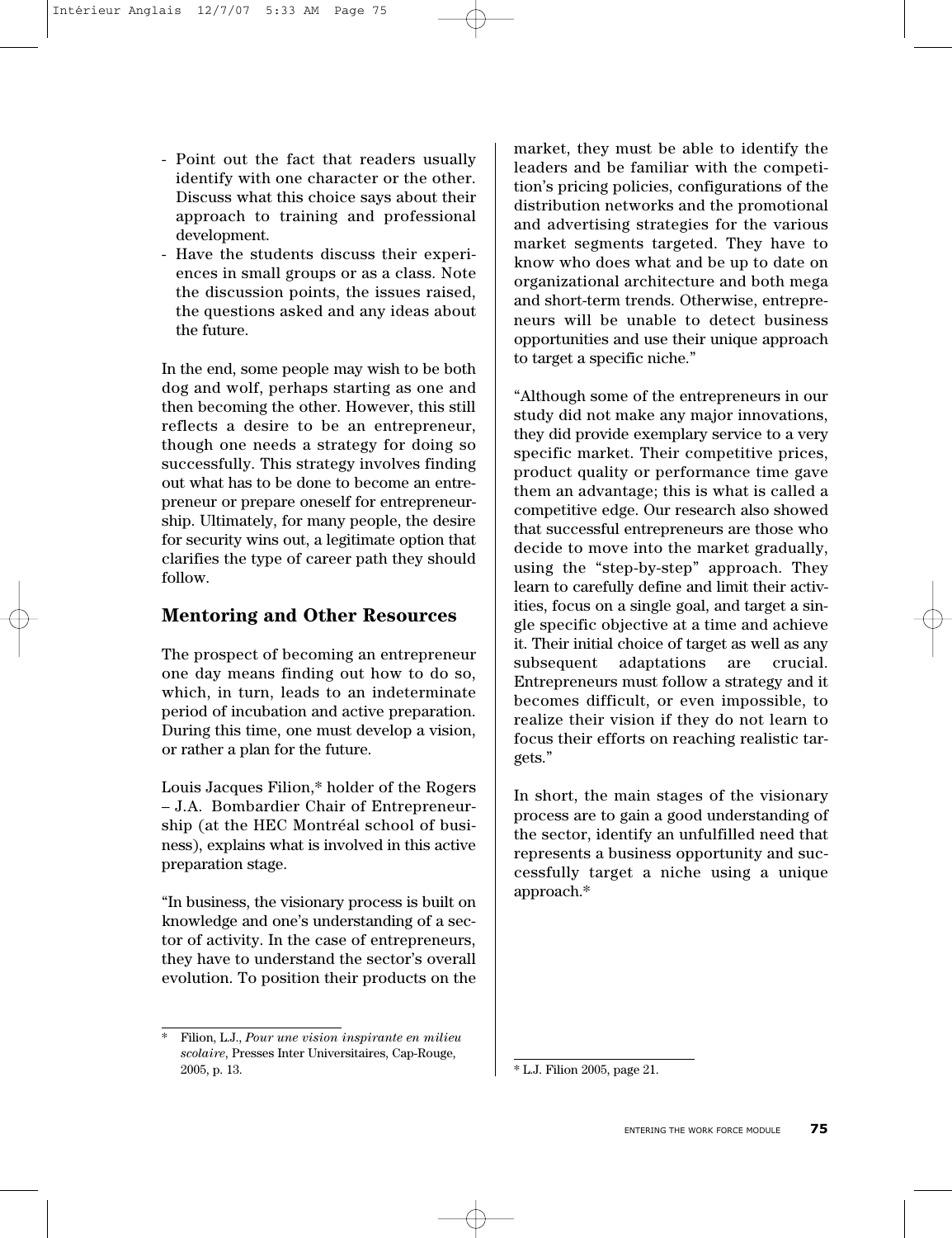- Point out the fact that readers usually identify with one character or the other. Discuss what this choice says about their approach to training and professional development.
- Have the students discuss their experiences in small groups or as a class. Note the discussion points, the issues raised, the questions asked and any ideas about the future.

In the end, some people may wish to be both dog and wolf, perhaps starting as one and then becoming the other. However, this still reflects a desire to be an entrepreneur, though one needs a strategy for doing so successfully. This strategy involves finding out what has to be done to become an entrepreneur or prepare oneself for entrepreneurship. Ultimately, for many people, the desire for security wins out, a legitimate option that clarifies the type of career path they should follow.

# **Mentoring and Other Resources**

The prospect of becoming an entrepreneur one day means finding out how to do so, which, in turn, leads to an indeterminate period of incubation and active preparation. During this time, one must develop a vision, or rather a plan for the future.

Louis Jacques Filion,\* holder of the Rogers – J.A. Bombardier Chair of Entrepreneurship (at the HEC Montréal school of business), explains what is involved in this active preparation stage.

"In business, the visionary process is built on knowledge and one's understanding of a sector of activity. In the case of entrepreneurs, they have to understand the sector's overall evolution. To position their products on the market, they must be able to identify the leaders and be familiar with the competition's pricing policies, configurations of the distribution networks and the promotional and advertising strategies for the various market segments targeted. They have to know who does what and be up to date on organizational architecture and both mega and short-term trends. Otherwise, entrepreneurs will be unable to detect business opportunities and use their unique approach to target a specific niche."

"Although some of the entrepreneurs in our study did not make any major innovations, they did provide exemplary service to a very specific market. Their competitive prices, product quality or performance time gave them an advantage; this is what is called a competitive edge. Our research also showed that successful entrepreneurs are those who decide to move into the market gradually, using the "step-by-step" approach. They learn to carefully define and limit their activities, focus on a single goal, and target a single specific objective at a time and achieve it. Their initial choice of target as well as any subsequent adaptations are crucial. Entrepreneurs must follow a strategy and it becomes difficult, or even impossible, to realize their vision if they do not learn to focus their efforts on reaching realistic targets."

In short, the main stages of the visionary process are to gain a good understanding of the sector, identify an unfulfilled need that represents a business opportunity and successfully target a niche using a unique approach.\*

<sup>\*</sup> Filion, L.J., *Pour une vision inspirante en milieu scolaire*, Presses Inter Universitaires, Cap-Rouge, 2005, p. 13. \* L.J. Filion 2005, page 21.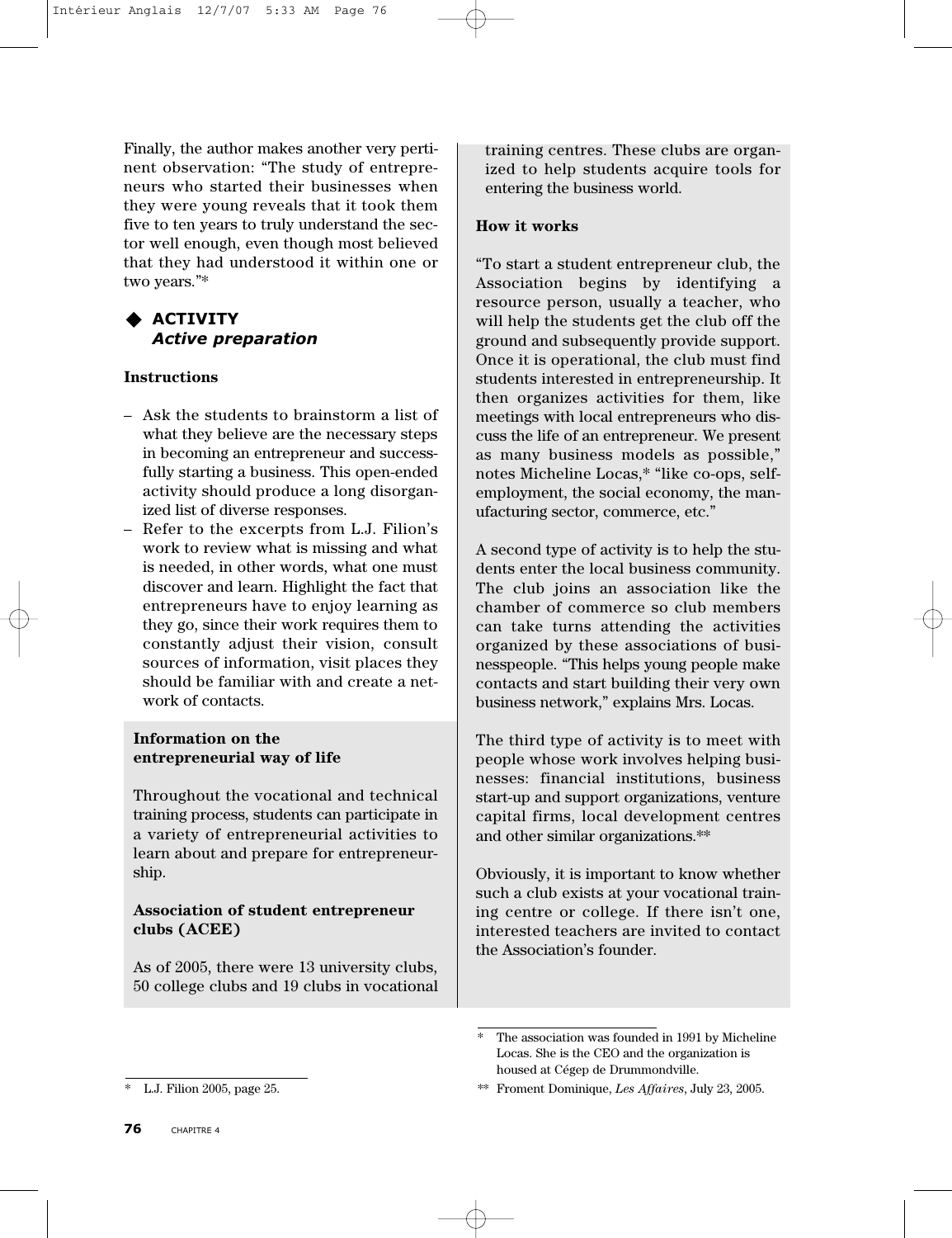Finally, the author makes another very pertinent observation: "The study of entrepreneurs who started their businesses when they were young reveals that it took them five to ten years to truly understand the sector well enough, even though most believed that they had understood it within one or two years."\*

# **ACTIVITY** *Active preparation*

# **Instructions**

- Ask the students to brainstorm a list of what they believe are the necessary steps in becoming an entrepreneur and successfully starting a business. This open-ended activity should produce a long disorganized list of diverse responses.
- Refer to the excerpts from L.J. Filion's work to review what is missing and what is needed, in other words, what one must discover and learn. Highlight the fact that entrepreneurs have to enjoy learning as they go, since their work requires them to constantly adjust their vision, consult sources of information, visit places they should be familiar with and create a network of contacts.

# **Information on the entrepreneurial way of life**

Throughout the vocational and technical training process, students can participate in a variety of entrepreneurial activities to learn about and prepare for entrepreneurship.

# **Association of student entrepreneur clubs (ACEE)**

As of 2005, there were 13 university clubs, 50 college clubs and 19 clubs in vocational

# **How it works**

"To start a student entrepreneur club, the Association begins by identifying a resource person, usually a teacher, who will help the students get the club off the ground and subsequently provide support. Once it is operational, the club must find students interested in entrepreneurship. It then organizes activities for them, like meetings with local entrepreneurs who discuss the life of an entrepreneur. We present as many business models as possible," notes Micheline Locas,\* "like co-ops, selfemployment, the social economy, the manufacturing sector, commerce, etc."

A second type of activity is to help the students enter the local business community. The club joins an association like the chamber of commerce so club members can take turns attending the activities organized by these associations of businesspeople. "This helps young people make contacts and start building their very own business network," explains Mrs. Locas.

The third type of activity is to meet with people whose work involves helping businesses: financial institutions, business start-up and support organizations, venture capital firms, local development centres and other similar organizations.\*\*

Obviously, it is important to know whether such a club exists at your vocational training centre or college. If there isn't one, interested teachers are invited to contact the Association's founder.

training centres. These clubs are organized to help students acquire tools for entering the business world.

The association was founded in 1991 by Micheline Locas. She is the CEO and the organization is housed at Cégep de Drummondville.

<sup>\*\*</sup> Froment Dominique, *Les Affaires*, July 23, 2005.

<sup>\*</sup> L.J. Filion 2005, page 25.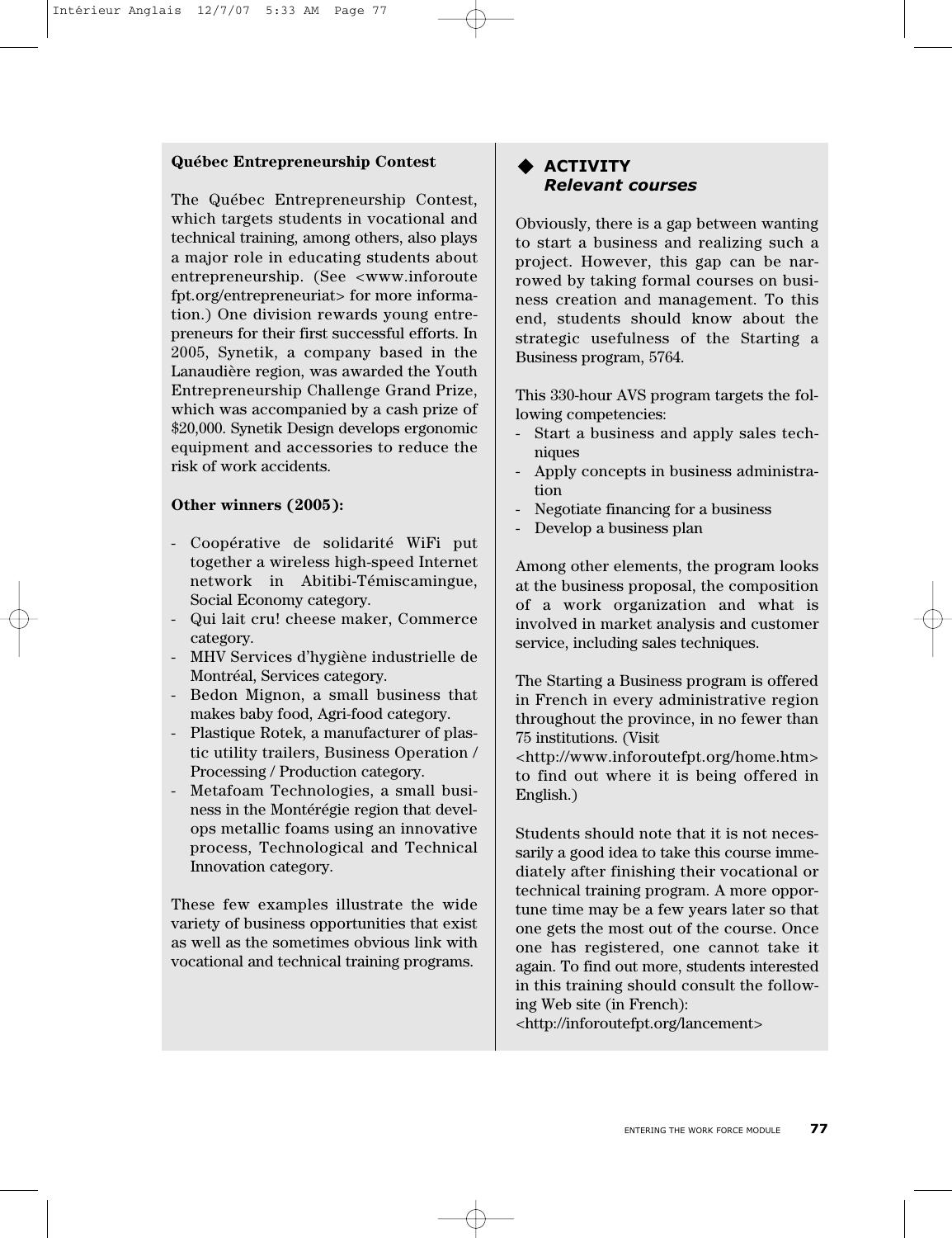## **Québec Entrepreneurship Contest**

The Québec Entrepreneurship Contest, which targets students in vocational and technical training, among others, also plays a major role in educating students about entrepreneurship. (See <www.inforoute fpt.org/entrepreneuriat> for more information.) One division rewards young entrepreneurs for their first successful efforts. In 2005, Synetik, a company based in the Lanaudière region, was awarded the Youth Entrepreneurship Challenge Grand Prize, which was accompanied by a cash prize of \$20,000. Synetik Design develops ergonomic equipment and accessories to reduce the risk of work accidents.

# **Other winners (2005):**

- Coopérative de solidarité WiFi put together a wireless high-speed Internet network in Abitibi-Témiscamingue, Social Economy category.
- Qui lait cru! cheese maker, Commerce category.
- MHV Services d'hygiène industrielle de Montréal, Services category.
- Bedon Mignon, a small business that makes baby food, Agri-food category.
- Plastique Rotek, a manufacturer of plastic utility trailers, Business Operation / Processing / Production category.
- Metafoam Technologies, a small business in the Montérégie region that develops metallic foams using an innovative process, Technological and Technical Innovation category.

These few examples illustrate the wide variety of business opportunities that exist as well as the sometimes obvious link with vocational and technical training programs.

# **ACTIVITY** *Relevant courses*

Obviously, there is a gap between wanting to start a business and realizing such a project. However, this gap can be narrowed by taking formal courses on business creation and management. To this end, students should know about the strategic usefulness of the Starting a Business program, 5764.

This 330-hour AVS program targets the following competencies:

- Start a business and apply sales techniques
- Apply concepts in business administration
- Negotiate financing for a business
- Develop a business plan

Among other elements, the program looks at the business proposal, the composition of a work organization and what is involved in market analysis and customer service, including sales techniques.

The Starting a Business program is offered in French in every administrative region throughout the province, in no fewer than 75 institutions. (Visit

<http://www.inforoutefpt.org/home.htm> to find out where it is being offered in English.)

Students should note that it is not necessarily a good idea to take this course immediately after finishing their vocational or technical training program. A more opportune time may be a few years later so that one gets the most out of the course. Once one has registered, one cannot take it again. To find out more, students interested in this training should consult the following Web site (in French): <http://inforoutefpt.org/lancement>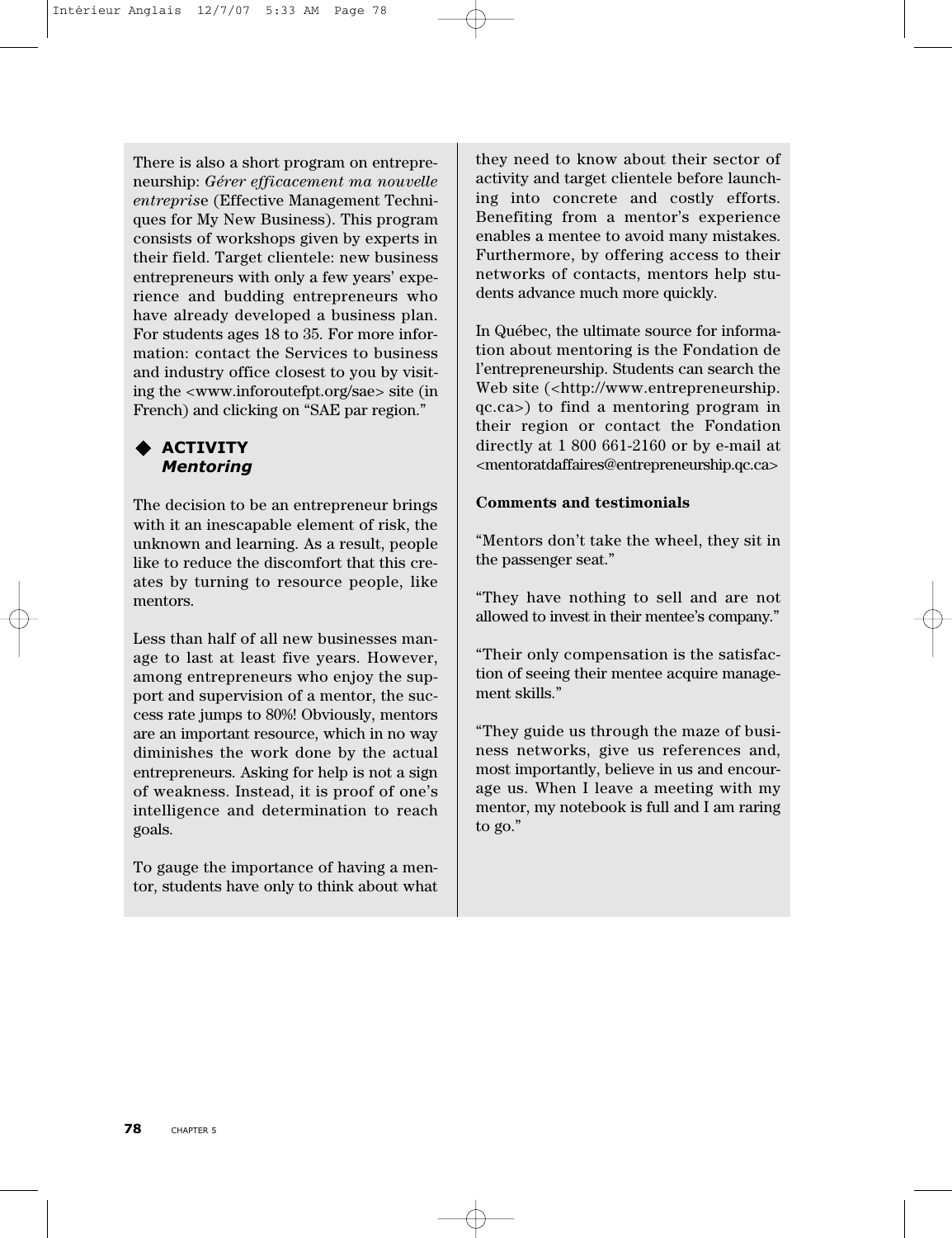There is also a short program on entrepreneurship: *Gérer efficacement ma nouvelle entrepris*e (Effective Management Techniques for My New Business). This program consists of workshops given by experts in their field. Target clientele: new business entrepreneurs with only a few years' experience and budding entrepreneurs who have already developed a business plan. For students ages 18 to 35. For more information: contact the Services to business and industry office closest to you by visiting the <www.inforoutefpt.org/sae> site (in French) and clicking on "SAE par region."

# **ACTIVITY** *Mentoring*

The decision to be an entrepreneur brings with it an inescapable element of risk, the unknown and learning. As a result, people like to reduce the discomfort that this creates by turning to resource people, like mentors.

Less than half of all new businesses manage to last at least five years. However, among entrepreneurs who enjoy the support and supervision of a mentor, the success rate jumps to 80%! Obviously, mentors are an important resource, which in no way diminishes the work done by the actual entrepreneurs. Asking for help is not a sign of weakness. Instead, it is proof of one's intelligence and determination to reach goals.

To gauge the importance of having a mentor, students have only to think about what

they need to know about their sector of activity and target clientele before launching into concrete and costly efforts. Benefiting from a mentor's experience enables a mentee to avoid many mistakes. Furthermore, by offering access to their networks of contacts, mentors help students advance much more quickly.

In Québec, the ultimate source for information about mentoring is the Fondation de l'entrepreneurship. Students can search the Web site (<http://www.entrepreneurship. qc.ca>) to find a mentoring program in their region or contact the Fondation directly at 1 800 661-2160 or by e-mail at <mentoratdaffaires@entrepreneurship.qc.ca>

# **Comments and testimonials**

"Mentors don't take the wheel, they sit in the passenger seat."

"They have nothing to sell and are not allowed to invest in their mentee's company."

"Their only compensation is the satisfaction of seeing their mentee acquire management skills."

"They guide us through the maze of business networks, give us references and, most importantly, believe in us and encourage us. When I leave a meeting with my mentor, my notebook is full and I am raring to go."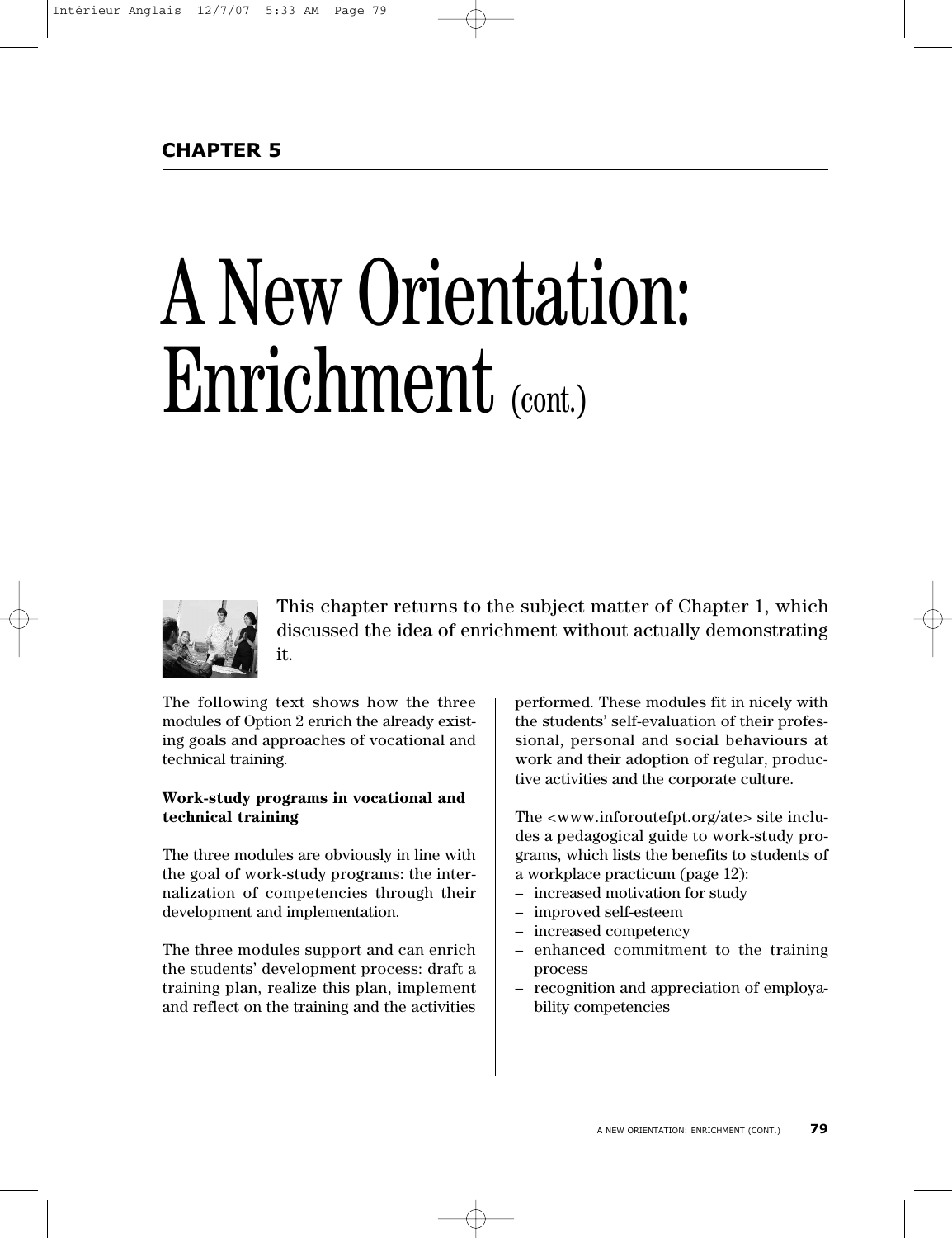# A New Orientation: Enrichment (cont.)



This chapter returns to the subject matter of Chapter 1, which discussed the idea of enrichment without actually demonstrating it.

The following text shows how the three modules of Option 2 enrich the already existing goals and approaches of vocational and technical training.

# **Work-study programs in vocational and technical training**

The three modules are obviously in line with the goal of work-study programs: the internalization of competencies through their development and implementation.

The three modules support and can enrich the students' development process: draft a training plan, realize this plan, implement and reflect on the training and the activities

performed. These modules fit in nicely with the students' self-evaluation of their professional, personal and social behaviours at work and their adoption of regular, productive activities and the corporate culture.

The <www.inforoutefpt.org/ate> site includes a pedagogical guide to work-study programs, which lists the benefits to students of a workplace practicum (page 12):

- increased motivation for study
- improved self-esteem
- increased competency
- enhanced commitment to the training process
- recognition and appreciation of employability competencies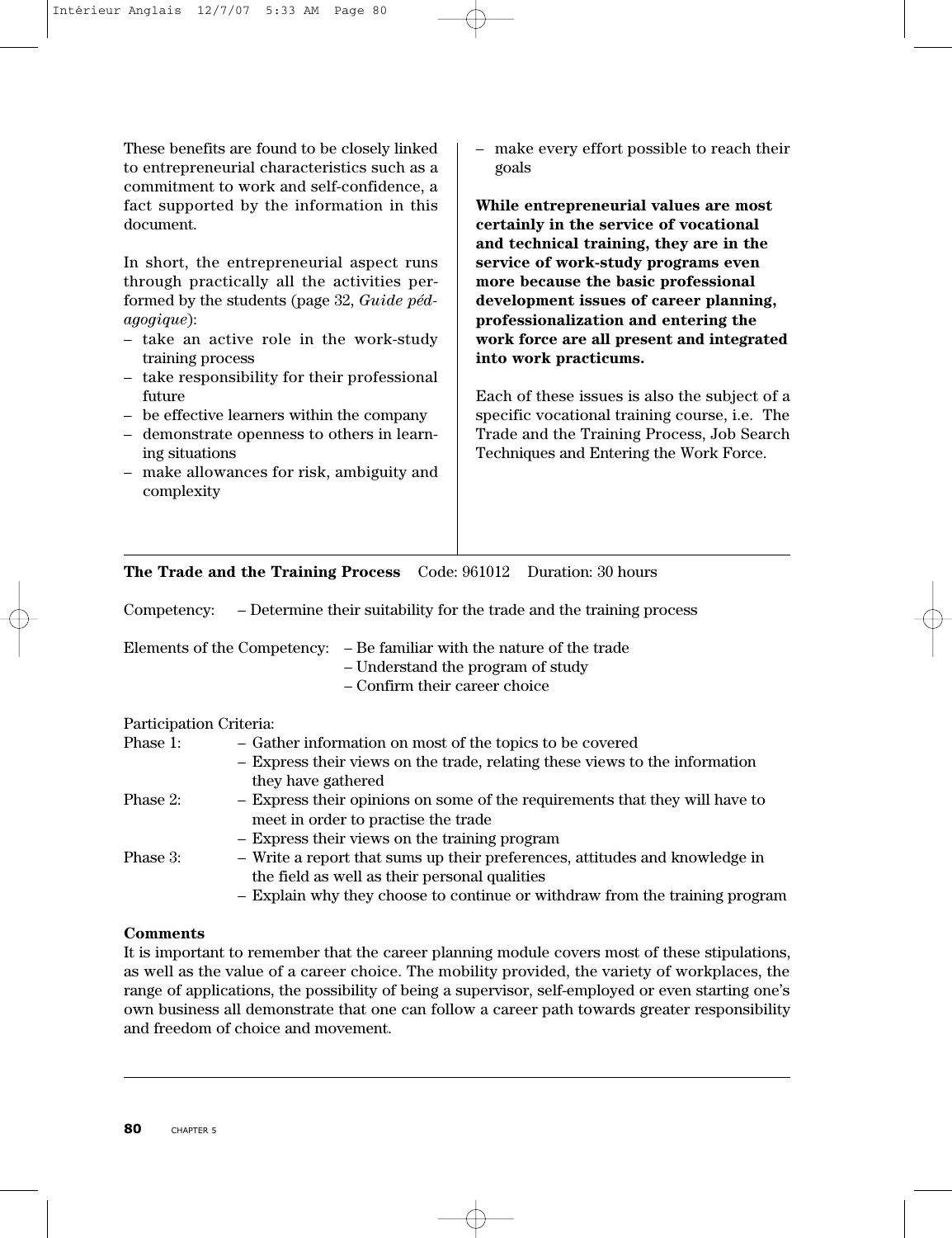These benefits are found to be closely linked to entrepreneurial characteristics such as a commitment to work and self-confidence, a fact supported by the information in this document.

In short, the entrepreneurial aspect runs through practically all the activities performed by the students (page 32, *Guide pédagogique*):

- take an active role in the work-study training process
- take responsibility for their professional future
- be effective learners within the company
- demonstrate openness to others in learning situations
- make allowances for risk, ambiguity and complexity

– make every effort possible to reach their goals

**While entrepreneurial values are most certainly in the service of vocational and technical training, they are in the service of work-study programs even more because the basic professional development issues of career planning, professionalization and entering the work force are all present and integrated into work practicums.**

Each of these issues is also the subject of a specific vocational training course, i.e. The Trade and the Training Process, Job Search Techniques and Entering the Work Force.

# **The Trade and the Training Process** Code: 961012 Duration: 30 hours

Competency: – Determine their suitability for the trade and the training process

– Understand the program of study

– Confirm their career choice

# Participation Criteria:

| Phase 1: | - Gather information on most of the topics to be covered                    |
|----------|-----------------------------------------------------------------------------|
|          | - Express their views on the trade, relating these views to the information |
|          | they have gathered                                                          |
| Phase 2: | - Express their opinions on some of the requirements that they will have to |
|          | meet in order to practise the trade                                         |
|          | - Express their views on the training program                               |
| Phase 3: | - Write a report that sums up their preferences, attitudes and knowledge in |
|          | the field as well as their personal qualities                               |
|          | - Explain why they choose to continue or withdraw from the training program |
|          |                                                                             |

#### **Comments**

It is important to remember that the career planning module covers most of these stipulations, as well as the value of a career choice. The mobility provided, the variety of workplaces, the range of applications, the possibility of being a supervisor, self-employed or even starting one's own business all demonstrate that one can follow a career path towards greater responsibility and freedom of choice and movement.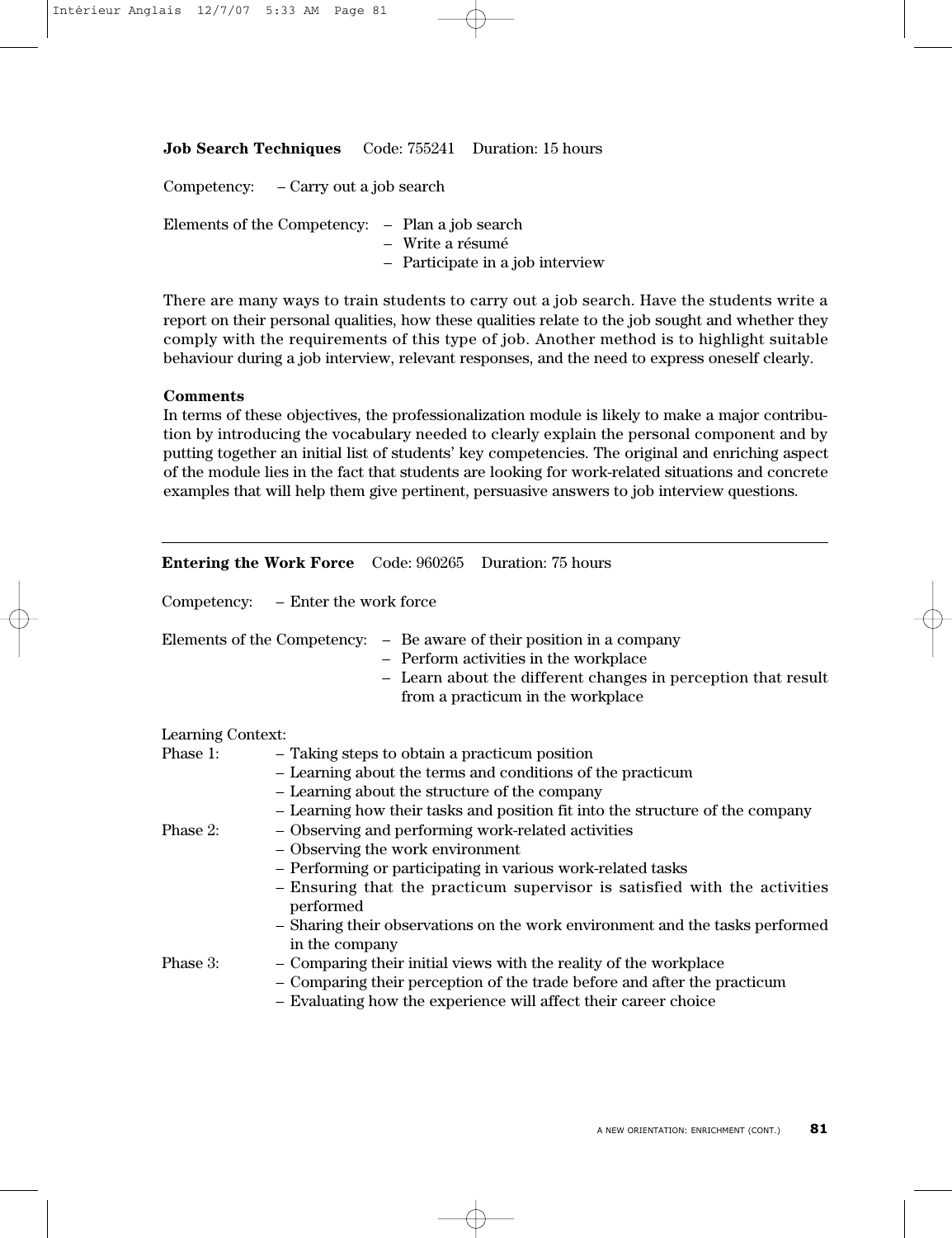**Job Search Techniques** Code: 755241 Duration: 15 hours

| Competency: – Carry out a job search |  |                                                                                                         |
|--------------------------------------|--|---------------------------------------------------------------------------------------------------------|
|                                      |  | Elements of the Competency: – Plan a job search<br>- Write a résumé<br>- Participate in a job interview |

There are many ways to train students to carry out a job search. Have the students write a report on their personal qualities, how these qualities relate to the job sought and whether they comply with the requirements of this type of job. Another method is to highlight suitable behaviour during a job interview, relevant responses, and the need to express oneself clearly.

#### **Comments**

In terms of these objectives, the professionalization module is likely to make a major contribution by introducing the vocabulary needed to clearly explain the personal component and by putting together an initial list of students' key competencies. The original and enriching aspect of the module lies in the fact that students are looking for work-related situations and concrete examples that will help them give pertinent, persuasive answers to job interview questions.

|                   | <b>Entering the Work Force</b> Code: 960265 Duration: 75 hours                                                                                                                                                                                                                                                                                    |  |  |
|-------------------|---------------------------------------------------------------------------------------------------------------------------------------------------------------------------------------------------------------------------------------------------------------------------------------------------------------------------------------------------|--|--|
|                   | Competency: – Enter the work force                                                                                                                                                                                                                                                                                                                |  |  |
|                   | Elements of the Competency: - Be aware of their position in a company<br>- Perform activities in the workplace<br>- Learn about the different changes in perception that result<br>from a practicum in the workplace                                                                                                                              |  |  |
| Learning Context: |                                                                                                                                                                                                                                                                                                                                                   |  |  |
| Phase 1:          | - Taking steps to obtain a practicum position<br>- Learning about the terms and conditions of the practicum<br>- Learning about the structure of the company<br>- Learning how their tasks and position fit into the structure of the company                                                                                                     |  |  |
| Phase 2:          | - Observing and performing work-related activities<br>- Observing the work environment<br>- Performing or participating in various work-related tasks<br>- Ensuring that the practicum supervisor is satisfied with the activities<br>performed<br>- Sharing their observations on the work environment and the tasks performed<br>in the company |  |  |
| Phase 3:          | - Comparing their initial views with the reality of the workplace<br>- Comparing their perception of the trade before and after the practicum<br>- Evaluating how the experience will affect their career choice                                                                                                                                  |  |  |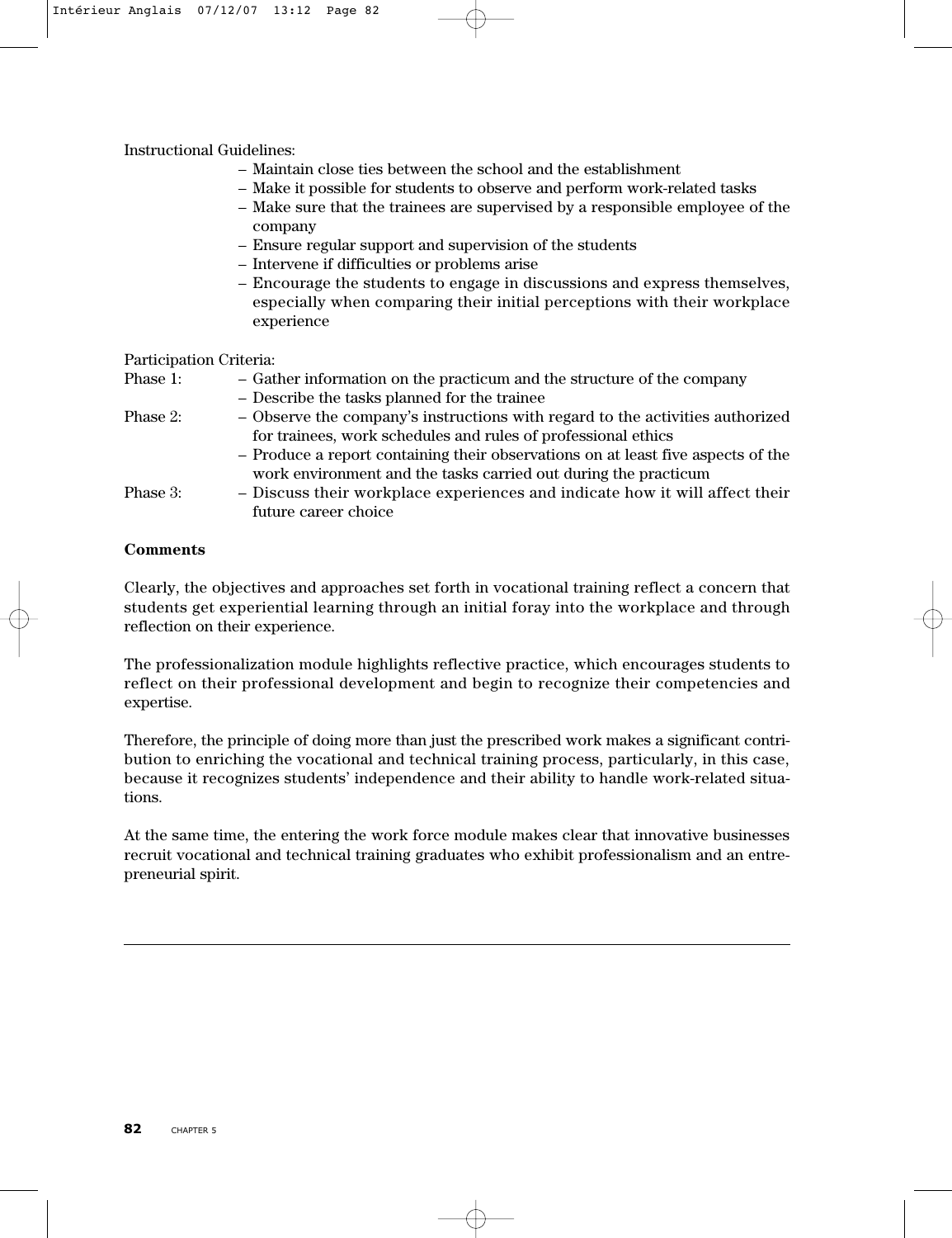Instructional Guidelines:

- Maintain close ties between the school and the establishment
- Make it possible for students to observe and perform work-related tasks
- Make sure that the trainees are supervised by a responsible employee of the company
- Ensure regular support and supervision of the students
- Intervene if difficulties or problems arise
- Encourage the students to engage in discussions and express themselves, especially when comparing their initial perceptions with their workplace experience

Participation Criteria:

| Phase 1: | - Gather information on the practicum and the structure of the company           |
|----------|----------------------------------------------------------------------------------|
|          | - Describe the tasks planned for the trainee                                     |
| Phase 2: | - Observe the company's instructions with regard to the activities authorized    |
|          | for trainees, work schedules and rules of professional ethics                    |
|          | - Produce a report containing their observations on at least five aspects of the |
|          | work environment and the tasks carried out during the practicum                  |
| Phase 3: | - Discuss their workplace experiences and indicate how it will affect their      |
|          | future career choice                                                             |

# **Comments**

Clearly, the objectives and approaches set forth in vocational training reflect a concern that students get experiential learning through an initial foray into the workplace and through reflection on their experience.

The professionalization module highlights reflective practice, which encourages students to reflect on their professional development and begin to recognize their competencies and expertise.

Therefore, the principle of doing more than just the prescribed work makes a significant contribution to enriching the vocational and technical training process, particularly, in this case, because it recognizes students' independence and their ability to handle work-related situations.

At the same time, the entering the work force module makes clear that innovative businesses recruit vocational and technical training graduates who exhibit professionalism and an entrepreneurial spirit.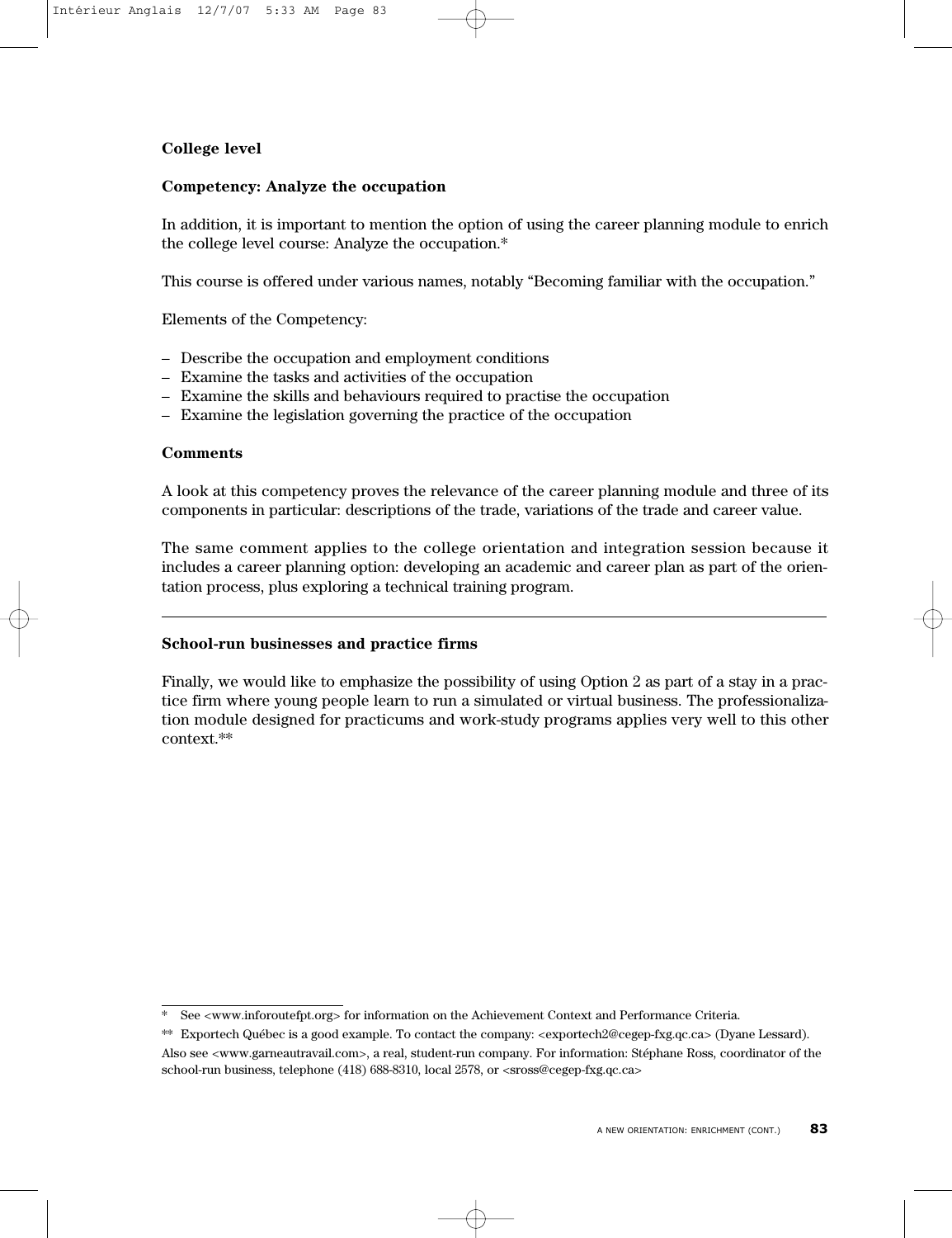# **College level**

# **Competency: Analyze the occupation**

In addition, it is important to mention the option of using the career planning module to enrich the college level course: Analyze the occupation.\*

This course is offered under various names, notably "Becoming familiar with the occupation."

Elements of the Competency:

- Describe the occupation and employment conditions
- Examine the tasks and activities of the occupation
- Examine the skills and behaviours required to practise the occupation
- Examine the legislation governing the practice of the occupation

# **Comments**

A look at this competency proves the relevance of the career planning module and three of its components in particular: descriptions of the trade, variations of the trade and career value.

The same comment applies to the college orientation and integration session because it includes a career planning option: developing an academic and career plan as part of the orientation process, plus exploring a technical training program.

# **School-run businesses and practice firms**

Finally, we would like to emphasize the possibility of using Option 2 as part of a stay in a practice firm where young people learn to run a simulated or virtual business. The professionalization module designed for practicums and work-study programs applies very well to this other context.\*\*

See <www.inforoutefpt.org> for information on the Achievement Context and Performance Criteria.

<sup>\*\*</sup> Exportech Québec is a good example. To contact the company: <exportech2@cegep-fxg.qc.ca> (Dyane Lessard).

Also see <www.garneautravail.com>, a real, student-run company. For information: Stéphane Ross, coordinator of the school-run business, telephone (418) 688-8310, local 2578, or <sross@cegep-fxg.qc.ca>